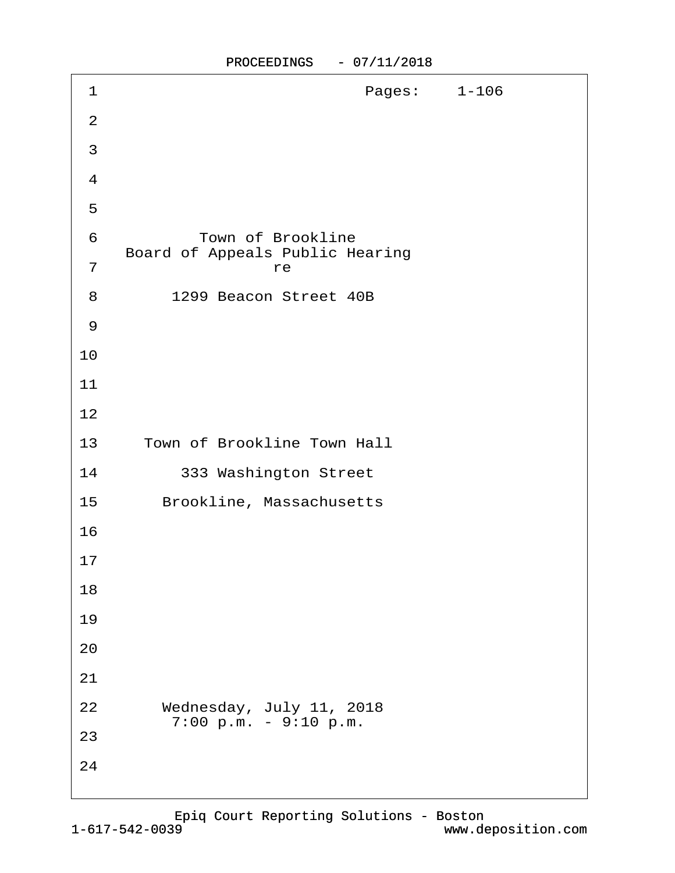| 1                   | Pages: 1-106                                                      |  |
|---------------------|-------------------------------------------------------------------|--|
| $\overline{2}$      |                                                                   |  |
| 3                   |                                                                   |  |
| $\overline{4}$      |                                                                   |  |
| $\sqrt{5}$          |                                                                   |  |
| 6<br>$\overline{7}$ | <b>Town of Brookline</b><br>Board of Appeals Public Hearing<br>re |  |
| 8                   | 1299 Beacon Street 40B                                            |  |
| 9                   |                                                                   |  |
| 10                  |                                                                   |  |
| 11                  |                                                                   |  |
| 12                  |                                                                   |  |
| 13                  | Town of Brookline Town Hall                                       |  |
| 14                  | 333 Washington Street                                             |  |
| 15                  | Brookline, Massachusetts                                          |  |
| 16                  |                                                                   |  |
| 17                  |                                                                   |  |
| 18                  |                                                                   |  |
| 19                  |                                                                   |  |
| 20                  |                                                                   |  |
| 21                  |                                                                   |  |
| 22                  | Wednesday, July 11, 2018<br>7:00 p.m. - 9:10 p.m.                 |  |
| 23                  |                                                                   |  |
| 24                  |                                                                   |  |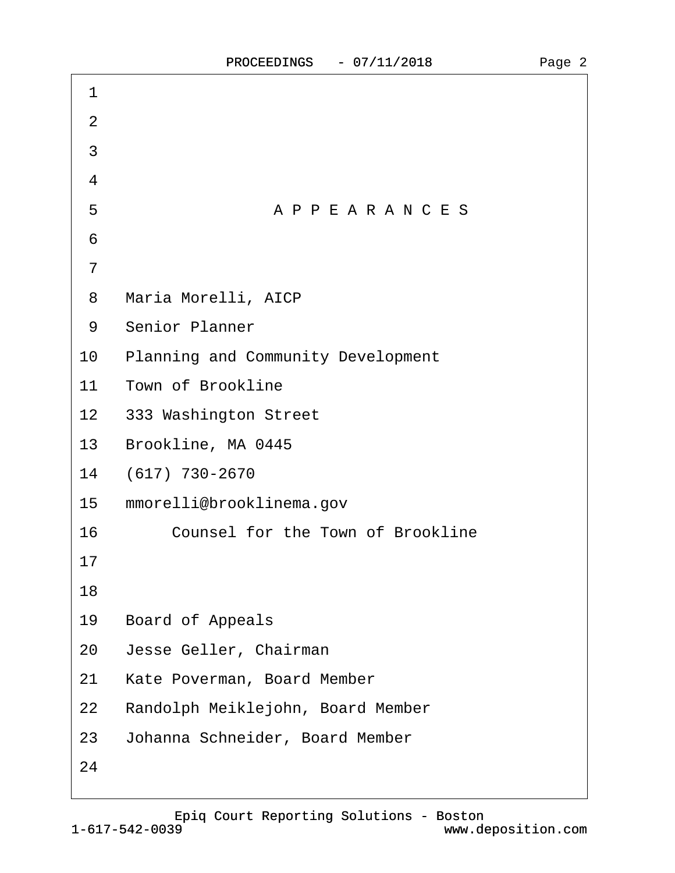| 1               |                                           |
|-----------------|-------------------------------------------|
| 2               |                                           |
| 3               |                                           |
| 4               |                                           |
| 5               | APPEARANCES                               |
| 6               |                                           |
| 7               |                                           |
| 8               | Maria Morelli, AICP                       |
| 9               | <b>Senior Planner</b>                     |
| 10              | <b>Planning and Community Development</b> |
| 11              | <b>Town of Brookline</b>                  |
|                 | 12 333 Washington Street                  |
| 13 <sup>°</sup> | Brookline, MA 0445                        |
| 14              | (617) 730-2670                            |
| 15              | mmorelli@brooklinema.gov                  |
| 16              | Counsel for the Town of Brookline         |
| 17              |                                           |
| 18              |                                           |
| 19              | <b>Board of Appeals</b>                   |
| 20              | Jesse Geller, Chairman                    |
| 21              | Kate Poverman, Board Member               |
| 22              | Randolph Meiklejohn, Board Member         |
| 23              | Johanna Schneider, Board Member           |
| 24              |                                           |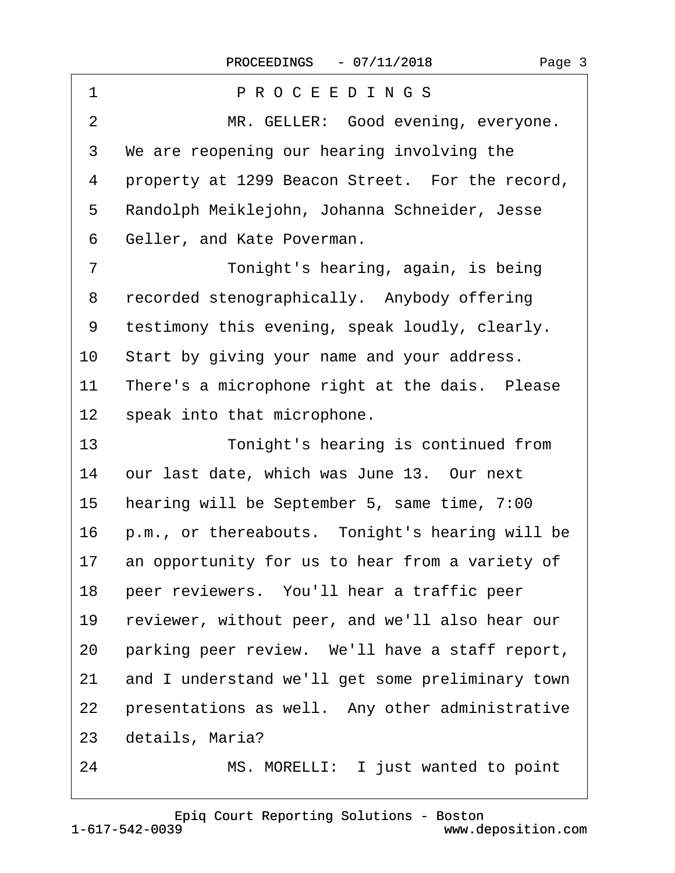| 1               | PROCEEDINGS                                      |
|-----------------|--------------------------------------------------|
| $\overline{2}$  | MR. GELLER: Good evening, everyone.              |
| 3               | We are reopening our hearing involving the       |
| 4               | property at 1299 Beacon Street. For the record,  |
| 5               | Randolph Meiklejohn, Johanna Schneider, Jesse    |
| 6               | Geller, and Kate Poverman.                       |
| $\overline{7}$  | Tonight's hearing, again, is being               |
| 8               | recorded stenographically. Anybody offering      |
| 9               | testimony this evening, speak loudly, clearly.   |
| 10              | Start by giving your name and your address.      |
| 11              | There's a microphone right at the dais. Please   |
| 12 <sub>2</sub> | speak into that microphone.                      |
| 13              | Tonight's hearing is continued from              |
| 14              | our last date, which was June 13. Our next       |
| 15              | hearing will be September 5, same time, 7:00     |
| 16              | p.m., or thereabouts. Tonight's hearing will be  |
| 17              | an opportunity for us to hear from a variety of  |
| 18              | peer reviewers. You'll hear a traffic peer       |
| 19              | reviewer, without peer, and we'll also hear our  |
| 20              | parking peer review. We'll have a staff report,  |
| 21              | and I understand we'll get some preliminary town |
| 22              | presentations as well. Any other administrative  |
| 23              | details, Maria?                                  |
| 24              | MS. MORELLI: I just wanted to point              |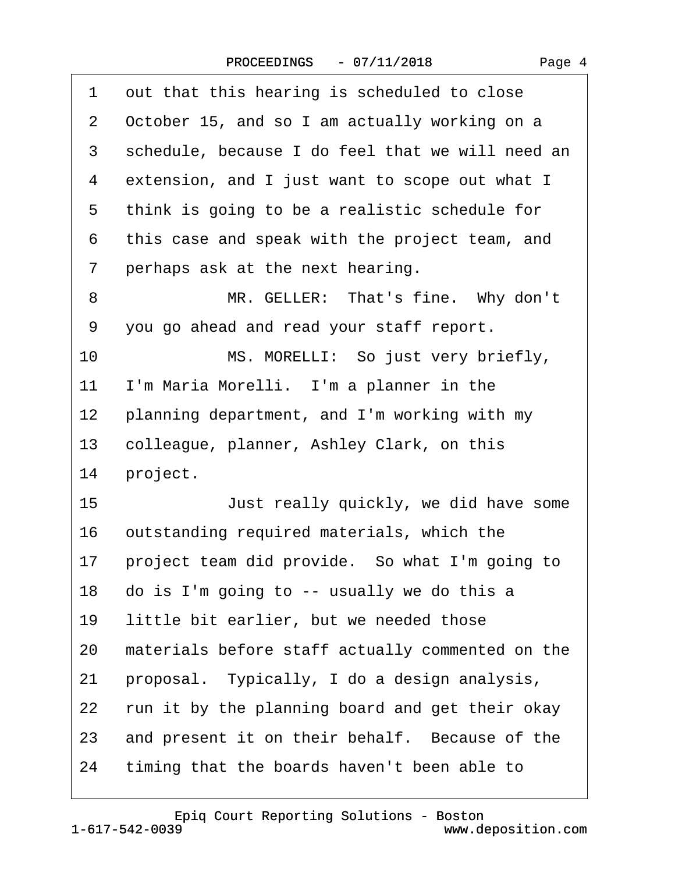| 1              | out that this hearing is scheduled to close      |
|----------------|--------------------------------------------------|
| $\overline{2}$ | October 15, and so I am actually working on a    |
| 3              | schedule, because I do feel that we will need an |
| 4              | extension, and I just want to scope out what I   |
| 5              | think is going to be a realistic schedule for    |
| 6              | this case and speak with the project team, and   |
| 7              | perhaps ask at the next hearing.                 |
| 8              | MR. GELLER: That's fine. Why don't               |
| 9              | you go ahead and read your staff report.         |
| 10             | MS. MORELLI: So just very briefly,               |
| 11             | I'm Maria Morelli. I'm a planner in the          |
| 12             | planning department, and I'm working with my     |
| 13             | colleague, planner, Ashley Clark, on this        |
| 14             | project.                                         |
| 15             | Just really quickly, we did have some            |
| 16             | outstanding required materials, which the        |
| 17             | project team did provide. So what I'm going to   |
| 18             | do is I'm going to -- usually we do this a       |
| 19             | little bit earlier, but we needed those          |
| 20             | materials before staff actually commented on the |
| 21             | proposal. Typically, I do a design analysis,     |
| 22             | run it by the planning board and get their okay  |
| 23             | and present it on their behalf. Because of the   |
| 24             | timing that the boards haven't been able to      |
|                |                                                  |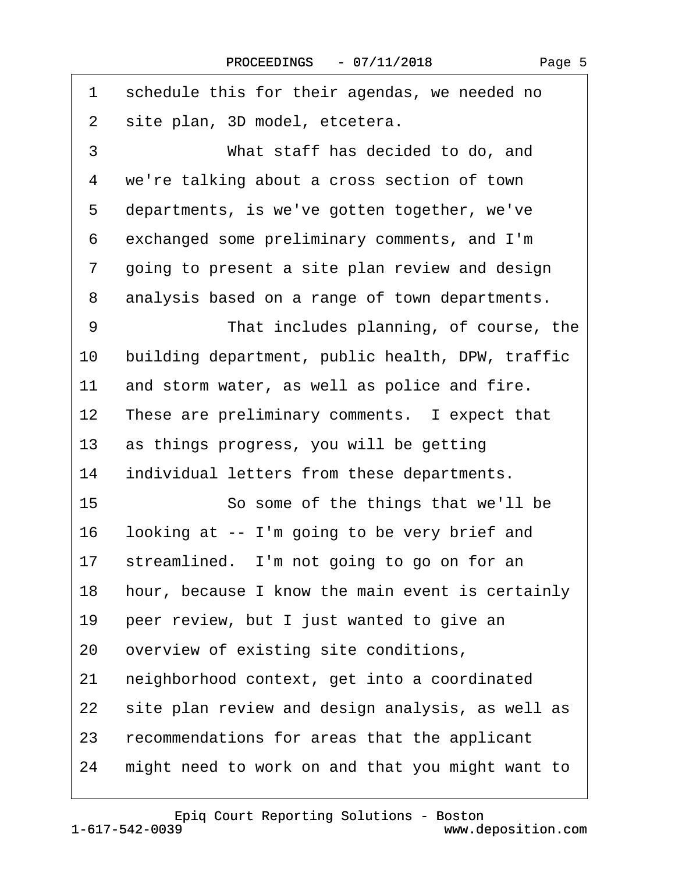| 1  | schedule this for their agendas, we needed no    |
|----|--------------------------------------------------|
| 2  | site plan, 3D model, etcetera.                   |
| 3  | What staff has decided to do, and                |
| 4  | we're talking about a cross section of town      |
| 5  | departments, is we've gotten together, we've     |
| 6  | exchanged some preliminary comments, and I'm     |
| 7  | going to present a site plan review and design   |
| 8  | analysis based on a range of town departments.   |
| 9  | That includes planning, of course, the           |
| 10 | building department, public health, DPW, traffic |
| 11 | and storm water, as well as police and fire.     |
| 12 | These are preliminary comments. I expect that    |
| 13 | as things progress, you will be getting          |
| 14 | individual letters from these departments.       |
| 15 | So some of the things that we'll be              |
| 16 | looking at -- I'm going to be very brief and     |
| 17 | streamlined. I'm not going to go on for an       |
| 18 | hour, because I know the main event is certainly |
| 19 | peer review, but I just wanted to give an        |
| 20 | overview of existing site conditions,            |
| 21 | neighborhood context, get into a coordinated     |
| 22 | site plan review and design analysis, as well as |
| 23 | recommendations for areas that the applicant     |
| 24 | might need to work on and that you might want to |
|    |                                                  |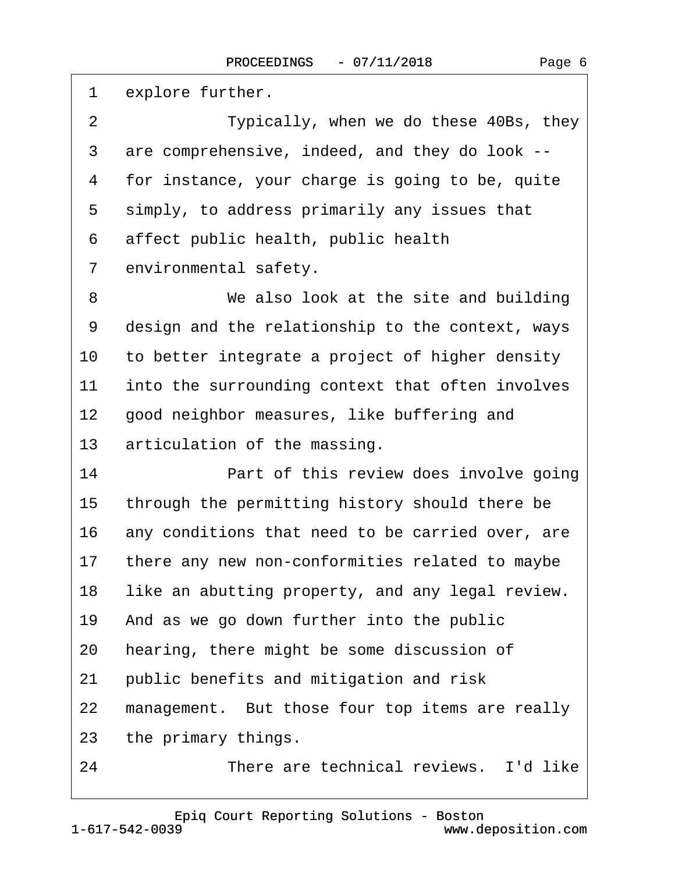| explore further.                                 |
|--------------------------------------------------|
| Typically, when we do these 40Bs, they           |
| are comprehensive, indeed, and they do look --   |
| for instance, your charge is going to be, quite  |
| simply, to address primarily any issues that     |
| affect public health, public health              |
| environmental safety.                            |
| We also look at the site and building            |
| design and the relationship to the context, ways |
| to better integrate a project of higher density  |
| into the surrounding context that often involves |
| good neighbor measures, like buffering and       |
| articulation of the massing.                     |
| Part of this review does involve going           |
| through the permitting history should there be   |
| any conditions that need to be carried over, are |
| there any new non-conformities related to maybe  |
| like an abutting property, and any legal review. |
| And as we go down further into the public        |
| hearing, there might be some discussion of       |
| public benefits and mitigation and risk          |
| management. But those four top items are really  |
| the primary things.                              |
| There are technical reviews. I'd like            |
|                                                  |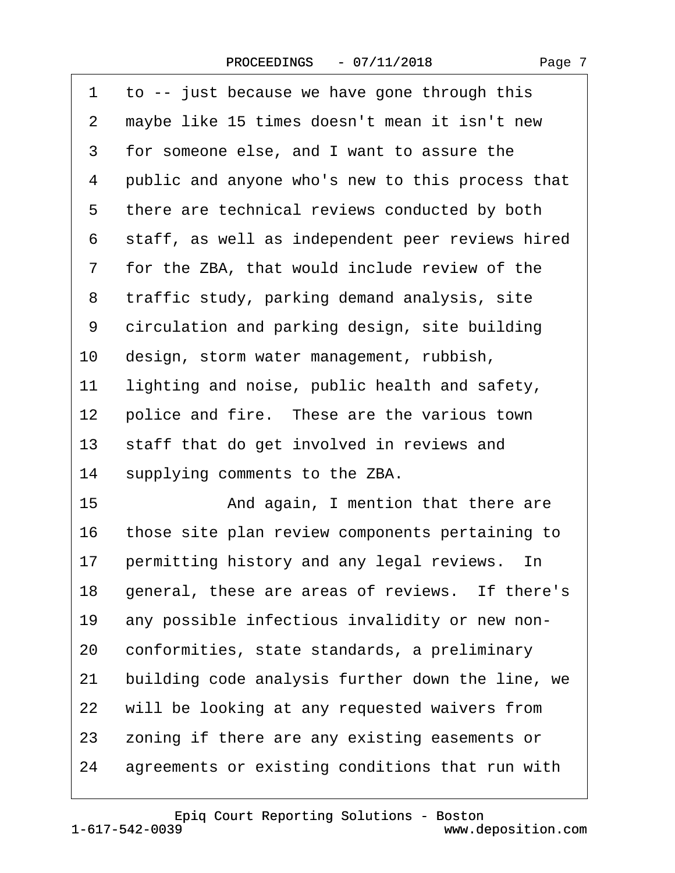| 1  | to -- just because we have gone through this     |
|----|--------------------------------------------------|
| 2  | maybe like 15 times doesn't mean it isn't new    |
| 3  | for someone else, and I want to assure the       |
| 4  | public and anyone who's new to this process that |
| 5  | there are technical reviews conducted by both    |
| 6  | staff, as well as independent peer reviews hired |
| 7  | for the ZBA, that would include review of the    |
| 8  | traffic study, parking demand analysis, site     |
| 9  | circulation and parking design, site building    |
| 10 | design, storm water management, rubbish,         |
| 11 | lighting and noise, public health and safety,    |
| 12 | police and fire. These are the various town      |
| 13 | staff that do get involved in reviews and        |
| 14 | supplying comments to the ZBA.                   |
| 15 | And again, I mention that there are              |
| 16 | those site plan review components pertaining to  |
| 17 | permitting history and any legal reviews. In     |
| 18 | general, these are areas of reviews. If there's  |
| 19 | any possible infectious invalidity or new non-   |
| 20 | conformities, state standards, a preliminary     |
| 21 | building code analysis further down the line, we |
| 22 | will be looking at any requested waivers from    |
| 23 | zoning if there are any existing easements or    |
| 24 | agreements or existing conditions that run with  |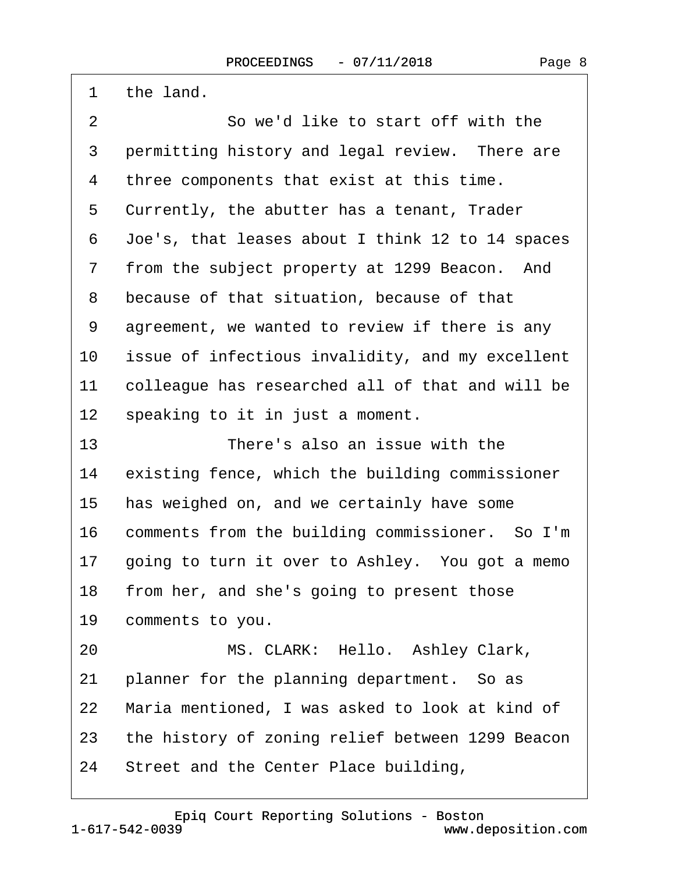| 1              | the land.                                           |
|----------------|-----------------------------------------------------|
| $\overline{2}$ | So we'd like to start off with the                  |
| 3              | permitting history and legal review. There are      |
| 4              | three components that exist at this time.           |
| 5              | Currently, the abutter has a tenant, Trader         |
| 6              | Joe's, that leases about I think 12 to 14 spaces    |
| 7              | from the subject property at 1299 Beacon. And       |
| 8              | because of that situation, because of that          |
| 9              | agreement, we wanted to review if there is any      |
| 10             | issue of infectious invalidity, and my excellent    |
| 11             | colleague has researched all of that and will be    |
| 12             | speaking to it in just a moment.                    |
| 13             | There's also an issue with the                      |
| 14             | existing fence, which the building commissioner     |
| 15             | has weighed on, and we certainly have some          |
| 16             | comments from the building commissioner. So I'm     |
| 17             | going to turn it over to Ashley. You got a memo     |
|                | 18 from her, and she's going to present those       |
|                | 19 comments to you.                                 |
| 20             | MS. CLARK: Hello. Ashley Clark,                     |
| 21             | planner for the planning department. So as          |
| 22             | Maria mentioned, I was asked to look at kind of     |
|                | 23 the history of zoning relief between 1299 Beacon |
| 24             | Street and the Center Place building,               |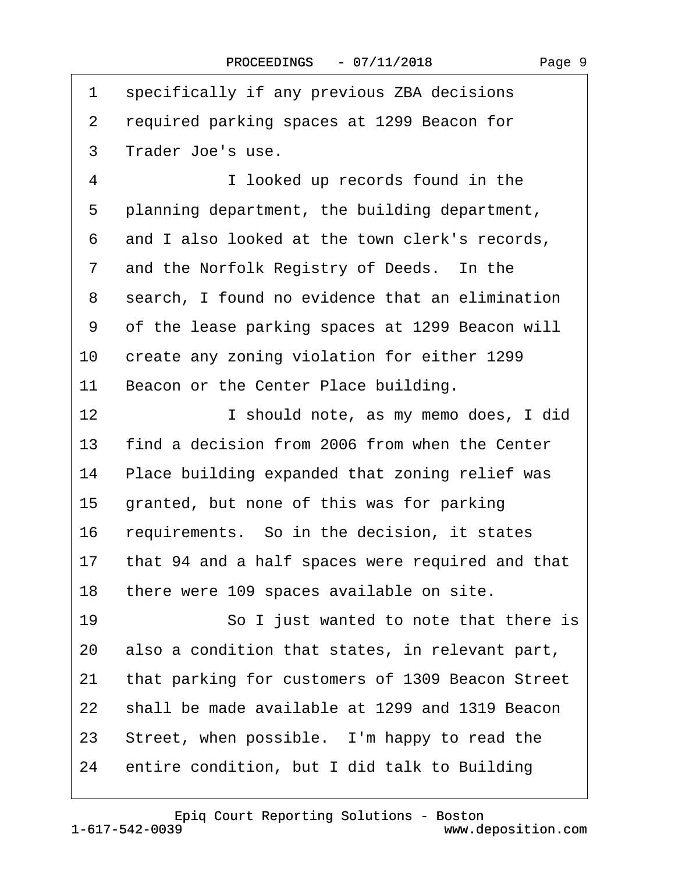| 1               | specifically if any previous ZBA decisions          |
|-----------------|-----------------------------------------------------|
| 2               | required parking spaces at 1299 Beacon for          |
| 3               | Trader Joe's use.                                   |
| 4               | I looked up records found in the                    |
| 5               | planning department, the building department,       |
| 6               | and I also looked at the town clerk's records,      |
| 7               | and the Norfolk Registry of Deeds. In the           |
| 8               | search, I found no evidence that an elimination     |
| 9               | of the lease parking spaces at 1299 Beacon will     |
| 10              | create any zoning violation for either 1299         |
| 11              | Beacon or the Center Place building.                |
| 12 <sup>2</sup> | I should note, as my memo does, I did               |
| 13              | find a decision from 2006 from when the Center      |
| 14              | Place building expanded that zoning relief was      |
| 15              | granted, but none of this was for parking           |
| 16              | requirements. So in the decision, it states         |
|                 | 17 that 94 and a half spaces were required and that |
| 18              | there were 109 spaces available on site.            |
| 19              | So I just wanted to note that there is              |
| 20              | also a condition that states, in relevant part,     |
| 21              | that parking for customers of 1309 Beacon Street    |
| 22              | shall be made available at 1299 and 1319 Beacon     |
| 23              | Street, when possible. I'm happy to read the        |
| 24              | entire condition, but I did talk to Building        |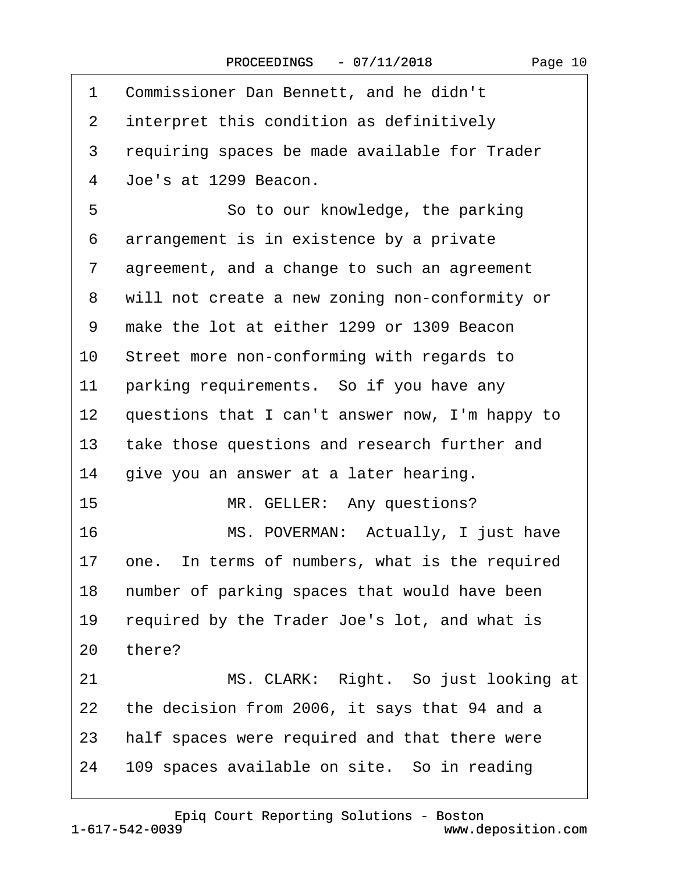| 1              | Commissioner Dan Bennett, and he didn't         |
|----------------|-------------------------------------------------|
| $\overline{2}$ | interpret this condition as definitively        |
| 3              | requiring spaces be made available for Trader   |
| 4              | Joe's at 1299 Beacon.                           |
| 5              | So to our knowledge, the parking                |
| 6              | arrangement is in existence by a private        |
| $\overline{7}$ | agreement, and a change to such an agreement    |
| 8              | will not create a new zoning non-conformity or  |
| 9              | make the lot at either 1299 or 1309 Beacon      |
| 10             | Street more non-conforming with regards to      |
| 11             | parking requirements. So if you have any        |
| 12             | questions that I can't answer now, I'm happy to |
| 13             | take those questions and research further and   |
| 14             | give you an answer at a later hearing.          |
| 15             | MR. GELLER: Any questions?                      |
| 16             | MS. POVERMAN: Actually, I just have             |
| 17             | one. In terms of numbers, what is the required  |
| 18             | number of parking spaces that would have been   |
| 19             | required by the Trader Joe's lot, and what is   |
| 20             | there?                                          |
| 21             | MS. CLARK: Right. So just looking at            |
| 22             | the decision from 2006, it says that 94 and a   |
| 23             | half spaces were required and that there were   |
| 24             | 109 spaces available on site. So in reading     |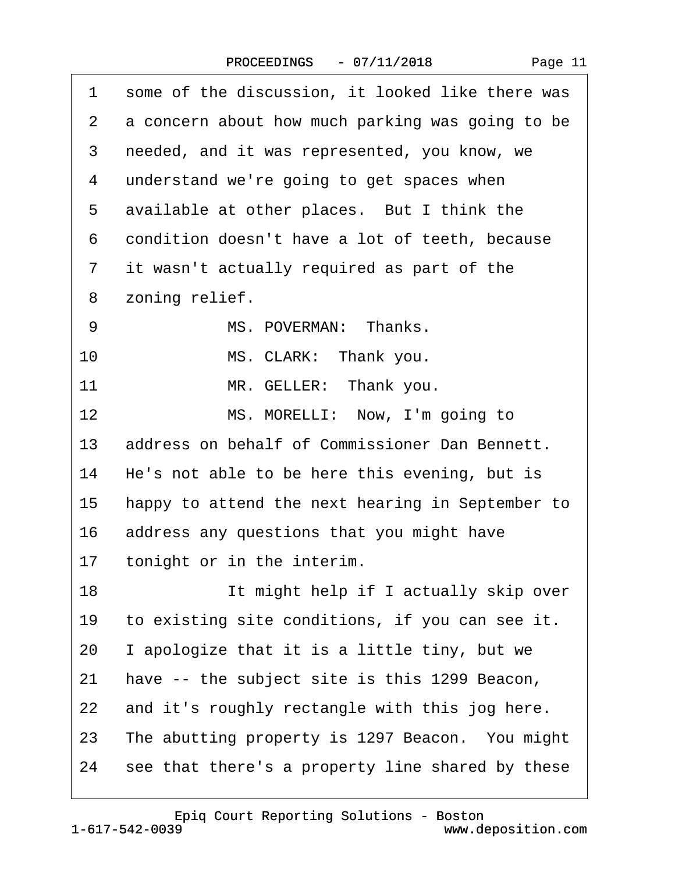| 1              | some of the discussion, it looked like there was |
|----------------|--------------------------------------------------|
| $\overline{2}$ | a concern about how much parking was going to be |
| 3              | needed, and it was represented, you know, we     |
| 4              | understand we're going to get spaces when        |
| 5              | available at other places. But I think the       |
| 6              | condition doesn't have a lot of teeth, because   |
| $\overline{7}$ | it wasn't actually required as part of the       |
| 8              | zoning relief.                                   |
| 9              | MS. POVERMAN: Thanks.                            |
| 10             | MS. CLARK: Thank you.                            |
| 11             | MR. GELLER: Thank you.                           |
| 12             | MS. MORELLI: Now, I'm going to                   |
| 13             | address on behalf of Commissioner Dan Bennett.   |
| 14             | He's not able to be here this evening, but is    |
| 15             | happy to attend the next hearing in September to |
| 16             | address any questions that you might have        |
| 17             | tonight or in the interim.                       |
| 18             | It might help if I actually skip over            |
| 19             | to existing site conditions, if you can see it.  |
| 20             | I apologize that it is a little tiny, but we     |
| 21             | have -- the subject site is this 1299 Beacon,    |
| 22             | and it's roughly rectangle with this jog here.   |
| 23             | The abutting property is 1297 Beacon. You might  |
| 24             | see that there's a property line shared by these |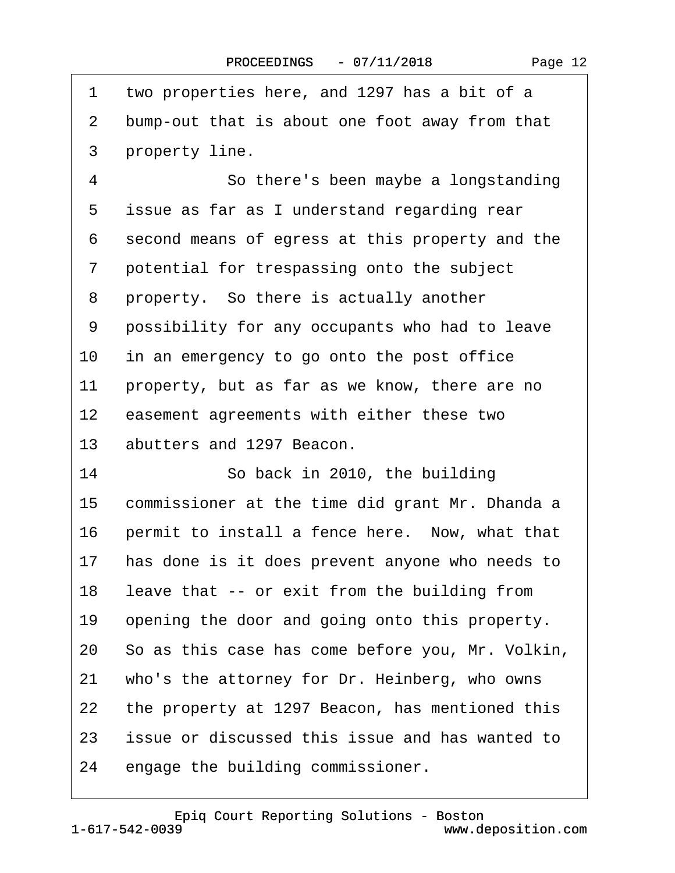| 1  | two properties here, and 1297 has a bit of a     |
|----|--------------------------------------------------|
| 2  | bump-out that is about one foot away from that   |
| 3  | property line.                                   |
| 4  | So there's been maybe a longstanding             |
| 5  | issue as far as I understand regarding rear      |
| 6  | second means of egress at this property and the  |
| 7  | potential for trespassing onto the subject       |
| 8  | property. So there is actually another           |
| 9  | possibility for any occupants who had to leave   |
| 10 | in an emergency to go onto the post office       |
| 11 | property, but as far as we know, there are no    |
| 12 | easement agreements with either these two        |
| 13 | abutters and 1297 Beacon.                        |
| 14 | So back in 2010, the building                    |
| 15 | commissioner at the time did grant Mr. Dhanda a  |
| 16 | permit to install a fence here. Now, what that   |
| 17 | has done is it does prevent anyone who needs to  |
| 18 | leave that -- or exit from the building from     |
| 19 | opening the door and going onto this property.   |
| 20 | So as this case has come before you, Mr. Volkin, |
| 21 | who's the attorney for Dr. Heinberg, who owns    |
| 22 | the property at 1297 Beacon, has mentioned this  |
| 23 | issue or discussed this issue and has wanted to  |
| 24 | engage the building commissioner.                |
|    |                                                  |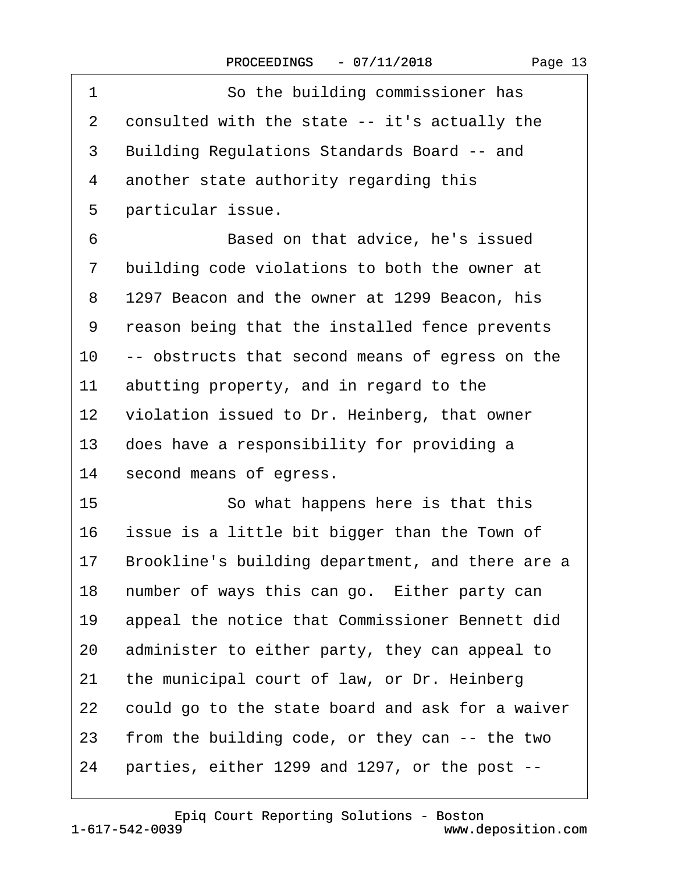| 1       | So the building commissioner has                   |
|---------|----------------------------------------------------|
| 2       | consulted with the state -- it's actually the      |
| 3       | <b>Building Regulations Standards Board -- and</b> |
| 4       | another state authority regarding this             |
| 5       | particular issue.                                  |
| 6       | Based on that advice, he's issued                  |
| 7       | building code violations to both the owner at      |
| 8       | 1297 Beacon and the owner at 1299 Beacon, his      |
| 9       | reason being that the installed fence prevents     |
| 10      | -- obstructs that second means of egress on the    |
| 11      | abutting property, and in regard to the            |
| $12 \,$ | violation issued to Dr. Heinberg, that owner       |
| 13      | does have a responsibility for providing a         |
| 14      | second means of egress.                            |
| 15      | So what happens here is that this                  |
| 16      | issue is a little bit bigger than the Town of      |
| 17      | Brookline's building department, and there are a   |
| 18      | number of ways this can go. Either party can       |
| 19      | appeal the notice that Commissioner Bennett did    |
| 20      | administer to either party, they can appeal to     |
| 21      | the municipal court of law, or Dr. Heinberg        |
| 22      | could go to the state board and ask for a waiver   |
| 23      | from the building code, or they can -- the two     |
| 24      | parties, either 1299 and 1297, or the post --      |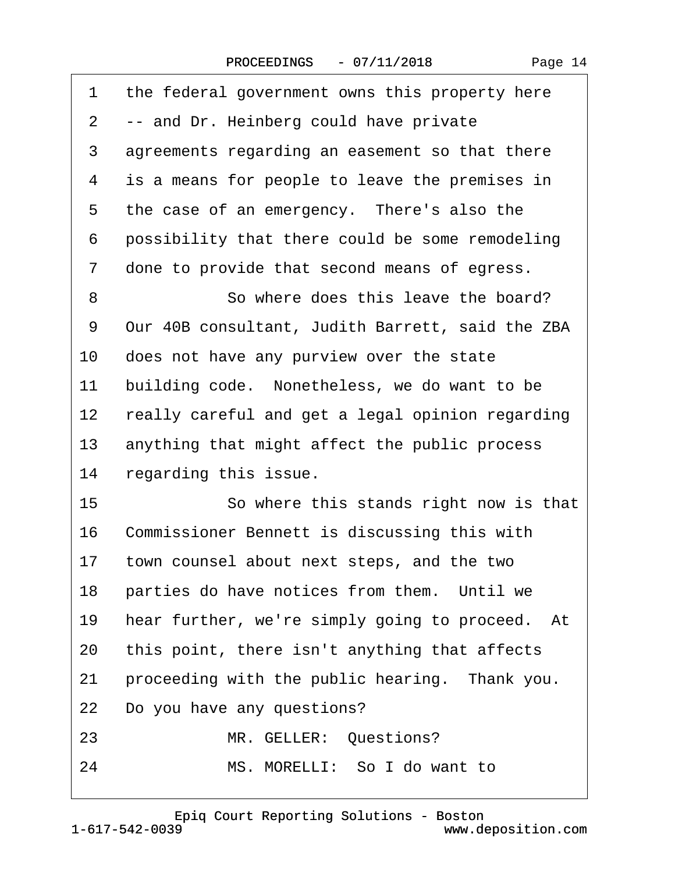| 1              | the federal government owns this property here   |
|----------------|--------------------------------------------------|
| $\overline{2}$ | -- and Dr. Heinberg could have private           |
| 3              | agreements regarding an easement so that there   |
| 4              | is a means for people to leave the premises in   |
| 5              | the case of an emergency. There's also the       |
| 6              | possibility that there could be some remodeling  |
| 7              | done to provide that second means of egress.     |
| 8              | So where does this leave the board?              |
| 9              | Our 40B consultant, Judith Barrett, said the ZBA |
| 10             | does not have any purview over the state         |
| 11             | building code. Nonetheless, we do want to be     |
| 12             | really careful and get a legal opinion regarding |
| 13             | anything that might affect the public process    |
| 14             | regarding this issue.                            |
| 15             | So where this stands right now is that           |
| 16             | Commissioner Bennett is discussing this with     |
| 17             | town counsel about next steps, and the two       |
| 18             | parties do have notices from them. Until we      |
| 19             | hear further, we're simply going to proceed. At  |
| 20             | this point, there isn't anything that affects    |
| 21             | proceeding with the public hearing. Thank you.   |
| 22             | Do you have any questions?                       |
| 23             | MR. GELLER: Questions?                           |
| 24             | MS. MORELLI: So I do want to                     |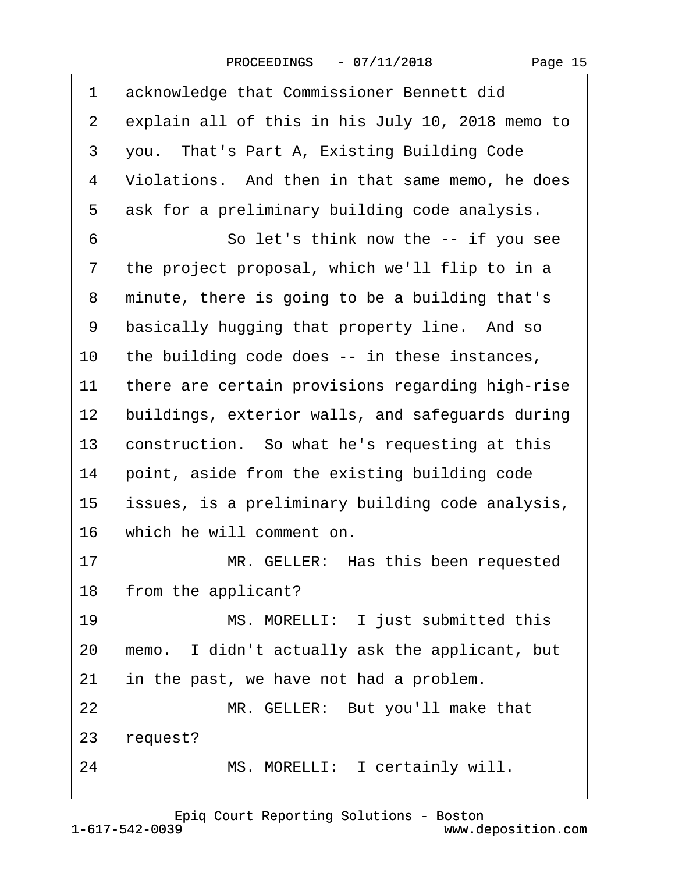| 1               | acknowledge that Commissioner Bennett did        |
|-----------------|--------------------------------------------------|
| $\mathbf{2}$    | explain all of this in his July 10, 2018 memo to |
| 3               | you. That's Part A, Existing Building Code       |
| 4               | Violations. And then in that same memo, he does  |
| 5               | ask for a preliminary building code analysis.    |
| 6               | So let's think now the -- if you see             |
| $\overline{7}$  | the project proposal, which we'll flip to in a   |
| 8               | minute, there is going to be a building that's   |
| 9               | basically hugging that property line. And so     |
| 10              | the building code does -- in these instances,    |
| 11              | there are certain provisions regarding high-rise |
| 12 <sub>2</sub> | buildings, exterior walls, and safeguards during |
| 13              | construction. So what he's requesting at this    |
| 14              | point, aside from the existing building code     |
| $15\,$          | issues, is a preliminary building code analysis, |
|                 | 16 which he will comment on.                     |
| 17              | MR. GELLER: Has this been requested              |
|                 | 18 from the applicant?                           |
| 19              | MS. MORELLI: I just submitted this               |
| 20              | memo. I didn't actually ask the applicant, but   |
| 21              | in the past, we have not had a problem.          |
| 22              | MR. GELLER: But you'll make that                 |
| 23              | request?                                         |

24 MS. MORELLI: I certainly will.

18· ·from the applicant?

23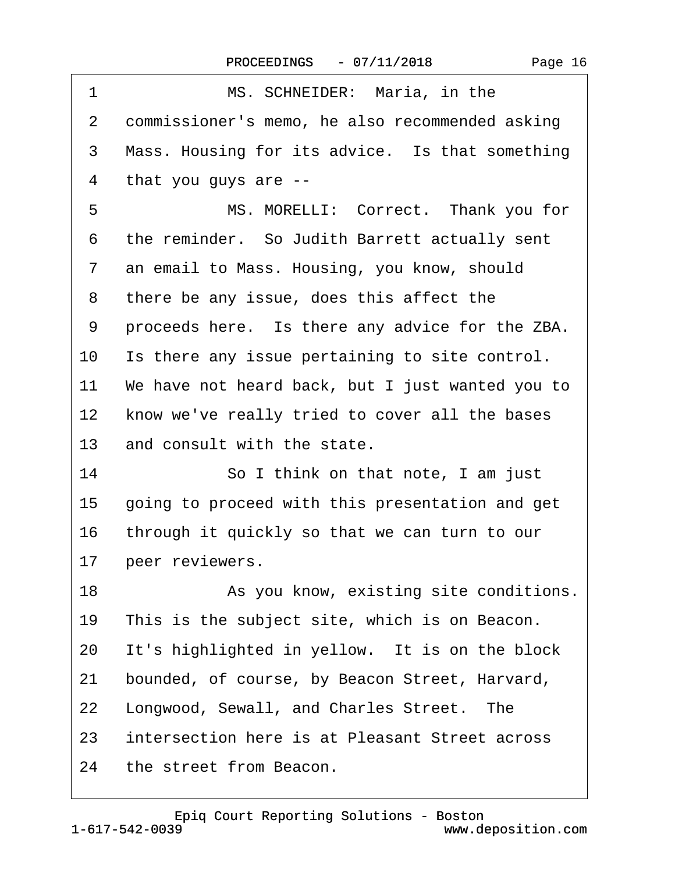| 1               | MS. SCHNEIDER: Maria, in the                     |
|-----------------|--------------------------------------------------|
| 2               | commissioner's memo, he also recommended asking  |
| 3               | Mass. Housing for its advice. Is that something  |
| 4               | that you guys are --                             |
| 5               | MS. MORELLI: Correct. Thank you for              |
| 6               | the reminder. So Judith Barrett actually sent    |
| $\overline{7}$  | an email to Mass. Housing, you know, should      |
| 8               | there be any issue, does this affect the         |
| 9               | proceeds here. Is there any advice for the ZBA.  |
| 10              | Is there any issue pertaining to site control.   |
| 11              | We have not heard back, but I just wanted you to |
| 12 <sup>2</sup> | know we've really tried to cover all the bases   |
| 13              | and consult with the state.                      |
| 14              | So I think on that note, I am just               |
| 15              | going to proceed with this presentation and get  |
| 16              | through it quickly so that we can turn to our    |
| 17              | peer reviewers.                                  |
| 18              | As you know, existing site conditions.           |
| 19              | This is the subject site, which is on Beacon.    |
| 20              | It's highlighted in yellow. It is on the block   |
| 21              | bounded, of course, by Beacon Street, Harvard,   |
| 22              | Longwood, Sewall, and Charles Street. The        |
| 23              | intersection here is at Pleasant Street across   |
| 24              | the street from Beacon.                          |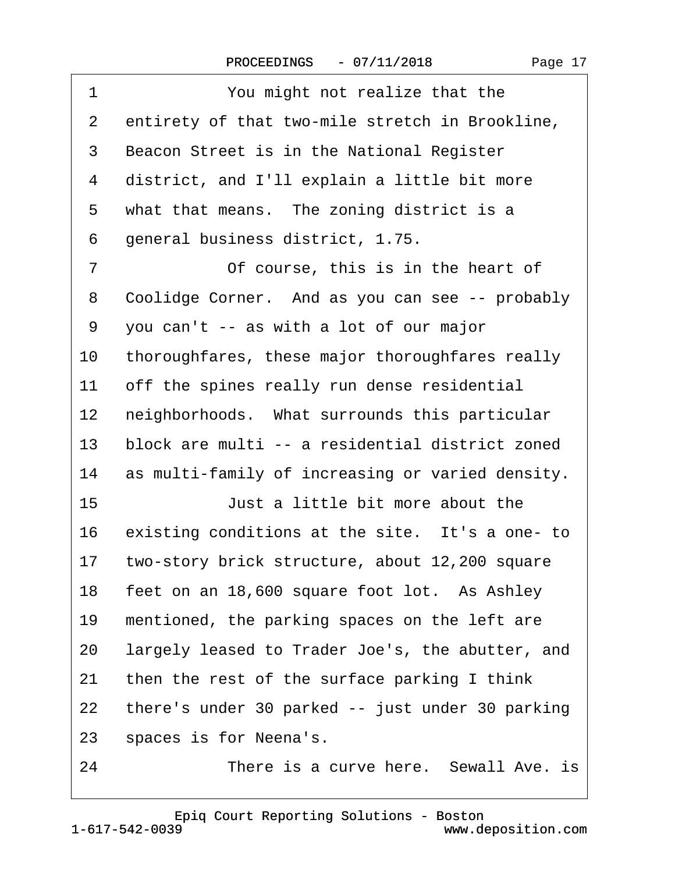| $\mathbf 1$    | You might not realize that the                   |
|----------------|--------------------------------------------------|
| $\overline{2}$ | entirety of that two-mile stretch in Brookline,  |
| 3              | Beacon Street is in the National Register        |
| 4              | district, and I'll explain a little bit more     |
| 5              | what that means. The zoning district is a        |
| 6              | general business district, 1.75.                 |
| $\overline{7}$ | Of course, this is in the heart of               |
| 8              | Coolidge Corner. And as you can see -- probably  |
| 9              | you can't -- as with a lot of our major          |
| 10             | thoroughfares, these major thoroughfares really  |
| 11             | off the spines really run dense residential      |
| 12             | neighborhoods. What surrounds this particular    |
| 13             | block are multi -- a residential district zoned  |
| 14             | as multi-family of increasing or varied density. |
| 15             | Just a little bit more about the                 |
| 16             | existing conditions at the site. It's a one- to  |
| 17             | two-story brick structure, about 12,200 square   |
| 18             | feet on an 18,600 square foot lot. As Ashley     |
| 19             | mentioned, the parking spaces on the left are    |
| 20             | largely leased to Trader Joe's, the abutter, and |
| 21             | then the rest of the surface parking I think     |
| 22             | there's under 30 parked -- just under 30 parking |
| 23             | spaces is for Neena's.                           |
| 24             | There is a curve here. Sewall Ave. is            |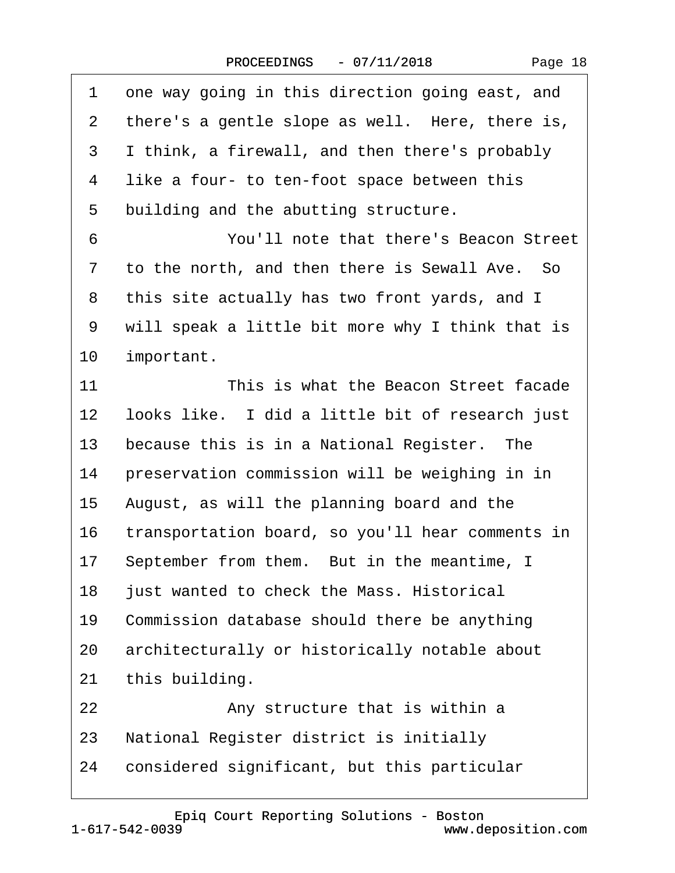| 1  | one way going in this direction going east, and  |
|----|--------------------------------------------------|
| 2  | there's a gentle slope as well. Here, there is,  |
| 3  | I think, a firewall, and then there's probably   |
| 4  | like a four- to ten-foot space between this      |
| 5  | building and the abutting structure.             |
| 6  | You'll note that there's Beacon Street           |
| 7  | to the north, and then there is Sewall Ave. So   |
| 8  | this site actually has two front yards, and I    |
| 9  | will speak a little bit more why I think that is |
| 10 | important.                                       |
| 11 | This is what the Beacon Street facade            |
| 12 | looks like. I did a little bit of research just  |
| 13 | because this is in a National Register. The      |
| 14 | preservation commission will be weighing in in   |
| 15 | August, as will the planning board and the       |
| 16 | transportation board, so you'll hear comments in |
| 17 | September from them. But in the meantime, I      |
| 18 | just wanted to check the Mass. Historical        |
| 19 | Commission database should there be anything     |
| 20 | architecturally or historically notable about    |
| 21 | this building.                                   |
| 22 | Any structure that is within a                   |
| 23 | National Register district is initially          |
| 24 | considered significant, but this particular      |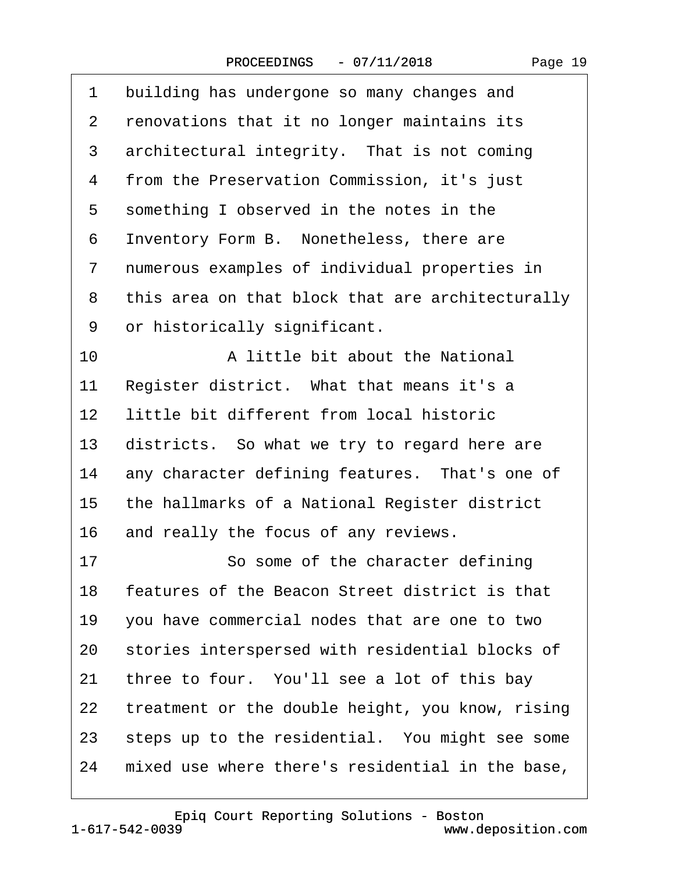$\Gamma$ 

| 1              | building has undergone so many changes and       |
|----------------|--------------------------------------------------|
| $\mathbf{2}$   | renovations that it no longer maintains its      |
| 3              | architectural integrity. That is not coming      |
| 4              | from the Preservation Commission, it's just      |
| 5              | something I observed in the notes in the         |
| 6              | Inventory Form B. Nonetheless, there are         |
| $\overline{7}$ | numerous examples of individual properties in    |
| 8              | this area on that block that are architecturally |
| 9              | or historically significant.                     |
| 10             | A little bit about the National                  |
| 11             | Register district. What that means it's a        |
| 12             | little bit different from local historic         |
| 13             | districts. So what we try to regard here are     |
| 14             | any character defining features. That's one of   |
| 15             | the hallmarks of a National Register district    |
| 16             | and really the focus of any reviews.             |
| 17             | So some of the character defining                |
| 18             | features of the Beacon Street district is that   |
| 19             | you have commercial nodes that are one to two    |
| 20             | stories interspersed with residential blocks of  |
| 21             | three to four. You'll see a lot of this bay      |
| 22             | treatment or the double height, you know, rising |
| 23             | steps up to the residential. You might see some  |
| 24             | mixed use where there's residential in the base, |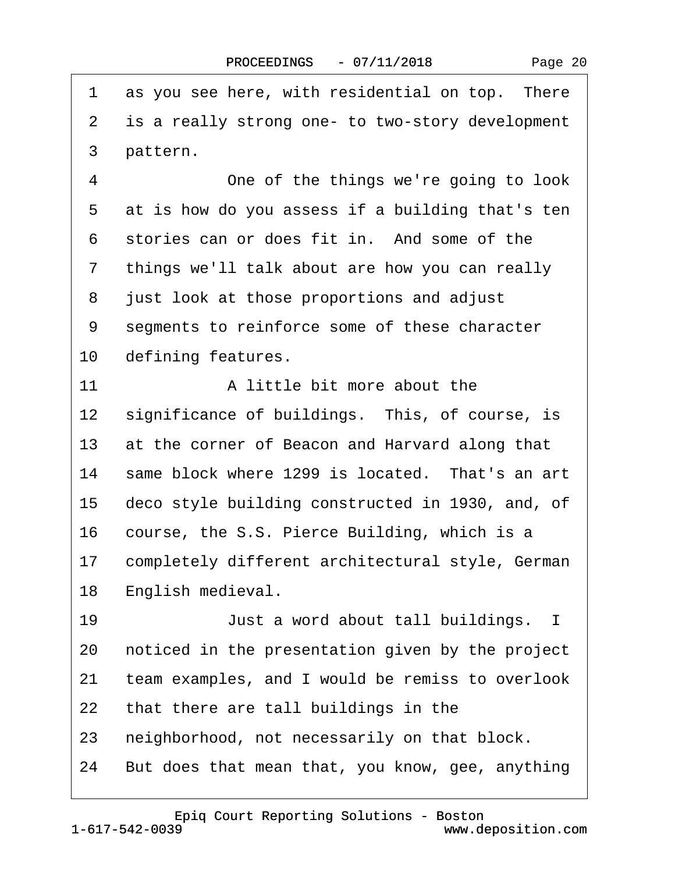| 1               | as you see here, with residential on top. There  |
|-----------------|--------------------------------------------------|
| 2               | is a really strong one- to two-story development |
| 3               | pattern.                                         |
| $\overline{4}$  | One of the things we're going to look            |
| 5               | at is how do you assess if a building that's ten |
| 6               | stories can or does fit in. And some of the      |
| 7               | things we'll talk about are how you can really   |
| 8               | just look at those proportions and adjust        |
| 9               | segments to reinforce some of these character    |
| 10              | defining features.                               |
| 11              | A little bit more about the                      |
| 12              | significance of buildings. This, of course, is   |
| 13              | at the corner of Beacon and Harvard along that   |
| 14              | same block where 1299 is located. That's an art  |
| 15              | deco style building constructed in 1930, and, of |
| 16              | course, the S.S. Pierce Building, which is a     |
| 17 <sup>1</sup> | completely different architectural style, German |
| 18              | English medieval.                                |
| 19              | Just a word about tall buildings. I              |
| 20              | noticed in the presentation given by the project |
| 21              | team examples, and I would be remiss to overlook |
| 22              | that there are tall buildings in the             |
| 23              | neighborhood, not necessarily on that block.     |
| 24              | But does that mean that, you know, gee, anything |

1-617-542-0039 [Epiq Court Reporting Solutions - Boston](http://www.deposition.com) www.deposition.com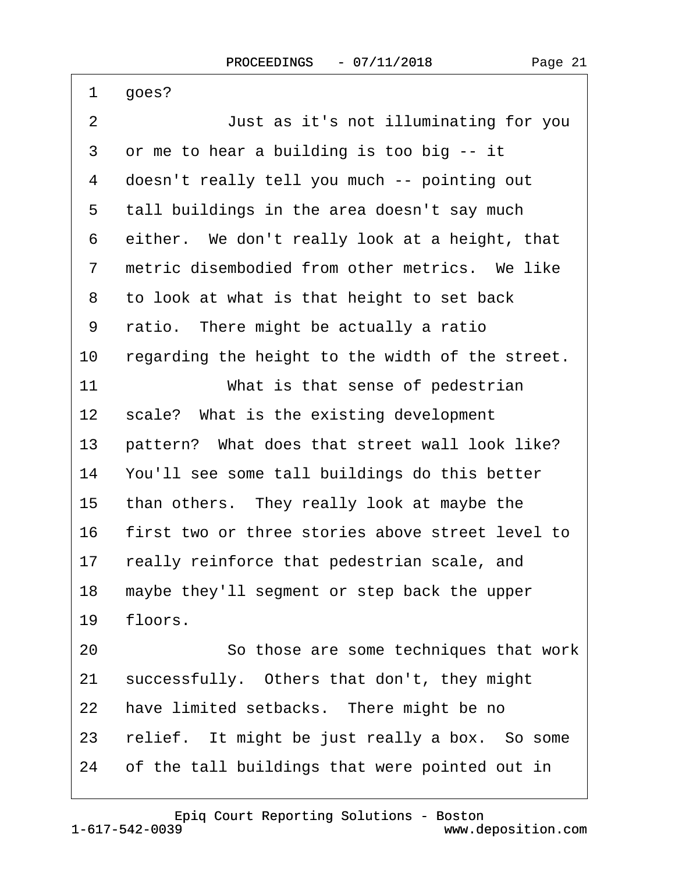| 1              | goes?                                            |
|----------------|--------------------------------------------------|
| 2              | Just as it's not illuminating for you            |
| 3              | or me to hear a building is too big -- it        |
| 4              | doesn't really tell you much -- pointing out     |
| 5              | tall buildings in the area doesn't say much      |
| 6              | either. We don't really look at a height, that   |
| $\overline{7}$ | metric disembodied from other metrics. We like   |
| 8              | to look at what is that height to set back       |
| 9              | ratio. There might be actually a ratio           |
| 10             | regarding the height to the width of the street. |
| 11             | What is that sense of pedestrian                 |
| $12 \,$        | scale? What is the existing development          |
| 13             | pattern? What does that street wall look like?   |
| 14             | You'll see some tall buildings do this better    |
| 15             | than others. They really look at maybe the       |
| 16             | first two or three stories above street level to |
| 17             | really reinforce that pedestrian scale, and      |
| 18             | maybe they'll segment or step back the upper     |
| 19             | floors.                                          |
| 20             | So those are some techniques that work           |
| 21             | successfully. Others that don't, they might      |
| 22             | have limited setbacks. There might be no         |
| 23             | relief. It might be just really a box. So some   |
| 24             | of the tall buildings that were pointed out in   |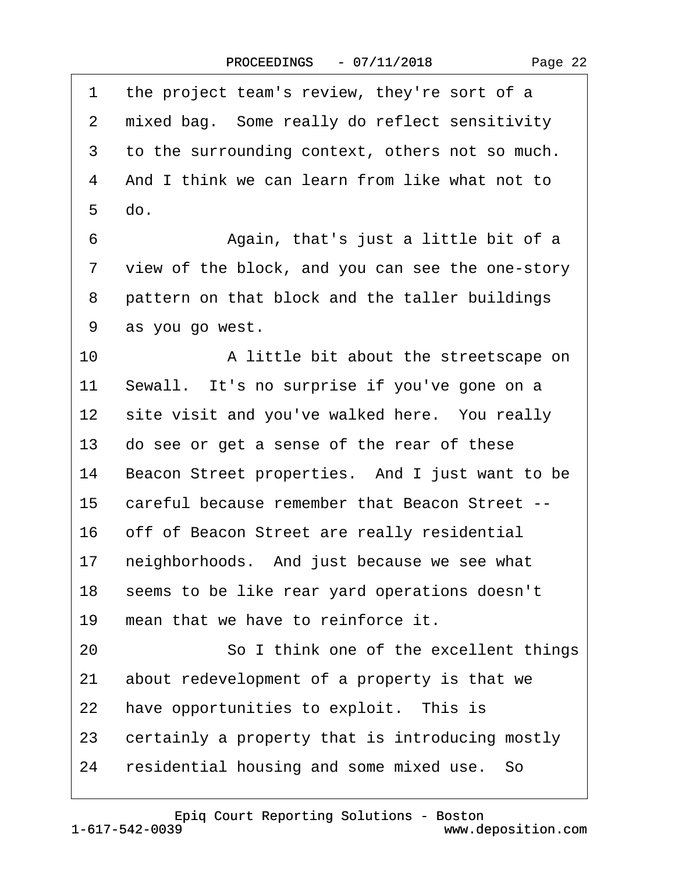|  | Page 22 |  |
|--|---------|--|
|--|---------|--|

| 1               | the project team's review, they're sort of a     |
|-----------------|--------------------------------------------------|
| 2               | mixed bag. Some really do reflect sensitivity    |
| 3               | to the surrounding context, others not so much.  |
| 4               | And I think we can learn from like what not to   |
| 5               | do.                                              |
| 6               | Again, that's just a little bit of a             |
| 7               | view of the block, and you can see the one-story |
| 8               | pattern on that block and the taller buildings   |
| 9               | as you go west.                                  |
| 10              | A little bit about the streetscape on            |
| 11              | Sewall. It's no surprise if you've gone on a     |
| 12 <sup>°</sup> | site visit and you've walked here. You really    |
| 13              | do see or get a sense of the rear of these       |
| 14              | Beacon Street properties. And I just want to be  |
| 15              | careful because remember that Beacon Street --   |
| 16              | off of Beacon Street are really residential      |
| 17              | neighborhoods. And just because we see what      |
| 18              | seems to be like rear yard operations doesn't    |
| 19              | mean that we have to reinforce it.               |
| 20              | So I think one of the excellent things           |
| 21              | about redevelopment of a property is that we     |
| 22              | have opportunities to exploit. This is           |
| 23              | certainly a property that is introducing mostly  |
| 24              | residential housing and some mixed use. So       |

1-617-542-0039 [Epiq Court Reporting Solutions - Boston](http://www.deposition.com)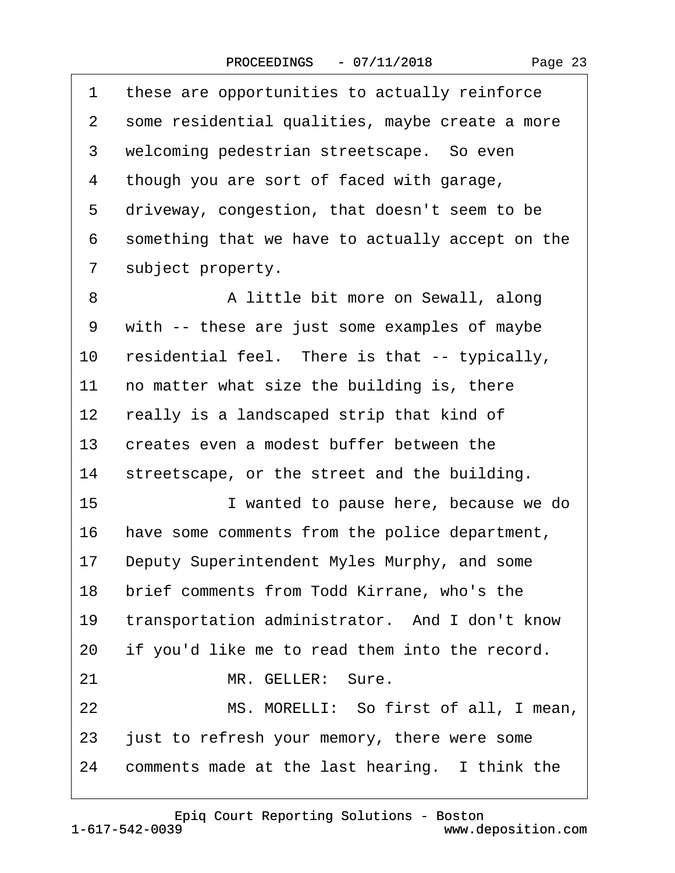| 1              | these are opportunities to actually reinforce    |
|----------------|--------------------------------------------------|
| $\mathbf{2}$   | some residential qualities, maybe create a more  |
| 3              | welcoming pedestrian streetscape. So even        |
| 4              | though you are sort of faced with garage,        |
| 5              | driveway, congestion, that doesn't seem to be    |
| 6              | something that we have to actually accept on the |
| $\overline{7}$ | subject property.                                |
| 8              | A little bit more on Sewall, along               |
| 9              | with -- these are just some examples of maybe    |
| 10             | residential feel. There is that -- typically,    |
| 11             | no matter what size the building is, there       |
| 12             | really is a landscaped strip that kind of        |
| 13             | creates even a modest buffer between the         |
| 14             | streetscape, or the street and the building.     |
| 15             | I wanted to pause here, because we do            |
| 16             | have some comments from the police department,   |
| 17             | Deputy Superintendent Myles Murphy, and some     |
| 18             | brief comments from Todd Kirrane, who's the      |
| 19             | transportation administrator. And I don't know   |
| 20             | if you'd like me to read them into the record.   |
| 21             | MR. GELLER: Sure.                                |
| 22             | MS. MORELLI: So first of all, I mean,            |
| 23             | just to refresh your memory, there were some     |
| 24             | comments made at the last hearing. I think the   |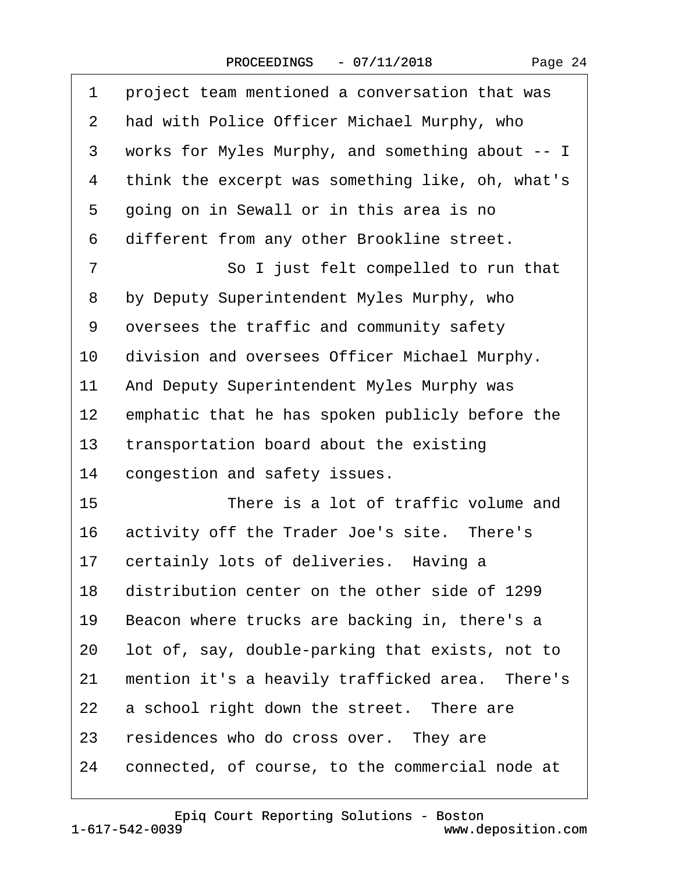| 1              | project team mentioned a conversation that was   |
|----------------|--------------------------------------------------|
| 2              | had with Police Officer Michael Murphy, who      |
| 3              | works for Myles Murphy, and something about -- I |
| 4              | think the excerpt was something like, oh, what's |
| 5              | going on in Sewall or in this area is no         |
| 6              | different from any other Brookline street.       |
| $\overline{7}$ | So I just felt compelled to run that             |
| 8              | by Deputy Superintendent Myles Murphy, who       |
| 9              | oversees the traffic and community safety        |
| 10             | division and oversees Officer Michael Murphy.    |
| 11             | And Deputy Superintendent Myles Murphy was       |
| 12             | emphatic that he has spoken publicly before the  |
| 13             | transportation board about the existing          |
| 14             | congestion and safety issues.                    |
| 15             | There is a lot of traffic volume and             |
| 16             | activity off the Trader Joe's site. There's      |
| 17             | certainly lots of deliveries. Having a           |
| 18             | distribution center on the other side of 1299    |
| 19             | Beacon where trucks are backing in, there's a    |
| 20             | lot of, say, double-parking that exists, not to  |
| 21             | mention it's a heavily trafficked area. There's  |
| 22             | a school right down the street. There are        |
| 23             | residences who do cross over. They are           |
| 24             | connected, of course, to the commercial node at  |

1-617-542-0039

## www.deposition.com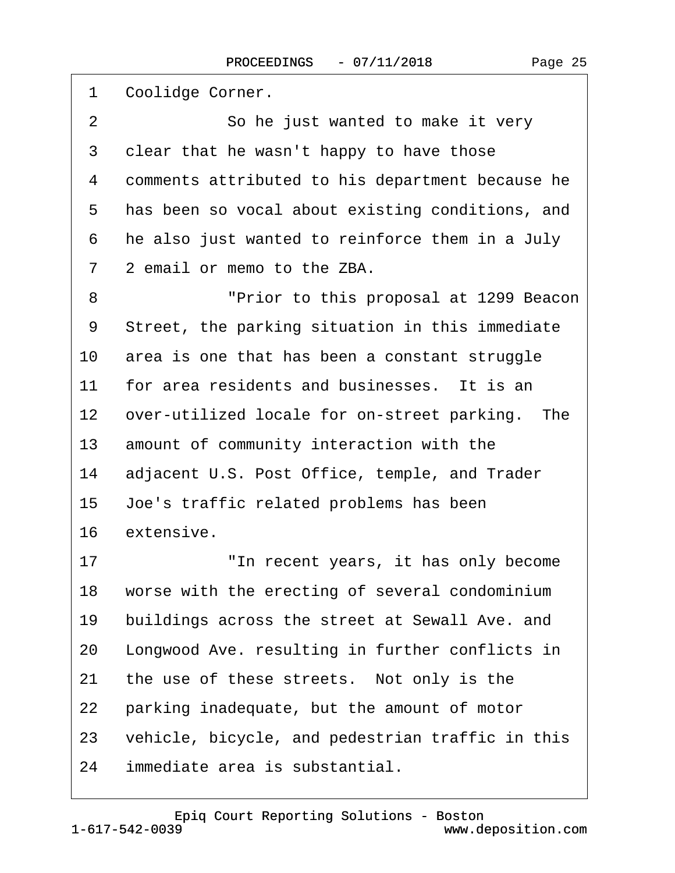| 1  | Coolidge Corner.                                 |
|----|--------------------------------------------------|
| 2  | So he just wanted to make it very                |
| 3  | clear that he wasn't happy to have those         |
| 4  | comments attributed to his department because he |
| 5  | has been so vocal about existing conditions, and |
| 6  | he also just wanted to reinforce them in a July  |
| 7  | 2 email or memo to the ZBA.                      |
| 8  | "Prior to this proposal at 1299 Beacon           |
| 9  | Street, the parking situation in this immediate  |
| 10 | area is one that has been a constant struggle    |
| 11 | for area residents and businesses. It is an      |
| 12 | over-utilized locale for on-street parking. The  |
| 13 | amount of community interaction with the         |
| 14 | adjacent U.S. Post Office, temple, and Trader    |
| 15 | Joe's traffic related problems has been          |
| 16 | extensive.                                       |
| 17 | "In recent years, it has only become             |
| 18 | worse with the erecting of several condominium   |
| 19 | buildings across the street at Sewall Ave. and   |
| 20 | Longwood Ave. resulting in further conflicts in  |
| 21 | the use of these streets. Not only is the        |
| 22 | parking inadequate, but the amount of motor      |
| 23 | vehicle, bicycle, and pedestrian traffic in this |
| 24 | immediate area is substantial.                   |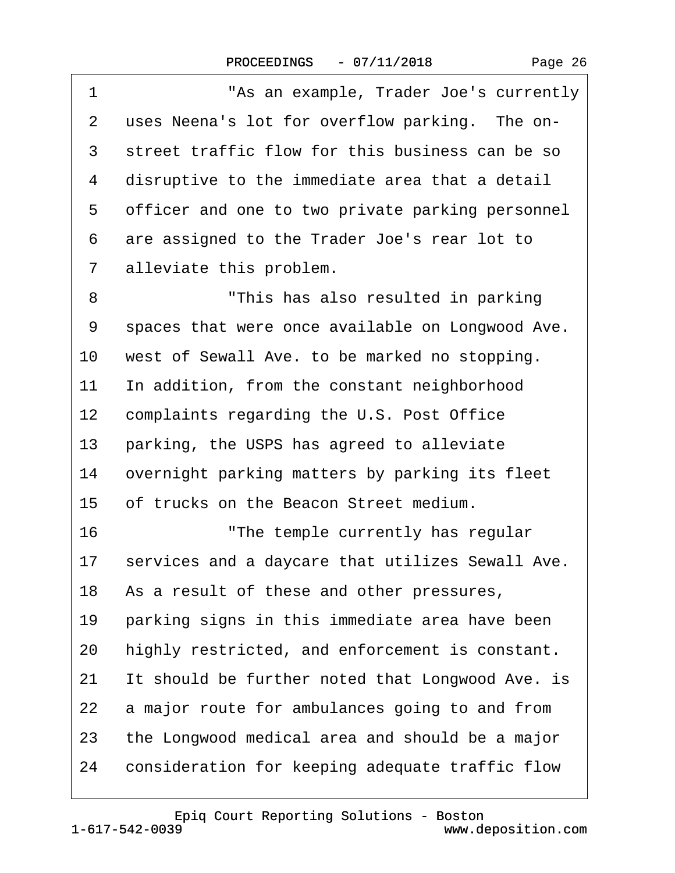1 "As an example, Trader Joe's currently

2 uses Neena's lot for overflow parking. The on-

| 3                 | street traffic flow for this business can be so  |
|-------------------|--------------------------------------------------|
| 4                 | disruptive to the immediate area that a detail   |
| 5                 | officer and one to two private parking personnel |
| 6                 | are assigned to the Trader Joe's rear lot to     |
| 7                 | alleviate this problem.                          |
| 8                 | "This has also resulted in parking               |
| 9                 | spaces that were once available on Longwood Ave. |
| 10                | west of Sewall Ave. to be marked no stopping.    |
| 11                | In addition, from the constant neighborhood      |
| $12 \overline{ }$ | complaints regarding the U.S. Post Office        |
| 13                | parking, the USPS has agreed to alleviate        |
| 14                | overnight parking matters by parking its fleet   |
| 15                | of trucks on the Beacon Street medium.           |
| 16                | "The temple currently has regular                |
| 17                | services and a daycare that utilizes Sewall Ave. |
| 18                | As a result of these and other pressures,        |
| 19                | parking signs in this immediate area have been   |
| 20                | highly restricted, and enforcement is constant.  |
| 21                | It should be further noted that Longwood Ave. is |
| 22                | a major route for ambulances going to and from   |

- 23 the Longwood medical area and should be a major
- 24 consideration for keeping adequate traffic flow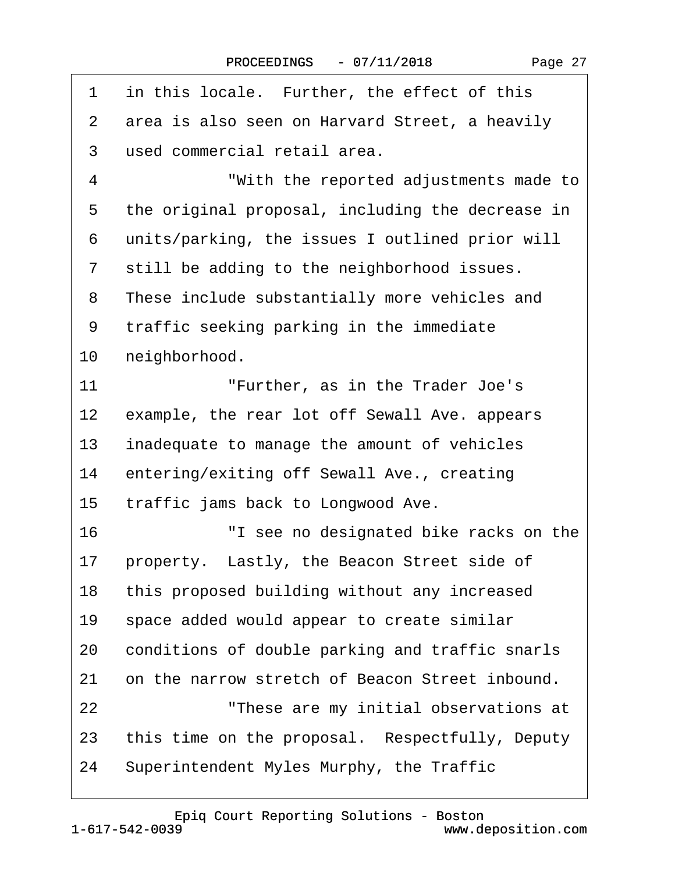| 1  | in this locale. Further, the effect of this      |
|----|--------------------------------------------------|
| 2  | area is also seen on Harvard Street, a heavily   |
| 3  | used commercial retail area.                     |
| 4  | "With the reported adjustments made to           |
| 5  | the original proposal, including the decrease in |
| 6  | units/parking, the issues I outlined prior will  |
| 7  | still be adding to the neighborhood issues.      |
| 8  | These include substantially more vehicles and    |
| 9  | traffic seeking parking in the immediate         |
| 10 | neighborhood.                                    |
| 11 | "Further, as in the Trader Joe's                 |
| 12 | example, the rear lot off Sewall Ave. appears    |
| 13 | inadequate to manage the amount of vehicles      |
| 14 | entering/exiting off Sewall Ave., creating       |
| 15 | traffic jams back to Longwood Ave.               |
| 16 | "I see no designated bike racks on the           |
| 17 | property. Lastly, the Beacon Street side of      |
| 18 | this proposed building without any increased     |
| 19 | space added would appear to create similar       |
| 20 | conditions of double parking and traffic snarls  |
| 21 | on the narrow stretch of Beacon Street inbound.  |
| 22 | "These are my initial observations at            |
| 23 | this time on the proposal. Respectfully, Deputy  |
| 24 | Superintendent Myles Murphy, the Traffic         |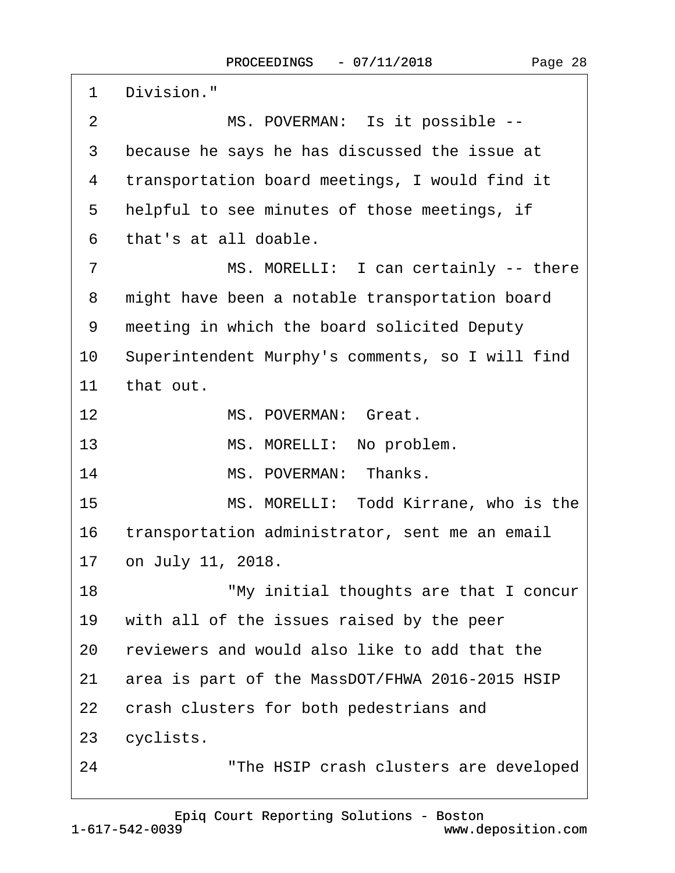| 1               | Division."                                       |
|-----------------|--------------------------------------------------|
| 2               | MS. POVERMAN: Is it possible --                  |
| 3               | because he says he has discussed the issue at    |
| 4               | transportation board meetings, I would find it   |
| 5               | helpful to see minutes of those meetings, if     |
| 6               | that's at all doable.                            |
| 7               | MS. MORELLI: I can certainly -- there            |
| 8               | might have been a notable transportation board   |
| 9               | meeting in which the board solicited Deputy      |
| 10              | Superintendent Murphy's comments, so I will find |
| 11              | that out.                                        |
| 12 <sub>2</sub> | MS. POVERMAN: Great.                             |
| 13              | MS. MORELLI: No problem.                         |
| 14              | MS. POVERMAN: Thanks.                            |
| 15              | MS. MORELLI: Todd Kirrane, who is the            |
| 16              | transportation administrator, sent me an email   |
|                 | 17 on July 11, 2018.                             |
| 18              | "My initial thoughts are that I concur           |
| 19              | with all of the issues raised by the peer        |
| 20              | reviewers and would also like to add that the    |
| 21              | area is part of the MassDOT/FHWA 2016-2015 HSIP  |
| 22              | crash clusters for both pedestrians and          |
| 23              | cyclists.                                        |
| 24              | "The HSIP crash clusters are developed           |

1-617-542-0039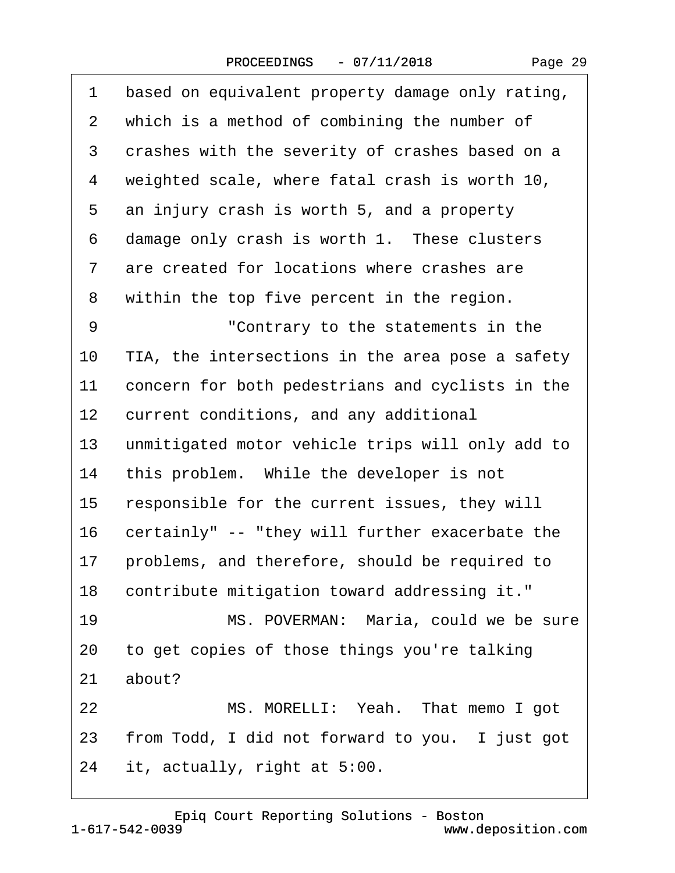|  | Page 29 |  |
|--|---------|--|
|--|---------|--|

| 1               | based on equivalent property damage only rating, |
|-----------------|--------------------------------------------------|
| $\overline{2}$  | which is a method of combining the number of     |
| 3               | crashes with the severity of crashes based on a  |
| 4               | weighted scale, where fatal crash is worth 10,   |
| 5               | an injury crash is worth 5, and a property       |
| 6               | damage only crash is worth 1. These clusters     |
| 7               | are created for locations where crashes are      |
| 8               | within the top five percent in the region.       |
| 9               | "Contrary to the statements in the               |
| 10              | TIA, the intersections in the area pose a safety |
| 11              | concern for both pedestrians and cyclists in the |
| 12 <sub>2</sub> | current conditions, and any additional           |
| 13              | unmitigated motor vehicle trips will only add to |
| 14              | this problem. While the developer is not         |
| 15              | responsible for the current issues, they will    |
| 16              | certainly" -- "they will further exacerbate the  |
| 17              | problems, and therefore, should be required to   |
|                 | 18 contribute mitigation toward addressing it."  |
| 19              | MS. POVERMAN: Maria, could we be sure            |
| 20              | to get copies of those things you're talking     |
| 21              | about?                                           |
| 22              | MS. MORELLI: Yeah. That memo I got               |
| 23              | from Todd, I did not forward to you. I just got  |
| 24              | it, actually, right at 5:00.                     |
|                 |                                                  |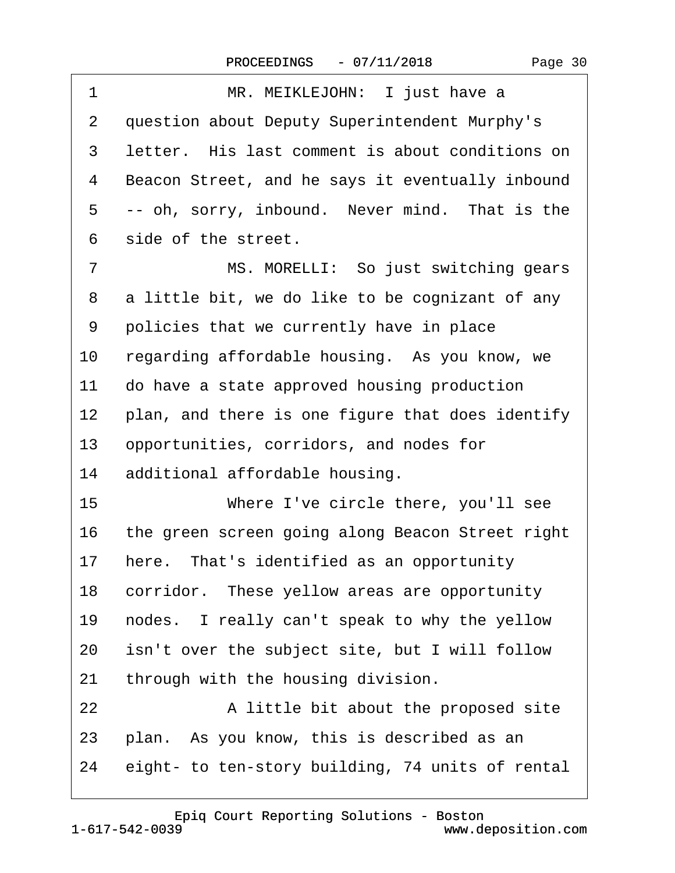| 1              | MR. MEIKLEJOHN: I just have a                    |
|----------------|--------------------------------------------------|
| 2              | question about Deputy Superintendent Murphy's    |
| 3              | letter. His last comment is about conditions on  |
| 4              | Beacon Street, and he says it eventually inbound |
| 5              | -- oh, sorry, inbound. Never mind. That is the   |
| 6              | side of the street.                              |
| $\overline{7}$ | MS. MORELLI: So just switching gears             |
| 8              | a little bit, we do like to be cognizant of any  |
| 9              | policies that we currently have in place         |
| 10             | regarding affordable housing. As you know, we    |
| 11             | do have a state approved housing production      |
| 12             | plan, and there is one figure that does identify |
| 13             | opportunities, corridors, and nodes for          |
| 14             | additional affordable housing.                   |
| 15             | Where I've circle there, you'll see              |
| 16             | the green screen going along Beacon Street right |
| 17             | here. That's identified as an opportunity        |
| 18             | corridor. These yellow areas are opportunity     |
| 19             | nodes. I really can't speak to why the yellow    |
| 20             | isn't over the subject site, but I will follow   |
| 21             | through with the housing division.               |
| 22             | A little bit about the proposed site             |
| 23             | plan. As you know, this is described as an       |
| 24             | eight- to ten-story building, 74 units of rental |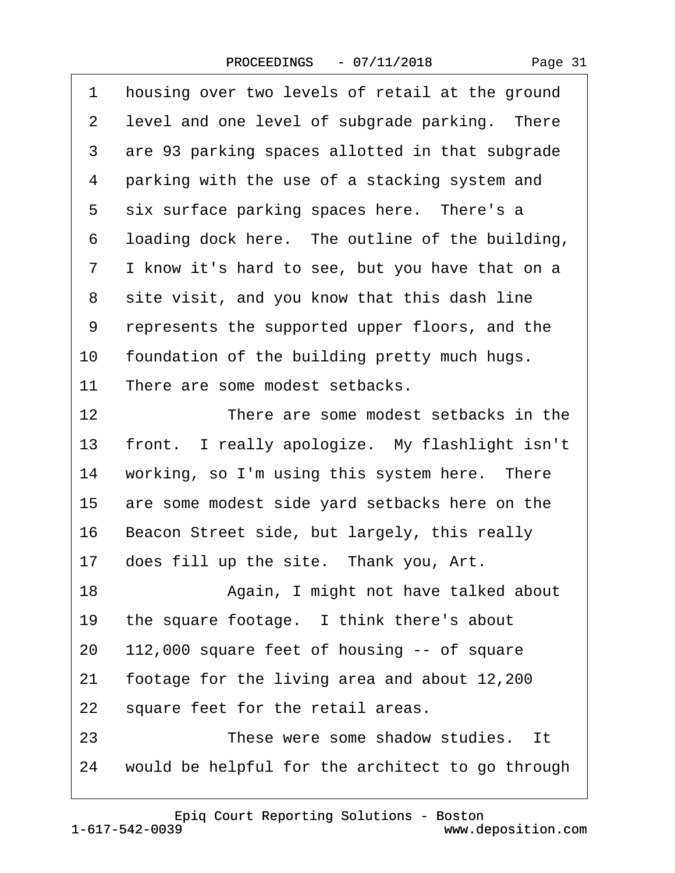| Page 31 |  |
|---------|--|
|---------|--|

| 1  | housing over two levels of retail at the ground  |
|----|--------------------------------------------------|
| 2  | level and one level of subgrade parking. There   |
| 3  | are 93 parking spaces allotted in that subgrade  |
| 4  | parking with the use of a stacking system and    |
| 5  | six surface parking spaces here. There's a       |
| 6  | loading dock here. The outline of the building,  |
| 7  | I know it's hard to see, but you have that on a  |
| 8  | site visit, and you know that this dash line     |
| 9  | represents the supported upper floors, and the   |
| 10 | foundation of the building pretty much hugs.     |
| 11 | There are some modest setbacks.                  |
| 12 | There are some modest setbacks in the            |
| 13 | front. I really apologize. My flashlight isn't   |
| 14 | working, so I'm using this system here. There    |
| 15 | are some modest side yard setbacks here on the   |
| 16 | Beacon Street side, but largely, this really     |
| 17 | does fill up the site. Thank you, Art.           |
| 18 | Again, I might not have talked about             |
| 19 | the square footage. I think there's about        |
| 20 | 112,000 square feet of housing -- of square      |
| 21 | footage for the living area and about 12,200     |
| 22 | square feet for the retail areas.                |
| 23 | These were some shadow studies. It               |
| 24 | would be helpful for the architect to go through |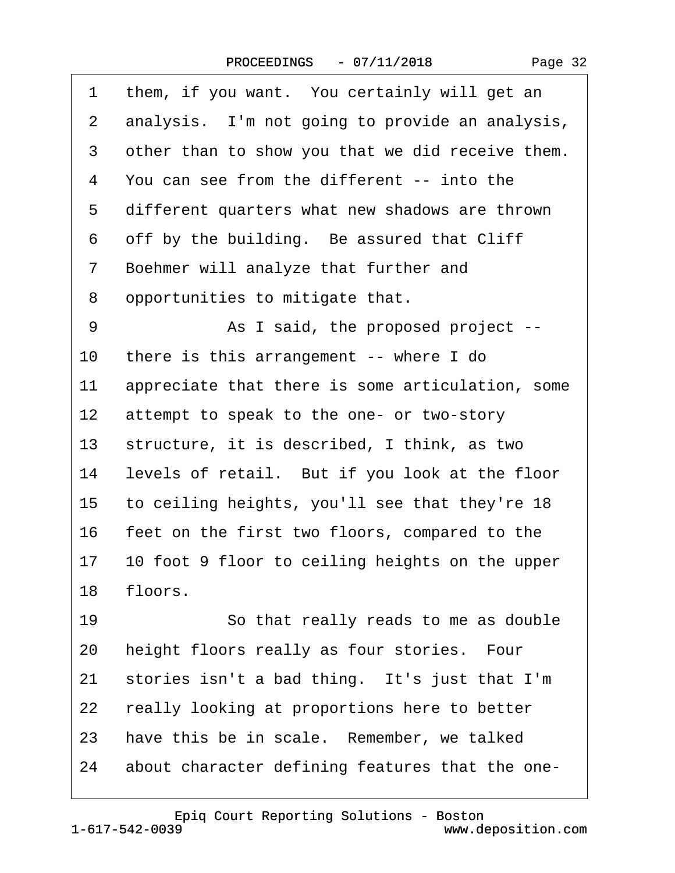| Page 32 |  |
|---------|--|
|---------|--|

| 1               | them, if you want. You certainly will get an     |
|-----------------|--------------------------------------------------|
| $\overline{2}$  | analysis. I'm not going to provide an analysis,  |
| 3               | other than to show you that we did receive them. |
| 4               | You can see from the different -- into the       |
| 5               | different quarters what new shadows are thrown   |
| 6               | off by the building. Be assured that Cliff       |
| 7               | Boehmer will analyze that further and            |
| 8               | opportunities to mitigate that.                  |
| 9               | As I said, the proposed project --               |
| 10              | there is this arrangement -- where I do          |
| 11              | appreciate that there is some articulation, some |
| 12 <sub>2</sub> | attempt to speak to the one- or two-story        |
| 13              | structure, it is described, I think, as two      |
| 14              | levels of retail. But if you look at the floor   |
| 15 <sub>1</sub> | to ceiling heights, you'll see that they're 18   |
| 16              | feet on the first two floors, compared to the    |
| 17              | 10 foot 9 floor to ceiling heights on the upper  |
| 18              | floors.                                          |
| 19              | So that really reads to me as double             |
| 20              | height floors really as four stories. Four       |
| 21              | stories isn't a bad thing. It's just that I'm    |
| 22              | really looking at proportions here to better     |
| 23              | have this be in scale. Remember, we talked       |
| 24              | about character defining features that the one-  |

1-617-542-0039 [Epiq Court Reporting Solutions - Boston](http://www.deposition.com) www.deposition.com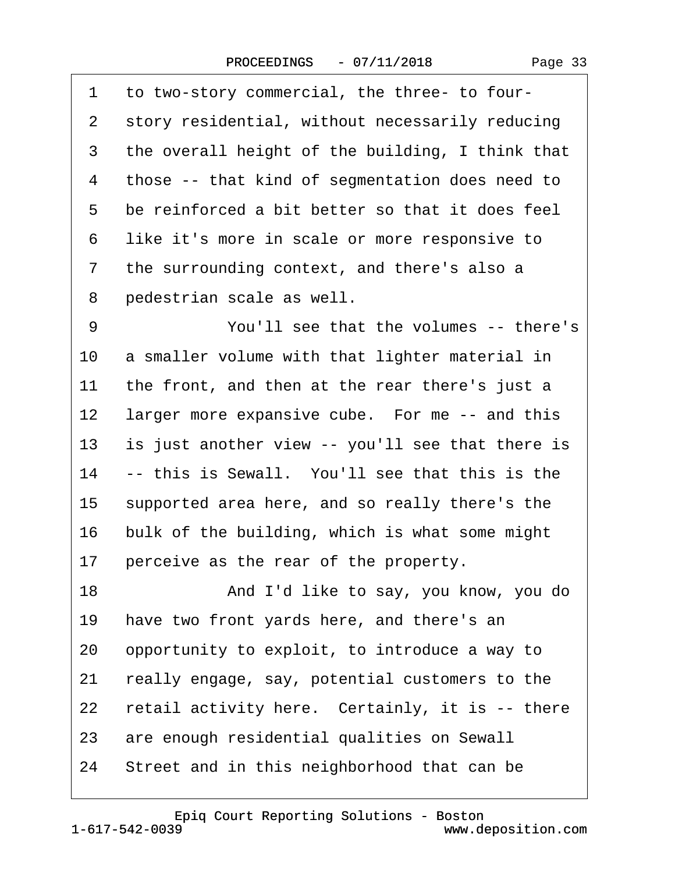·1· ·to two-story commercial, the three- to four- 2 story residential, without necessarily reducing 3 the overall height of the building, I think that 4 those -- that kind of segmentation does need to 5 be reinforced a bit better so that it does feel 6 like it's more in scale or more responsive to 7 the surrounding context, and there's also a 8 pedestrian scale as well. 9 • **You'll see that the volumes -- there's** 10 a smaller volume with that lighter material in 11 the front, and then at the rear there's just a 12 larger more expansive cube. For me -- and this 13 is just another view -- you'll see that there is 14 -- this is Sewall. You'll see that this is the 15 supported area here, and so really there's the 16 bulk of the building, which is what some might 17 perceive as the rear of the property. 18 • **And I'd like to say, you know, you do** 19 have two front yards here, and there's an 20 opportunity to exploit, to introduce a way to 21 really engage, say, potential customers to the 22 retail activity here. Certainly, it is  $-$  there 23 are enough residential qualities on Sewall 24 Street and in this neighborhood that can be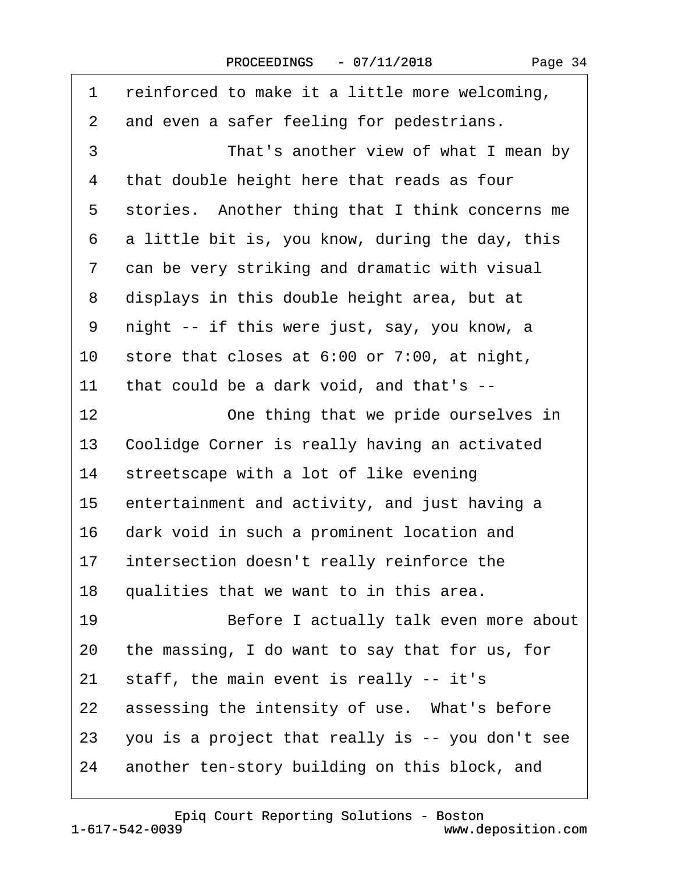1 reinforced to make it a little more welcoming, 2 and even a safer feeling for pedestrians. 3 **• That's another view of what I mean by** 4 that double height here that reads as four 5 stories. Another thing that I think concerns me  $6$  a little bit is, you know, during the day, this 7 can be very striking and dramatic with visual 8 displays in this double height area, but at 9 night -- if this were just, say, you know, a 10 store that closes at 6:00 or  $7:00$ , at night, 11 that could be a dark void, and that's --12 One thing that we pride ourselves in 13 Coolidge Corner is really having an activated 14 streetscape with a lot of like evening 15 entertainment and activity, and just having a 16 dark void in such a prominent location and 17 intersection doesn't really reinforce the 18 qualities that we want to in this area. 19 **· · · · · · · · Before I actually talk even more about** 20 the massing, I do want to say that for us, for 21 staff, the main event is really -- it's 22 assessing the intensity of use. What's before 23 you is a project that really is -- you don't see 24 another ten-story building on this block, and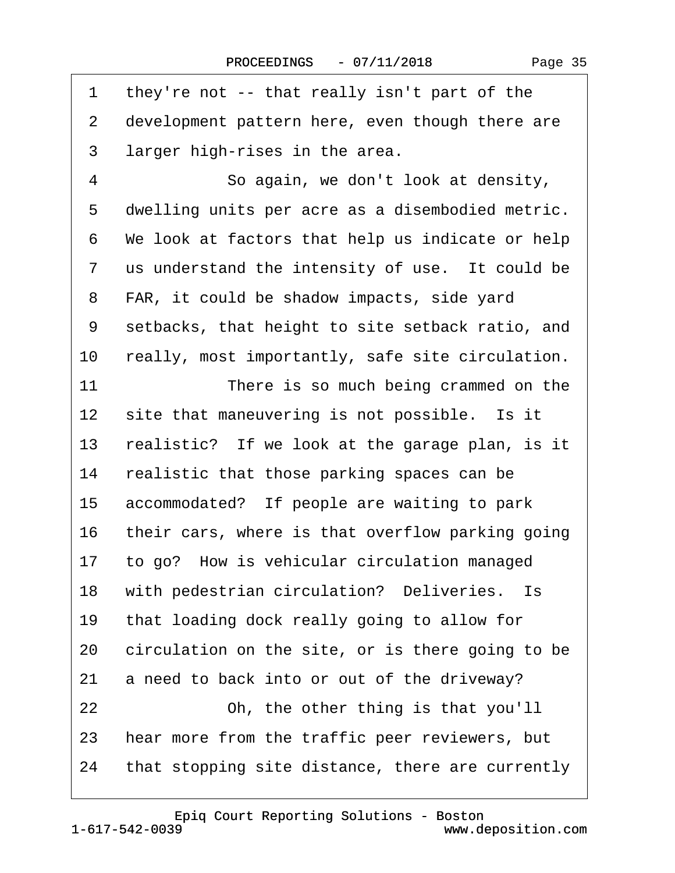| 1  | they're not -- that really isn't part of the     |
|----|--------------------------------------------------|
| 2  | development pattern here, even though there are  |
| 3  | larger high-rises in the area.                   |
| 4  | So again, we don't look at density,              |
| 5  | dwelling units per acre as a disembodied metric. |
| 6  | We look at factors that help us indicate or help |
| 7  | us understand the intensity of use. It could be  |
| 8  | FAR, it could be shadow impacts, side yard       |
| 9  | setbacks, that height to site setback ratio, and |
| 10 | really, most importantly, safe site circulation. |
| 11 | There is so much being crammed on the            |
| 12 | site that maneuvering is not possible. Is it     |
| 13 | realistic? If we look at the garage plan, is it  |
| 14 | realistic that those parking spaces can be       |
| 15 | accommodated? If people are waiting to park      |
| 16 | their cars, where is that overflow parking going |
| 17 | to go? How is vehicular circulation managed      |
| 18 | with pedestrian circulation? Deliveries. Is      |
| 19 | that loading dock really going to allow for      |
| 20 | circulation on the site, or is there going to be |
| 21 | a need to back into or out of the driveway?      |
| 22 | Oh, the other thing is that you'll               |
| 23 | hear more from the traffic peer reviewers, but   |
| 24 | that stopping site distance, there are currently |

Page 35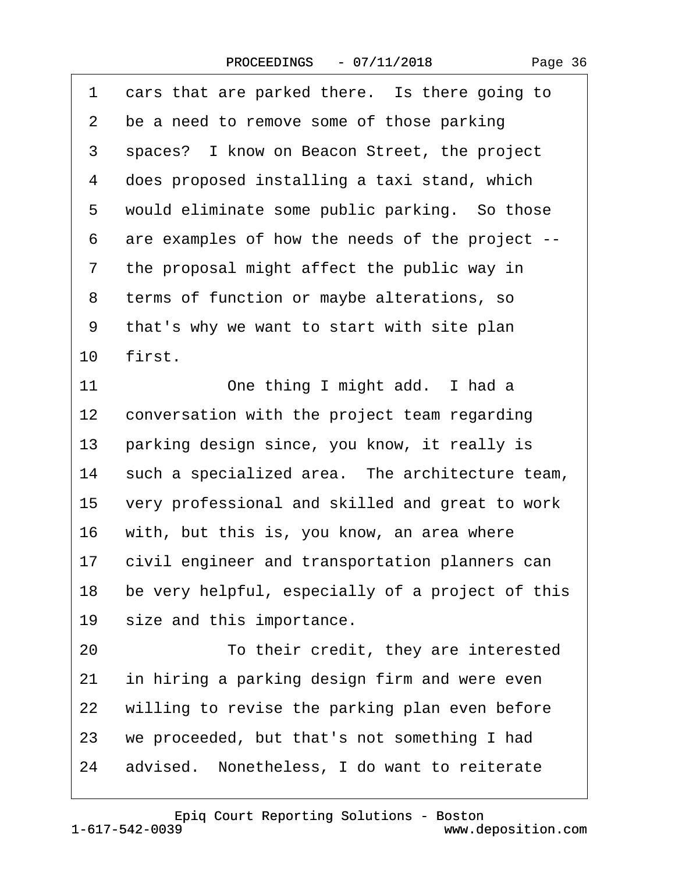1 cars that are parked there. Is there going to

| $\overline{2}$ | be a need to remove some of those parking        |
|----------------|--------------------------------------------------|
| 3              | spaces? I know on Beacon Street, the project     |
| 4              | does proposed installing a taxi stand, which     |
| 5              | would eliminate some public parking. So those    |
| 6              | are examples of how the needs of the project --  |
| $\overline{7}$ | the proposal might affect the public way in      |
| 8              | terms of function or maybe alterations, so       |
| 9              | that's why we want to start with site plan       |
| 10             | first.                                           |
| 11             | One thing I might add. I had a                   |
| 12             | conversation with the project team regarding     |
| 13             | parking design since, you know, it really is     |
| 14             | such a specialized area. The architecture team,  |
| 15             | very professional and skilled and great to work  |
| 16             | with, but this is, you know, an area where       |
| 17             | civil engineer and transportation planners can   |
| 18             | be very helpful, especially of a project of this |
| 19             | size and this importance.                        |
| 20             | To their credit, they are interested             |
| 21             | in hiring a parking design firm and were even    |
| 22             | willing to revise the parking plan even before   |
| 23             | we proceeded, but that's not something I had     |
| 24             | advised. Nonetheless, I do want to reiterate     |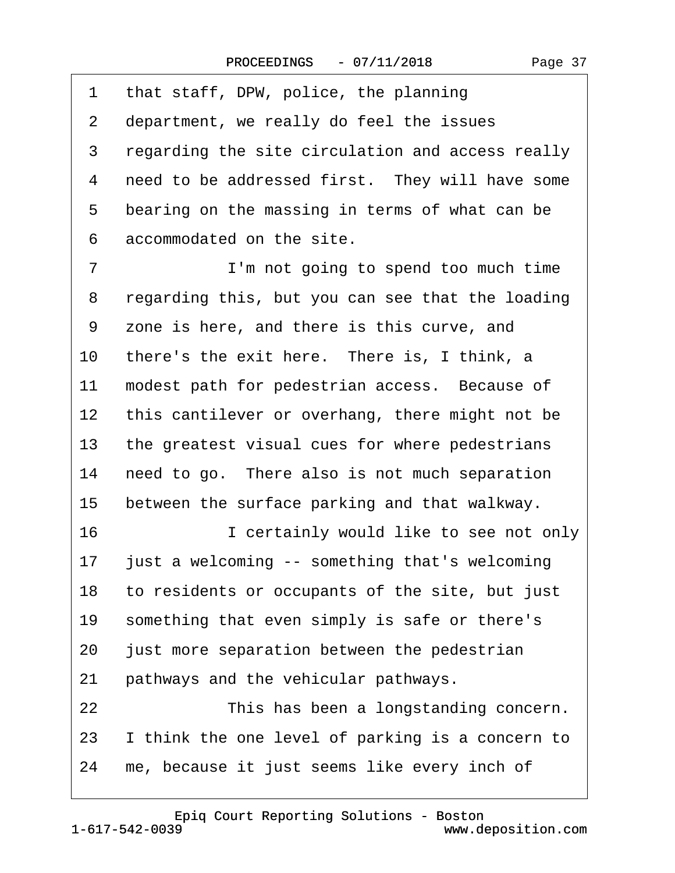1 that staff, DPW, police, the planning 2 department, we really do feel the issues 3 regarding the site circulation and access really 4 need to be addressed first. They will have some 5 bearing on the massing in terms of what can be 6 accommodated on the site. 7 **I'm not going to spend too much time** 8 regarding this, but you can see that the loading ·9· ·zone is here, and there is this curve, and 10 there's the exit here. There is, I think, a 11 modest path for pedestrian access. Because of 12 this cantilever or overhang, there might not be 13 the greatest visual cues for where pedestrians 14 need to go. There also is not much separation 15 between the surface parking and that walkway. 16 **· · · · · I certainly would like to see not only** 17 just a welcoming -- something that's welcoming 18 to residents or occupants of the site, but just 19 something that even simply is safe or there's 20 just more separation between the pedestrian 21 pathways and the vehicular pathways. 22 This has been a longstanding concern. 23 I think the one level of parking is a concern to 24 me, because it just seems like every inch of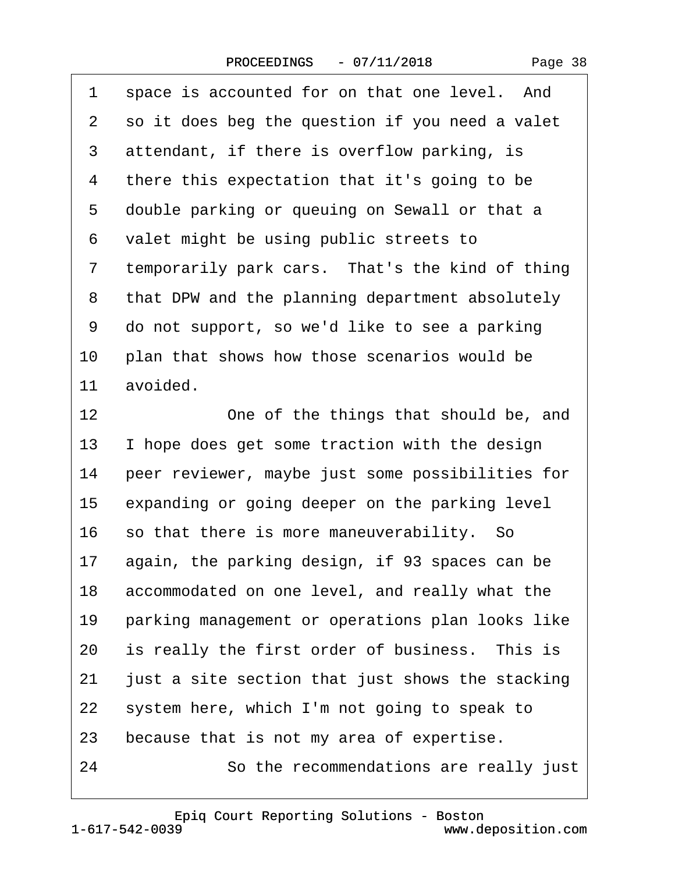$\sqrt{ }$ 

| 1              | space is accounted for on that one level. And    |
|----------------|--------------------------------------------------|
| 2              | so it does beg the question if you need a valet  |
| 3              | attendant, if there is overflow parking, is      |
| 4              | there this expectation that it's going to be     |
| 5              | double parking or queuing on Sewall or that a    |
| 6              | valet might be using public streets to           |
| $\overline{7}$ | temporarily park cars. That's the kind of thing  |
| 8              | that DPW and the planning department absolutely  |
| 9              | do not support, so we'd like to see a parking    |
| 10             | plan that shows how those scenarios would be     |
| 11             | avoided.                                         |
| 12             | One of the things that should be, and            |
| 13             | I hope does get some traction with the design    |
| 14             | peer reviewer, maybe just some possibilities for |
| 15             | expanding or going deeper on the parking level   |
| 16             | so that there is more maneuverability. So        |
| 17             | again, the parking design, if 93 spaces can be   |
| 18             | accommodated on one level, and really what the   |
| 19             | parking management or operations plan looks like |
| 20             | is really the first order of business. This is   |
| 21             | just a site section that just shows the stacking |
| 22             | system here, which I'm not going to speak to     |
| 23             | because that is not my area of expertise.        |
| 24             | So the recommendations are really just           |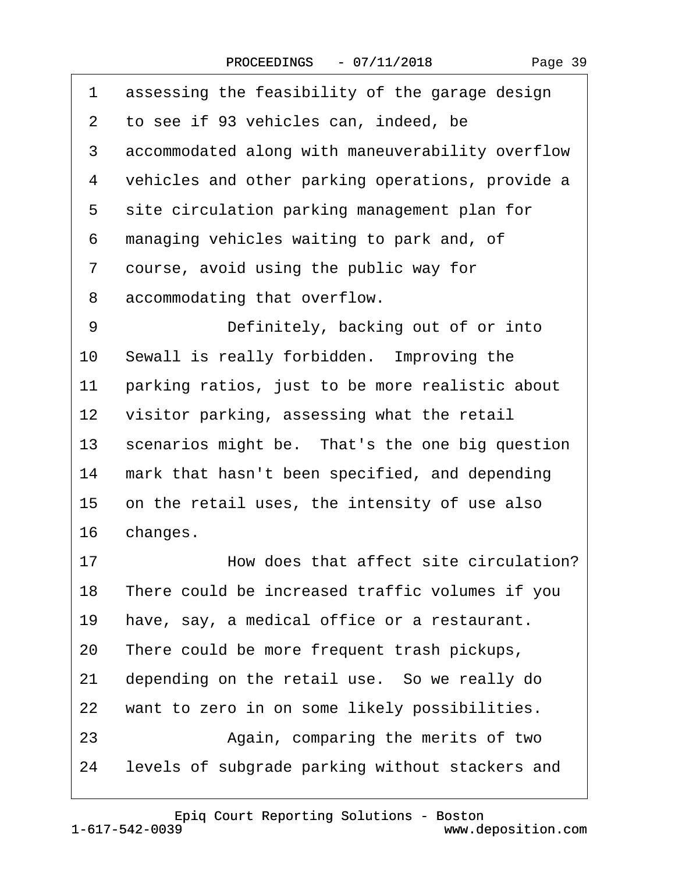| 1               | assessing the feasibility of the garage design   |
|-----------------|--------------------------------------------------|
| $\mathbf{2}$    | to see if 93 vehicles can, indeed, be            |
| 3               | accommodated along with maneuverability overflow |
| 4               | vehicles and other parking operations, provide a |
| 5               | site circulation parking management plan for     |
| 6               | managing vehicles waiting to park and, of        |
| 7               | course, avoid using the public way for           |
| 8               | accommodating that overflow.                     |
| 9               | Definitely, backing out of or into               |
| 10              | Sewall is really forbidden. Improving the        |
| 11              | parking ratios, just to be more realistic about  |
| 12 <sup>7</sup> | visitor parking, assessing what the retail       |
| 13              | scenarios might be. That's the one big question  |
| 14              | mark that hasn't been specified, and depending   |
|                 | 15 on the retail uses, the intensity of use also |
|                 | 16 changes.                                      |
| 17              | How does that affect site circulation?           |
| 18              | There could be increased traffic volumes if you  |
| 19              | have, say, a medical office or a restaurant.     |
| 20              | There could be more frequent trash pickups,      |
| 21              | depending on the retail use. So we really do     |
| 22              | want to zero in on some likely possibilities.    |
| 23              | Again, comparing the merits of two               |
| 24              | levels of subgrade parking without stackers and  |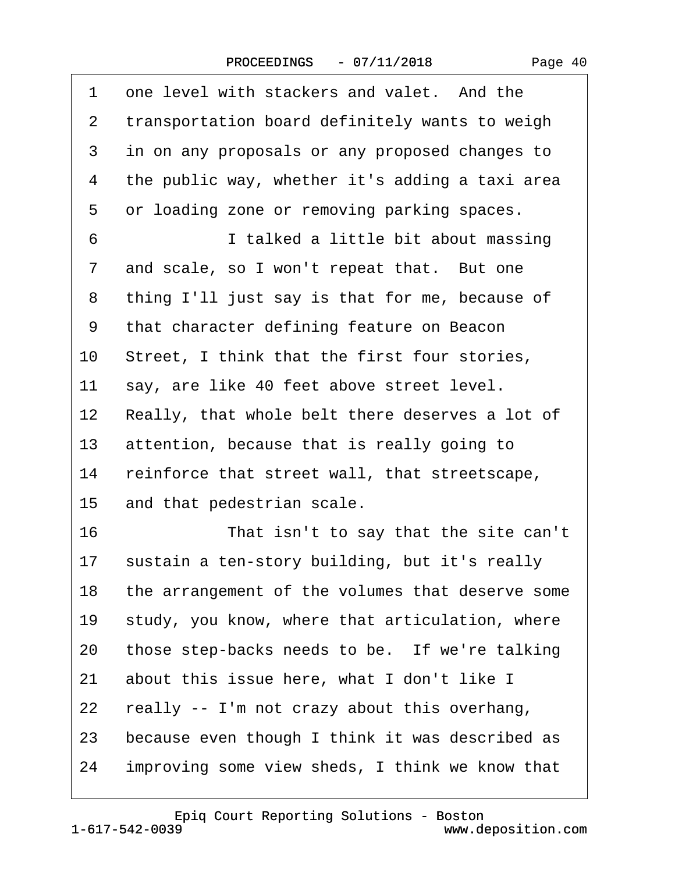$\Gamma$ 

| 1              | one level with stackers and valet. And the       |
|----------------|--------------------------------------------------|
| $\overline{2}$ | transportation board definitely wants to weigh   |
| 3              | in on any proposals or any proposed changes to   |
| 4              | the public way, whether it's adding a taxi area  |
| 5              | or loading zone or removing parking spaces.      |
| 6              | I talked a little bit about massing              |
| $\overline{7}$ | and scale, so I won't repeat that. But one       |
| 8              | thing I'll just say is that for me, because of   |
| 9              | that character defining feature on Beacon        |
| 10             | Street, I think that the first four stories,     |
| 11             | say, are like 40 feet above street level.        |
| 12             | Really, that whole belt there deserves a lot of  |
| 13             | attention, because that is really going to       |
| 14             | reinforce that street wall, that streetscape,    |
| 15             | and that pedestrian scale.                       |
| 16             | That isn't to say that the site can't            |
| 17             | sustain a ten-story building, but it's really    |
| 18             | the arrangement of the volumes that deserve some |
| 19             | study, you know, where that articulation, where  |
| 20             | those step-backs needs to be. If we're talking   |
| 21             | about this issue here, what I don't like I       |
| 22             | really -- I'm not crazy about this overhang,     |
| 23             | because even though I think it was described as  |
| 24             | improving some view sheds, I think we know that  |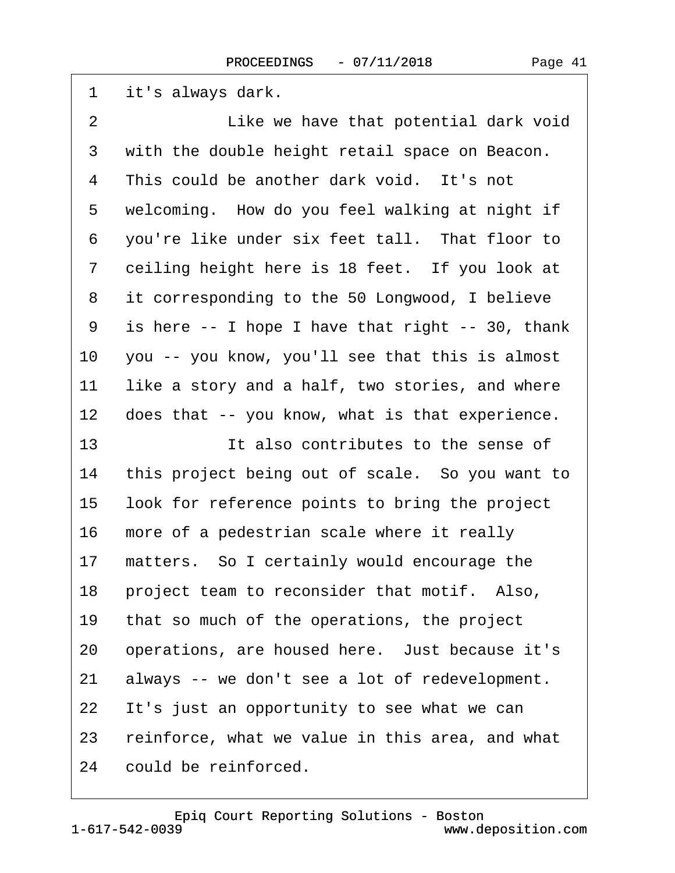| 1              | it's always dark.                                |
|----------------|--------------------------------------------------|
| $\overline{2}$ | Like we have that potential dark void            |
| 3              | with the double height retail space on Beacon.   |
| 4              | This could be another dark void. It's not        |
| 5              | welcoming. How do you feel walking at night if   |
| 6              | you're like under six feet tall. That floor to   |
| 7              | ceiling height here is 18 feet. If you look at   |
| 8              | it corresponding to the 50 Longwood, I believe   |
| 9              | is here -- I hope I have that right -- 30, thank |
| 10             | you -- you know, you'll see that this is almost  |
| 11             | like a story and a half, two stories, and where  |
| 12             | does that -- you know, what is that experience.  |
| 13             | It also contributes to the sense of              |
| 14             | this project being out of scale. So you want to  |
| 15             | look for reference points to bring the project   |
| 16             | more of a pedestrian scale where it really       |
| 17             | matters. So I certainly would encourage the      |
| 18             | project team to reconsider that motif. Also,     |
| 19             | that so much of the operations, the project      |
| 20             | operations, are housed here. Just because it's   |
| 21             | always -- we don't see a lot of redevelopment.   |
| 22             | It's just an opportunity to see what we can      |
| 23             | reinforce, what we value in this area, and what  |
| 24             | could be reinforced.                             |

 $\sqrt{ }$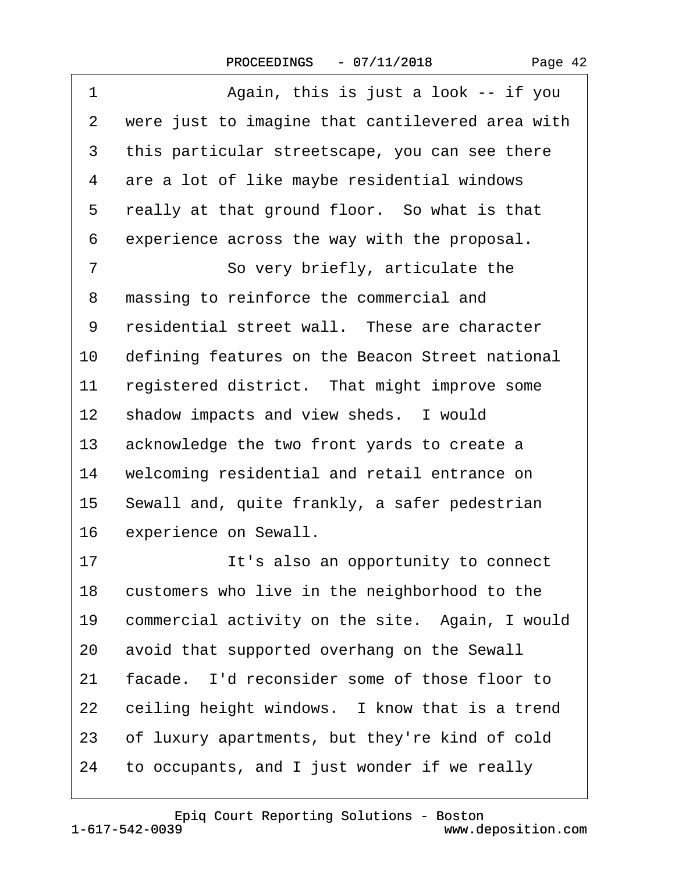| $\overline{1}$ | Again, this is just a look -- if you             |
|----------------|--------------------------------------------------|
| 2              | were just to imagine that cantilevered area with |
| 3              | this particular streetscape, you can see there   |
| 4              | are a lot of like maybe residential windows      |
| 5              | really at that ground floor. So what is that     |
| 6              | experience across the way with the proposal.     |
| 7              | So very briefly, articulate the                  |
| 8              | massing to reinforce the commercial and          |
| 9              | residential street wall. These are character     |
| 10             | defining features on the Beacon Street national  |
| 11             | registered district. That might improve some     |
| 12             | shadow impacts and view sheds. I would           |
| 13             | acknowledge the two front yards to create a      |
| 14             | welcoming residential and retail entrance on     |
| 15             | Sewall and, quite frankly, a safer pedestrian    |
| 16             | experience on Sewall.                            |
| 17             | It's also an opportunity to connect              |
| 18             | customers who live in the neighborhood to the    |
| 19             | commercial activity on the site. Again, I would  |
| 20             | avoid that supported overhang on the Sewall      |
| 21             | facade. I'd reconsider some of those floor to    |
| 22             | ceiling height windows. I know that is a trend   |
| 23             | of luxury apartments, but they're kind of cold   |
| 24             | to occupants, and I just wonder if we really     |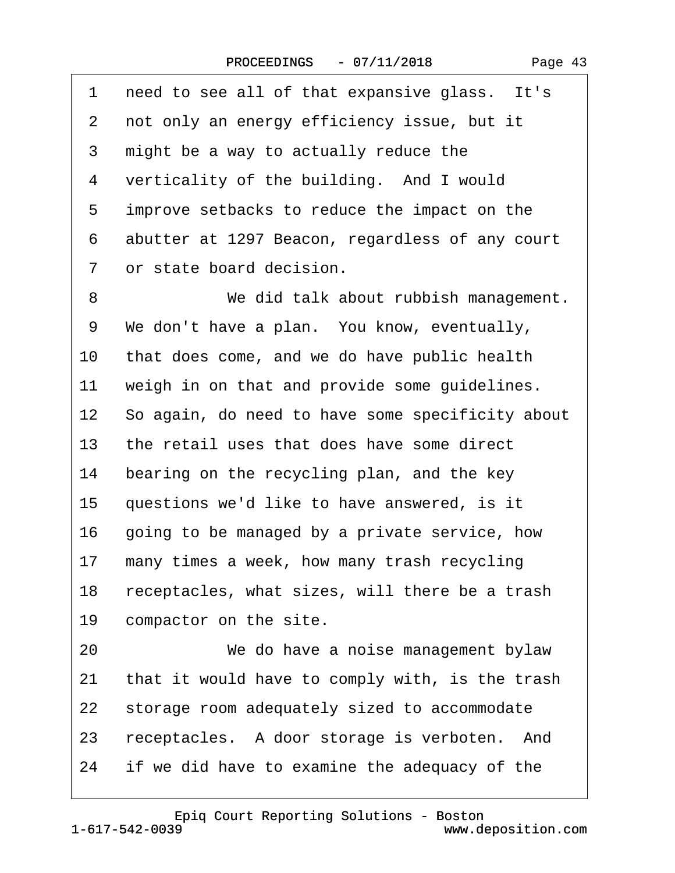| 1               | need to see all of that expansive glass. It's    |
|-----------------|--------------------------------------------------|
| 2               | not only an energy efficiency issue, but it      |
| 3               | might be a way to actually reduce the            |
| 4               | verticality of the building. And I would         |
| 5               | improve setbacks to reduce the impact on the     |
| 6               | abutter at 1297 Beacon, regardless of any court  |
| 7               | or state board decision.                         |
| 8               | We did talk about rubbish management.            |
| 9               | We don't have a plan. You know, eventually,      |
| 10              | that does come, and we do have public health     |
| 11              | weigh in on that and provide some guidelines.    |
| 12 <sub>2</sub> | So again, do need to have some specificity about |
| 13              | the retail uses that does have some direct       |
| 14              | bearing on the recycling plan, and the key       |
| 15              | questions we'd like to have answered, is it      |
| 16              | going to be managed by a private service, how    |
| 17              | many times a week, how many trash recycling      |
| 18              | receptacles, what sizes, will there be a trash   |
| 19              | compactor on the site.                           |
| 20              | We do have a noise management bylaw              |
| 21              | that it would have to comply with, is the trash  |
| 22              | storage room adequately sized to accommodate     |
| 23              | receptacles. A door storage is verboten. And     |
| 24              | if we did have to examine the adequacy of the    |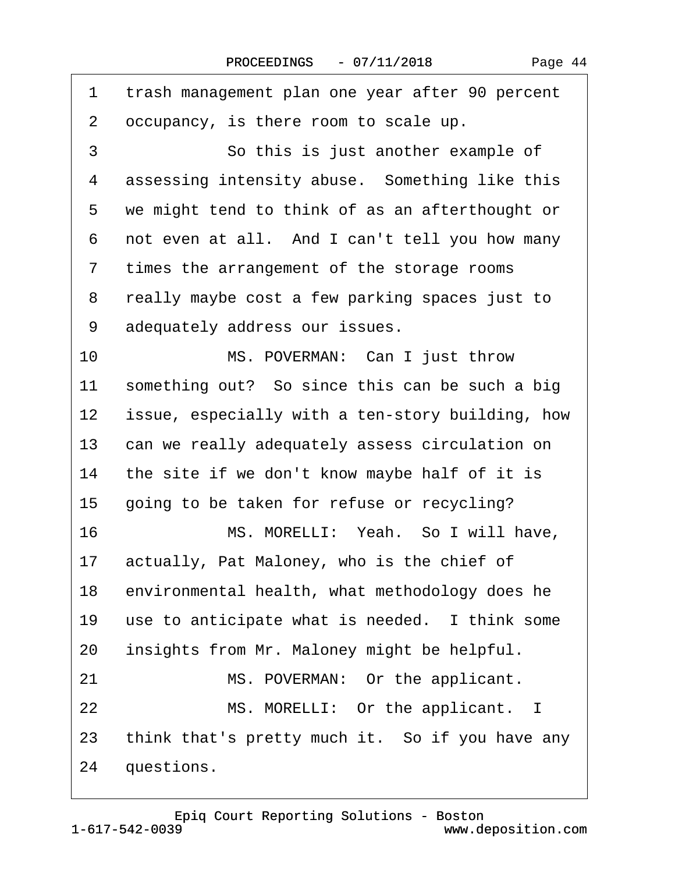$\lceil$ 

| 1              | trash management plan one year after 90 percent  |
|----------------|--------------------------------------------------|
| 2              | occupancy, is there room to scale up.            |
| 3              | So this is just another example of               |
| 4              | assessing intensity abuse. Something like this   |
| 5              | we might tend to think of as an afterthought or  |
| 6              | not even at all. And I can't tell you how many   |
| $\overline{7}$ | times the arrangement of the storage rooms       |
| 8              | really maybe cost a few parking spaces just to   |
| 9              | adequately address our issues.                   |
| 10             | MS. POVERMAN: Can I just throw                   |
| 11             | something out? So since this can be such a big   |
| 12             | issue, especially with a ten-story building, how |
| 13             | can we really adequately assess circulation on   |
| 14             | the site if we don't know maybe half of it is    |
| 15             | going to be taken for refuse or recycling?       |
| 16             | MS. MORELLI: Yeah. So I will have,               |
| 17             | actually, Pat Maloney, who is the chief of       |
| 18             | environmental health, what methodology does he   |
| 19             | use to anticipate what is needed. I think some   |
| 20             | insights from Mr. Maloney might be helpful.      |
| 21             | MS. POVERMAN: Or the applicant.                  |
| 22             | MS. MORELLI: Or the applicant. I                 |
| 23             | think that's pretty much it. So if you have any  |
| 24             | questions.                                       |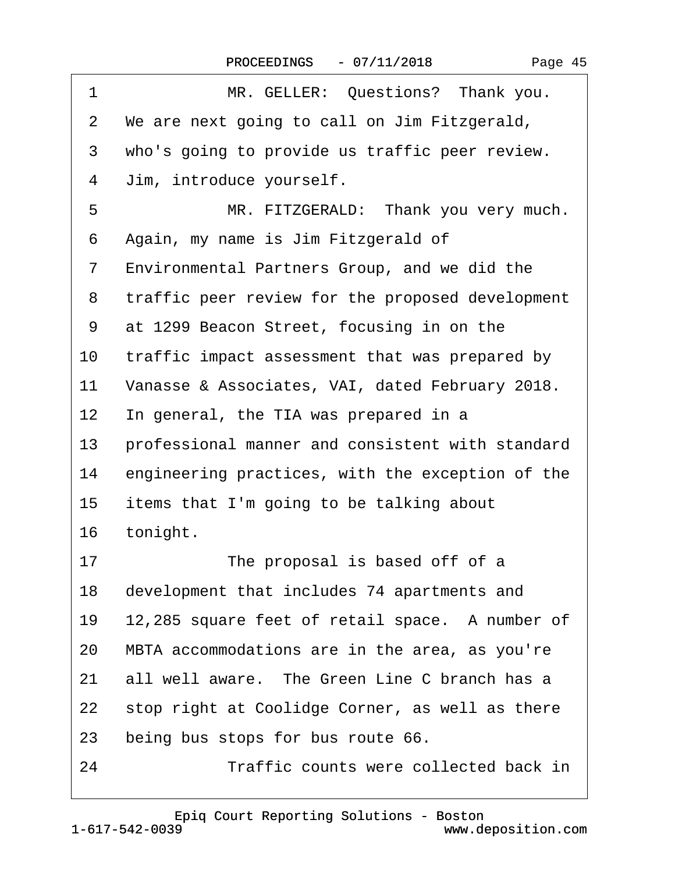|  | Page 45 |  |
|--|---------|--|
|--|---------|--|

| 1              | MR. GELLER: Questions? Thank you.                |
|----------------|--------------------------------------------------|
| 2              | We are next going to call on Jim Fitzgerald,     |
| 3              | who's going to provide us traffic peer review.   |
| 4              | Jim, introduce yourself.                         |
| 5              | MR. FITZGERALD: Thank you very much.             |
| 6              | Again, my name is Jim Fitzgerald of              |
| $\overline{7}$ | Environmental Partners Group, and we did the     |
| 8              | traffic peer review for the proposed development |
| 9              | at 1299 Beacon Street, focusing in on the        |
| 10             | traffic impact assessment that was prepared by   |
| 11             | Vanasse & Associates, VAI, dated February 2018.  |
| $12 \,$        | In general, the TIA was prepared in a            |
| 13             | professional manner and consistent with standard |
| 14             | engineering practices, with the exception of the |
| 15             | items that I'm going to be talking about         |
| 16             | tonight.                                         |
| 17             | The proposal is based off of a                   |
| 18             | development that includes 74 apartments and      |
| 19             | 12,285 square feet of retail space. A number of  |
| 20             | MBTA accommodations are in the area, as you're   |
| 21             | all well aware. The Green Line C branch has a    |
| 22             | stop right at Coolidge Corner, as well as there  |
| 23             | being bus stops for bus route 66.                |
| 24             | Traffic counts were collected back in            |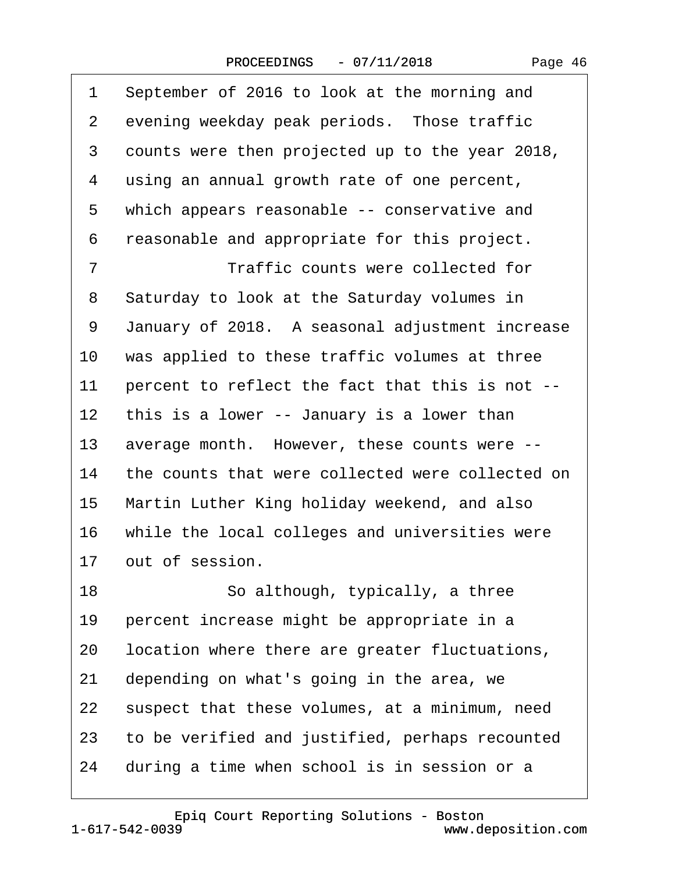|  | Page 46 |  |
|--|---------|--|
|--|---------|--|

| 1              | September of 2016 to look at the morning and     |
|----------------|--------------------------------------------------|
| $\overline{2}$ | evening weekday peak periods. Those traffic      |
| 3              | counts were then projected up to the year 2018,  |
| 4              | using an annual growth rate of one percent,      |
| 5              | which appears reasonable -- conservative and     |
| 6              | reasonable and appropriate for this project.     |
| 7              | Traffic counts were collected for                |
| 8              | Saturday to look at the Saturday volumes in      |
| 9              | January of 2018. A seasonal adjustment increase  |
| 10             | was applied to these traffic volumes at three    |
| 11             | percent to reflect the fact that this is not --  |
| 12             | this is a lower -- January is a lower than       |
| 13             | average month. However, these counts were --     |
| 14             | the counts that were collected were collected on |
| 15             | Martin Luther King holiday weekend, and also     |
| 16             | while the local colleges and universities were   |
| 17             | out of session.                                  |
| 18             | So although, typically, a three                  |
| 19             | percent increase might be appropriate in a       |
| 20             | location where there are greater fluctuations,   |
| 21             | depending on what's going in the area, we        |
| 22             | suspect that these volumes, at a minimum, need   |
| 23             | to be verified and justified, perhaps recounted  |
| 24             | during a time when school is in session or a     |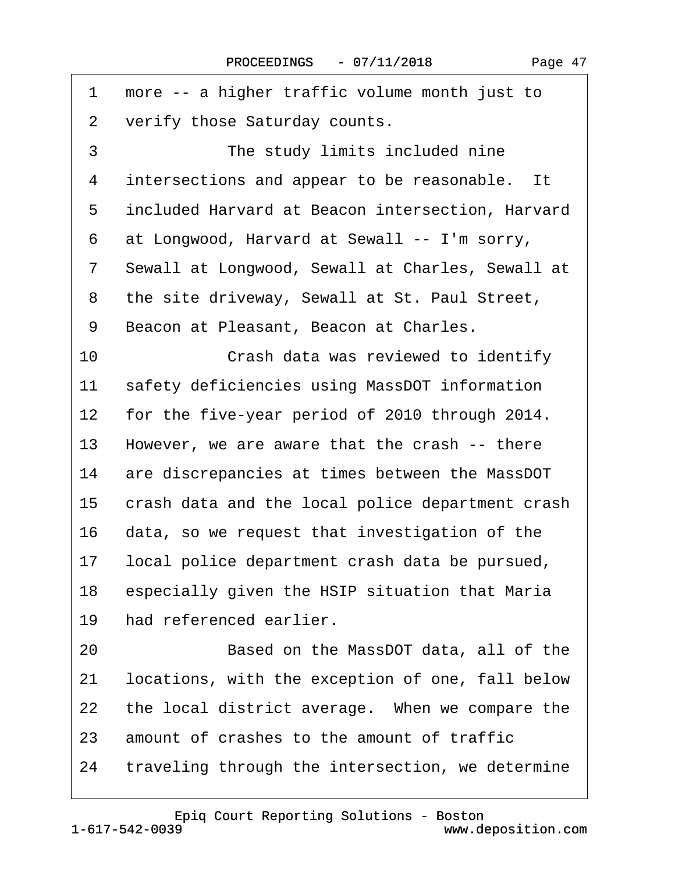| 1              | more -- a higher traffic volume month just to    |
|----------------|--------------------------------------------------|
| 2              | verify those Saturday counts.                    |
| 3              | The study limits included nine                   |
| 4              | intersections and appear to be reasonable. It    |
| 5              | included Harvard at Beacon intersection, Harvard |
| 6              | at Longwood, Harvard at Sewall -- I'm sorry,     |
| $\overline{7}$ | Sewall at Longwood, Sewall at Charles, Sewall at |
| 8              | the site driveway, Sewall at St. Paul Street,    |
| 9              | Beacon at Pleasant, Beacon at Charles.           |
| 10             | Crash data was reviewed to identify              |
| 11             | safety deficiencies using MassDOT information    |
| 12             | for the five-year period of 2010 through 2014.   |
| 13             | However, we are aware that the crash -- there    |
| 14             | are discrepancies at times between the MassDOT   |
| 15             | crash data and the local police department crash |
| 16             | data, so we request that investigation of the    |
| 17             | local police department crash data be pursued,   |
| 18             | especially given the HSIP situation that Maria   |
| 19             | had referenced earlier.                          |
| 20             | Based on the MassDOT data, all of the            |
| 21             | locations, with the exception of one, fall below |
| 22             | the local district average. When we compare the  |
| 23             | amount of crashes to the amount of traffic       |
| 24             | traveling through the intersection, we determine |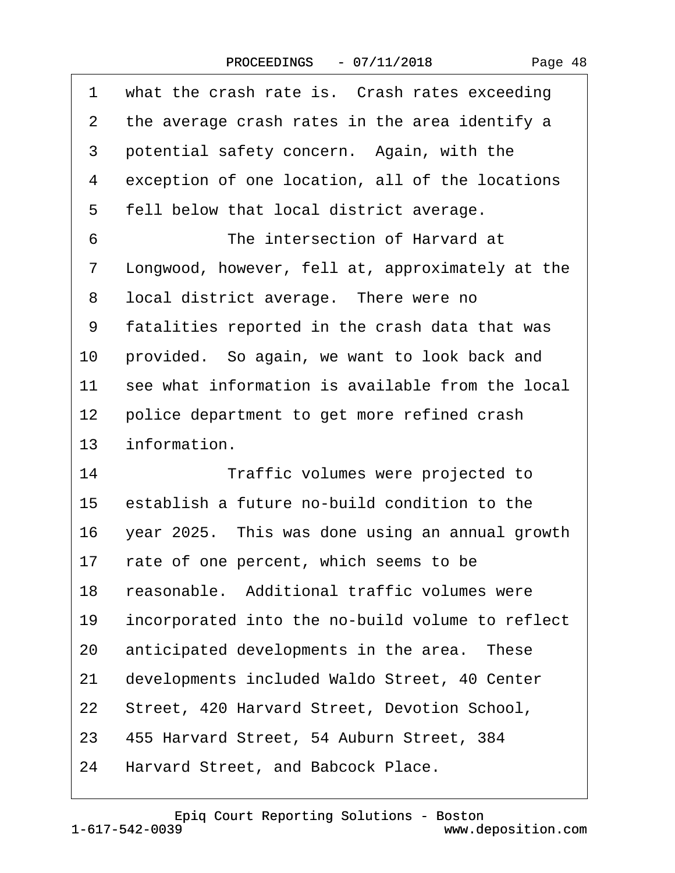| 1  | what the crash rate is. Crash rates exceeding    |
|----|--------------------------------------------------|
| 2  | the average crash rates in the area identify a   |
| 3  | potential safety concern. Again, with the        |
| 4  | exception of one location, all of the locations  |
| 5  | fell below that local district average.          |
| 6  | The intersection of Harvard at                   |
| 7  | Longwood, however, fell at, approximately at the |
| 8  | local district average. There were no            |
| 9  | fatalities reported in the crash data that was   |
| 10 | provided. So again, we want to look back and     |
| 11 | see what information is available from the local |
| 12 | police department to get more refined crash      |
| 13 | information.                                     |
| 14 | Traffic volumes were projected to                |
| 15 | establish a future no-build condition to the     |
| 16 | year 2025. This was done using an annual growth  |
| 17 | rate of one percent, which seems to be           |
| 18 | reasonable. Additional traffic volumes were      |
| 19 | incorporated into the no-build volume to reflect |
| 20 | anticipated developments in the area. These      |
| 21 | developments included Waldo Street, 40 Center    |
| 22 | Street, 420 Harvard Street, Devotion School,     |
| 23 | 455 Harvard Street, 54 Auburn Street, 384        |
| 24 | Harvard Street, and Babcock Place.               |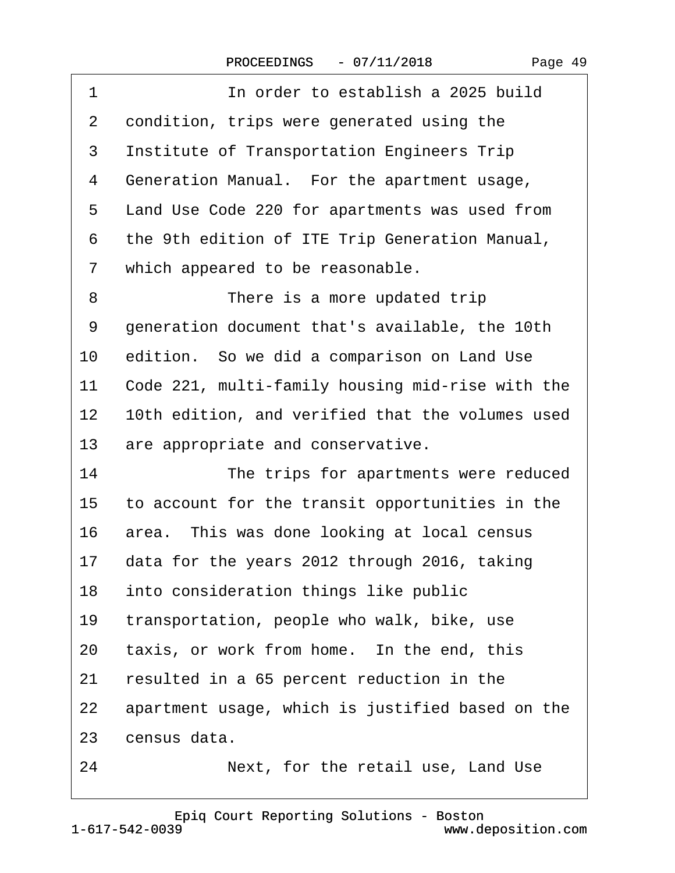| 1               | In order to establish a 2025 build               |
|-----------------|--------------------------------------------------|
| 2               | condition, trips were generated using the        |
| 3               | Institute of Transportation Engineers Trip       |
| 4               | Generation Manual. For the apartment usage,      |
| 5               | Land Use Code 220 for apartments was used from   |
| 6               | the 9th edition of ITE Trip Generation Manual,   |
| 7               | which appeared to be reasonable.                 |
| 8               | There is a more updated trip                     |
| 9               | generation document that's available, the 10th   |
| 10              | edition. So we did a comparison on Land Use      |
| 11              | Code 221, multi-family housing mid-rise with the |
| 12 <sub>2</sub> | 10th edition, and verified that the volumes used |
| 13              | are appropriate and conservative.                |
| 14              | The trips for apartments were reduced            |
| 15              | to account for the transit opportunities in the  |
| 16              | area. This was done looking at local census      |
| 17              | data for the years 2012 through 2016, taking     |
| 18              | into consideration things like public            |
| 19              | transportation, people who walk, bike, use       |
| 20              | taxis, or work from home. In the end, this       |
| 21              | resulted in a 65 percent reduction in the        |
| 22              | apartment usage, which is justified based on the |
| 23              | census data.                                     |
| 24              | Next, for the retail use, Land Use               |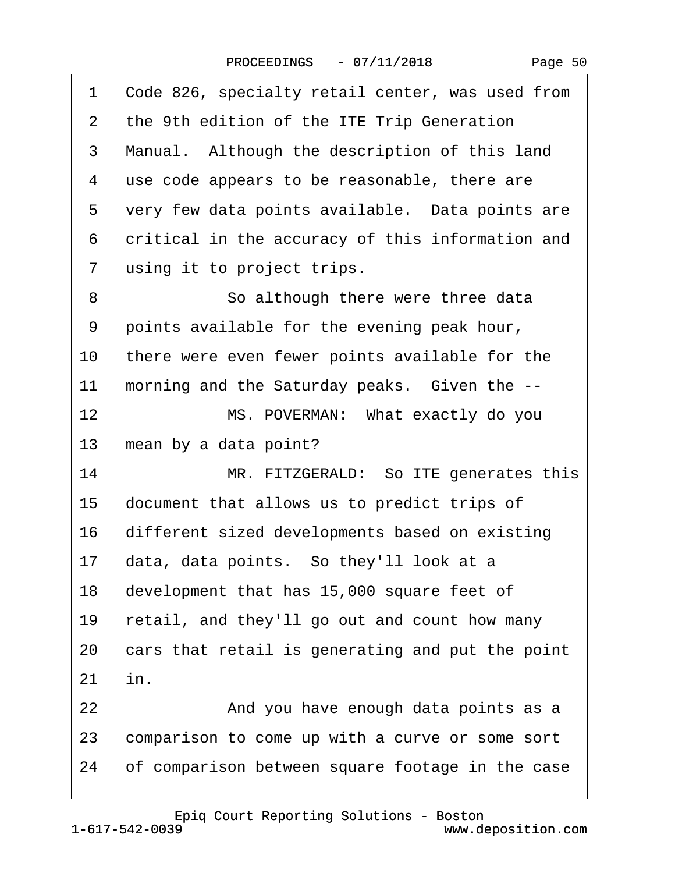| 1              | Code 826, specialty retail center, was used from |  |  |
|----------------|--------------------------------------------------|--|--|
| 2              | the 9th edition of the ITE Trip Generation       |  |  |
| 3              | Manual. Although the description of this land    |  |  |
| 4              | use code appears to be reasonable, there are     |  |  |
| 5              | very few data points available. Data points are  |  |  |
| 6              | critical in the accuracy of this information and |  |  |
| $\overline{7}$ | using it to project trips.                       |  |  |
| 8              | So although there were three data                |  |  |
| 9              | points available for the evening peak hour,      |  |  |
| 10             | there were even fewer points available for the   |  |  |
| 11             | morning and the Saturday peaks. Given the --     |  |  |
| 12             | MS. POVERMAN: What exactly do you                |  |  |
| 13             | mean by a data point?                            |  |  |
| 14             | MR. FITZGERALD: So ITE generates this            |  |  |
| 15             | document that allows us to predict trips of      |  |  |
| 16             | different sized developments based on existing   |  |  |
| 17             | data, data points. So they'll look at a          |  |  |
| 18             | development that has 15,000 square feet of       |  |  |
| 19             | retail, and they'll go out and count how many    |  |  |
| 20             | cars that retail is generating and put the point |  |  |
| 21             | in.                                              |  |  |
| 22             | And you have enough data points as a             |  |  |
| 23             | comparison to come up with a curve or some sort  |  |  |
| 24             | of comparison between square footage in the case |  |  |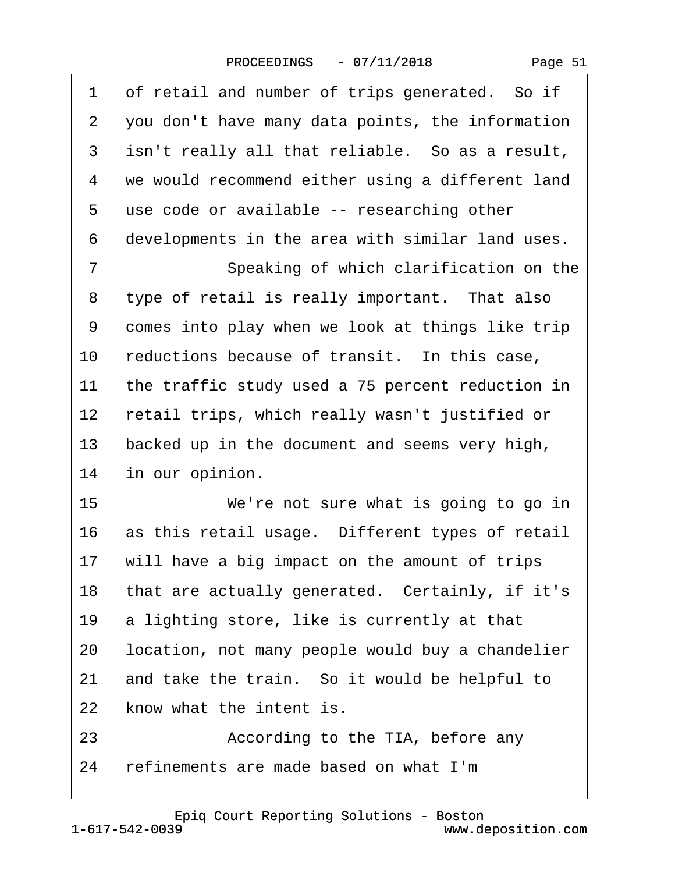|  | Page 51 |  |
|--|---------|--|
|--|---------|--|

| 1               | of retail and number of trips generated. So if   |  |  |
|-----------------|--------------------------------------------------|--|--|
| 2               | you don't have many data points, the information |  |  |
| 3               | isn't really all that reliable. So as a result,  |  |  |
| 4               | we would recommend either using a different land |  |  |
| 5               | use code or available -- researching other       |  |  |
| 6               | developments in the area with similar land uses. |  |  |
| $\overline{7}$  | Speaking of which clarification on the           |  |  |
| 8               | type of retail is really important. That also    |  |  |
| 9               | comes into play when we look at things like trip |  |  |
| 10              | reductions because of transit. In this case,     |  |  |
| 11              | the traffic study used a 75 percent reduction in |  |  |
| 12 <sub>2</sub> | retail trips, which really wasn't justified or   |  |  |
| 13              | backed up in the document and seems very high,   |  |  |
| 14              | in our opinion.                                  |  |  |
| 15              | We're not sure what is going to go in            |  |  |
| 16              | as this retail usage. Different types of retail  |  |  |
|                 | 17 will have a big impact on the amount of trips |  |  |
| 18              | that are actually generated. Certainly, if it's  |  |  |
| 19              | a lighting store, like is currently at that      |  |  |
| 20              | location, not many people would buy a chandelier |  |  |
| 21              | and take the train. So it would be helpful to    |  |  |
| 22              | know what the intent is.                         |  |  |
| 23              | According to the TIA, before any                 |  |  |
| 24              | refinements are made based on what I'm           |  |  |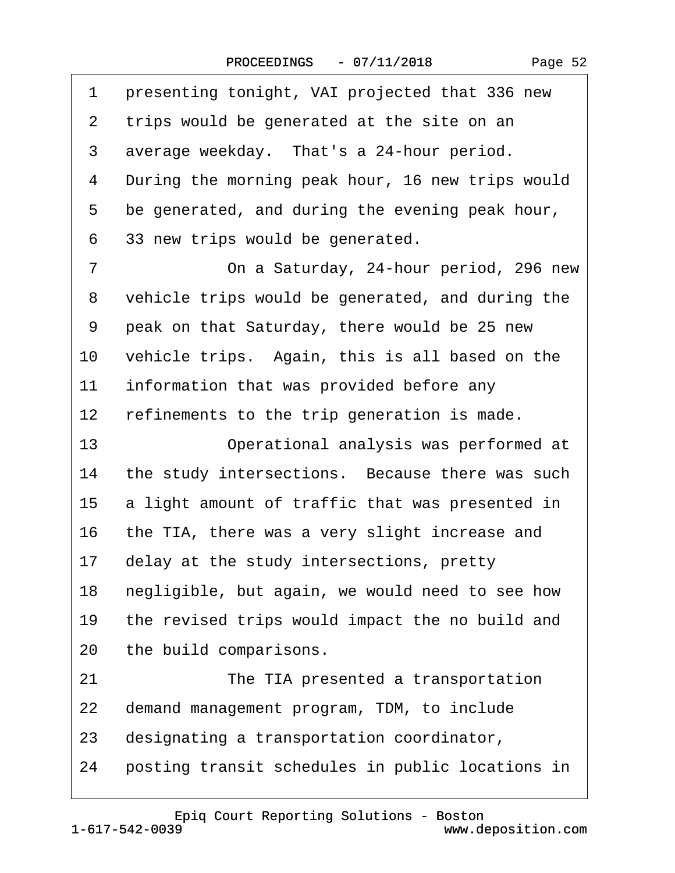| 1               | presenting tonight, VAI projected that 336 new   |
|-----------------|--------------------------------------------------|
| $\overline{2}$  | trips would be generated at the site on an       |
| 3               | average weekday. That's a 24-hour period.        |
| 4               | During the morning peak hour, 16 new trips would |
| 5               | be generated, and during the evening peak hour,  |
| 6               | 33 new trips would be generated.                 |
| 7               | On a Saturday, 24-hour period, 296 new           |
| 8               | vehicle trips would be generated, and during the |
| 9               | peak on that Saturday, there would be 25 new     |
| 10              | vehicle trips. Again, this is all based on the   |
| 11              | information that was provided before any         |
| 12 <sub>2</sub> | refinements to the trip generation is made.      |
| 13              | Operational analysis was performed at            |
| 14              | the study intersections. Because there was such  |
| 15              | a light amount of traffic that was presented in  |
| 16              | the TIA, there was a very slight increase and    |
| 17              | delay at the study intersections, pretty         |
| 18              | negligible, but again, we would need to see how  |
| 19              | the revised trips would impact the no build and  |
| 20              | the build comparisons.                           |
| 21              | The TIA presented a transportation               |
| 22              | demand management program, TDM, to include       |
| 23              | designating a transportation coordinator,        |
|                 |                                                  |

24 posting transit schedules in public locations in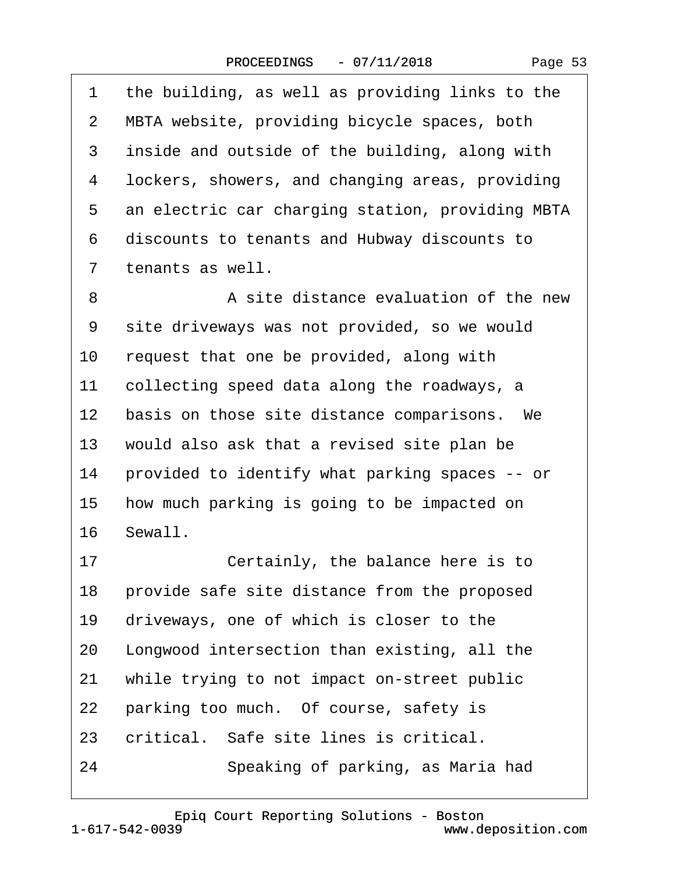1 the building, as well as providing links to the

| $\overline{2}$ | MBTA website, providing bicycle spaces, both     |
|----------------|--------------------------------------------------|
| 3              | inside and outside of the building, along with   |
| 4              | lockers, showers, and changing areas, providing  |
| 5              | an electric car charging station, providing MBTA |
| 6              | discounts to tenants and Hubway discounts to     |
| 7              | tenants as well.                                 |
| 8              | A site distance evaluation of the new            |
| 9              | site driveways was not provided, so we would     |
| 10             | request that one be provided, along with         |
| 11             | collecting speed data along the roadways, a      |
| 12             | basis on those site distance comparisons. We     |
| 13             | would also ask that a revised site plan be       |
| 14             | provided to identify what parking spaces -- or   |
| 15             | how much parking is going to be impacted on      |
| 16             | Sewall.                                          |
| 17             | Certainly, the balance here is to                |
| 18             | provide safe site distance from the proposed     |
| 19             | driveways, one of which is closer to the         |
| 20             | Longwood intersection than existing, all the     |
| 21             | while trying to not impact on-street public      |
| 22             | parking too much. Of course, safety is           |

- 23 critical. Safe site lines is critical.
- 24 · · Speaking of parking, as Maria had

[Epiq Court Reporting Solutions - Boston](http://www.deposition.com)

1-617-542-0039

 $16$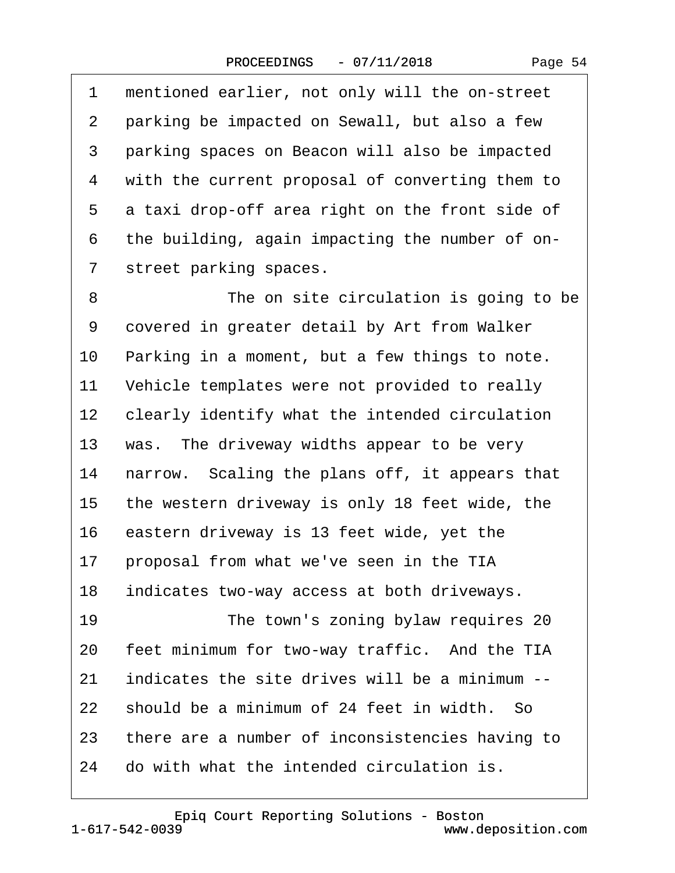Page 54

1 mentioned earlier, not only will the on-street 2 parking be impacted on Sewall, but also a few 3 parking spaces on Beacon will also be impacted 4 with the current proposal of converting them to 5 a taxi drop-off area right on the front side of 6 the building, again impacting the number of on-7 street parking spaces.

8 **• • • The on site circulation is going to be** 9 covered in greater detail by Art from Walker 10 Parking in a moment, but a few things to note. 11 Vehicle templates were not provided to really 12 clearly identify what the intended circulation 13 was. The driveway widths appear to be very 14 narrow. Scaling the plans off, it appears that 15 the western driveway is only 18 feet wide, the 16 eastern driveway is 13 feet wide, yet the 17 proposal from what we've seen in the TIA 18 indicates two-way access at both driveways. 19 **• The town's zoning bylaw requires 20** 20 feet minimum for two-way traffic. And the TIA 21 indicates the site drives will be a minimum --22 should be a minimum of 24 feet in width. So 23 there are a number of inconsistencies having to 24 do with what the intended circulation is.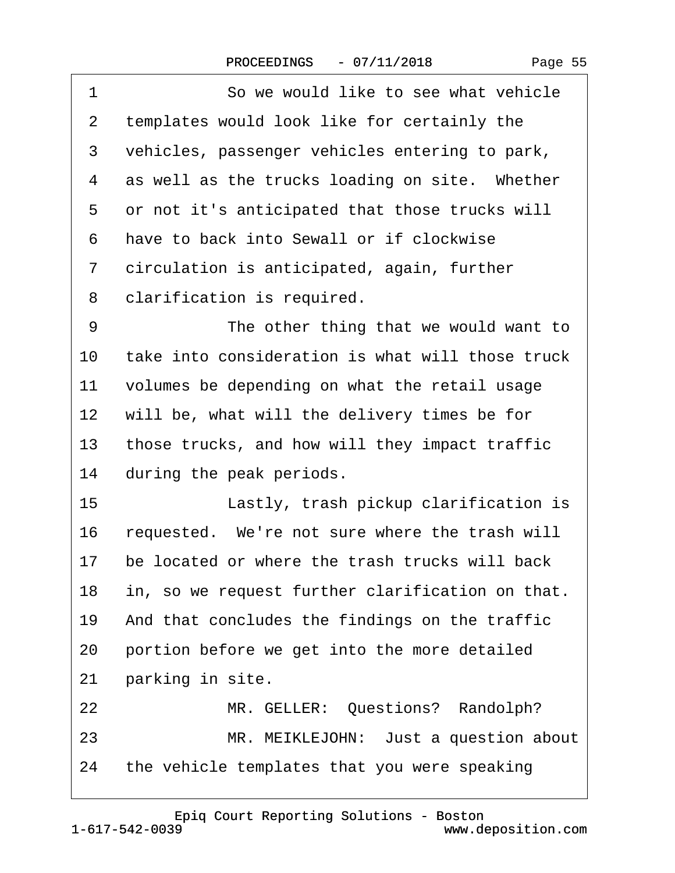| 1       | So we would like to see what vehicle             |  |
|---------|--------------------------------------------------|--|
| 2       | templates would look like for certainly the      |  |
| 3       | vehicles, passenger vehicles entering to park,   |  |
| 4       | as well as the trucks loading on site. Whether   |  |
| 5       | or not it's anticipated that those trucks will   |  |
| 6       | have to back into Sewall or if clockwise         |  |
| 7       | circulation is anticipated, again, further       |  |
| 8       | clarification is required.                       |  |
| 9       | The other thing that we would want to            |  |
| 10      | take into consideration is what will those truck |  |
| 11      | volumes be depending on what the retail usage    |  |
| $12 \,$ | will be, what will the delivery times be for     |  |
| 13      | those trucks, and how will they impact traffic   |  |
| 14      | during the peak periods.                         |  |
| 15      | Lastly, trash pickup clarification is            |  |
| 16      | requested. We're not sure where the trash will   |  |
| 17      | be located or where the trash trucks will back   |  |
| 18      | in, so we request further clarification on that. |  |
| 19      | And that concludes the findings on the traffic   |  |
| 20      | portion before we get into the more detailed     |  |
| 21      | parking in site.                                 |  |
| 22      | MR. GELLER: Questions? Randolph?                 |  |
| 23      | MR. MEIKLEJOHN: Just a question about            |  |
| 24      | the vehicle templates that you were speaking     |  |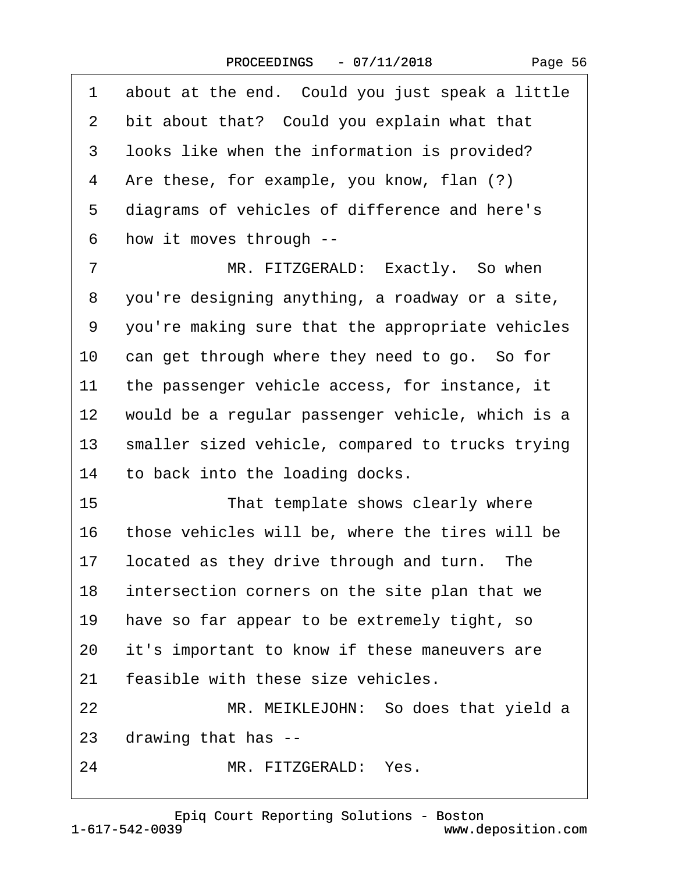| 1              | about at the end. Could you just speak a little  |  |  |
|----------------|--------------------------------------------------|--|--|
| $\overline{2}$ | bit about that? Could you explain what that      |  |  |
| 3              | looks like when the information is provided?     |  |  |
| 4              | Are these, for example, you know, flan (?)       |  |  |
| 5              | diagrams of vehicles of difference and here's    |  |  |
| 6              | how it moves through --                          |  |  |
| 7              | MR. FITZGERALD: Exactly. So when                 |  |  |
| 8              | you're designing anything, a roadway or a site,  |  |  |
| 9              | you're making sure that the appropriate vehicles |  |  |
| 10             | can get through where they need to go. So for    |  |  |
| 11             | the passenger vehicle access, for instance, it   |  |  |
| 12             | would be a regular passenger vehicle, which is a |  |  |
| 13             | smaller sized vehicle, compared to trucks trying |  |  |
| 14             | to back into the loading docks.                  |  |  |
| 15             | That template shows clearly where                |  |  |
| 16             | those vehicles will be, where the tires will be  |  |  |
| 17             | located as they drive through and turn. The      |  |  |
| 18             | intersection corners on the site plan that we    |  |  |
| 19             | have so far appear to be extremely tight, so     |  |  |
| 20             | it's important to know if these maneuvers are    |  |  |
| 21             | feasible with these size vehicles.               |  |  |
| 22             | MR. MEIKLEJOHN: So does that yield a             |  |  |
| 23             | drawing that has --                              |  |  |
| 24             | MR. FITZGERALD: Yes.                             |  |  |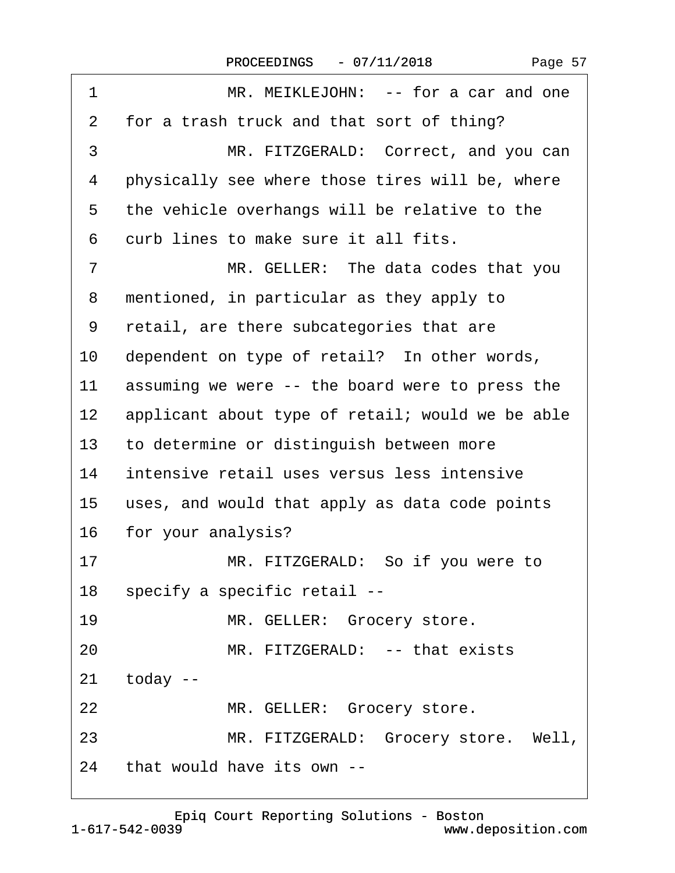| 1               | MR. MEIKLEJOHN: -- for a car and one             |  |  |
|-----------------|--------------------------------------------------|--|--|
| 2               | for a trash truck and that sort of thing?        |  |  |
| 3               | MR. FITZGERALD: Correct, and you can             |  |  |
| 4               | physically see where those tires will be, where  |  |  |
| 5               | the vehicle overhangs will be relative to the    |  |  |
| 6               | curb lines to make sure it all fits.             |  |  |
| $\overline{7}$  | MR. GELLER: The data codes that you              |  |  |
| 8               | mentioned, in particular as they apply to        |  |  |
| 9               | retail, are there subcategories that are         |  |  |
| 10              | dependent on type of retail? In other words,     |  |  |
| 11              | assuming we were -- the board were to press the  |  |  |
| 12 <sub>2</sub> | applicant about type of retail; would we be able |  |  |
| 13              | to determine or distinguish between more         |  |  |
| 14              | intensive retail uses versus less intensive      |  |  |
| 15              | uses, and would that apply as data code points   |  |  |
| 16              | for your analysis?                               |  |  |
| 17              | MR. FITZGERALD: So if you were to                |  |  |
|                 | 18 specify a specific retail --                  |  |  |
| 19              | MR. GELLER: Grocery store.                       |  |  |
| 20              | MR. FITZGERALD: -- that exists                   |  |  |
| 21              | today --                                         |  |  |
| 22              | MR. GELLER: Grocery store.                       |  |  |
| 23              | MR. FITZGERALD: Grocery store. Well,             |  |  |
| 24              | that would have its own --                       |  |  |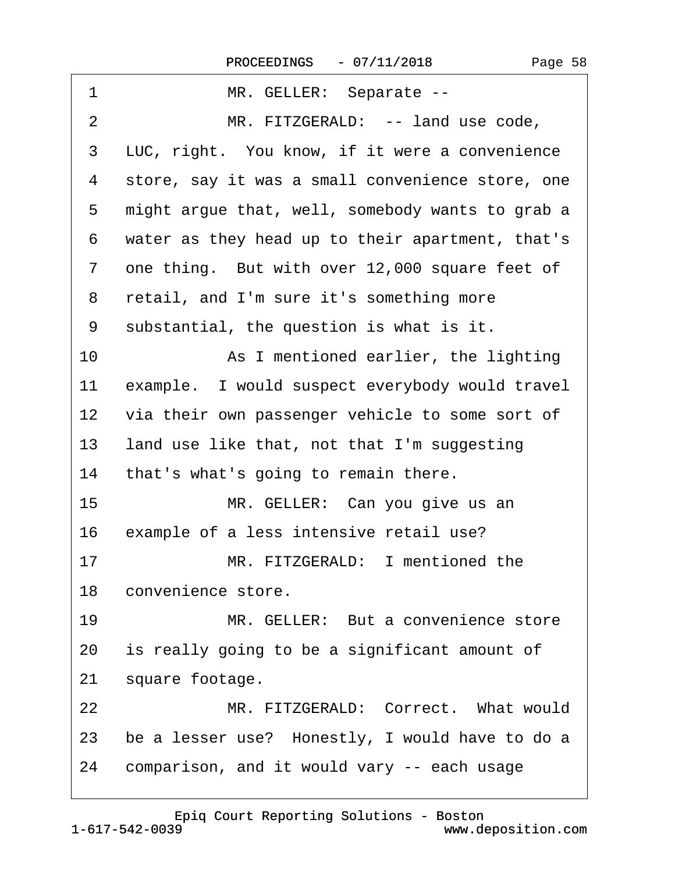| 1                 | MR. GELLER: Separate --                            |
|-------------------|----------------------------------------------------|
| 2                 | MR. FITZGERALD: -- land use code,                  |
| 3                 | LUC, right. You know, if it were a convenience     |
| 4                 | store, say it was a small convenience store, one   |
| 5                 | might argue that, well, somebody wants to grab a   |
| 6                 | water as they head up to their apartment, that's   |
| $\overline{7}$    | one thing. But with over 12,000 square feet of     |
| 8                 | retail, and I'm sure it's something more           |
| 9                 | substantial, the question is what is it.           |
| 10                | As I mentioned earlier, the lighting               |
| 11                | example. I would suspect everybody would travel    |
| $12 \overline{ }$ | via their own passenger vehicle to some sort of    |
| 13                | land use like that, not that I'm suggesting        |
| 14                | that's what's going to remain there.               |
| 15                | MR. GELLER: Can you give us an                     |
| 16                | example of a less intensive retail use?            |
| 17                | MR. FITZGERALD: I mentioned the                    |
|                   | 18 convenience store.                              |
| 19                | MR. GELLER: But a convenience store                |
| 20                | is really going to be a significant amount of      |
| 21                | square footage.                                    |
| 22                | MR. FITZGERALD: Correct. What would                |
|                   | 23 be a lesser use? Honestly, I would have to do a |
| 24                | comparison, and it would vary -- each usage        |
|                   |                                                    |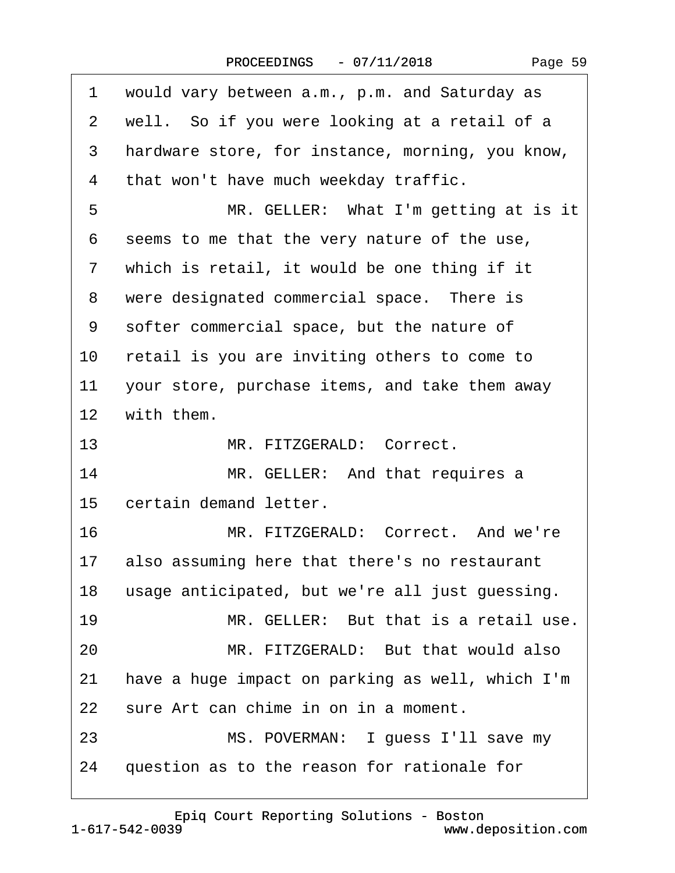|  | Page 59 |  |
|--|---------|--|
|--|---------|--|

| 1               | would vary between a.m., p.m. and Saturday as    |
|-----------------|--------------------------------------------------|
| 2               | well. So if you were looking at a retail of a    |
| 3               | hardware store, for instance, morning, you know, |
| 4               | that won't have much weekday traffic.            |
| 5               | MR. GELLER: What I'm getting at is it            |
| 6               | seems to me that the very nature of the use,     |
| $\mathbf{7}$    | which is retail, it would be one thing if it     |
| 8               | were designated commercial space. There is       |
| 9               | softer commercial space, but the nature of       |
| 10              | retail is you are inviting others to come to     |
| 11              | your store, purchase items, and take them away   |
| 12 <sup>7</sup> | with them.                                       |
| 13 <sup>°</sup> | MR. FITZGERALD: Correct.                         |
| 14              | MR. GELLER: And that requires a                  |
| 15              | certain demand letter.                           |
| 16              | MR. FITZGERALD: Correct. And we're               |
|                 | 17 also assuming here that there's no restaurant |
| 18              | usage anticipated, but we're all just guessing.  |
| 19              | MR. GELLER: But that is a retail use.            |
| 20              | MR. FITZGERALD: But that would also              |
| 21              | have a huge impact on parking as well, which I'm |
| 22              | sure Art can chime in on in a moment.            |
| 23              | MS. POVERMAN: I guess I'll save my               |
| 24              | question as to the reason for rationale for      |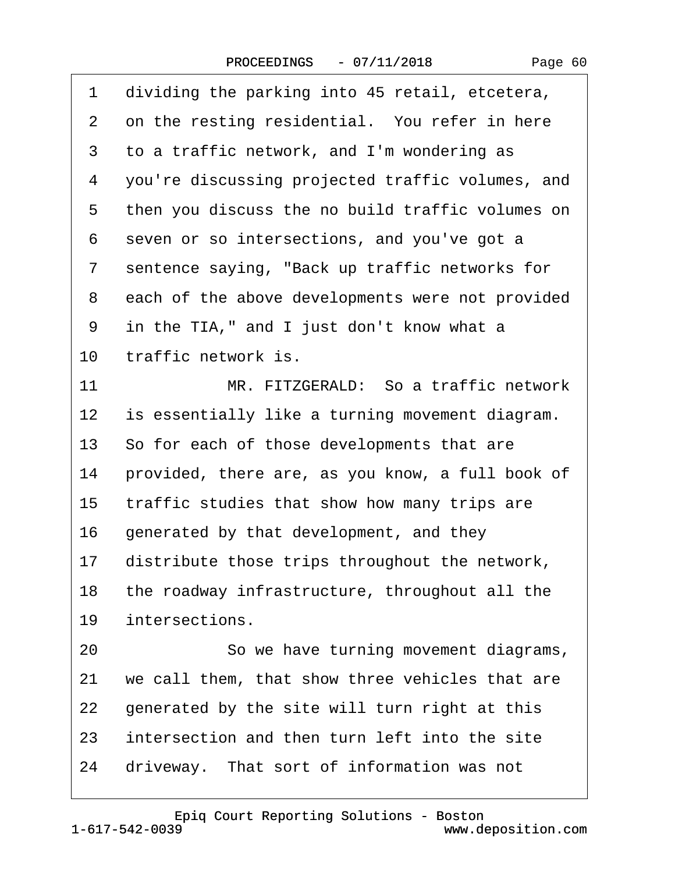| 1  | dividing the parking into 45 retail, etcetera,   |
|----|--------------------------------------------------|
| 2  | on the resting residential. You refer in here    |
| 3  | to a traffic network, and I'm wondering as       |
| 4  | you're discussing projected traffic volumes, and |
| 5  | then you discuss the no build traffic volumes on |
| 6  | seven or so intersections, and you've got a      |
| 7  | sentence saying, "Back up traffic networks for   |
| 8  | each of the above developments were not provided |
| 9  | in the TIA," and I just don't know what a        |
| 10 | traffic network is.                              |
| 11 | MR. FITZGERALD: So a traffic network             |
| 12 | is essentially like a turning movement diagram.  |
| 13 | So for each of those developments that are       |
| 14 | provided, there are, as you know, a full book of |
| 15 | traffic studies that show how many trips are     |
| 16 | generated by that development, and they          |
| 17 | distribute those trips throughout the network,   |
| 18 | the roadway infrastructure, throughout all the   |
| 19 | intersections.                                   |
| 20 | So we have turning movement diagrams,            |
| 21 | we call them, that show three vehicles that are  |
| 22 | generated by the site will turn right at this    |
| 23 | intersection and then turn left into the site    |
| 24 | driveway. That sort of information was not       |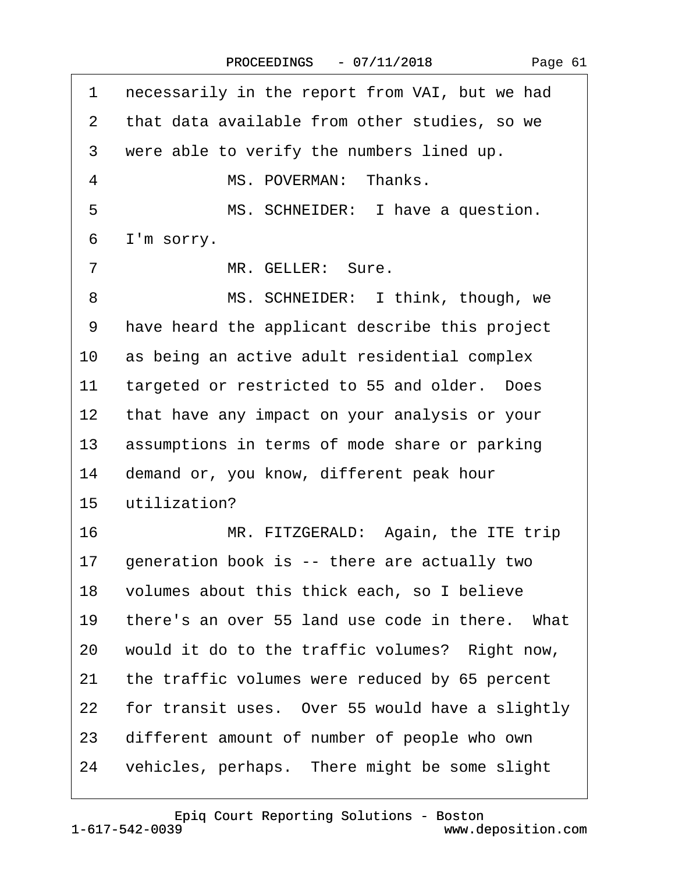| 1              | necessarily in the report from VAI, but we had  |
|----------------|-------------------------------------------------|
| 2              | that data available from other studies, so we   |
| 3              | were able to verify the numbers lined up.       |
| $\overline{4}$ | MS. POVERMAN: Thanks.                           |
| 5              | MS. SCHNEIDER: I have a question.               |
| 6              | I'm sorry.                                      |
| 7              | MR. GELLER: Sure.                               |
| 8              | MS. SCHNEIDER: I think, though, we              |
| 9              | have heard the applicant describe this project  |
| 10             | as being an active adult residential complex    |
| 11             | targeted or restricted to 55 and older. Does    |
| 12             | that have any impact on your analysis or your   |
| 13             | assumptions in terms of mode share or parking   |
| 14             | demand or, you know, different peak hour        |
| 15             | utilization?                                    |
| 16             | MR. FITZGERALD: Again, the ITE trip             |
| 17             | generation book is -- there are actually two    |
| 18             | volumes about this thick each, so I believe     |
| 19             | there's an over 55 land use code in there. What |
| 20             | would it do to the traffic volumes? Right now,  |
| 21             | the traffic volumes were reduced by 65 percent  |
| 22             | for transit uses. Over 55 would have a slightly |
| 23             | different amount of number of people who own    |
| 24             | vehicles, perhaps. There might be some slight   |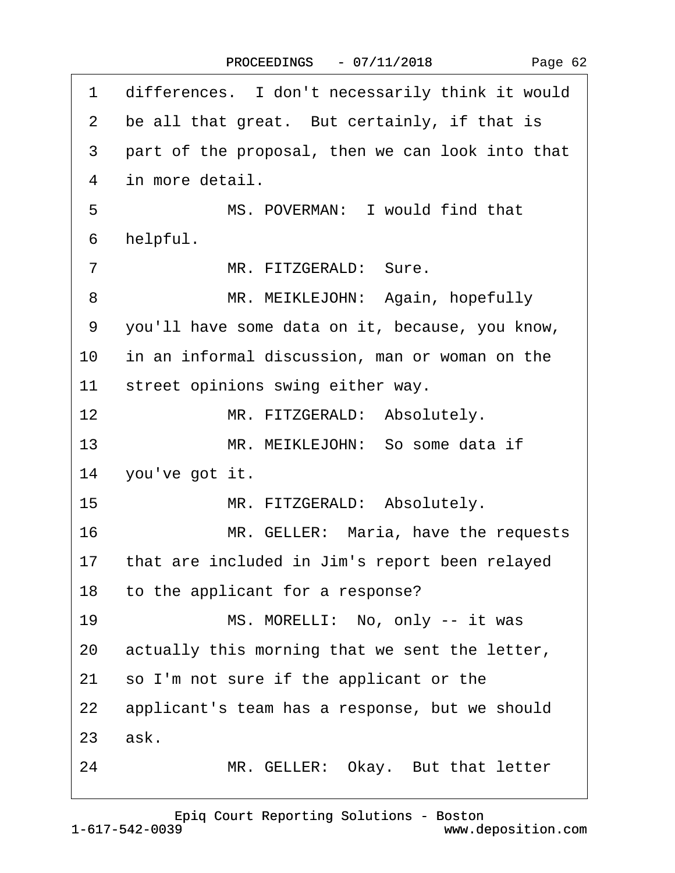| 1               | differences. I don't necessarily think it would   |
|-----------------|---------------------------------------------------|
| 2               | be all that great. But certainly, if that is      |
| 3               | part of the proposal, then we can look into that  |
| $\overline{4}$  | in more detail.                                   |
| 5               | MS. POVERMAN: I would find that                   |
| 6               | helpful.                                          |
| $\overline{7}$  | MR. FITZGERALD: Sure.                             |
| 8               | MR. MEIKLEJOHN: Again, hopefully                  |
| 9               | you'll have some data on it, because, you know,   |
| 10              | in an informal discussion, man or woman on the    |
| 11              | street opinions swing either way.                 |
| 12              | MR. FITZGERALD: Absolutely.                       |
| 13              | MR. MEIKLEJOHN: So some data if                   |
| 14              | you've got it.                                    |
| 15 <sub>1</sub> | MR. FITZGERALD: Absolutely.                       |
| 16              | MR. GELLER: Maria, have the requests              |
|                 | 17 that are included in Jim's report been relayed |
|                 | 18 to the applicant for a response?               |
| 19              | MS. MORELLI: No, only -- it was                   |
| 20              | actually this morning that we sent the letter,    |
| 21              | so I'm not sure if the applicant or the           |
| 22              | applicant's team has a response, but we should    |
|                 | 23 ask.                                           |
| 24              | MR. GELLER: Okay. But that letter                 |
|                 |                                                   |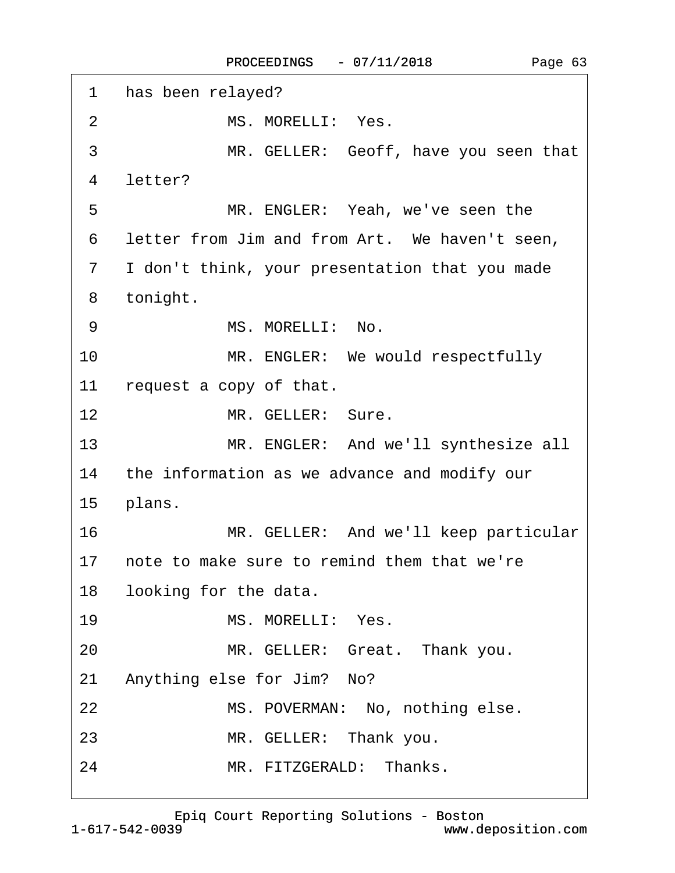| 1              | has been relayed?                              |
|----------------|------------------------------------------------|
| 2              | MS. MORELLI: Yes.                              |
| 3              | MR. GELLER: Geoff, have you seen that          |
| 4              | letter?                                        |
| 5              | MR. ENGLER: Yeah, we've seen the               |
| 6              | letter from Jim and from Art. We haven't seen, |
| $\overline{7}$ | I don't think, your presentation that you made |
| 8              | tonight.                                       |
| 9              | MS. MORELLI: No.                               |
| 10             | MR. ENGLER: We would respectfully              |
| 11             | request a copy of that.                        |
| 12             | MR. GELLER: Sure.                              |
| 13             | MR. ENGLER: And we'll synthesize all           |
| 14             | the information as we advance and modify our   |
| 15             | plans.                                         |
| 16             | MR. GELLER: And we'll keep particular          |
| 17             | note to make sure to remind them that we're    |
| 18             | looking for the data.                          |
| 19             | MS. MORELLI: Yes.                              |
| 20             | MR. GELLER: Great. Thank you.                  |
| 21             | Anything else for Jim? No?                     |
| 22             | MS. POVERMAN: No, nothing else.                |
| 23             | MR. GELLER: Thank you.                         |
| 24             | MR. FITZGERALD: Thanks.                        |

[Epiq Court Reporting Solutions - Boston](http://www.deposition.com)

 $\Gamma$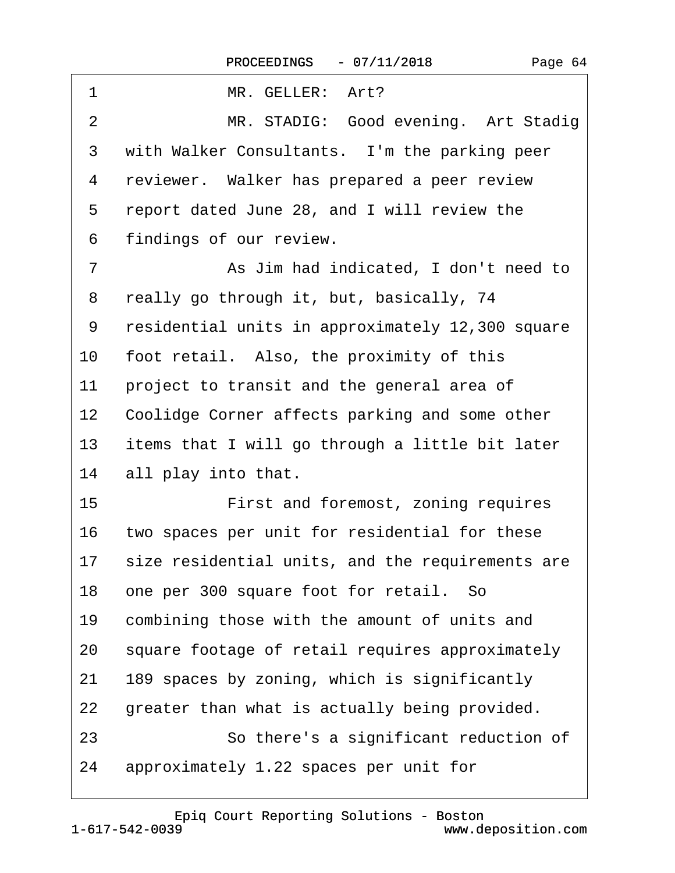| 1               | MR. GELLER: Art?                                    |
|-----------------|-----------------------------------------------------|
| $\overline{2}$  | MR. STADIG: Good evening. Art Stadig                |
| 3               | with Walker Consultants. I'm the parking peer       |
| 4               | reviewer. Walker has prepared a peer review         |
| 5               | report dated June 28, and I will review the         |
| 6               | findings of our review.                             |
| 7               | As Jim had indicated, I don't need to               |
| 8               | really go through it, but, basically, 74            |
| 9               | residential units in approximately 12,300 square    |
| 10              | foot retail. Also, the proximity of this            |
| 11              | project to transit and the general area of          |
| 12 <sup>°</sup> | Coolidge Corner affects parking and some other      |
| 13              | items that I will go through a little bit later     |
| 14              | all play into that.                                 |
| 15 <sub>1</sub> | First and foremost, zoning requires                 |
| 16              | two spaces per unit for residential for these       |
|                 | 17 size residential units, and the requirements are |
| 18              | one per 300 square foot for retail. So              |
| 19              | combining those with the amount of units and        |
| 20              | square footage of retail requires approximately     |
| 21              | 189 spaces by zoning, which is significantly        |
| 22              | greater than what is actually being provided.       |
| 23              | So there's a significant reduction of               |
| 24              | approximately 1.22 spaces per unit for              |
|                 |                                                     |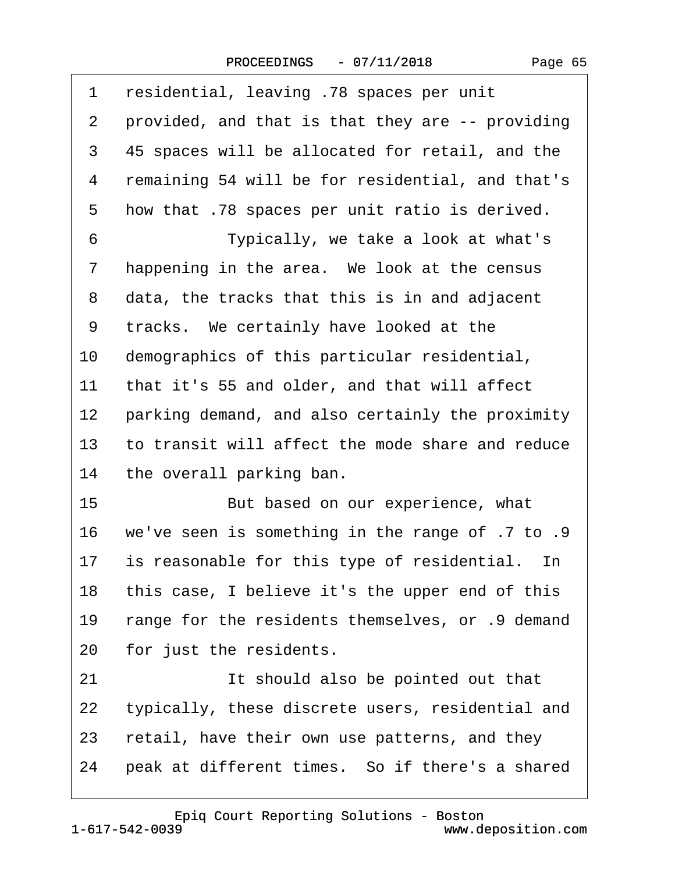| 1              | residential, leaving .78 spaces per unit         |
|----------------|--------------------------------------------------|
| $\overline{2}$ | provided, and that is that they are -- providing |
| 3              | 45 spaces will be allocated for retail, and the  |
| 4              | remaining 54 will be for residential, and that's |
| 5              | how that .78 spaces per unit ratio is derived.   |
| 6              | Typically, we take a look at what's              |
| 7              | happening in the area. We look at the census     |
| 8              | data, the tracks that this is in and adjacent    |
| 9              | tracks. We certainly have looked at the          |
| 10             | demographics of this particular residential,     |
| 11             | that it's 55 and older, and that will affect     |
| 12             | parking demand, and also certainly the proximity |
| 13             | to transit will affect the mode share and reduce |
| 14             | the overall parking ban.                         |
| 15             | But based on our experience, what                |
| 16             | we've seen is something in the range of .7 to .9 |
| 17             | is reasonable for this type of residential. In   |
| 18             | this case, I believe it's the upper end of this  |
| 19             | range for the residents themselves, or 9 demand  |
| 20             | for just the residents.                          |
| 21             | It should also be pointed out that               |
| 22             | typically, these discrete users, residential and |
| 23             | retail, have their own use patterns, and they    |
| 24             | peak at different times. So if there's a shared  |
|                |                                                  |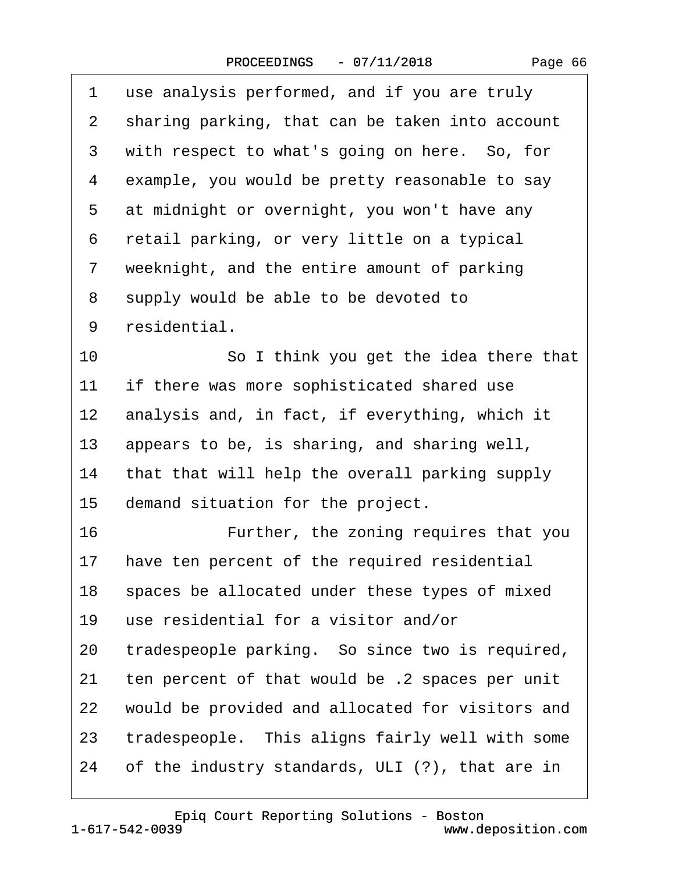$\sqrt{ }$ 

| 1              | use analysis performed, and if you are truly     |
|----------------|--------------------------------------------------|
| 2              | sharing parking, that can be taken into account  |
| 3              | with respect to what's going on here. So, for    |
| 4              | example, you would be pretty reasonable to say   |
| 5              | at midnight or overnight, you won't have any     |
| 6              | retail parking, or very little on a typical      |
| $\overline{7}$ | weeknight, and the entire amount of parking      |
| 8              | supply would be able to be devoted to            |
| 9              | residential.                                     |
| 10             | So I think you get the idea there that           |
| 11             | if there was more sophisticated shared use       |
| $12 \,$        | analysis and, in fact, if everything, which it   |
| 13             | appears to be, is sharing, and sharing well,     |
| 14             | that that will help the overall parking supply   |
| 15             | demand situation for the project.                |
| 16             | Further, the zoning requires that you            |
| 17             | have ten percent of the required residential     |
| 18             | spaces be allocated under these types of mixed   |
| 19             | use residential for a visitor and/or             |
| 20             | tradespeople parking. So since two is required,  |
| 21             | ten percent of that would be .2 spaces per unit  |
| 22             | would be provided and allocated for visitors and |
| 23             | tradespeople. This aligns fairly well with some  |
| 24             | of the industry standards, ULI (?), that are in  |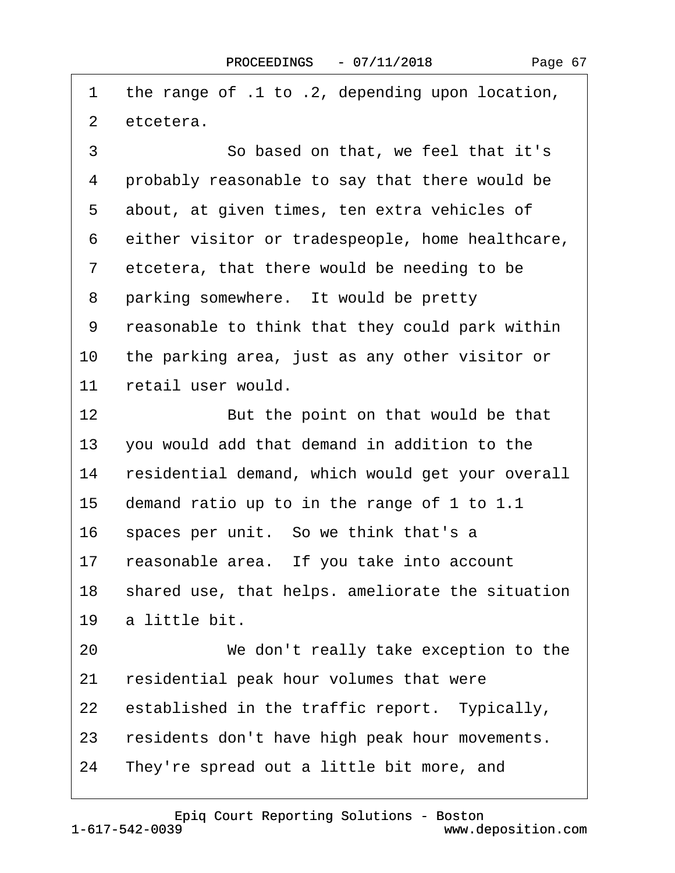| 1              | the range of .1 to .2, depending upon location,  |
|----------------|--------------------------------------------------|
| $\overline{2}$ | etcetera.                                        |
| 3              | So based on that, we feel that it's              |
| 4              | probably reasonable to say that there would be   |
| 5              | about, at given times, ten extra vehicles of     |
| 6              | either visitor or tradespeople, home healthcare, |
| $\overline{7}$ | etcetera, that there would be needing to be      |
| 8              | parking somewhere. It would be pretty            |
| 9              | reasonable to think that they could park within  |
| 10             | the parking area, just as any other visitor or   |
| 11             | retail user would.                               |
| $12 \,$        | But the point on that would be that              |
| 13             | you would add that demand in addition to the     |
| 14             | residential demand, which would get your overall |
| 15             | demand ratio up to in the range of 1 to 1.1      |
| 16             | spaces per unit. So we think that's a            |
| 17             | reasonable area. If you take into account        |
| 18             | shared use, that helps. ameliorate the situation |
| 19             | a little bit.                                    |
| 20             | We don't really take exception to the            |
| 21             | residential peak hour volumes that were          |
| 22             | established in the traffic report. Typically,    |
| 23             | residents don't have high peak hour movements.   |
| 24             | They're spread out a little bit more, and        |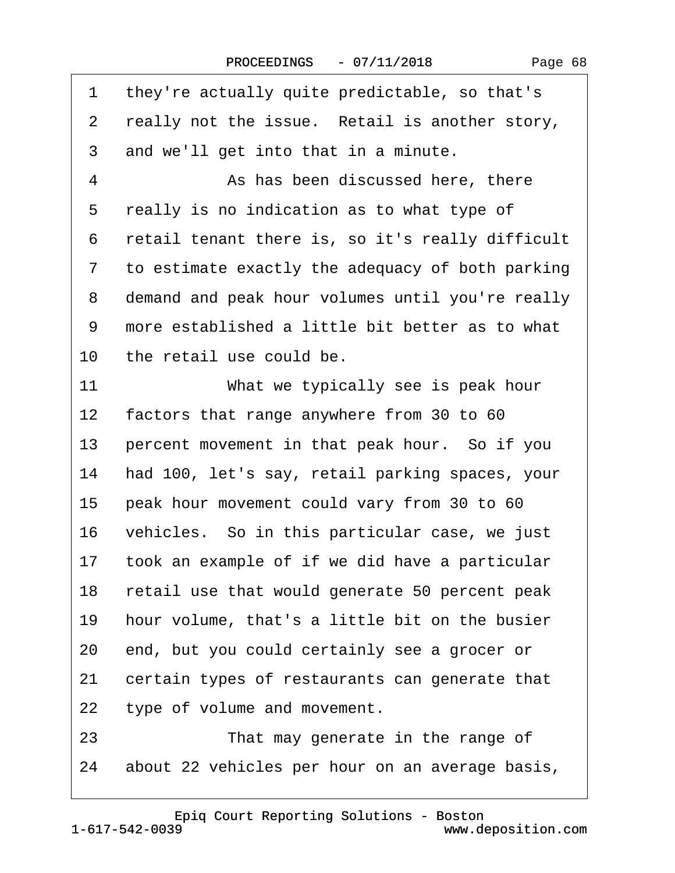| 1               | they're actually quite predictable, so that's    |
|-----------------|--------------------------------------------------|
| 2               | really not the issue. Retail is another story,   |
| 3               | and we'll get into that in a minute.             |
| 4               | As has been discussed here, there                |
| 5               | really is no indication as to what type of       |
| 6               | retail tenant there is, so it's really difficult |
| 7               | to estimate exactly the adequacy of both parking |
| 8               | demand and peak hour volumes until you're really |
| 9               | more established a little bit better as to what  |
| 10              | the retail use could be.                         |
| 11              | What we typically see is peak hour               |
| 12 <sub>2</sub> | factors that range anywhere from 30 to 60        |
| 13              | percent movement in that peak hour. So if you    |
| 14              | had 100, let's say, retail parking spaces, your  |
| 15              | peak hour movement could vary from 30 to 60      |
| 16              | vehicles. So in this particular case, we just    |
| 17              | took an example of if we did have a particular   |
| 18              | retail use that would generate 50 percent peak   |
| 19              | hour volume, that's a little bit on the busier   |
| 20              | end, but you could certainly see a grocer or     |
| 21              | certain types of restaurants can generate that   |
| 22              | type of volume and movement.                     |
| 23              | That may generate in the range of                |
| 24              | about 22 vehicles per hour on an average basis,  |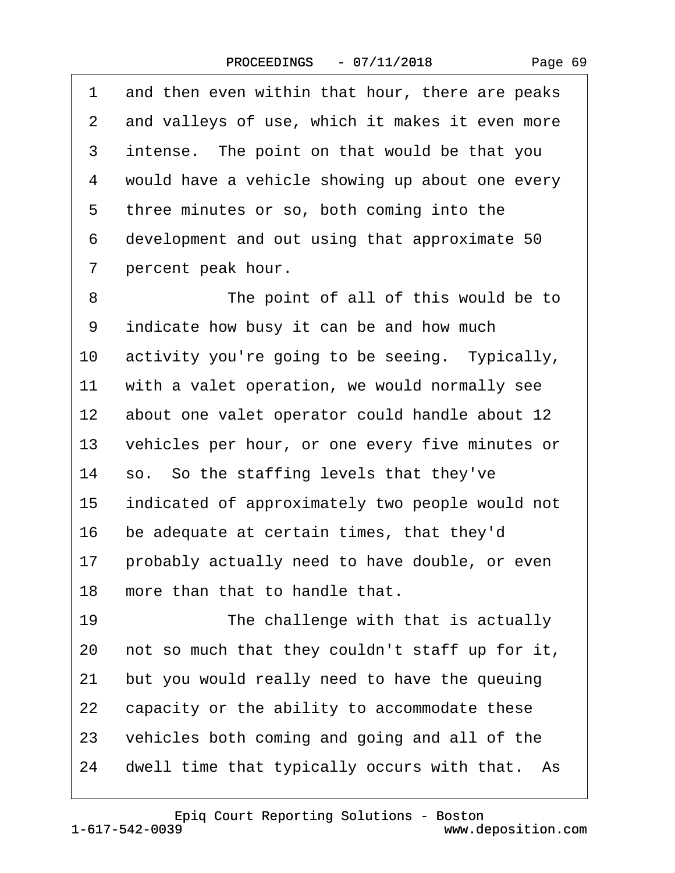1 and then even within that hour, there are peaks

| $\mathbf{2}^{\mathsf{-}}$ | and valleys of use, which it makes it even more |
|---------------------------|-------------------------------------------------|
| 3                         | intense. The point on that would be that you    |
| 4                         | would have a vehicle showing up about one every |
| 5                         | three minutes or so, both coming into the       |
| 6                         | development and out using that approximate 50   |
| 7                         | percent peak hour.                              |
| 8                         | The point of all of this would be to            |
| 9                         | indicate how busy it can be and how much        |
| 10                        | activity you're going to be seeing. Typically,  |
| 11                        | with a valet operation, we would normally see   |
| 12                        | about one valet operator could handle about 12  |
| 13                        | vehicles per hour, or one every five minutes or |
| 14                        | so. So the staffing levels that they've         |
| 15                        | indicated of approximately two people would not |
| 16                        | be adequate at certain times, that they'd       |
| 17                        | probably actually need to have double, or even  |
| 18                        | more than that to handle that.                  |
| 19                        | The challenge with that is actually             |
| 20                        | not so much that they couldn't staff up for it, |
| 21                        | but you would really need to have the queuing   |
| 22                        | capacity or the ability to accommodate these    |
| 23                        | vehicles both coming and going and all of the   |
| 24                        | dwell time that typically occurs with that. As  |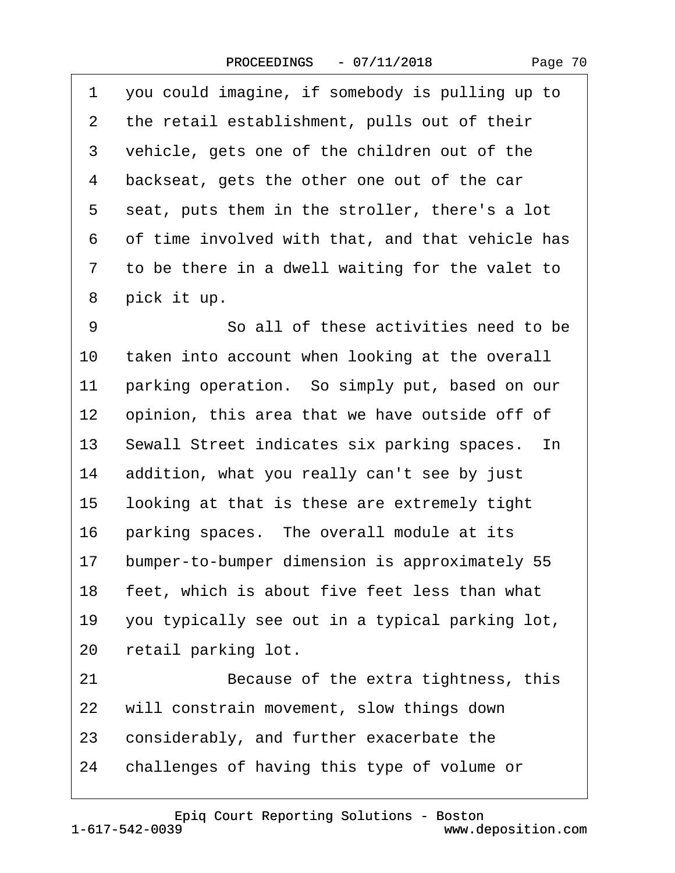| 1  | you could imagine, if somebody is pulling up to  |
|----|--------------------------------------------------|
| 2  | the retail establishment, pulls out of their     |
| 3  | vehicle, gets one of the children out of the     |
| 4  | backseat, gets the other one out of the car      |
| 5  | seat, puts them in the stroller, there's a lot   |
| 6  | of time involved with that, and that vehicle has |
| 7  | to be there in a dwell waiting for the valet to  |
| 8  | pick it up.                                      |
| 9  | So all of these activities need to be            |
| 10 | taken into account when looking at the overall   |
| 11 | parking operation. So simply put, based on our   |
| 12 | opinion, this area that we have outside off of   |
| 13 | Sewall Street indicates six parking spaces. In   |
| 14 | addition, what you really can't see by just      |
| 15 | looking at that is these are extremely tight     |
| 16 | parking spaces. The overall module at its        |
| 17 | bumper-to-bumper dimension is approximately 55   |
| 18 | feet, which is about five feet less than what    |
| 19 | you typically see out in a typical parking lot,  |
| 20 | retail parking lot.                              |
| 21 | Because of the extra tightness, this             |
| 22 | will constrain movement, slow things down        |
| 23 | considerably, and further exacerbate the         |
| 24 | challenges of having this type of volume or      |

1-617-542-0039 [Epiq Court Reporting Solutions - Boston](http://www.deposition.com)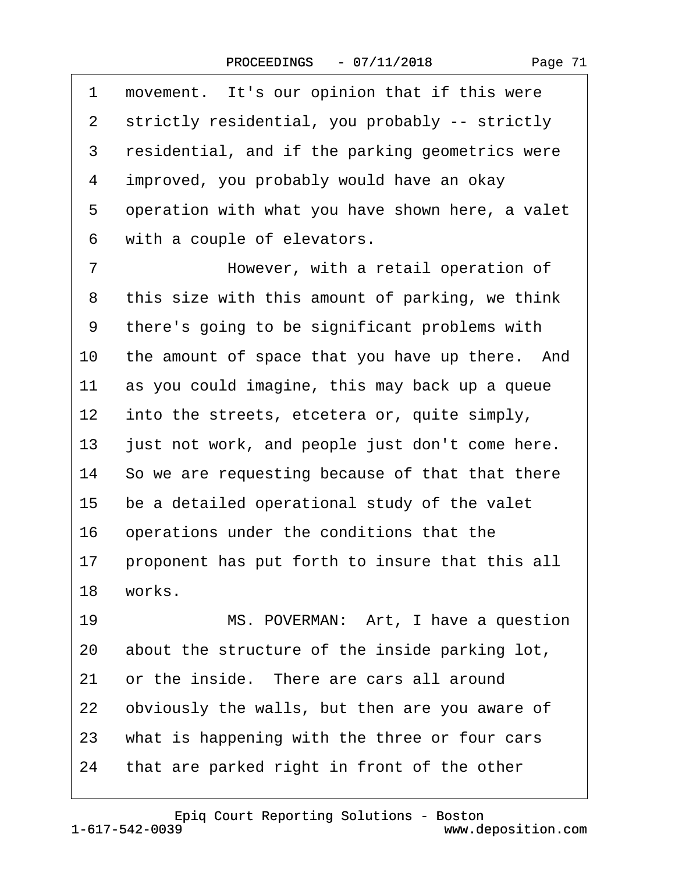| 1              | movement. It's our opinion that if this were     |
|----------------|--------------------------------------------------|
| 2              | strictly residential, you probably -- strictly   |
| 3              | residential, and if the parking geometrics were  |
| 4              | improved, you probably would have an okay        |
| 5              | operation with what you have shown here, a valet |
| 6              | with a couple of elevators.                      |
| $\overline{7}$ | However, with a retail operation of              |
| 8              | this size with this amount of parking, we think  |
| 9              | there's going to be significant problems with    |
| 10             | the amount of space that you have up there. And  |
| 11             | as you could imagine, this may back up a queue   |
| $12 \,$        | into the streets, etcetera or, quite simply,     |
| 13             | just not work, and people just don't come here.  |
| 14             | So we are requesting because of that that there  |
| 15             | be a detailed operational study of the valet     |
| 16             | operations under the conditions that the         |
| 17             | proponent has put forth to insure that this all  |
| 18             | works.                                           |
| 19             | MS. POVERMAN: Art, I have a question             |
| 20             | about the structure of the inside parking lot,   |
| 21             | or the inside. There are cars all around         |
| 22             | obviously the walls, but then are you aware of   |
| 23             | what is happening with the three or four cars    |
| 24             | that are parked right in front of the other      |
|                |                                                  |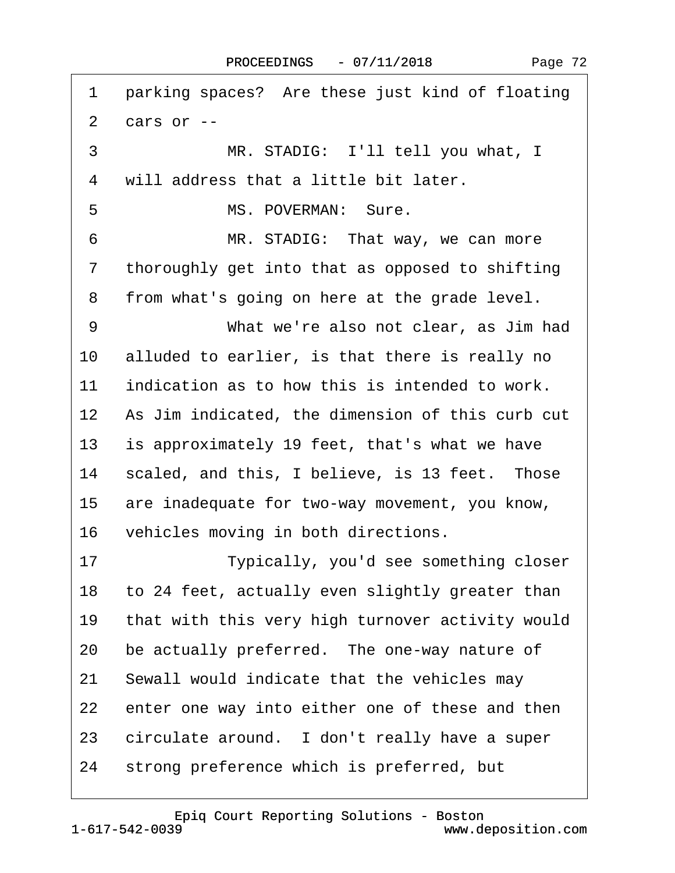1 parking spaces? Are these just kind of floating 2 $cars$  or  $-$ 3 MR. STADIG: I'll tell you what, I 4 will address that a little bit later. 5 MS. POVERMAN: Sure. 6 MR. STADIG: That way, we can more 7 thoroughly get into that as opposed to shifting 8 from what's going on here at the grade level. 9 What we're also not clear, as Jim had 10 alluded to earlier, is that there is really no 11 indication as to how this is intended to work. 12 As Jim indicated, the dimension of this curb cut 13 is approximately 19 feet, that's what we have 14 scaled, and this, I believe, is 13 feet. Those 15 are inadequate for two-way movement, you know, 16 vehicles moving in both directions. 17 **I** Typically, you'd see something closer 18 to 24 feet, actually even slightly greater than 19 that with this very high turnover activity would 20 be actually preferred. The one-way nature of 21 Sewall would indicate that the vehicles may 22 enter one way into either one of these and then 23 circulate around. I don't really have a super 24 strong preference which is preferred, but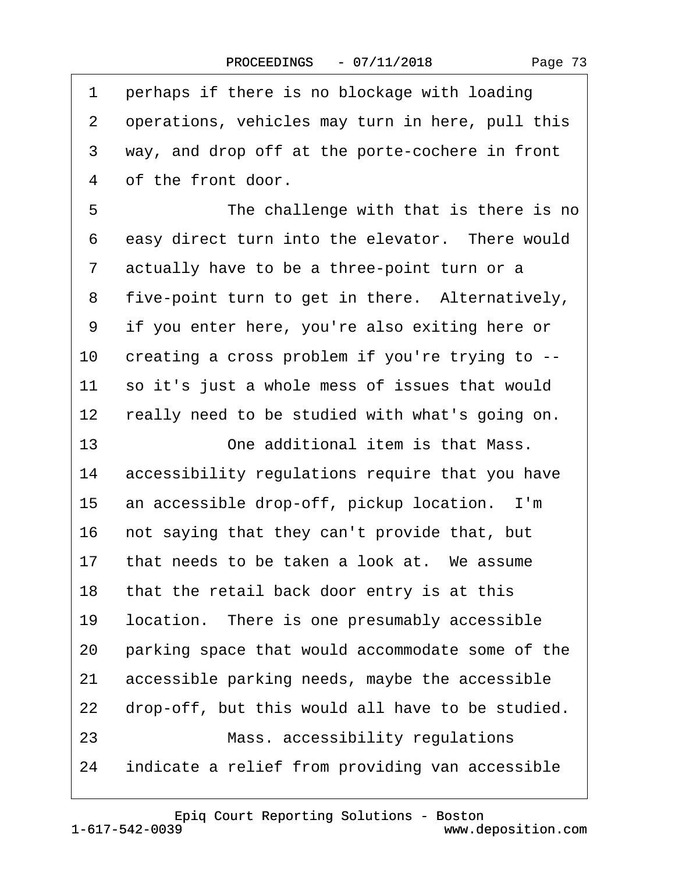|  | Page 73 |  |
|--|---------|--|
|--|---------|--|

<span id="page-72-0"></span>

| 1              | perhaps if there is no blockage with loading     |
|----------------|--------------------------------------------------|
| 2              | operations, vehicles may turn in here, pull this |
| 3              | way, and drop off at the porte-cochere in front  |
| 4              | of the front door.                               |
| 5              | The challenge with that is there is no           |
| 6              | easy direct turn into the elevator. There would  |
| $\overline{7}$ | actually have to be a three-point turn or a      |
| 8              | five-point turn to get in there. Alternatively,  |
| 9              | if you enter here, you're also exiting here or   |
| 10             | creating a cross problem if you're trying to --  |
| 11             | so it's just a whole mess of issues that would   |
| 12             | really need to be studied with what's going on.  |
| 13             | One additional item is that Mass.                |
| 14             | accessibility regulations require that you have  |
| 15             | an accessible drop-off, pickup location. I'm     |
| 16             | not saying that they can't provide that, but     |
| 17             | that needs to be taken a look at. We assume      |
|                | 18 that the retail back door entry is at this    |
| 19             | location. There is one presumably accessible     |
| 20             | parking space that would accommodate some of the |
| 21             | accessible parking needs, maybe the accessible   |
| 22             | drop-off, but this would all have to be studied. |
| 23             | Mass. accessibility regulations                  |
| 24             | indicate a relief from providing van accessible  |
|                |                                                  |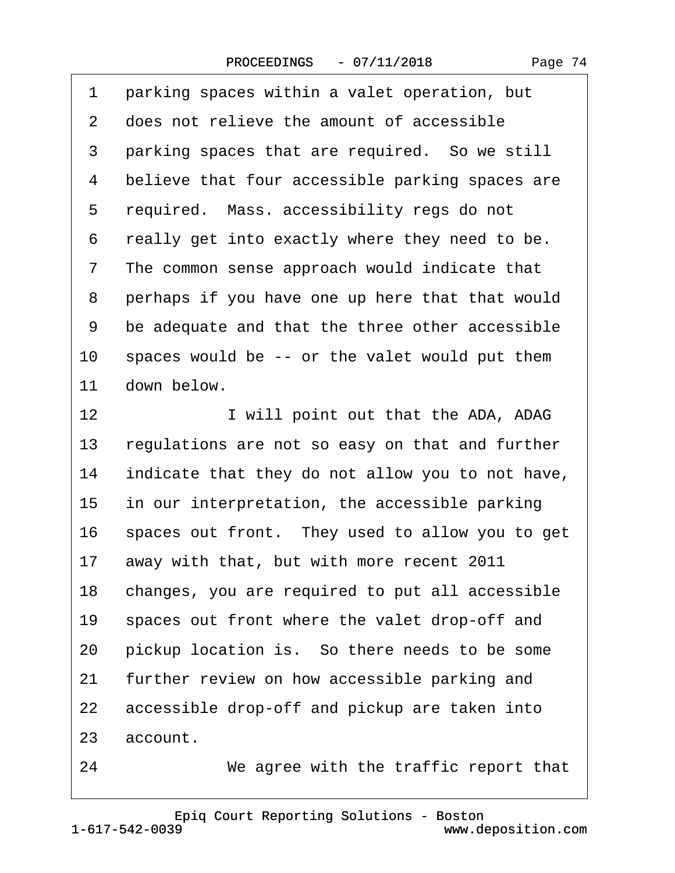|  | Page 74 |  |
|--|---------|--|
|--|---------|--|

<span id="page-73-0"></span>

| 1  | parking spaces within a valet operation, but     |
|----|--------------------------------------------------|
| 2  | does not relieve the amount of accessible        |
| 3  | parking spaces that are required. So we still    |
| 4  | believe that four accessible parking spaces are  |
| 5  | required. Mass. accessibility regs do not        |
| 6  | really get into exactly where they need to be.   |
| 7  | The common sense approach would indicate that    |
| 8  | perhaps if you have one up here that that would  |
| 9  | be adequate and that the three other accessible  |
| 10 | spaces would be -- or the valet would put them   |
| 11 | down below.                                      |
| 12 | I will point out that the ADA, ADAG              |
| 13 | regulations are not so easy on that and further  |
| 14 | indicate that they do not allow you to not have, |
| 15 | in our interpretation, the accessible parking    |
| 16 | spaces out front. They used to allow you to get  |
| 17 | away with that, but with more recent 2011        |
| 18 | changes, you are required to put all accessible  |
| 19 | spaces out front where the valet drop-off and    |
| 20 | pickup location is. So there needs to be some    |
| 21 | further review on how accessible parking and     |
| 22 | accessible drop-off and pickup are taken into    |
| 23 | account.                                         |
| 24 | We agree with the traffic report that            |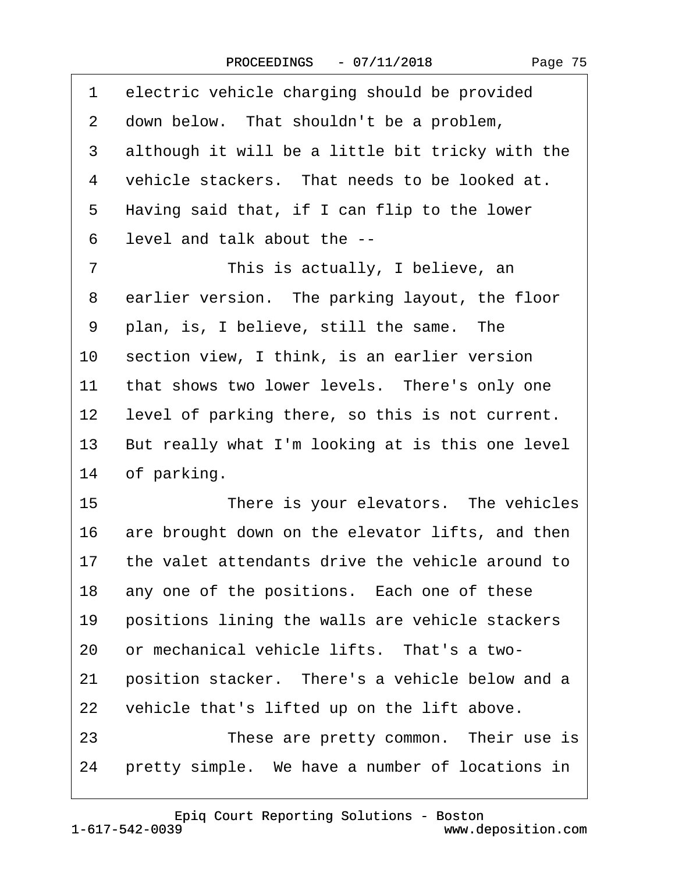| 1         | electric vehicle charging should be provided     |
|-----------|--------------------------------------------------|
| 2         | down below. That shouldn't be a problem,         |
| 3         | although it will be a little bit tricky with the |
| 4         | vehicle stackers. That needs to be looked at.    |
| 5         | Having said that, if I can flip to the lower     |
| 6         | level and talk about the --                      |
| 7         | This is actually, I believe, an                  |
| 8         | earlier version. The parking layout, the floor   |
| 9         | plan, is, I believe, still the same. The         |
| 10        | section view, I think, is an earlier version     |
| 11        | that shows two lower levels. There's only one    |
| <u>12</u> | level of parking there, so this is not current.  |
| 13        | But really what I'm looking at is this one level |
| 14        | of parking.                                      |
| 15        | There is your elevators. The vehicles            |
| 16        | are brought down on the elevator lifts, and then |
| 17        | the valet attendants drive the vehicle around to |
| 18        | any one of the positions. Each one of these      |
| 19        | positions lining the walls are vehicle stackers  |
| 20        | or mechanical vehicle lifts. That's a two-       |
| 21        | position stacker. There's a vehicle below and a  |
| 22        | vehicle that's lifted up on the lift above.      |
| 23        | These are pretty common. Their use is            |
| 24        | pretty simple. We have a number of locations in  |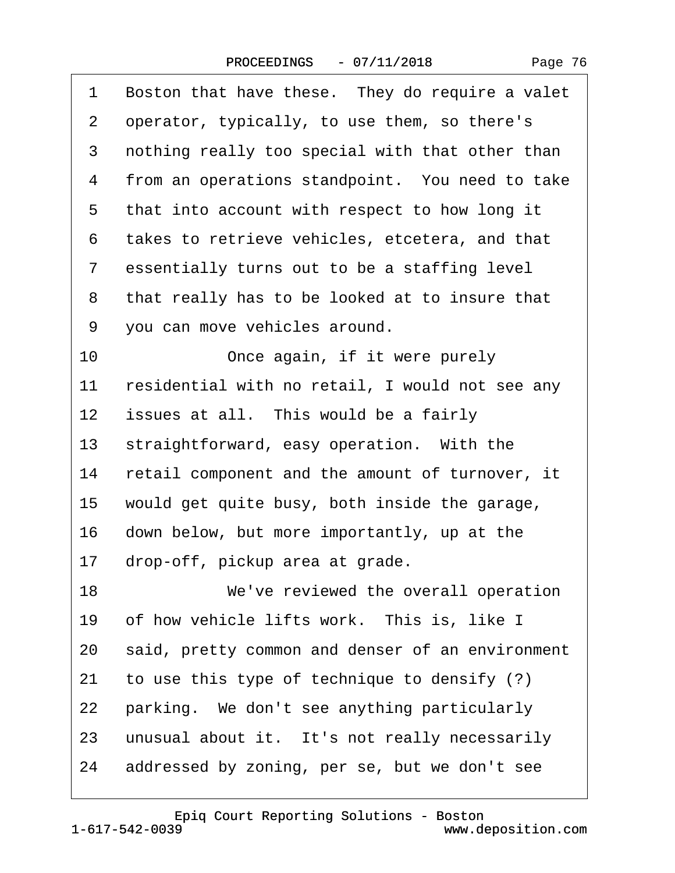|  | Page 76 |  |
|--|---------|--|
|--|---------|--|

<span id="page-75-0"></span>

| 1               | Boston that have these. They do require a valet  |
|-----------------|--------------------------------------------------|
| 2               | operator, typically, to use them, so there's     |
| 3               | nothing really too special with that other than  |
| 4               | from an operations standpoint. You need to take  |
| 5               | that into account with respect to how long it    |
| 6               | takes to retrieve vehicles, etcetera, and that   |
| 7               | essentially turns out to be a staffing level     |
| 8               | that really has to be looked at to insure that   |
| 9               | you can move vehicles around.                    |
| 10              | Once again, if it were purely                    |
| 11              | residential with no retail, I would not see any  |
| 12 <sub>2</sub> | issues at all. This would be a fairly            |
| 13              | straightforward, easy operation. With the        |
| 14              | retail component and the amount of turnover, it  |
| 15              | would get quite busy, both inside the garage,    |
| 16              | down below, but more importantly, up at the      |
| 17              | drop-off, pickup area at grade.                  |
| 18              | We've reviewed the overall operation             |
| 19              | of how vehicle lifts work. This is, like I       |
| 20              | said, pretty common and denser of an environment |
| 21              | to use this type of technique to densify (?)     |
| 22              | parking. We don't see anything particularly      |
| 23              | unusual about it. It's not really necessarily    |
| 24              | addressed by zoning, per se, but we don't see    |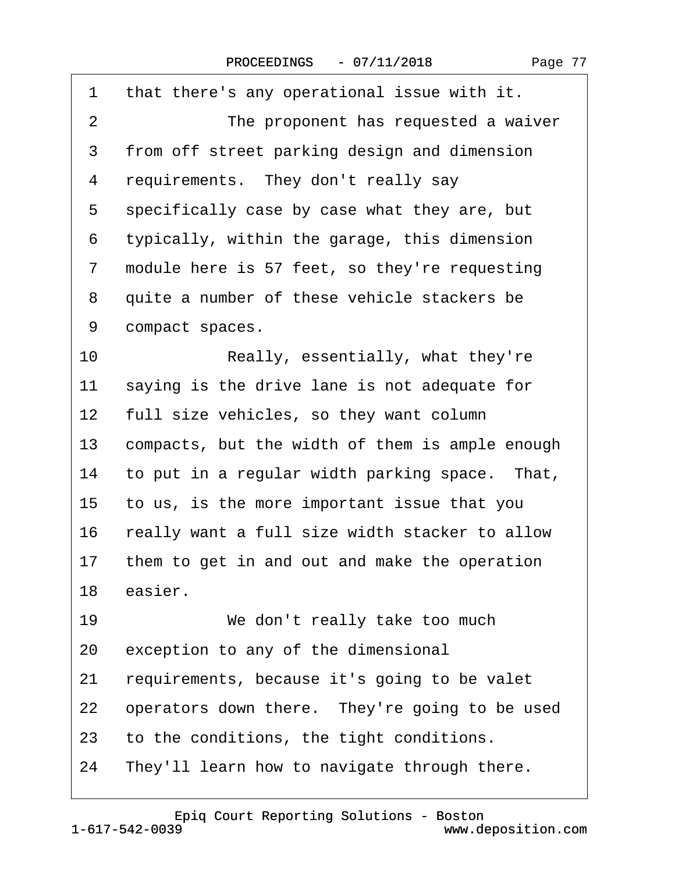<span id="page-76-0"></span>

| 1               | that there's any operational issue with it.     |
|-----------------|-------------------------------------------------|
| 2               | The proponent has requested a waiver            |
| 3               | from off street parking design and dimension    |
| 4               | requirements. They don't really say             |
| 5               | specifically case by case what they are, but    |
| 6               | typically, within the garage, this dimension    |
| 7               | module here is 57 feet, so they're requesting   |
| 8               | quite a number of these vehicle stackers be     |
| 9               | compact spaces.                                 |
| 10              | Really, essentially, what they're               |
| 11              | saying is the drive lane is not adequate for    |
| 12 <sub>2</sub> | full size vehicles, so they want column         |
| 13              | compacts, but the width of them is ample enough |
| 14              | to put in a regular width parking space. That,  |
| 15 <sub>1</sub> | to us, is the more important issue that you     |
| 16              | really want a full size width stacker to allow  |
| 17              | them to get in and out and make the operation   |
| 18              | easier.                                         |
| 19              | We don't really take too much                   |
| 20              | exception to any of the dimensional             |
| 21              | requirements, because it's going to be valet    |
| 22              | operators down there. They're going to be used  |
| 23              | to the conditions, the tight conditions.        |
| 24              | They'll learn how to navigate through there.    |

www.deposition.com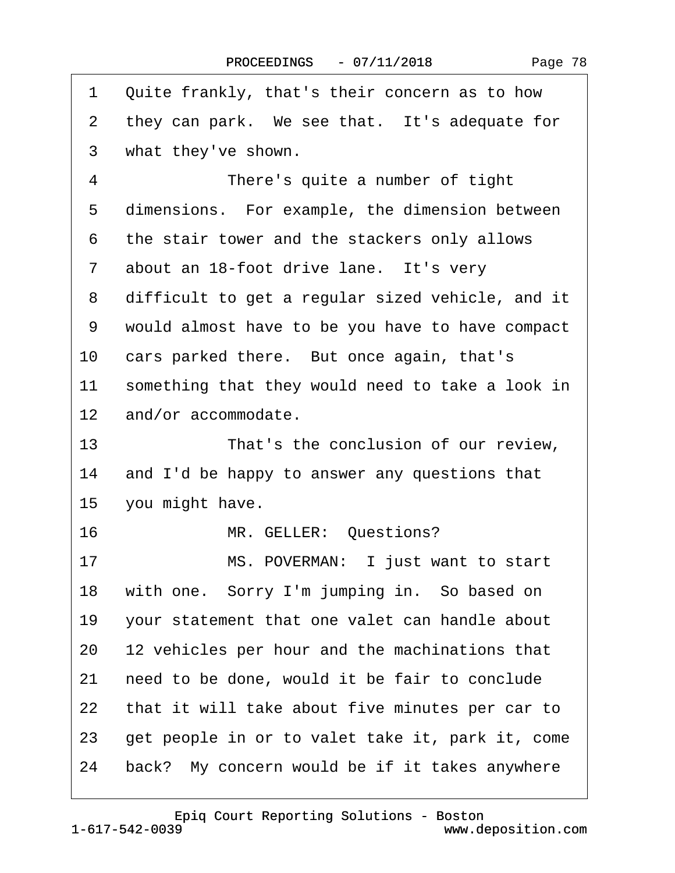<span id="page-77-0"></span>

| 1              | Quite frankly, that's their concern as to how    |
|----------------|--------------------------------------------------|
| 2              | they can park. We see that. It's adequate for    |
| 3              | what they've shown.                              |
| 4              | There's quite a number of tight                  |
| 5              | dimensions. For example, the dimension between   |
| 6              | the stair tower and the stackers only allows     |
| $\overline{7}$ | about an 18-foot drive lane. It's very           |
| 8              | difficult to get a regular sized vehicle, and it |
| 9              | would almost have to be you have to have compact |
| 10             | cars parked there. But once again, that's        |
| 11             | something that they would need to take a look in |
|                | 12 and/or accommodate.                           |
| 13             | That's the conclusion of our review,             |
| 14             | and I'd be happy to answer any questions that    |
|                | 15 you might have.                               |
| 16             | MR. GELLER: Questions?                           |
| 17             | MS. POVERMAN: I just want to start               |
| 18             | with one. Sorry I'm jumping in. So based on      |
| 19             | your statement that one valet can handle about   |
| 20             | 12 vehicles per hour and the machinations that   |
| 21             | need to be done, would it be fair to conclude    |
| 22             | that it will take about five minutes per car to  |
| 23             | get people in or to valet take it, park it, come |
| 24             | back? My concern would be if it takes anywhere   |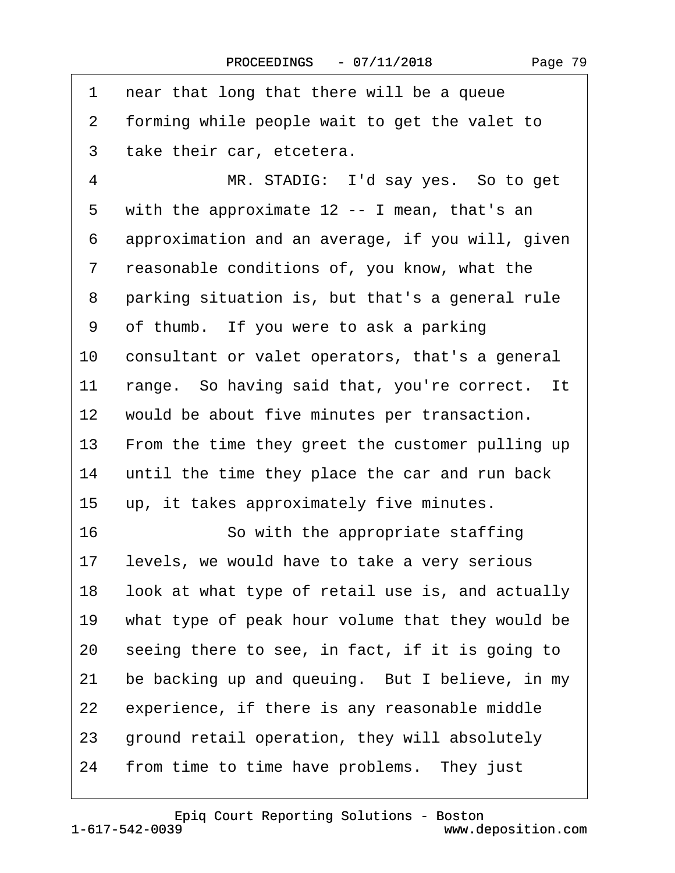<span id="page-78-0"></span>

| 1  | near that long that there will be a queue        |
|----|--------------------------------------------------|
| 2  | forming while people wait to get the valet to    |
| 3  | take their car, etcetera.                        |
| 4  | MR. STADIG: I'd say yes. So to get               |
| 5  | with the approximate 12 -- I mean, that's an     |
| 6  | approximation and an average, if you will, given |
| 7  | reasonable conditions of, you know, what the     |
| 8  | parking situation is, but that's a general rule  |
| 9  | of thumb. If you were to ask a parking           |
| 10 | consultant or valet operators, that's a general  |
| 11 | range. So having said that, you're correct. It   |
| 12 | would be about five minutes per transaction.     |
| 13 | From the time they greet the customer pulling up |
| 14 | until the time they place the car and run back   |
| 15 | up, it takes approximately five minutes.         |
| 16 | So with the appropriate staffing                 |
| 17 | levels, we would have to take a very serious     |
| 18 | look at what type of retail use is, and actually |
| 19 | what type of peak hour volume that they would be |
| 20 | seeing there to see, in fact, if it is going to  |
| 21 | be backing up and queuing. But I believe, in my  |
| 22 | experience, if there is any reasonable middle    |
| 23 | ground retail operation, they will absolutely    |
| 24 | from time to time have problems. They just       |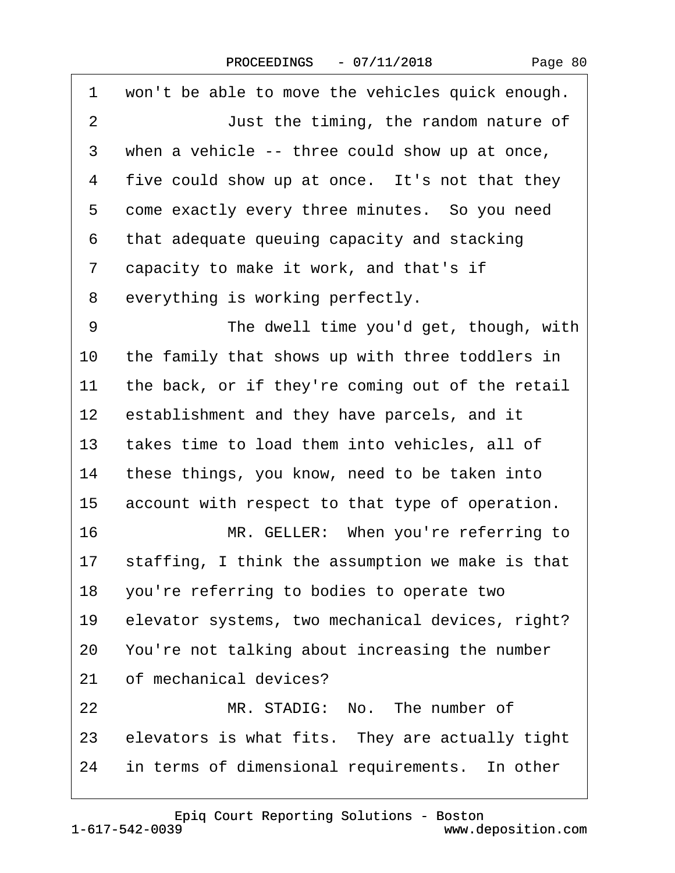| Page 80 |  |
|---------|--|
|---------|--|

<span id="page-79-0"></span>

| 1              | won't be able to move the vehicles quick enough.   |
|----------------|----------------------------------------------------|
| $\overline{2}$ | Just the timing, the random nature of              |
| 3              | when a vehicle -- three could show up at once,     |
| 4              | five could show up at once. It's not that they     |
| 5              | come exactly every three minutes. So you need      |
| 6              | that adequate queuing capacity and stacking        |
| 7              | capacity to make it work, and that's if            |
| 8              | everything is working perfectly.                   |
| 9              | The dwell time you'd get, though, with             |
| 10             | the family that shows up with three toddlers in    |
| 11             | the back, or if they're coming out of the retail   |
| $12 \,$        | establishment and they have parcels, and it        |
| 13             | takes time to load them into vehicles, all of      |
| 14             | these things, you know, need to be taken into      |
| 15             | account with respect to that type of operation.    |
| 16             | MR. GELLER: When you're referring to               |
| 17             | staffing, I think the assumption we make is that   |
|                | 18 you're referring to bodies to operate two       |
| 19             | elevator systems, two mechanical devices, right?   |
| 20             | You're not talking about increasing the number     |
| 21             | of mechanical devices?                             |
| 22             | MR. STADIG: No. The number of                      |
|                | 23 elevators is what fits. They are actually tight |
| 24             | in terms of dimensional requirements. In other     |
|                |                                                    |

1-617-542-0039 [Epiq Court Reporting Solutions - Boston](http://www.deposition.com)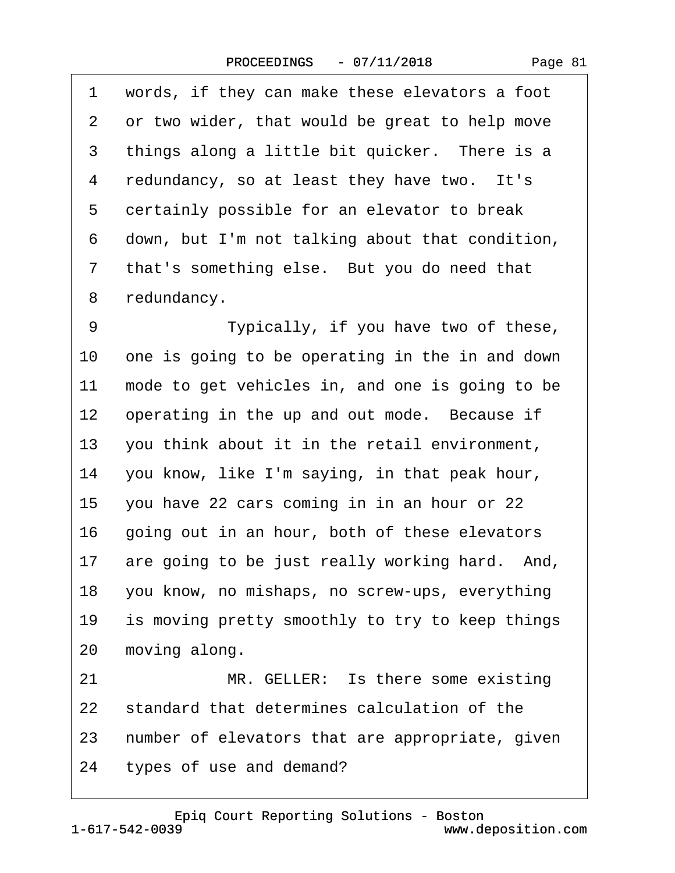<span id="page-80-0"></span>

| 1              | words, if they can make these elevators a foot    |
|----------------|---------------------------------------------------|
| 2              | or two wider, that would be great to help move    |
| 3              | things along a little bit quicker. There is a     |
| 4              | redundancy, so at least they have two. It's       |
| 5              | certainly possible for an elevator to break       |
| 6              | down, but I'm not talking about that condition,   |
| $\overline{7}$ | that's something else. But you do need that       |
| 8              | redundancy.                                       |
| 9              | Typically, if you have two of these,              |
| 10             | one is going to be operating in the in and down   |
| 11             | mode to get vehicles in, and one is going to be   |
| 12             | operating in the up and out mode. Because if      |
| 13             | you think about it in the retail environment,     |
| 14             | you know, like I'm saying, in that peak hour,     |
| 15             | you have 22 cars coming in in an hour or 22       |
| 16             | going out in an hour, both of these elevators     |
| 17             | are going to be just really working hard. And,    |
|                | 18 you know, no mishaps, no screw-ups, everything |
| 19             | is moving pretty smoothly to try to keep things   |
| 20             | moving along.                                     |
| 21             | MR. GELLER: Is there some existing                |
| 22             | standard that determines calculation of the       |
| 23             | number of elevators that are appropriate, given   |
| 24             | types of use and demand?                          |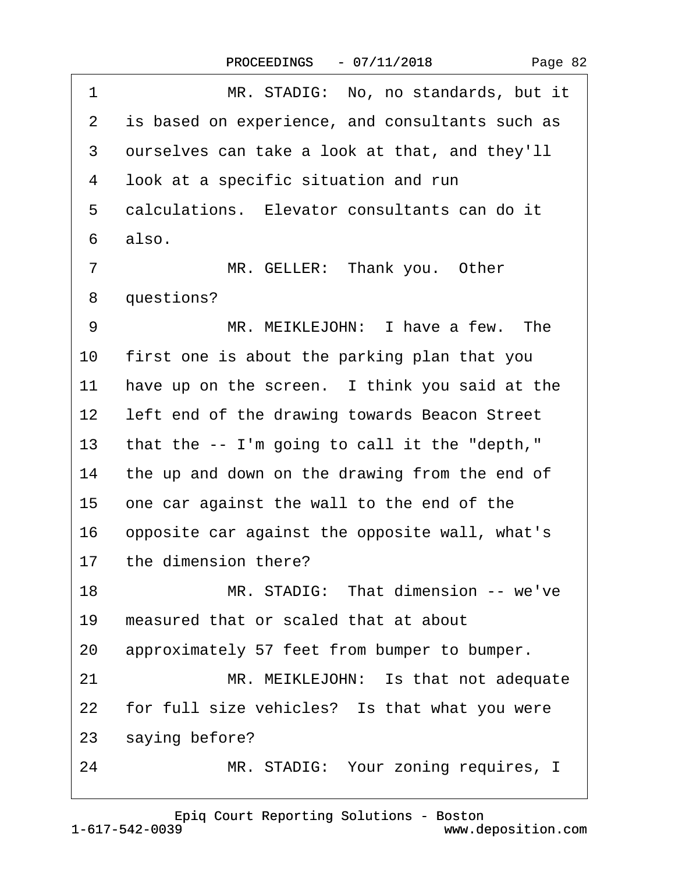<span id="page-81-0"></span>

| 1               | MR. STADIG: No, no standards, but it            |
|-----------------|-------------------------------------------------|
| $\mathbf{2}$    | is based on experience, and consultants such as |
| 3               | ourselves can take a look at that, and they'll  |
| 4               | look at a specific situation and run            |
| 5               | calculations. Elevator consultants can do it    |
| 6               | also.                                           |
| $\overline{7}$  | MR. GELLER: Thank you. Other                    |
| 8               | questions?                                      |
| 9               | MR. MEIKLEJOHN: I have a few. The               |
| 10              | first one is about the parking plan that you    |
| 11              | have up on the screen. I think you said at the  |
| 12 <sub>2</sub> | left end of the drawing towards Beacon Street   |
| 13              | that the -- I'm going to call it the "depth,"   |
| 14              | the up and down on the drawing from the end of  |
| 15              | one car against the wall to the end of the      |
| 16              | opposite car against the opposite wall, what's  |
| 17              | the dimension there?                            |
| 18              | MR. STADIG: That dimension -- we've             |
| 19              | measured that or scaled that at about           |
| 20              | approximately 57 feet from bumper to bumper.    |
| 21              | MR. MEIKLEJOHN: Is that not adequate            |
| 22              | for full size vehicles? Is that what you were   |
| 23              | saying before?                                  |
| 24              | MR. STADIG: Your zoning requires, I             |
|                 |                                                 |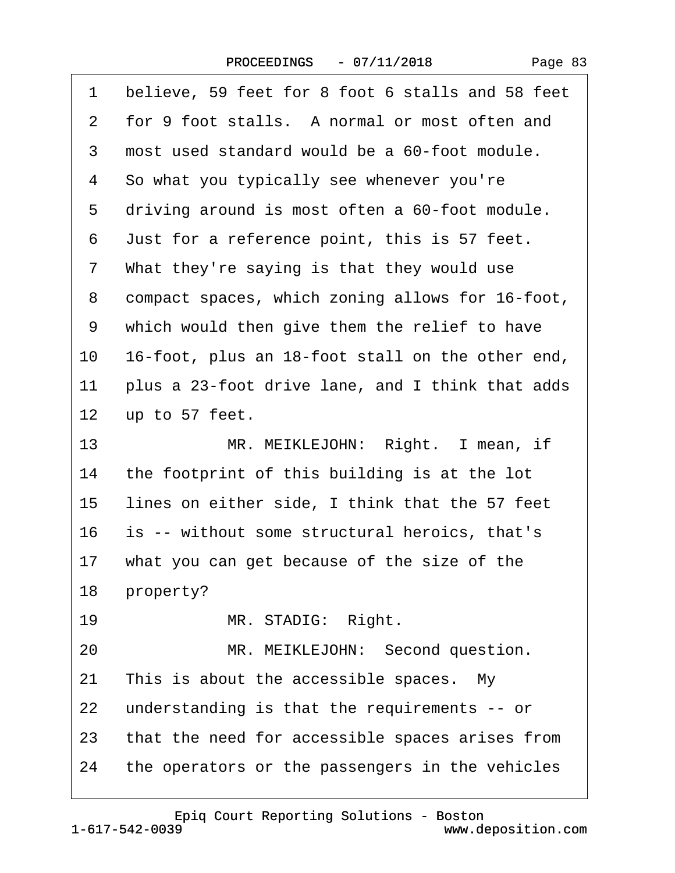| Page 83 |  |
|---------|--|
|---------|--|

<span id="page-82-0"></span>

| 1               | believe, 59 feet for 8 foot 6 stalls and 58 feet |
|-----------------|--------------------------------------------------|
| 2               | for 9 foot stalls. A normal or most often and    |
| 3               | most used standard would be a 60-foot module.    |
| 4               | So what you typically see whenever you're        |
| 5               | driving around is most often a 60-foot module.   |
| 6               | Just for a reference point, this is 57 feet.     |
| 7               | What they're saying is that they would use       |
| 8               | compact spaces, which zoning allows for 16-foot, |
| 9               | which would then give them the relief to have    |
| 10              | 16-foot, plus an 18-foot stall on the other end, |
| 11              | plus a 23-foot drive lane, and I think that adds |
| 12 <sub>2</sub> | up to 57 feet.                                   |
| 13              | MR. MEIKLEJOHN: Right. I mean, if                |
| 14              | the footprint of this building is at the lot     |
| 15              | lines on either side, I think that the 57 feet   |
| 16              | is -- without some structural heroics, that's    |
| 17              | what you can get because of the size of the      |
|                 | 18 property?                                     |
| 19              | MR. STADIG: Right.                               |
| 20              | MR. MEIKLEJOHN: Second question.                 |
| 21              | This is about the accessible spaces. My          |
| 22              | understanding is that the requirements -- or     |
| 23              | that the need for accessible spaces arises from  |
| 24              | the operators or the passengers in the vehicles  |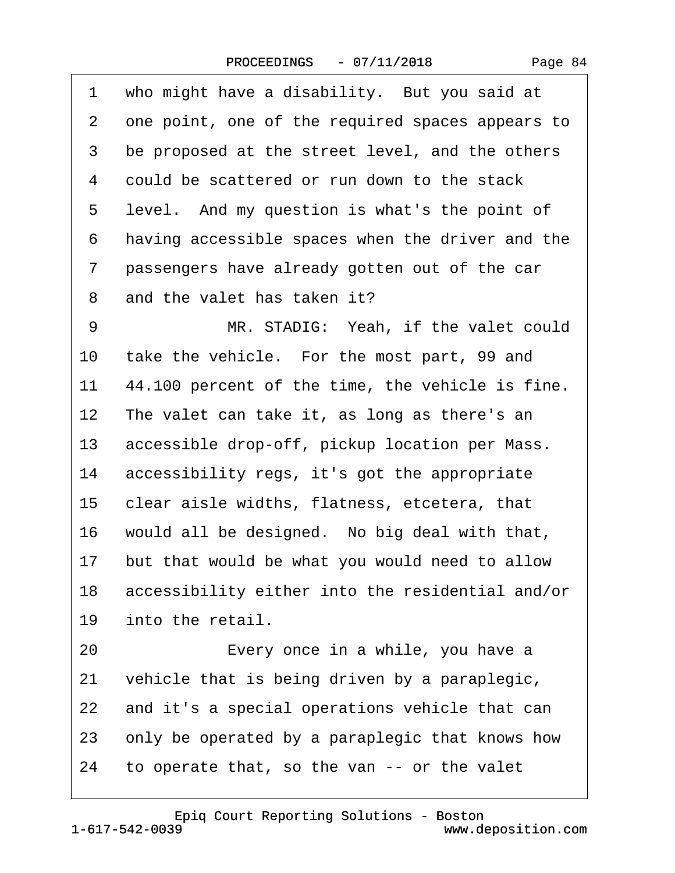<span id="page-83-0"></span>

| 1               | who might have a disability. But you said at     |
|-----------------|--------------------------------------------------|
| 2               | one point, one of the required spaces appears to |
| 3               | be proposed at the street level, and the others  |
| 4               | could be scattered or run down to the stack      |
| 5               | level. And my question is what's the point of    |
| 6               | having accessible spaces when the driver and the |
| 7               | passengers have already gotten out of the car    |
| 8               | and the valet has taken it?                      |
| 9               | MR. STADIG: Yeah, if the valet could             |
| 10              | take the vehicle. For the most part, 99 and      |
| 11              | 44.100 percent of the time, the vehicle is fine. |
| $12 \,$         | The valet can take it, as long as there's an     |
| 13              | accessible drop-off, pickup location per Mass.   |
| 14              | accessibility regs, it's got the appropriate     |
| 15              | clear aisle widths, flatness, etcetera, that     |
| 16              | would all be designed. No big deal with that,    |
| 17 <sub>2</sub> | but that would be what you would need to allow   |
| 18              | accessibility either into the residential and/or |
| 19              | into the retail.                                 |
| 20              | Every once in a while, you have a                |
| 21              | vehicle that is being driven by a paraplegic,    |
| 22              | and it's a special operations vehicle that can   |
| 23              | only be operated by a paraplegic that knows how  |
| 24              | to operate that, so the van -- or the valet      |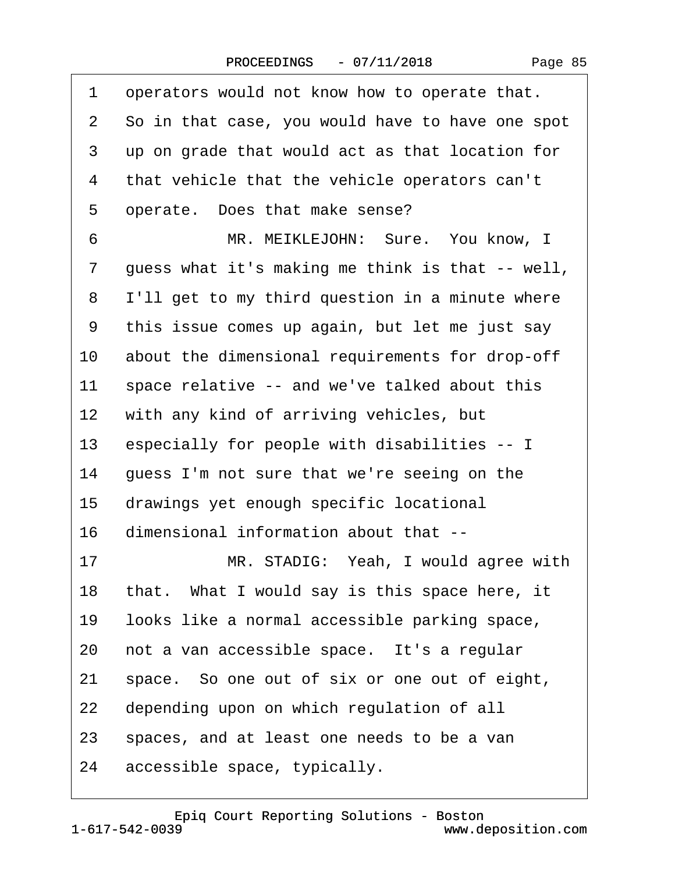<span id="page-84-0"></span>

| 1  | operators would not know how to operate that.    |
|----|--------------------------------------------------|
| 2  | So in that case, you would have to have one spot |
| 3  | up on grade that would act as that location for  |
| 4  | that vehicle that the vehicle operators can't    |
| 5  | operate. Does that make sense?                   |
| 6  | MR. MEIKLEJOHN: Sure. You know, I                |
| 7  | guess what it's making me think is that -- well, |
| 8  | I'll get to my third question in a minute where  |
| 9  | this issue comes up again, but let me just say   |
| 10 | about the dimensional requirements for drop-off  |
| 11 | space relative -- and we've talked about this    |
| 12 | with any kind of arriving vehicles, but          |
| 13 | especially for people with disabilities -- I     |
| 14 | guess I'm not sure that we're seeing on the      |
| 15 | drawings yet enough specific locational          |
| 16 | dimensional information about that --            |
| 17 | MR. STADIG: Yeah, I would agree with             |
| 18 | that. What I would say is this space here, it    |
| 19 | looks like a normal accessible parking space,    |
| 20 | not a van accessible space. It's a regular       |
| 21 | space. So one out of six or one out of eight,    |
| 22 | depending upon on which regulation of all        |
| 23 | spaces, and at least one needs to be a van       |
| 24 | accessible space, typically.                     |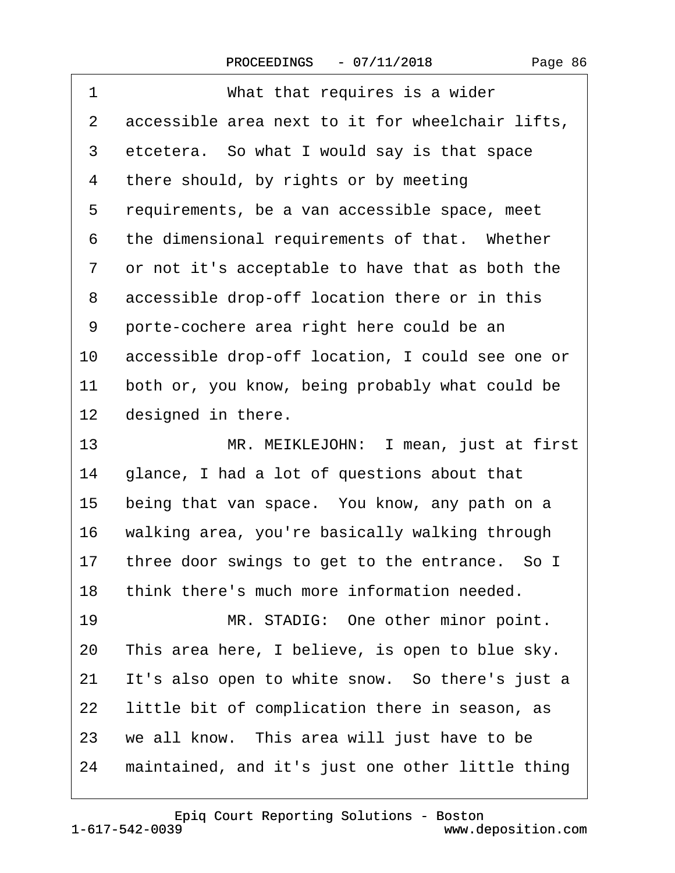<span id="page-85-0"></span>

| 1                 | What that requires is a wider                    |
|-------------------|--------------------------------------------------|
| 2                 | accessible area next to it for wheelchair lifts, |
| 3                 | etcetera. So what I would say is that space      |
| 4                 | there should, by rights or by meeting            |
| 5                 | requirements, be a van accessible space, meet    |
| 6                 | the dimensional requirements of that. Whether    |
| 7                 | or not it's acceptable to have that as both the  |
| 8                 | accessible drop-off location there or in this    |
| 9                 | porte-cochere area right here could be an        |
| 10                | accessible drop-off location, I could see one or |
| 11                | both or, you know, being probably what could be  |
| $12 \overline{ }$ | designed in there.                               |
| 13                | MR. MEIKLEJOHN: I mean, just at first            |
| 14                | glance, I had a lot of questions about that      |
| 15                | being that van space. You know, any path on a    |
| 16                | walking area, you're basically walking through   |
| 17                | three door swings to get to the entrance. So I   |
| 18                | think there's much more information needed.      |
| 19                | MR. STADIG: One other minor point.               |
| 20                | This area here, I believe, is open to blue sky.  |
| 21                | It's also open to white snow. So there's just a  |
| 22                | little bit of complication there in season, as   |
| 23                | we all know. This area will just have to be      |
| 24                | maintained, and it's just one other little thing |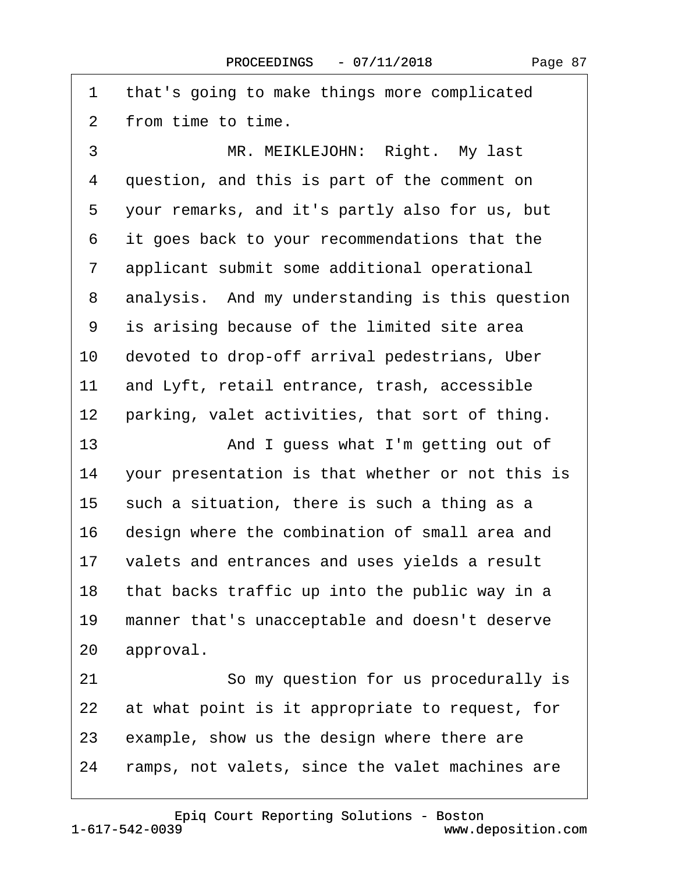<span id="page-86-0"></span>1 that's going to make things more complicated 2 from time to time. 3 MR. MEIKLEJOHN: Right. My last 4 question, and this is part of the comment on 5 your remarks, and it's partly also for us, but ·6· ·it goes back to your recommendations that the 7 applicant submit some additional operational 8 analysis. And my understanding is this question 9 is arising because of the limited site area 10 devoted to drop-off arrival pedestrians, Uber 11 and Lyft, retail entrance, trash, accessible 12 parking, valet activities, that sort of thing. 13· · · · · · · And I guess what I'm getting out of 14 your presentation is that whether or not this is 15  $\,$  such a situation, there is such a thing as a 16 design where the combination of small area and 17 valets and entrances and uses yields a result 18 that backs traffic up into the public way in a 19 manner that's unacceptable and doesn't deserve 20 approval. 21 **· · · · So my question for us procedurally is** 22 at what point is it appropriate to request, for 23 example, show us the design where there are 24 ramps, not valets, since the valet machines are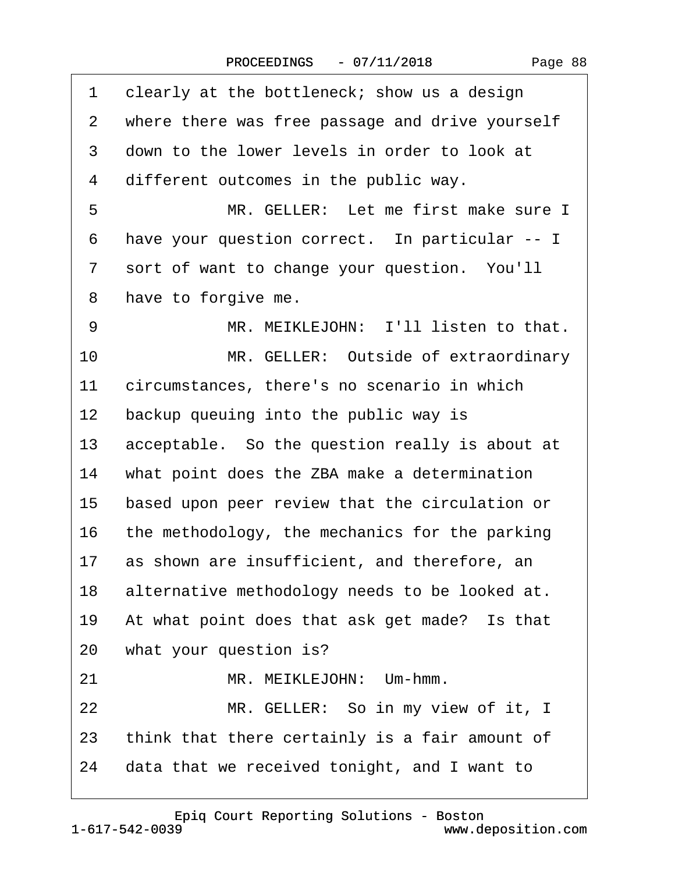<span id="page-87-0"></span>

| 1  | clearly at the bottleneck; show us a design     |
|----|-------------------------------------------------|
| 2  | where there was free passage and drive yourself |
| 3  | down to the lower levels in order to look at    |
| 4  | different outcomes in the public way.           |
| 5  | MR. GELLER: Let me first make sure I            |
| 6  | have your question correct. In particular -- I  |
| 7  | sort of want to change your question. You'll    |
| 8  | have to forgive me.                             |
| 9  | MR. MEIKLEJOHN: I'll listen to that.            |
| 10 | MR. GELLER: Outside of extraordinary            |
| 11 | circumstances, there's no scenario in which     |
| 12 | backup queuing into the public way is           |
| 13 | acceptable. So the question really is about at  |
| 14 | what point does the ZBA make a determination    |
| 15 | based upon peer review that the circulation or  |
| 16 | the methodology, the mechanics for the parking  |
| 17 | as shown are insufficient, and therefore, an    |
| 18 | alternative methodology needs to be looked at.  |
| 19 | At what point does that ask get made? Is that   |
| 20 | what your question is?                          |
| 21 | MR. MEIKLEJOHN: Um-hmm.                         |
| 22 | MR. GELLER: So in my view of it, I              |
| 23 | think that there certainly is a fair amount of  |
| 24 | data that we received tonight, and I want to    |
|    |                                                 |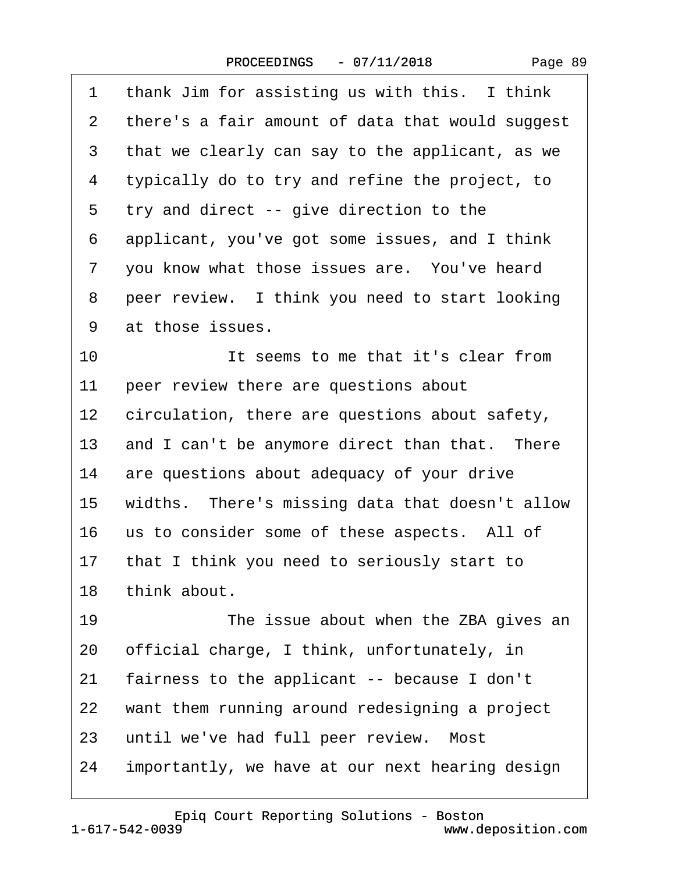| Page 89 |
|---------|
|---------|

<span id="page-88-0"></span>

| 1  | thank Jim for assisting us with this. I think      |
|----|----------------------------------------------------|
| 2  | there's a fair amount of data that would suggest   |
| 3  | that we clearly can say to the applicant, as we    |
| 4  | typically do to try and refine the project, to     |
| 5  | try and direct -- give direction to the            |
| 6  | applicant, you've got some issues, and I think     |
| 7  | you know what those issues are. You've heard       |
| 8  | peer review. I think you need to start looking     |
| 9  | at those issues.                                   |
| 10 | It seems to me that it's clear from                |
| 11 | peer review there are questions about              |
| 12 | circulation, there are questions about safety,     |
| 13 | and I can't be anymore direct than that. There     |
| 14 | are questions about adequacy of your drive         |
|    | 15 widths. There's missing data that doesn't allow |
| 16 | us to consider some of these aspects. All of       |
|    | 17 that I think you need to seriously start to     |
|    | 18 think about.                                    |
| 19 | The issue about when the ZBA gives an              |
| 20 | official charge, I think, unfortunately, in        |
| 21 | fairness to the applicant -- because I don't       |
| 22 | want them running around redesigning a project     |
| 23 | until we've had full peer review. Most             |
| 24 | importantly, we have at our next hearing design    |
|    |                                                    |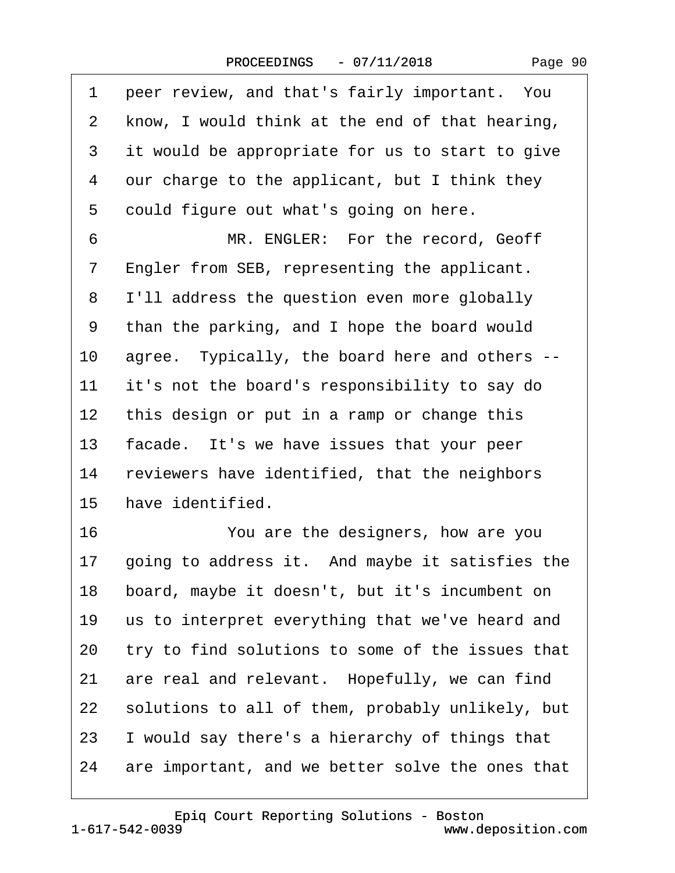<span id="page-89-0"></span>1 peer review, and that's fairly important. You 2 know, I would think at the end of that hearing, 3 it would be appropriate for us to start to give 4 our charge to the applicant, but I think they 5 could figure out what's going on here. 6 MR. ENGLER: For the record, Geoff 7 Engler from SEB, representing the applicant. 8 I'll address the question even more globally 9 than the parking, and I hope the board would 10 agree. Typically, the board here and others --11 it's not the board's responsibility to say do 12 this design or put in a ramp or change this 13 facade. It's we have issues that your peer 14 reviewers have identified, that the neighbors 15 have identified. 16 **· · · · You are the designers, how are you** 17 going to address it. And maybe it satisfies the 18 board, maybe it doesn't, but it's incumbent on 19 us to interpret everything that we've heard and 20 try to find solutions to some of the issues that 21 are real and relevant. Hopefully, we can find 22 solutions to all of them, probably unlikely, but 23 I would say there's a hierarchy of things that 24 are important, and we better solve the ones that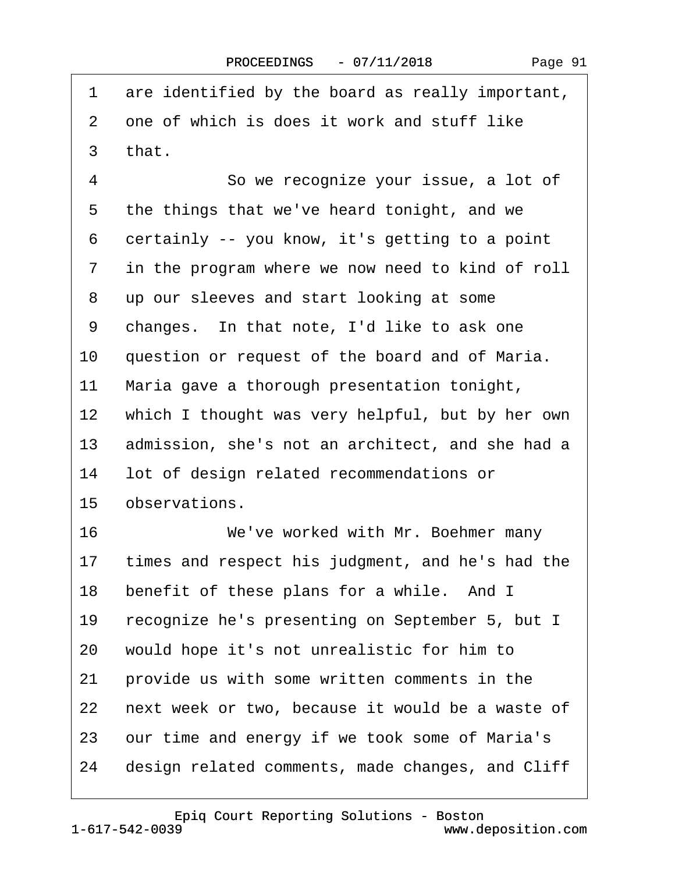| Page 91 |
|---------|
|---------|

<span id="page-90-0"></span>

| 1               | are identified by the board as really important, |
|-----------------|--------------------------------------------------|
| 2               | one of which is does it work and stuff like      |
| 3               | that.                                            |
| $\overline{4}$  | So we recognize your issue, a lot of             |
| 5               | the things that we've heard tonight, and we      |
| 6               | certainly -- you know, it's getting to a point   |
| 7               | in the program where we now need to kind of roll |
| 8               | up our sleeves and start looking at some         |
| 9               | changes. In that note, I'd like to ask one       |
| 10              | question or request of the board and of Maria.   |
| 11              | Maria gave a thorough presentation tonight,      |
| 12 <sub>2</sub> | which I thought was very helpful, but by her own |
| 13              | admission, she's not an architect, and she had a |
| 14              | lot of design related recommendations or         |
| 15 <sub>1</sub> | observations.                                    |
| 16              | We've worked with Mr. Boehmer many               |
| 17 <sub>2</sub> | times and respect his judgment, and he's had the |
| 18              | benefit of these plans for a while. And I        |
| 19              | recognize he's presenting on September 5, but I  |
| 20              | would hope it's not unrealistic for him to       |
| 21              | provide us with some written comments in the     |
| 22              | next week or two, because it would be a waste of |
| 23              | our time and energy if we took some of Maria's   |
| 24              | design related comments, made changes, and Cliff |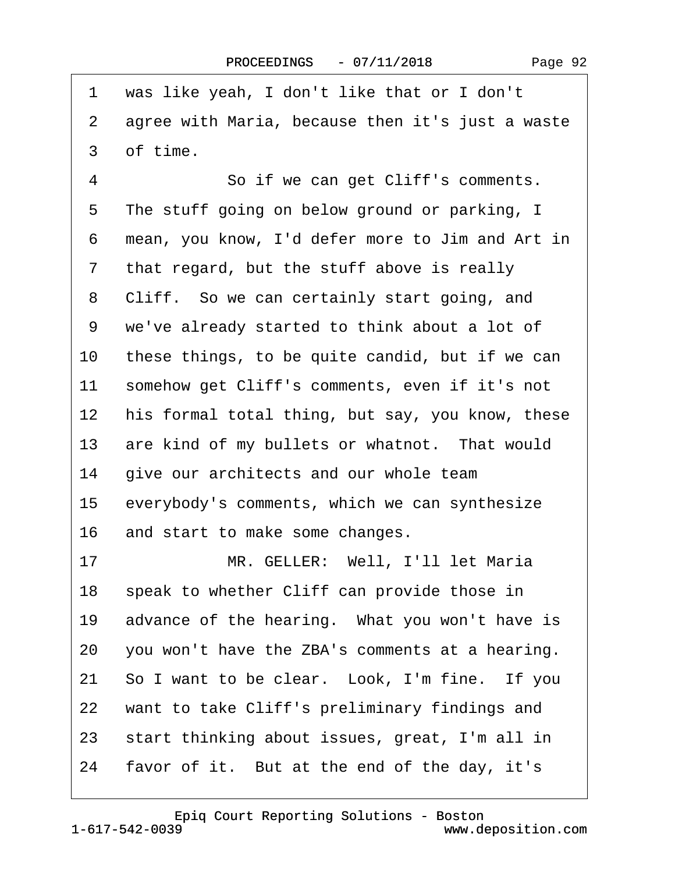$\Gamma$ 

| 1              | was like yeah, I don't like that or I don't      |
|----------------|--------------------------------------------------|
| $\overline{2}$ | agree with Maria, because then it's just a waste |
| 3              | of time.                                         |
| $\overline{4}$ | So if we can get Cliff's comments.               |
| 5              | The stuff going on below ground or parking, I    |
| 6              | mean, you know, I'd defer more to Jim and Art in |
| $\overline{7}$ | that regard, but the stuff above is really       |
| 8              | Cliff. So we can certainly start going, and      |
| 9              | we've already started to think about a lot of    |
| 10             | these things, to be quite candid, but if we can  |
| 11             | somehow get Cliff's comments, even if it's not   |
| 12             | his formal total thing, but say, you know, these |
| 13             | are kind of my bullets or whatnot. That would    |
| 14             | give our architects and our whole team           |
| 15             | everybody's comments, which we can synthesize    |
| 16             | and start to make some changes.                  |
| 17             | MR. GELLER: Well, I'll let Maria                 |
| 18             | speak to whether Cliff can provide those in      |
| 19             | advance of the hearing. What you won't have is   |
| 20             | you won't have the ZBA's comments at a hearing.  |
| 21             | So I want to be clear. Look, I'm fine. If you    |
| 22             | want to take Cliff's preliminary findings and    |
| 23             | start thinking about issues, great, I'm all in   |
| 24             | favor of it. But at the end of the day, it's     |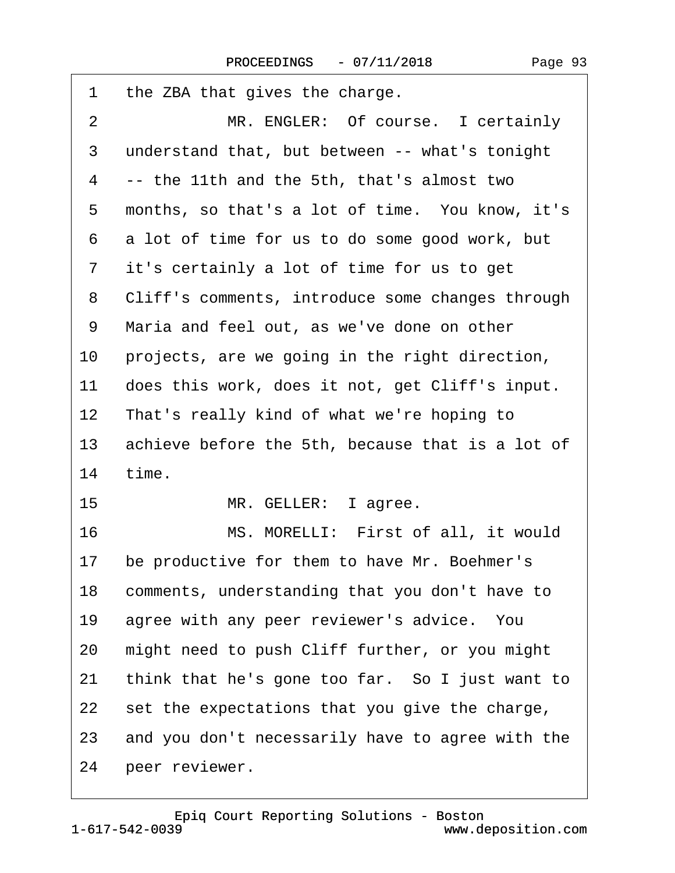<span id="page-92-0"></span>

| 1               | the ZBA that gives the charge.                   |
|-----------------|--------------------------------------------------|
| 2               | MR. ENGLER: Of course. I certainly               |
| 3               | understand that, but between -- what's tonight   |
| 4               | -- the 11th and the 5th, that's almost two       |
| 5               | months, so that's a lot of time. You know, it's  |
| 6               | a lot of time for us to do some good work, but   |
| 7               | it's certainly a lot of time for us to get       |
| 8               | Cliff's comments, introduce some changes through |
| 9               | Maria and feel out, as we've done on other       |
| 10              | projects, are we going in the right direction,   |
| 11              | does this work, does it not, get Cliff's input.  |
| 12 <sub>2</sub> | That's really kind of what we're hoping to       |
| 13              | achieve before the 5th, because that is a lot of |
| 14              | time.                                            |
| 15              | MR. GELLER: I agree.                             |
| 16              | MS. MORELLI: First of all, it would              |
| 17              | be productive for them to have Mr. Boehmer's     |
| 18              | comments, understanding that you don't have to   |
| 19              | agree with any peer reviewer's advice. You       |
| 20              | might need to push Cliff further, or you might   |
| 21              | think that he's gone too far. So I just want to  |
| 22              | set the expectations that you give the charge,   |
| 23              | and you don't necessarily have to agree with the |
| 24              | peer reviewer.                                   |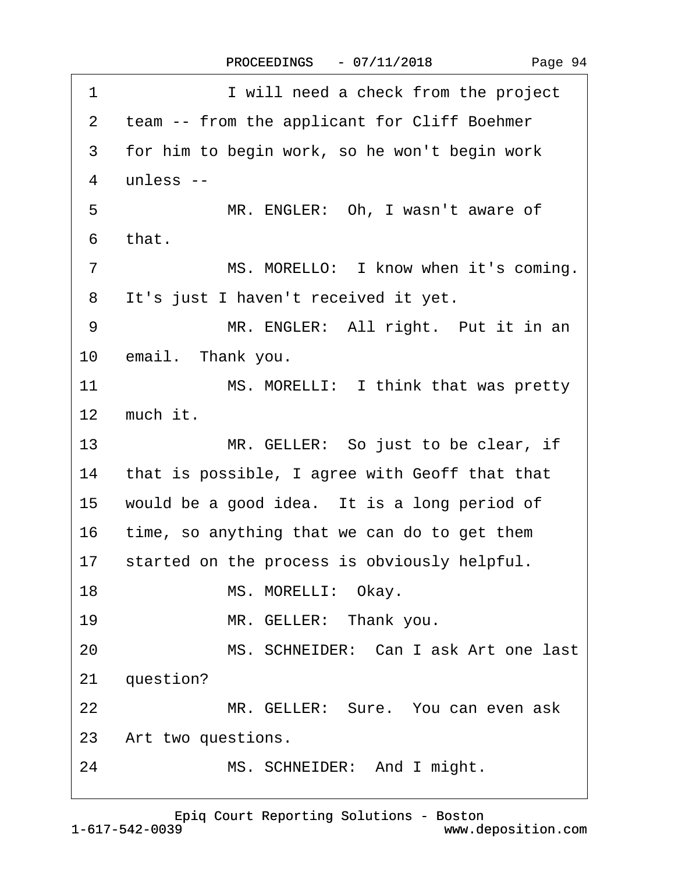| 1               | I will need a check from the project              |
|-----------------|---------------------------------------------------|
| $\overline{2}$  | team -- from the applicant for Cliff Boehmer      |
| 3               | for him to begin work, so he won't begin work     |
| 4               | unless --                                         |
| 5               | MR. ENGLER: Oh, I wasn't aware of                 |
| 6               | that.                                             |
| $\overline{7}$  | MS. MORELLO: I know when it's coming.             |
| 8               | It's just I haven't received it yet.              |
| 9               | MR. ENGLER: All right. Put it in an               |
|                 | 10 email. Thank you.                              |
| 11              | MS. MORELLI: I think that was pretty              |
|                 | 12 much it.                                       |
| 13 <sup>2</sup> | MR. GELLER: So just to be clear, if               |
|                 | 14 that is possible, I agree with Geoff that that |
| 15              | would be a good idea. It is a long period of      |
| 16              | time, so anything that we can do to get them      |
|                 | 17 started on the process is obviously helpful.   |
| 18              | MS. MORELLI: Okay.                                |
| 19              | MR. GELLER: Thank you.                            |
| 20              | MS. SCHNEIDER: Can I ask Art one last             |
| 21              | question?                                         |
| 22              | MR. GELLER: Sure. You can even ask                |
|                 | 23 Art two questions.                             |
| 24              | MS. SCHNEIDER: And I might.                       |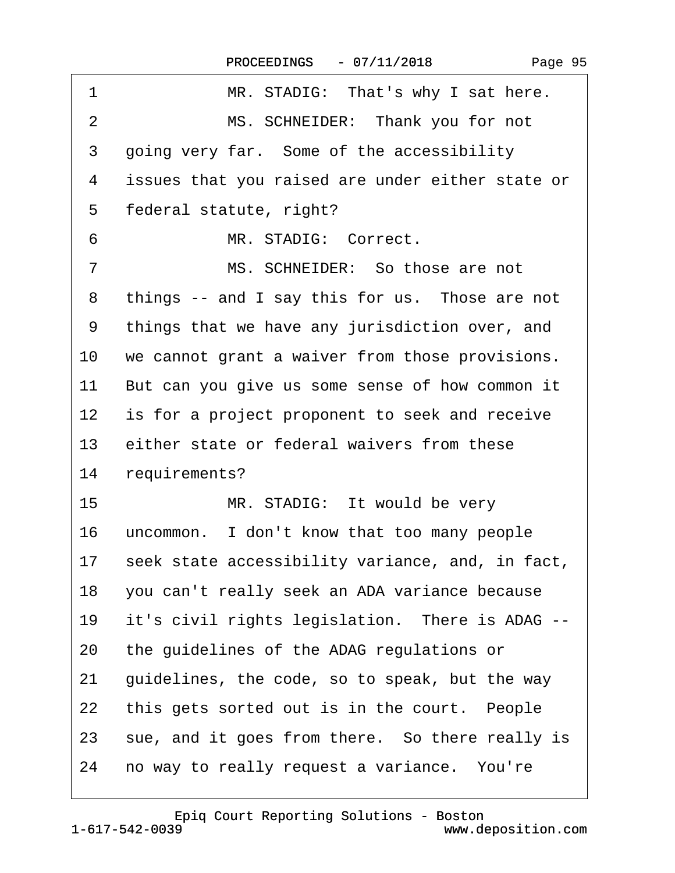<span id="page-94-0"></span>

| 1               | MR. STADIG: That's why I sat here.               |
|-----------------|--------------------------------------------------|
| $\overline{2}$  | MS. SCHNEIDER: Thank you for not                 |
| 3               | going very far. Some of the accessibility        |
| 4               | issues that you raised are under either state or |
| 5               | federal statute, right?                          |
| 6               | MR. STADIG: Correct.                             |
| $\overline{7}$  | MS. SCHNEIDER: So those are not                  |
| 8               | things -- and I say this for us. Those are not   |
| 9               | things that we have any jurisdiction over, and   |
| 10              | we cannot grant a waiver from those provisions.  |
| 11              | But can you give us some sense of how common it  |
| 12 <sub>2</sub> | is for a project proponent to seek and receive   |
| 13              | either state or federal waivers from these       |
| 14              | requirements?                                    |
| 15              | MR. STADIG: It would be very                     |
| 16              | uncommon. I don't know that too many people      |
| 17              | seek state accessibility variance, and, in fact, |
| 18              | you can't really seek an ADA variance because    |
| 19              | it's civil rights legislation. There is ADAG --  |
| 20              | the guidelines of the ADAG regulations or        |
| 21              | guidelines, the code, so to speak, but the way   |
| 22              | this gets sorted out is in the court. People     |
| 23              | sue, and it goes from there. So there really is  |
| 24              | no way to really request a variance. You're      |

1-617-542-0039 [Epiq Court Reporting Solutions - Boston](http://www.deposition.com)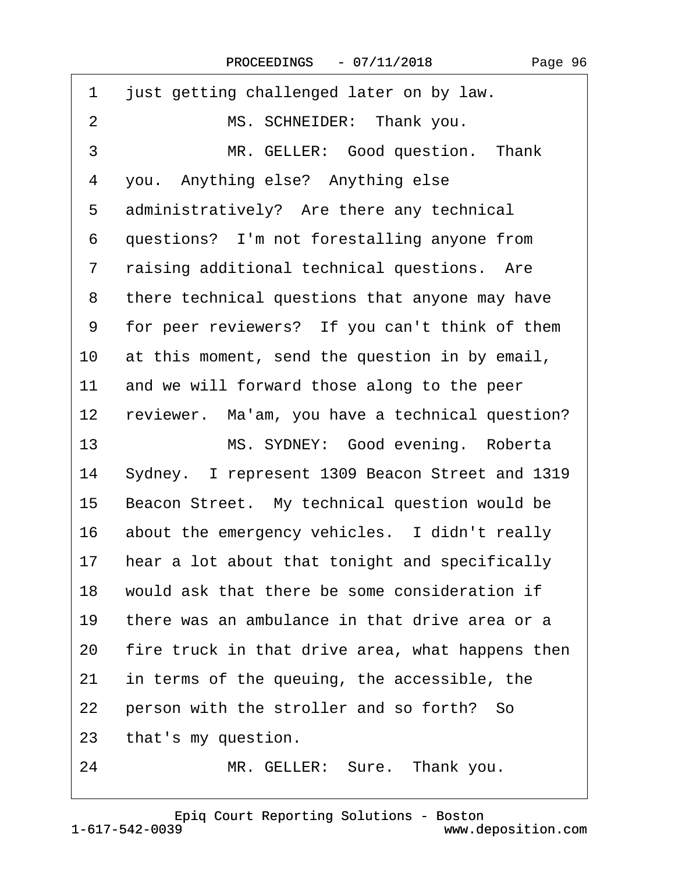<span id="page-95-0"></span>

| 1               | just getting challenged later on by law.         |
|-----------------|--------------------------------------------------|
| $\overline{2}$  | MS. SCHNEIDER: Thank you.                        |
| 3               | MR. GELLER: Good question. Thank                 |
| 4               | you. Anything else? Anything else                |
| 5               | administratively? Are there any technical        |
| 6               | questions? I'm not forestalling anyone from      |
| $\overline{7}$  | raising additional technical questions. Are      |
| 8               | there technical questions that anyone may have   |
| 9               | for peer reviewers? If you can't think of them   |
| 10              | at this moment, send the question in by email,   |
| 11              | and we will forward those along to the peer      |
| 12 <sub>2</sub> | reviewer. Ma'am, you have a technical question?  |
| 13              | MS. SYDNEY: Good evening. Roberta                |
| 14              | Sydney. I represent 1309 Beacon Street and 1319  |
| 15              | Beacon Street. My technical question would be    |
| 16              | about the emergency vehicles. I didn't really    |
| 17              | hear a lot about that tonight and specifically   |
| 18              | would ask that there be some consideration if    |
| 19              | there was an ambulance in that drive area or a   |
| 20              | fire truck in that drive area, what happens then |
| 21              | in terms of the queuing, the accessible, the     |
| 22              | person with the stroller and so forth? So        |
| 23              | that's my question.                              |
| 24              | MR. GELLER: Sure. Thank you.                     |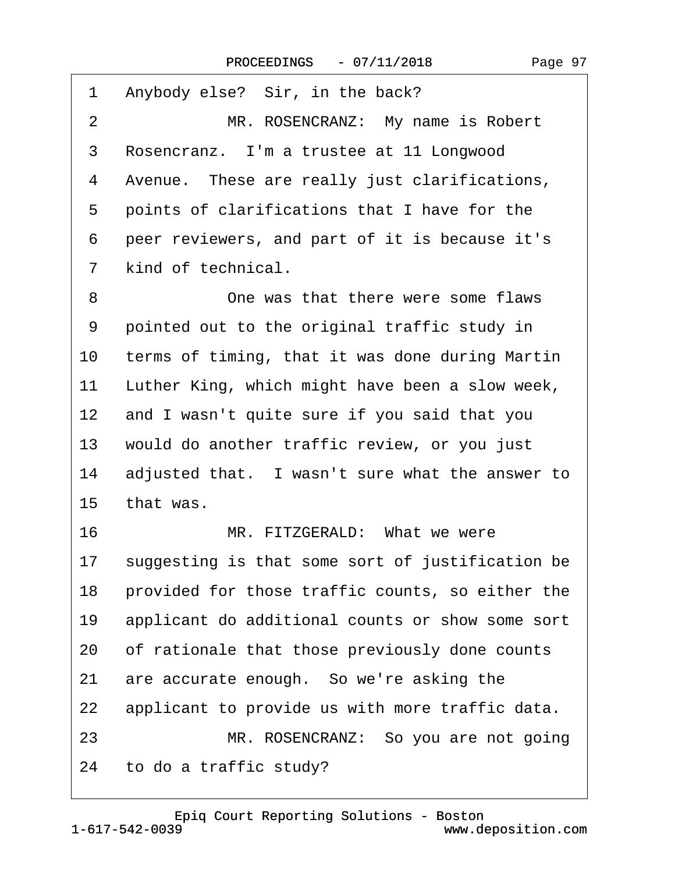<span id="page-96-0"></span>

| 1               | Anybody else? Sir, in the back?                  |
|-----------------|--------------------------------------------------|
| 2               | MR. ROSENCRANZ: My name is Robert                |
| 3               | Rosencranz. I'm a trustee at 11 Longwood         |
| 4               | Avenue. These are really just clarifications,    |
| 5               | points of clarifications that I have for the     |
| 6               | peer reviewers, and part of it is because it's   |
| 7               | kind of technical.                               |
| 8               | One was that there were some flaws               |
| 9               | pointed out to the original traffic study in     |
| 10              | terms of timing, that it was done during Martin  |
| 11              | Luther King, which might have been a slow week,  |
| 12 <sub>2</sub> | and I wasn't quite sure if you said that you     |
| 13              | would do another traffic review, or you just     |
| 14              | adjusted that. I wasn't sure what the answer to  |
| 15              | that was.                                        |
| 16              | MR. FITZGERALD: What we were                     |
| 17              | suggesting is that some sort of justification be |
| 18              | provided for those traffic counts, so either the |
| 19              | applicant do additional counts or show some sort |
| 20              | of rationale that those previously done counts   |
| 21              | are accurate enough. So we're asking the         |
| 22              | applicant to provide us with more traffic data.  |
| 23              | MR. ROSENCRANZ: So you are not going             |
|                 | 24 to do a traffic study?                        |
|                 |                                                  |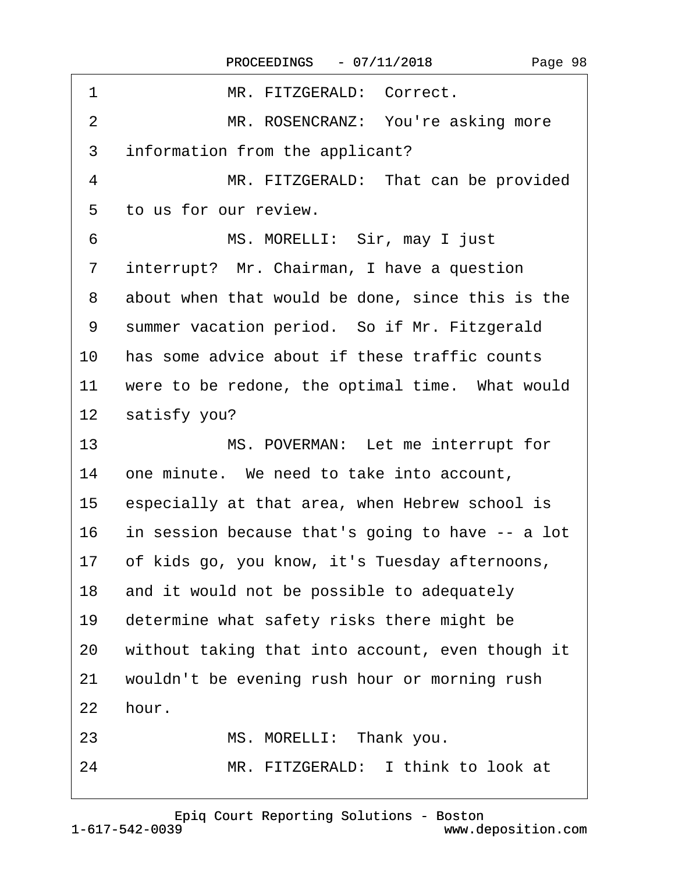<span id="page-97-0"></span>

| 1               | MR. FITZGERALD: Correct.                          |
|-----------------|---------------------------------------------------|
| 2               | MR. ROSENCRANZ: You're asking more                |
| 3               | information from the applicant?                   |
| 4               | MR. FITZGERALD: That can be provided              |
| 5               | to us for our review.                             |
| 6               | MS. MORELLI: Sir, may I just                      |
| 7               | interrupt? Mr. Chairman, I have a question        |
| 8               | about when that would be done, since this is the  |
| 9               | summer vacation period. So if Mr. Fitzgerald      |
| 10              | has some advice about if these traffic counts     |
| 11              | were to be redone, the optimal time. What would   |
| 12 <sub>2</sub> | satisfy you?                                      |
| 13              | MS. POVERMAN: Let me interrupt for                |
| 14              | one minute. We need to take into account,         |
| 15              | especially at that area, when Hebrew school is    |
| 16              | in session because that's going to have -- a lot  |
|                 | 17 of kids go, you know, it's Tuesday afternoons, |
| 18              | and it would not be possible to adequately        |
| 19              | determine what safety risks there might be        |
| 20              | without taking that into account, even though it  |
| 21              | wouldn't be evening rush hour or morning rush     |
| 22              | hour.                                             |
| 23              | MS. MORELLI: Thank you.                           |
| 24              | MR. FITZGERALD: I think to look at                |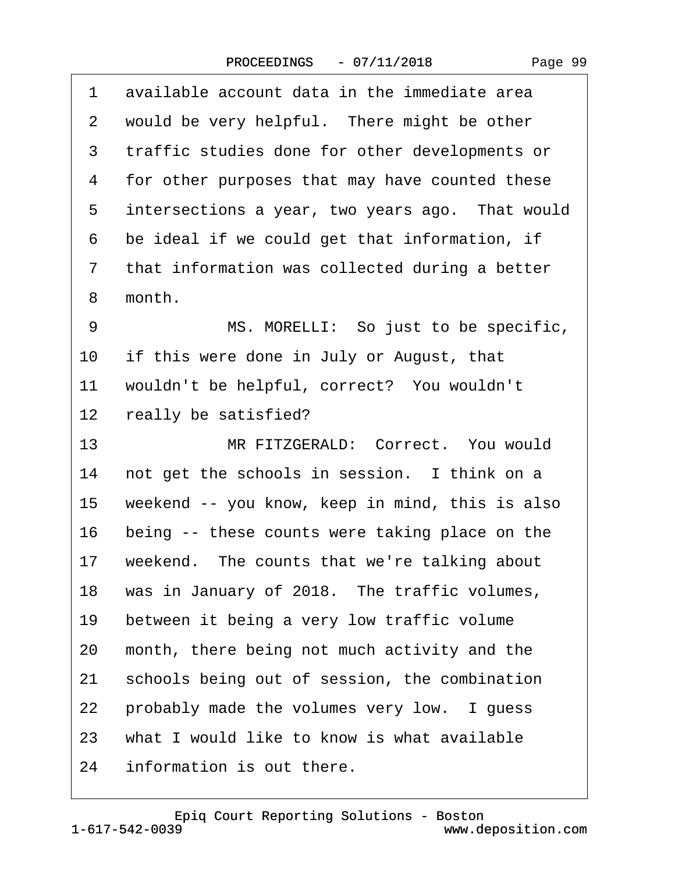<span id="page-98-0"></span>

| 1  | available account data in the immediate area    |
|----|-------------------------------------------------|
| 2  | would be very helpful. There might be other     |
| 3  | traffic studies done for other developments or  |
| 4  | for other purposes that may have counted these  |
| 5  | intersections a year, two years ago. That would |
| 6  | be ideal if we could get that information, if   |
| 7  | that information was collected during a better  |
| 8  | month.                                          |
| 9  | MS. MORELLI: So just to be specific,            |
| 10 | if this were done in July or August, that       |
| 11 | wouldn't be helpful, correct? You wouldn't      |
| 12 | really be satisfied?                            |
| 13 | MR FITZGERALD: Correct. You would               |
| 14 | not get the schools in session. I think on a    |
| 15 | weekend -- you know, keep in mind, this is also |
| 16 | being -- these counts were taking place on the  |
| 17 | weekend. The counts that we're talking about    |
| 18 | was in January of 2018. The traffic volumes,    |
| 19 | between it being a very low traffic volume      |
| 20 | month, there being not much activity and the    |
| 21 | schools being out of session, the combination   |
| 22 | probably made the volumes very low. I guess     |
| 23 | what I would like to know is what available     |
| 24 | information is out there.                       |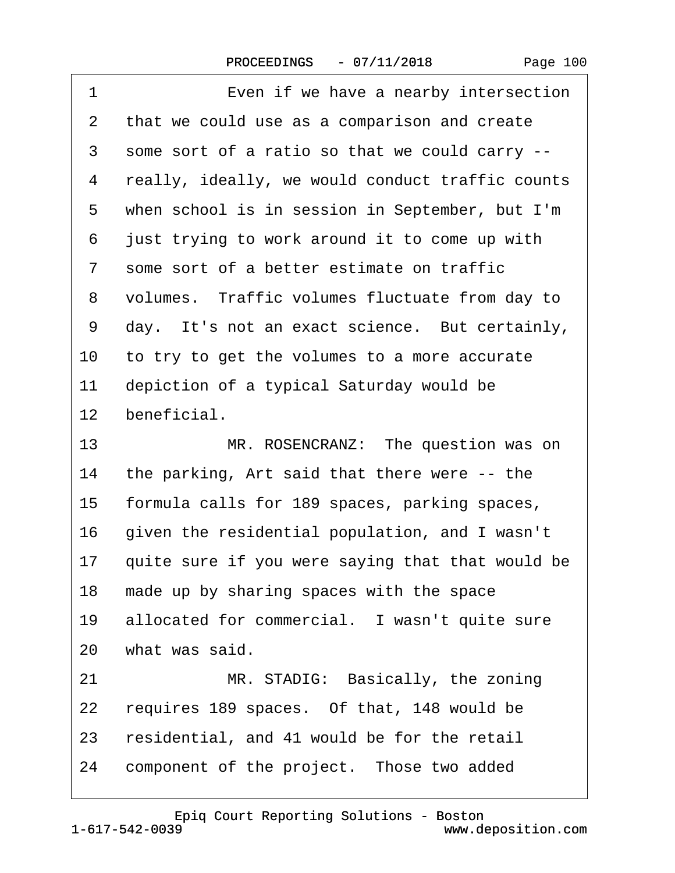| Page 100 |  |
|----------|--|
|----------|--|

<span id="page-99-0"></span>

| 1               | Even if we have a nearby intersection            |
|-----------------|--------------------------------------------------|
| 2               | that we could use as a comparison and create     |
| 3               | some sort of a ratio so that we could carry --   |
| 4               | really, ideally, we would conduct traffic counts |
| 5               | when school is in session in September, but I'm  |
| 6               | just trying to work around it to come up with    |
| 7               | some sort of a better estimate on traffic        |
| 8               | volumes. Traffic volumes fluctuate from day to   |
| 9               | day. It's not an exact science. But certainly,   |
| 10              | to try to get the volumes to a more accurate     |
| 11              | depiction of a typical Saturday would be         |
| 12 <sub>2</sub> | beneficial.                                      |
| 13              | MR. ROSENCRANZ: The question was on              |
| 14              | the parking, Art said that there were -- the     |
| 15              | formula calls for 189 spaces, parking spaces,    |
| 16              | given the residential population, and I wasn't   |
| 17              | quite sure if you were saying that that would be |
| 18              | made up by sharing spaces with the space         |
| 19              | allocated for commercial. I wasn't quite sure    |
|                 | 20 what was said.                                |
| 21              | MR. STADIG: Basically, the zoning                |
| 22              | requires 189 spaces. Of that, 148 would be       |
| 23              | residential, and 41 would be for the retail      |
| 24              | component of the project. Those two added        |
|                 |                                                  |

1-617-542-0039 [Epiq Court Reporting Solutions - Boston](http://www.deposition.com)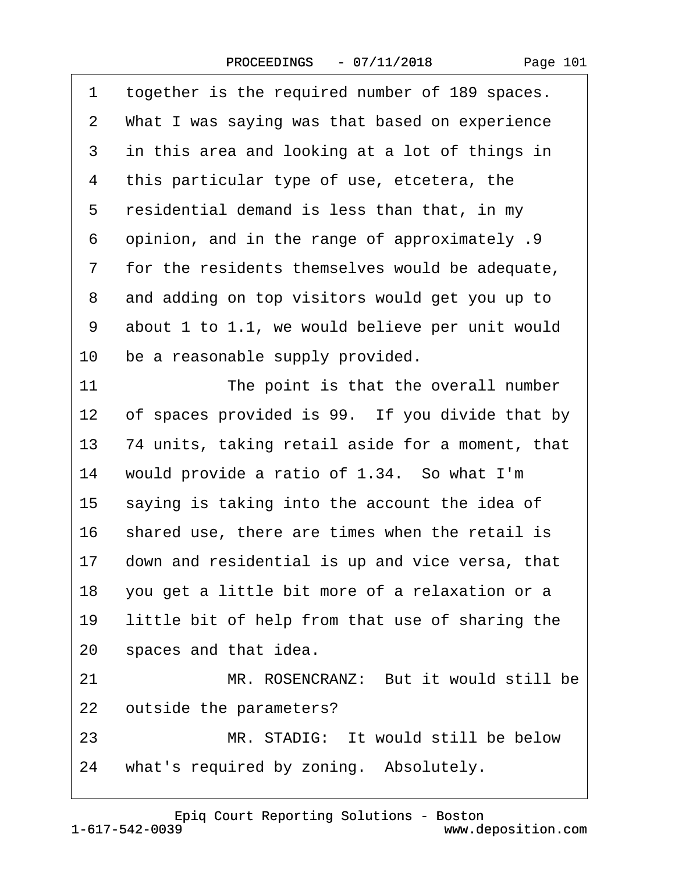| Page 101 |  |  |
|----------|--|--|
|----------|--|--|

<span id="page-100-0"></span>

| 1  | together is the required number of 189 spaces.    |  |  |
|----|---------------------------------------------------|--|--|
| 2  | What I was saying was that based on experience    |  |  |
| 3  | in this area and looking at a lot of things in    |  |  |
| 4  | this particular type of use, etcetera, the        |  |  |
| 5  | residential demand is less than that, in my       |  |  |
| 6  | opinion, and in the range of approximately .9     |  |  |
| 7  | for the residents themselves would be adequate,   |  |  |
| 8  | and adding on top visitors would get you up to    |  |  |
| 9  | about 1 to 1.1, we would believe per unit would   |  |  |
| 10 | be a reasonable supply provided.                  |  |  |
| 11 | The point is that the overall number              |  |  |
| 12 | of spaces provided is 99. If you divide that by   |  |  |
| 13 | 74 units, taking retail aside for a moment, that  |  |  |
| 14 | would provide a ratio of 1.34. So what I'm        |  |  |
| 15 | saying is taking into the account the idea of     |  |  |
| 16 | shared use, there are times when the retail is    |  |  |
| 17 | down and residential is up and vice versa, that   |  |  |
|    | 18 you get a little bit more of a relaxation or a |  |  |
| 19 | little bit of help from that use of sharing the   |  |  |
|    | 20 spaces and that idea.                          |  |  |
| 21 | MR. ROSENCRANZ: But it would still be             |  |  |
| 22 | outside the parameters?                           |  |  |
| 23 | MR. STADIG: It would still be below               |  |  |
| 24 | what's required by zoning. Absolutely.            |  |  |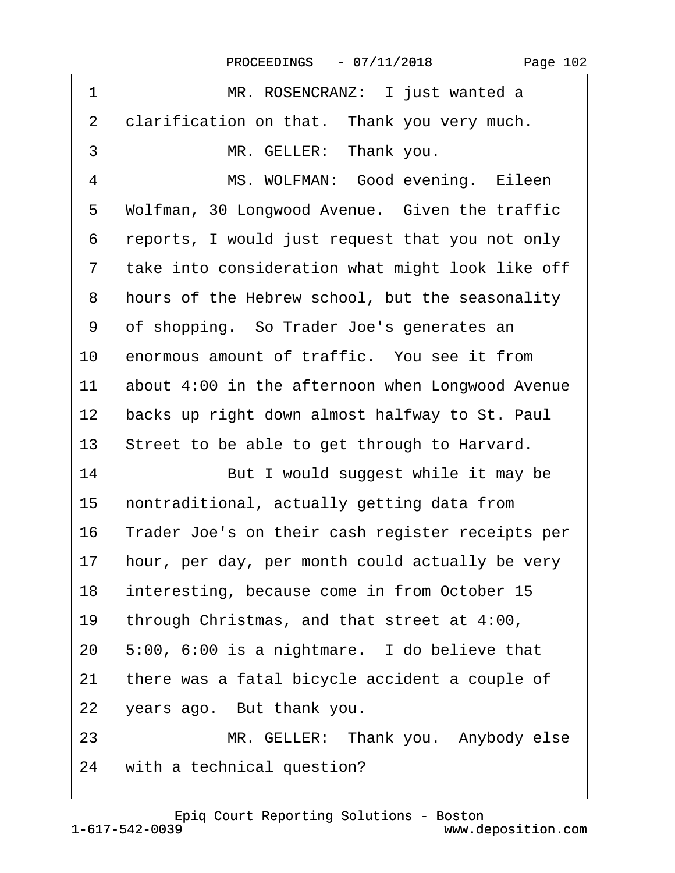| Page 102 |  |
|----------|--|
|----------|--|

<span id="page-101-0"></span>

| 1               | MR. ROSENCRANZ: I just wanted a                  |  |  |  |
|-----------------|--------------------------------------------------|--|--|--|
| 2               | clarification on that. Thank you very much.      |  |  |  |
| 3               | MR. GELLER: Thank you.                           |  |  |  |
| 4               | MS. WOLFMAN: Good evening. Eileen                |  |  |  |
| 5               | Wolfman, 30 Longwood Avenue. Given the traffic   |  |  |  |
| 6               | reports, I would just request that you not only  |  |  |  |
| $\overline{7}$  | take into consideration what might look like off |  |  |  |
| 8               | hours of the Hebrew school, but the seasonality  |  |  |  |
| 9               | of shopping. So Trader Joe's generates an        |  |  |  |
| 10              | enormous amount of traffic. You see it from      |  |  |  |
| 11              | about 4:00 in the afternoon when Longwood Avenue |  |  |  |
| 12 <sup>°</sup> | backs up right down almost halfway to St. Paul   |  |  |  |
| 13              | Street to be able to get through to Harvard.     |  |  |  |
| 14              | But I would suggest while it may be              |  |  |  |
| 15              | nontraditional, actually getting data from       |  |  |  |
| 16              | Trader Joe's on their cash register receipts per |  |  |  |
| 17              | hour, per day, per month could actually be very  |  |  |  |
| 18              | interesting, because come in from October 15     |  |  |  |
| 19              | through Christmas, and that street at 4:00,      |  |  |  |
| 20              | 5:00, 6:00 is a nightmare. I do believe that     |  |  |  |
| 21              | there was a fatal bicycle accident a couple of   |  |  |  |
| 22              | years ago. But thank you.                        |  |  |  |
| 23              | MR. GELLER: Thank you. Anybody else              |  |  |  |
| 24              | with a technical question?                       |  |  |  |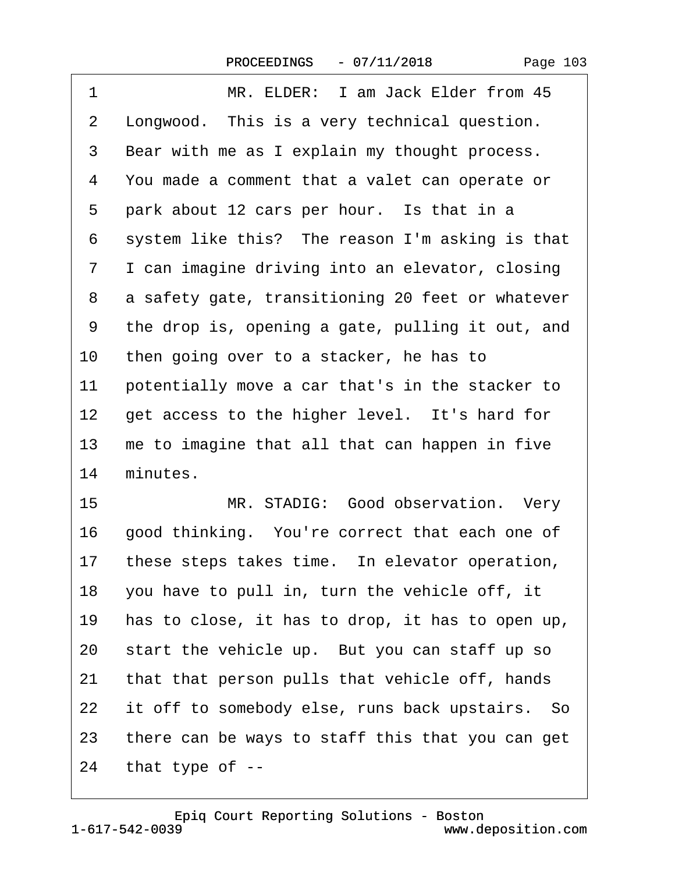| Page 103 |  |
|----------|--|
|----------|--|

<span id="page-102-0"></span>

| 1  | MR. ELDER: I am Jack Elder from 45               |  |  |  |
|----|--------------------------------------------------|--|--|--|
| 2  | Longwood. This is a very technical question.     |  |  |  |
| 3  | Bear with me as I explain my thought process.    |  |  |  |
| 4  | You made a comment that a valet can operate or   |  |  |  |
| 5  | park about 12 cars per hour. Is that in a        |  |  |  |
| 6  | system like this? The reason I'm asking is that  |  |  |  |
| 7  | I can imagine driving into an elevator, closing  |  |  |  |
| 8  | a safety gate, transitioning 20 feet or whatever |  |  |  |
| 9  | the drop is, opening a gate, pulling it out, and |  |  |  |
| 10 | then going over to a stacker, he has to          |  |  |  |
| 11 | potentially move a car that's in the stacker to  |  |  |  |
| 12 | get access to the higher level. It's hard for    |  |  |  |
| 13 | me to imagine that all that can happen in five   |  |  |  |
| 14 | minutes.                                         |  |  |  |
| 15 | MR. STADIG: Good observation. Very               |  |  |  |
| 16 | good thinking. You're correct that each one of   |  |  |  |
| 17 | these steps takes time. In elevator operation,   |  |  |  |
| 18 | you have to pull in, turn the vehicle off, it    |  |  |  |
| 19 | has to close, it has to drop, it has to open up, |  |  |  |
| 20 | start the vehicle up. But you can staff up so    |  |  |  |
| 21 | that that person pulls that vehicle off, hands   |  |  |  |
| 22 | it off to somebody else, runs back upstairs. So  |  |  |  |
| 23 | there can be ways to staff this that you can get |  |  |  |
| 24 | that type of --                                  |  |  |  |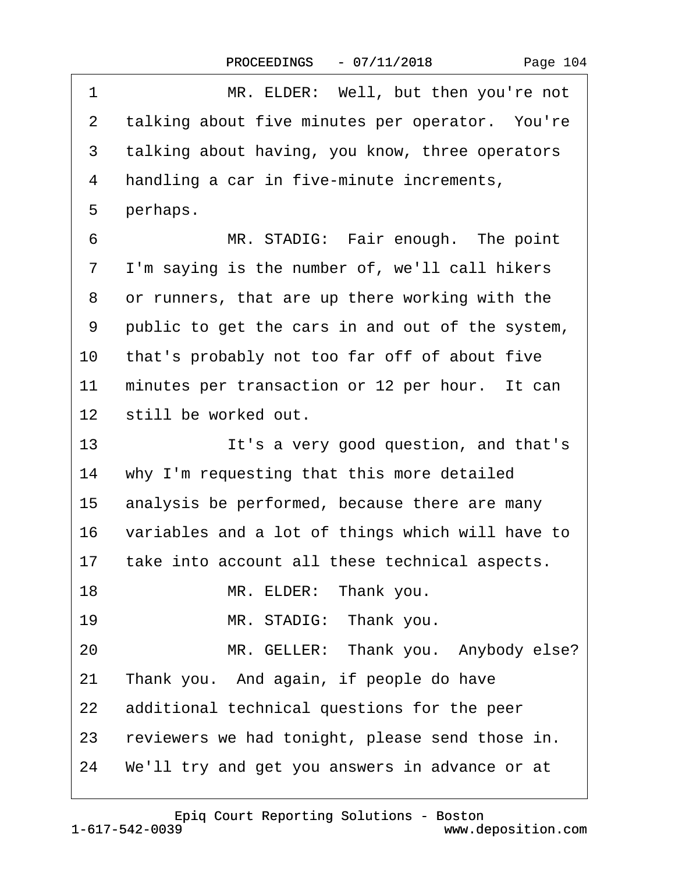<span id="page-103-0"></span>

| 1               | MR. ELDER: Well, but then you're not               |  |  |  |  |
|-----------------|----------------------------------------------------|--|--|--|--|
| 2               | talking about five minutes per operator. You're    |  |  |  |  |
| 3               | talking about having, you know, three operators    |  |  |  |  |
| 4               | handling a car in five-minute increments,          |  |  |  |  |
| 5               | perhaps.                                           |  |  |  |  |
| 6               | MR. STADIG: Fair enough. The point                 |  |  |  |  |
| 7               | I'm saying is the number of, we'll call hikers     |  |  |  |  |
| 8               | or runners, that are up there working with the     |  |  |  |  |
| 9               | public to get the cars in and out of the system,   |  |  |  |  |
| 10              | that's probably not too far off of about five      |  |  |  |  |
| 11              | minutes per transaction or 12 per hour. It can     |  |  |  |  |
| 12 <sup>1</sup> | still be worked out.                               |  |  |  |  |
| 13              | It's a very good question, and that's              |  |  |  |  |
| 14              | why I'm requesting that this more detailed         |  |  |  |  |
| 15              | analysis be performed, because there are many      |  |  |  |  |
| 16              | variables and a lot of things which will have to   |  |  |  |  |
| 17              | take into account all these technical aspects.     |  |  |  |  |
| 18              | MR. ELDER: Thank you.                              |  |  |  |  |
| 19              | MR. STADIG: Thank you.                             |  |  |  |  |
| 20              | MR. GELLER: Thank you. Anybody else?               |  |  |  |  |
| 21              | Thank you. And again, if people do have            |  |  |  |  |
| 22              | additional technical questions for the peer        |  |  |  |  |
|                 | 23 reviewers we had tonight, please send those in. |  |  |  |  |
|                 | 24 We'll try and get you answers in advance or at  |  |  |  |  |
|                 |                                                    |  |  |  |  |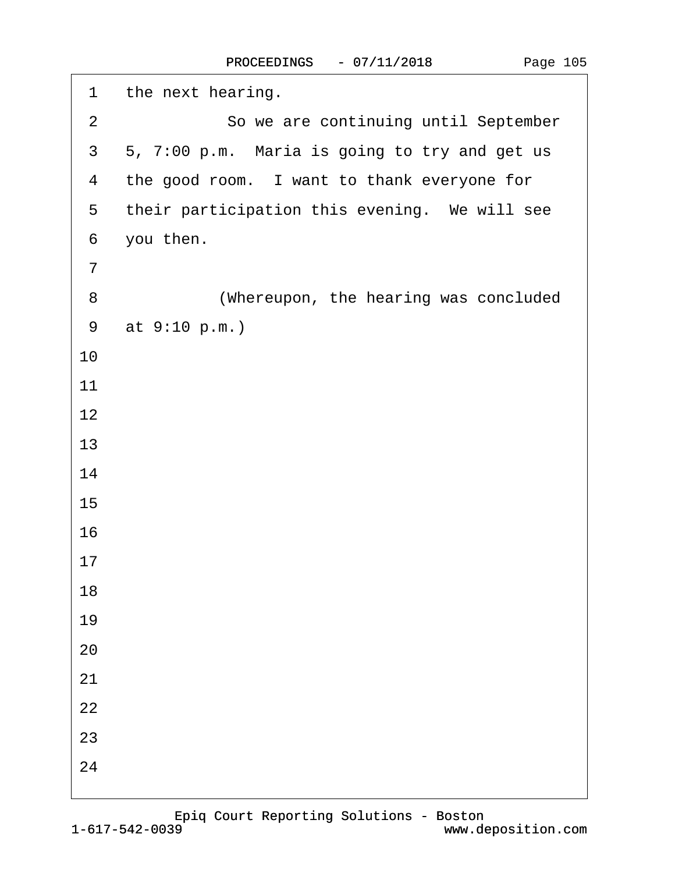<span id="page-104-0"></span>

| 1              | the next hearing.                             |
|----------------|-----------------------------------------------|
| $\overline{2}$ | So we are continuing until September          |
| 3              | 5, 7:00 p.m. Maria is going to try and get us |
| 4              | the good room. I want to thank everyone for   |
| 5              | their participation this evening. We will see |
| 6              | you then.                                     |
| $\overline{7}$ |                                               |
| 8              | (Whereupon, the hearing was concluded         |
| 9              | at 9:10 p.m.)                                 |
| 10             |                                               |
| 11             |                                               |
| 12             |                                               |
| 13             |                                               |
| 14             |                                               |
| 15             |                                               |
| 16             |                                               |
| 17             |                                               |
| 18             |                                               |
| 19             |                                               |
| 20             |                                               |
| 21             |                                               |
| 22             |                                               |
| 23             |                                               |
| 24             |                                               |
|                |                                               |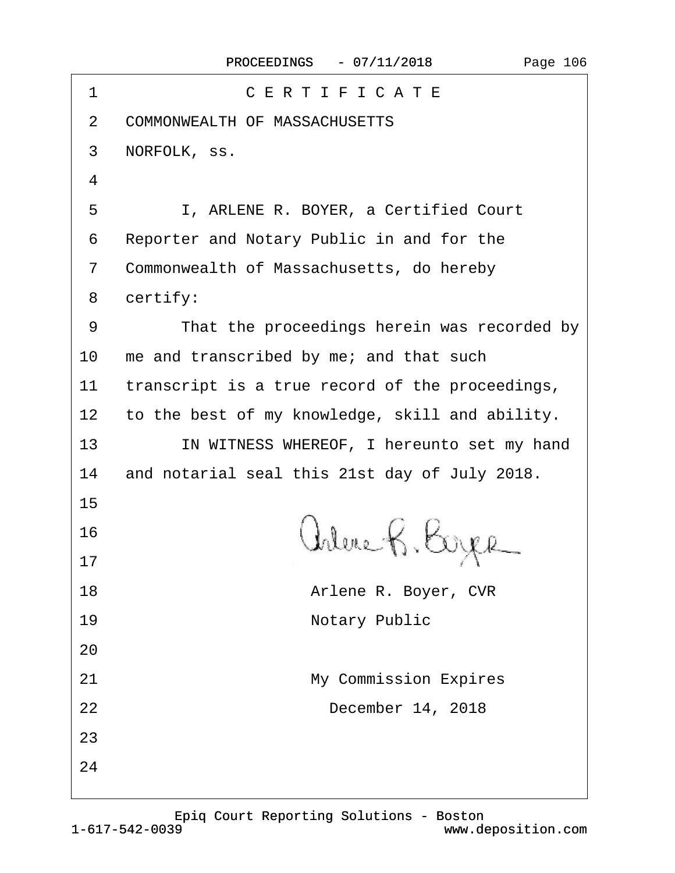| 1              | CERTIFICATE                                     |  |  |  |
|----------------|-------------------------------------------------|--|--|--|
| 2              | <b>COMMONWEALTH OF MASSACHUSETTS</b>            |  |  |  |
| 3              | NORFOLK, SS.                                    |  |  |  |
| 4              |                                                 |  |  |  |
| 5              | I, ARLENE R. BOYER, a Certified Court           |  |  |  |
| 6              | Reporter and Notary Public in and for the       |  |  |  |
| $\overline{7}$ | Commonwealth of Massachusetts, do hereby        |  |  |  |
| 8              | certify:                                        |  |  |  |
| 9              | That the proceedings herein was recorded by     |  |  |  |
| 10             | me and transcribed by me; and that such         |  |  |  |
| 11             | transcript is a true record of the proceedings, |  |  |  |
| 12             | to the best of my knowledge, skill and ability. |  |  |  |
| 13             | IN WITNESS WHEREOF, I hereunto set my hand      |  |  |  |
| 14             | and notarial seal this 21st day of July 2018.   |  |  |  |
| 15             |                                                 |  |  |  |
| 16             |                                                 |  |  |  |
| 17             |                                                 |  |  |  |
| 18             | Arlene R. Boyer, CVR                            |  |  |  |
| 19             | <b>Notary Public</b>                            |  |  |  |
| 20             |                                                 |  |  |  |
| 21             | <b>My Commission Expires</b>                    |  |  |  |
| 22             | December 14, 2018                               |  |  |  |
| 23             |                                                 |  |  |  |
| 24             |                                                 |  |  |  |
|                |                                                 |  |  |  |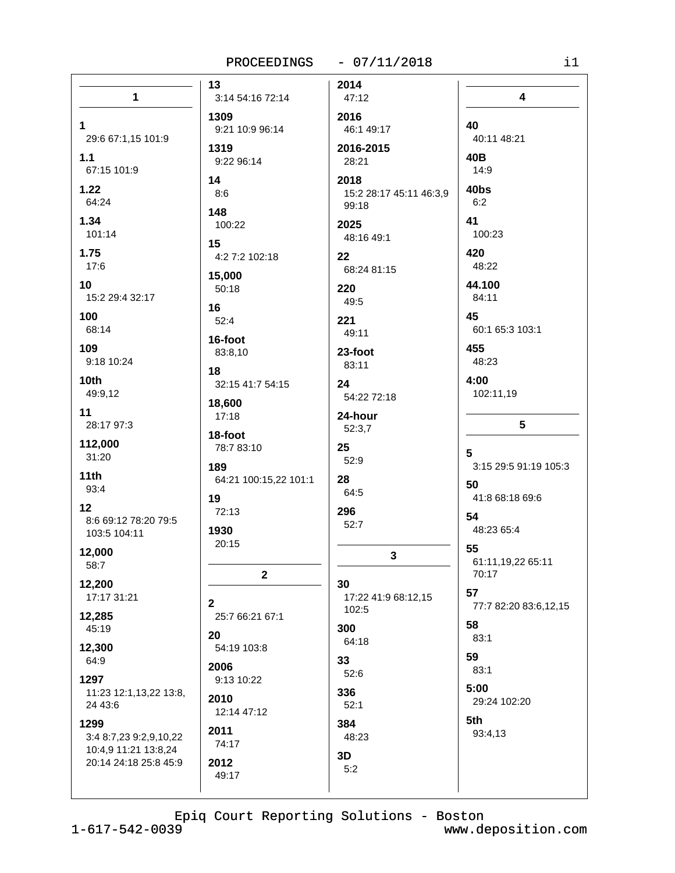## PROCEEDINGS - 07/11/2018

|                                                        | 13                           | 2014                            |                                     |
|--------------------------------------------------------|------------------------------|---------------------------------|-------------------------------------|
| $\mathbf{1}$                                           | 3:14 54:16 72:14             | 47:12                           | 4                                   |
| 1.                                                     | 1309<br>9:21 10:9 96:14      | 2016<br>46:1 49:17              | 40                                  |
| 29:6 67:1,15 101:9<br>1.1<br>67:15 101:9               | 1319<br>9:22 96:14           | 2016-2015<br>28:21              | 40:11 48:21<br>40B<br>14:9          |
| 1.22                                                   | 14                           | 2018                            | 40bs                                |
| 64:24                                                  | 8:6                          | 15:2 28:17 45:11 46:3,9         | 6:2                                 |
| 1.34                                                   | 148                          | 99:18                           | 41                                  |
| 101:14                                                 | 100:22                       | 2025                            | 100:23                              |
| 1.75<br>17:6                                           | 15<br>4:2 7:2 102:18         | 48:16 49:1<br>22<br>68:24 81:15 | 420<br>48:22                        |
| 10                                                     | 15,000                       | 220                             | 44.100                              |
| 15:2 29:4 32:17                                        | 50:18                        | 49:5                            | 84:11                               |
| 100                                                    | 16                           | 221                             | 45                                  |
| 68:14                                                  | 52:4                         | 49:11                           | 60:1 65:3 103:1                     |
| 109                                                    | 16-foot                      | 23-foot                         | 455                                 |
| 9:18 10:24                                             | 83:8,10                      | 83:11                           | 48:23                               |
| 10th                                                   | 18                           | 24                              | 4:00                                |
| 49:9,12                                                | 32:15 41:7 54:15             | 54:22 72:18                     | 102:11,19                           |
| 11                                                     | 18,600                       | 24-hour                         | 5                                   |
| 28:17 97:3                                             | 17:18                        | 52:3,7                          |                                     |
| 112,000                                                | 18-foot                      | 25                              | 5                                   |
| 31:20                                                  | 78:7 83:10                   | 52:9                            |                                     |
| 11th                                                   | 189                          | 28                              | 3:15 29:5 91:19 105:3               |
| 93:4                                                   | 64:21 100:15,22 101:1        | 64:5                            | 50                                  |
| 12<br>8:6 69:12 78:20 79:5<br>103:5 104:11             | 19<br>72:13<br>1930          | 296<br>52:7                     | 41:8 68:18 69:6<br>54<br>48:23 65:4 |
| 12,000<br>58:7                                         | 20:15                        | $\mathbf{3}$                    | 55<br>61:11,19,22 65:11<br>70:17    |
| 12,200                                                 | $\mathbf{2}$                 | 30                              | 57                                  |
| 17:17 31:21                                            | $\mathbf{2}$                 | 17:22 41:9 68:12,15             | 77:7 82:20 83:6,12,15               |
| 12,285                                                 | 25:7 66:21 67:1              | 102:5                           | 58                                  |
| 45:19                                                  | 20                           | 300                             | 83:1                                |
| 12,300                                                 | 54:19 103:8                  | 64:18                           | 59                                  |
| 64:9                                                   | 2006                         | 33                              | 83:1                                |
| 1297<br>11:23 12:1,13,22 13:8,<br>24 43:6              | 9:13 10:22<br>2010           | 52:6<br>336<br>52:1             | 5:00<br>29:24 102:20                |
| 1299<br>3:4 8:7,23 9:2,9,10,22<br>10:4,9 11:21 13:8,24 | 12:14 47:12<br>2011<br>74:17 | 384<br>48:23                    | 5th<br>93:4,13                      |
| 20:14 24:18 25:8 45:9                                  | 2012<br>49:17                | 3D<br>5:2                       |                                     |

Epiq Court Reporting Solutions - Boston<br>1-617-542-0039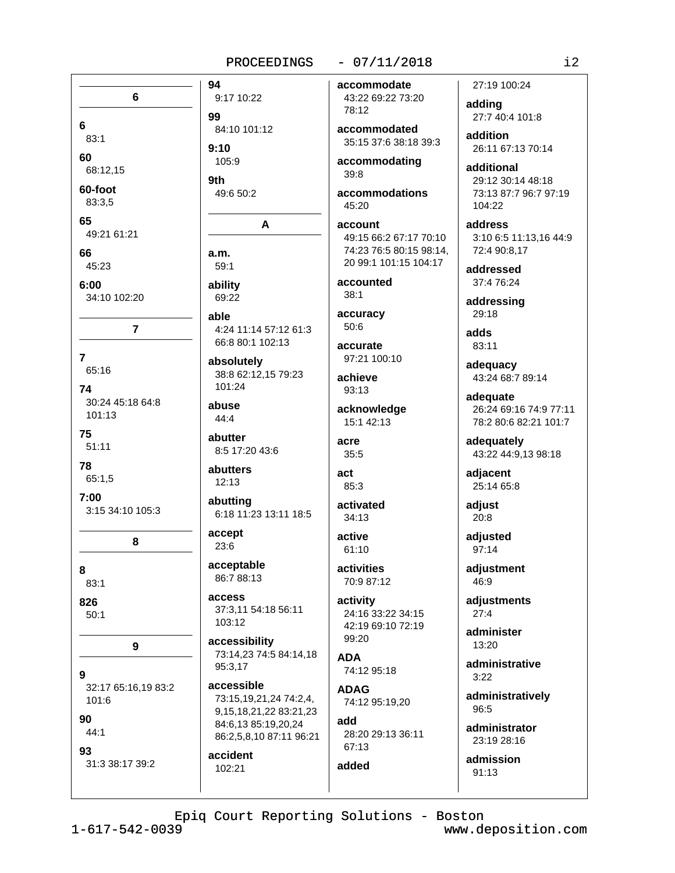## PROCEEDINGS

94

99

 $9:10$ 

9th

 $a.m.$ 

able

6

6

60

65

66

83:1

68:12,15

60-foot

83:3.5

45:23

 $6:00$ 

 $\overline{7}$ 

74

75

78

 $7:00$ 

8

 $83:1$ 

 $50:1$ 

101:6

44:1

826

9

90

93

65:16

 $101.13$ 

 $51:11$ 

65:1,5

49.21 61.21

34:10 102:20

 $\overline{7}$ 

30:24 45:18 64:8

3:15 34:10 105:3

8

9

32:17 65:16.19 83:2

## $-07/11/2018$

9:17 10:22 84:10 101:12 105:9 49:6 50:2 A  $59:1$ ability 69:22

4:24 11:14 57:12 61:3 66:8 80:1 102:13

absolutely 38:8 62:12,15 79:23 101:24

abuse 44:4

abutter 8:5 17:20 43:6

abutters  $12:13$ 

abutting 6:18 11:23 13:11 18:5

accept 23:6

acceptable 86:7 88:13

access 37:3,11 54:18 56:11 103:12

accessibility 73:14,23 74:5 84:14,18 95:3.17

accessible 73:15,19,21,24 74:2,4, 9,15,18,21,22 83:21,23 84:6,13 85:19,20,24 86:2.5.8.10 87:11 96:21

accident 102:21

accommodate 43:22 69:22 73:20 78:12

accommodated 35:15 37:6 38:18 39:3

accommodating  $39:8$ 

accommodations 45:20

account 49:15 66:2 67:17 70:10 74:23 76:5 80:15 98:14, 20 99:1 101:15 104:17

accounted  $38:1$ 

accuracy  $50:6$ 

accurate 97:21 100:10

achieve  $93:13$ 

acknowledge 15:1 42:13

acre 35:5

act  $85:3$ 

activated

 $34:13$ active 61:10

activities 70:9 87:12

activity 24:16 33:22 34:15 42:19 69:10 72:19 99:20

**ADA**  $74.1295.18$ 

**ADAG** 74:12 95:19,20

add 28:20 29:13 36:11 67:13

added

27:19 100:24

adding 27:7 40:4 101:8

addition 26:11 67:13 70:14

additional 29:12 30:14 48:18 73:13 87:7 96:7 97:19 104:22

address 3:10 6:5 11:13,16 44:9 72:4 90:8,17

addressed 37:4 76:24

addressing 29:18

adds 83:11

adequacy 43:24 68:7 89:14

adequate 26:24 69:16 74:9 77:11 78:2 80:6 82:21 101:7

adequately 43:22 44:9,13 98:18

adjacent 25:14 65:8

adjust 20:8

adiusted  $97:14$ 

adjustment 46:9

adjustments  $27:4$ 

administer  $13:20$ 

administrative  $3:22$ 

administratively  $96:5$ 

administrator 23:19 28:16

admission  $91:13$ 

31:3 38:17 39:2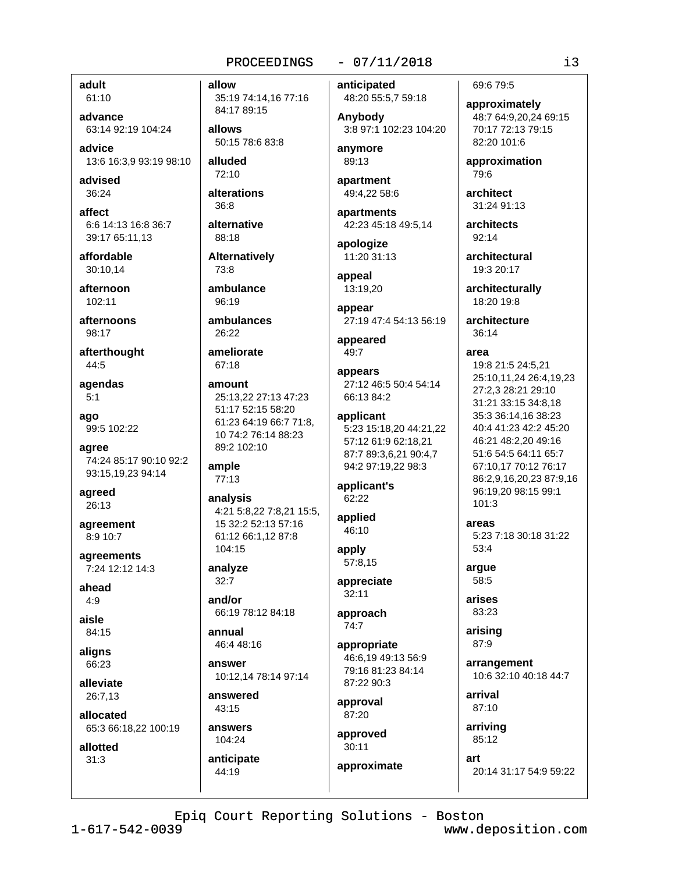adult 61:10

advance 63:14 92:19 104:24

advice 13:6 16:3,9 93:19 98:10

advised  $36:24$ 

affect 6:6 14:13 16:8 36:7 39:17 65:11,13

affordable 30:10.14

afternoon 102:11

afternoons  $98.17$ 

afterthought 44:5

agendas  $5:1$ 

ago 99:5 102:22

agree 74:24 85:17 90:10 92:2 93:15,19,23 94:14

agreed  $26:13$ 

agreement 8:9 10:7

agreements 7:24 12:12 14:3

ahead  $4.9$ 

aisle 84:15

alians 66:23

alleviate 26:7,13

allocated

65:3 66:18.22 100:19

allotted  $31:3$ 

allow 35:19 74:14,16 77:16 84:17 89:15

allows 50:15 78:6 83:8

alluded 72:10

alterations  $8.86$ 

alternative  $88.18$ 

**Alternatively**  $73.8$ 

ambulance  $96:19$ 

ambulances  $26.22$ 

ameliorate  $67:18$ 

amount 25:13,22 27:13 47:23 51:17 52:15 58:20 61:23 64:19 66:7 71:8. 10 74:2 76:14 88:23 89:2 102:10

ample 77:13

analysis 4:21 5:8,22 7:8,21 15:5, 15 32:2 52:13 57:16 61:12 66:1.12 87:8 104:15

analyze  $32:7$ 

and/or 66:19 78:12 84:18

annual 46:4 48:16

answer 10:12,14 78:14 97:14

answered  $43:15$ 

answers 104:24 anticipate

44:19

# $-07/11/2018$

anticipated 48:20 55:5,7 59:18

Anybody 3:8 97:1 102:23 104:20

anvmore 89:13

apartment 49:4,22 58:6

apartments 42:23 45:18 49:5,14

apologize 11:20 31:13

appeal 13:19,20

appear

27:19 47:4 54:13 56:19

appeared 49:7

appears 27:12 46:5 50:4 54:14 66:13 84:2

applicant 5:23 15:18,20 44:21,22 57:12 61:9 62:18,21 87:7 89:3,6,21 90:4,7 94:2 97:19,22 98:3

applicant's 62:22

applied  $46:10$ 

apply 57:8.15

appreciate  $32:11$ 

approach  $74:7$ 

appropriate 46:6.19 49:13 56:9 79:16 81:23 84:14 87:22 90:3

approval 87:20

approved  $30:11$ approximate

art

69:6 79:5

approximately 48:7 64:9,20,24 69:15 70:17 72:13 79:15 82:20 101:6

approximation 79:6

architect 31:24 91:13

architects 92:14

architectural 19:3 20:17

> architecturally 18:20 19:8

architecture  $36.14$ 

area

19:8 21:5 24:5,21 25:10,11,24 26:4,19,23 27:2.3 28:21 29:10 31:21 33:15 34:8,18 35:3 36:14.16 38:23 40:4 41:23 42:2 45:20 46:21 48:2,20 49:16 51:6 54:5 64:11 65:7 67:10.17 70:12 76:17 86:2,9,16,20,23 87:9,16 96:19,20 98:15 99:1  $101:3$ 

areas

5:23 7:18 30:18 31:22 53:4

argue 58:5

arises

83:23

arising 87:9

arrangement 10:6 32:10 40:18 44:7

arrival 87:10

arriving 85:12

20:14 31:17 54:9 59:22

Epiq Court Reporting Solutions - Boston

 $1 - 617 - 542 - 0039$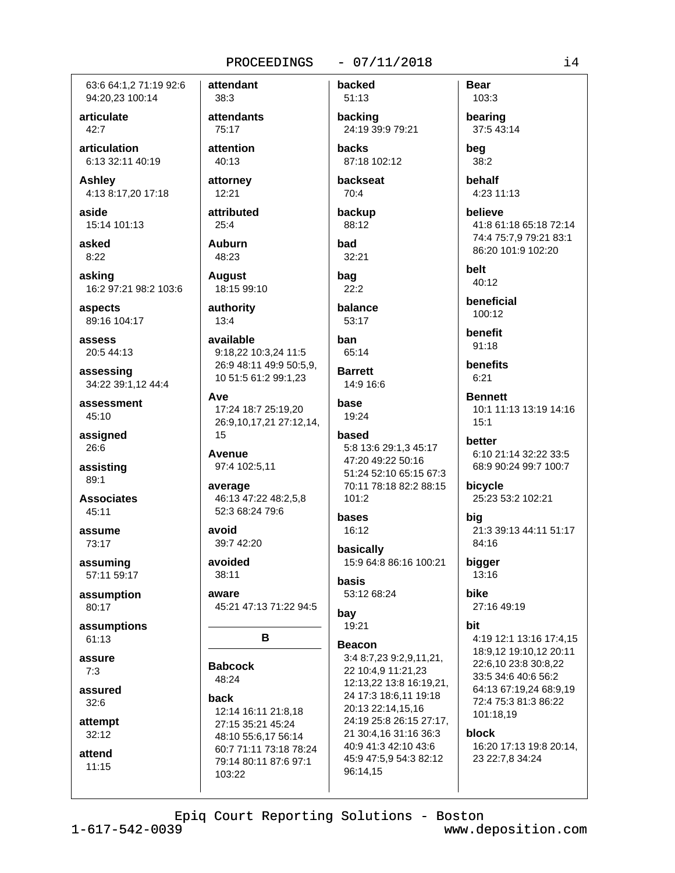63:6 64:1.2 71:19 92:6 94:20,23 100:14

articulate  $42:7$ 

articulation 6:13 32:11 40:19

**Ashley** 4:13 8:17,20 17:18

aside 15:14 101:13

asked  $8:22$ 

asking 16:2 97:21 98:2 103:6

aspects 89:16 104:17

assess 20:5 44:13

assessing 34:22 39:1.12 44:4

assessment 45:10

assigned 26:6

assisting 89:1

**Associates** 45:11

assume 73:17

assuming 57:11 59:17

assumption 80:17

assumptions 61:13

assure  $7:3$ 

assured  $32:6$ 

attempt  $32:12$ 

attend  $11:15$ 

 $38:3$ attendants 75:17 attention 40:13 attorney

12:21 attributed

 $25:4$ **Auburn** 48:23

**August** 18:15 99:10

authority  $13:4$ 

available 9:18.22 10:3.24 11:5 26:9 48:11 49:9 50:5,9, 10 51:5 61:2 99:1.23

Ave 17:24 18:7 25:19,20 26:9,10,17,21 27:12,14,  $15$ 

**Avenue** 97:4 102:5,11

average 46:13 47:22 48:2,5,8 52:3 68:24 79:6

avoid 39:7 42:20

avoided 38:11

aware 45:21 47:13 71:22 94:5

R

**Babcock** 48:24

back 12:14 16:11 21:8,18 27:15 35:21 45:24 48:10 55:6.17 56:14 60:7 71:11 73:18 78:24 79:14 80:11 87:6 97:1 103:22

backed 51:13

backing 24:19 39:9 79:21

 $-07/11/2018$ 

**hacks** 87:18 102:12

backseat  $70:4$ 

backup 88:12

bad  $32:21$ 

bag  $22:2$ 

balance 53:17

han 65:14

**Barrett** 14:9 16:6

base 19:24

# hased

5:8 13:6 29:1,3 45:17 47:20 49:22 50:16 51:24 52:10 65:15 67:3 70:11 78:18 82:2 88:15  $101:2$ 

#### bases 16:12

basically 15:9 64:8 86:16 100:21 basis 53:12 68:24

bay

19:21

**Beacon** 3:4 8:7.23 9:2.9.11.21. 22 10:4,9 11:21,23 12:13,22 13:8 16:19,21, 24 17:3 18:6.11 19:18 20:13 22:14,15,16 24:19 25:8 26:15 27:17, 21 30:4,16 31:16 36:3 40:9 41:3 42:10 43:6 45:9 47:5,9 54:3 82:12 96:14.15

103:3 bearing 37:5 43:14

**Bear** 

bea 38:2

behalf 4:23 11:13

believe 41:8 61:18 65:18 72:14 74:4 75:7,9 79:21 83:1 86:20 101:9 102:20

**belt** 40:12

beneficial 100:12

**benefit** 91:18

**benefits**  $6:21$ 

**Bennett** 10:1 11:13 13:19 14:16  $15:1$ 

hetter 6:10 21:14 32:22 33:5 68:9 90:24 99:7 100:7

bicycle 25:23 53:2 102:21

big 21:3 39:13 44:11 51:17 84:16

bigger 13:16

bike 27:16 49:19

bit

4:19 12:1 13:16 17:4,15 18:9,12 19:10,12 20:11 22:6.10 23:8 30:8.22 33:5 34:6 40:6 56:2 64:13 67:19,24 68:9,19 72:4 75:3 81:3 86:22 101:18,19

block

16:20 17:13 19:8 20:14, 23 22:7,8 34:24

attendant

 $i4$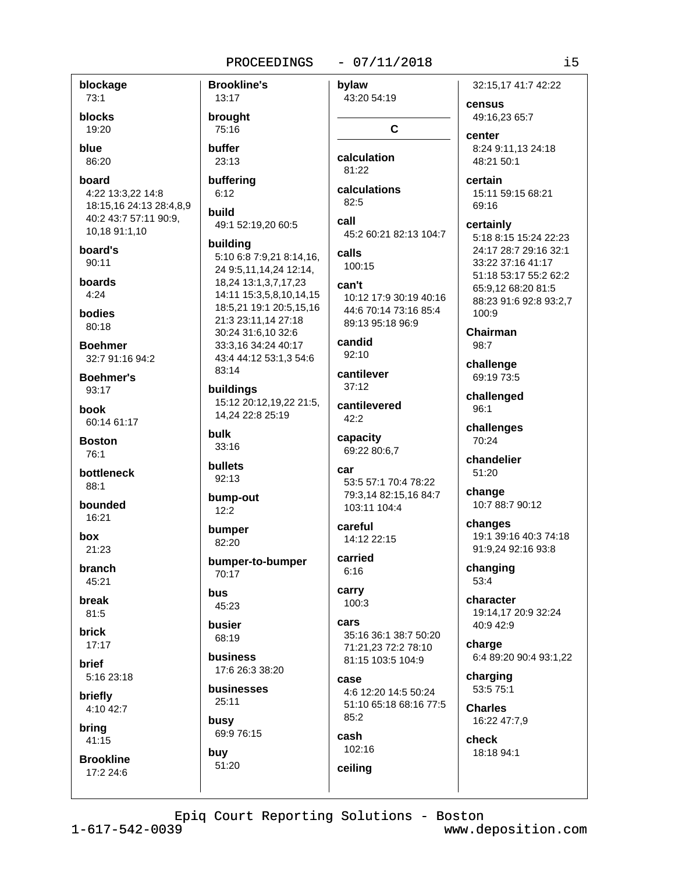## $-07/11/2018$

blockage  $73:1$ blocks 19:20 blue 86:20 board 4:22 13:3.22 14:8 18:15,16 24:13 28:4,8,9 40:2 43:7 57:11 90:9, 10,18 91:1,10 board's  $90:11$ boards  $4:24$ bodies 80:18 **Boehmer** 32:7 91:16 94:2 **Boehmer's**  $93:17$ **book** 60:14 61:17 **Boston** 76:1 bottleneck 88:1 bounded 16:21

hox 21:23

**branch** 45:21

break 81:5

**brick**  $17:17$ 

**brief** 5:16 23:18

briefly 4:10 42:7

brina  $41:15$ 

**Brookline**  $17:224:6$ 

**Brookline's** 13:17 brought 75:16 buffer 23:13 buffering  $6:12$ build 49:1 52:19,20 60:5 buildina 5:10 6:8 7:9,21 8:14,16, 24 9:5,11,14,24 12:14, 18,24 13:1,3,7,17,23 14:11 15:3,5,8,10,14,15 18:5,21 19:1 20:5,15,16 21:3 23:11,14 27:18 30:24 31:6,10 32:6 33:3,16 34:24 40:17 43:4 44:12 53:1,3 54:6 83:14 buildings 15:12 20:12.19.22 21:5. 14.24 22:8 25:19 **bulk**  $33:16$ bullets  $92:13$ bump-out  $12:2$ bumper 82:20 bumper-to-bumper  $70:17$ bus 45:23 busier

68:19

 $25:11$ 

busy

buy

51:20

business

businesses

69:9 76:15

17:6 26:3 38:20

bylaw 43:20 54:19 C calculation

 $81.22$ calculations

 $82:5$ call 45.2 60.21 82.13 104.7 calls

100:15

can't 10:12 17:9 30:19 40:16 44:6 70:14 73:16 85:4 89:13 95:18 96:9

candid  $92:10$ 

cantilever  $37:12$ 

cantilevered 42:2

capacity 69:22 80:6,7

car 53:5 57:1 70:4 78:22 79:3.14 82:15.16 84:7  $103.111104.4$ 

careful 14:12 22:15

carried  $6:16$ 

carry  $100:3$ 

cars 35:16 36:1 38:7 50:20 71:21,23 72:2 78:10 81:15 103:5 104:9

case 4:6 12:20 14:5 50:24 51:10 65:18 68:16 77:5  $85:2$ 

cash 102:16 ceiling

32:15.17 41:7 42:22

census 49:16.23 65:7

center 8:24 9:11.13 24:18 48:21 50:1

certain 15:11 59:15 68:21 69:16

certainly 5:18 8:15 15:24 22:23 24:17 28:7 29:16 32:1 33:22 37:16 41:17 51:18 53:17 55:2 62:2 65:9.12 68:20 81:5 88:23 91:6 92:8 93:2,7  $100:9$ 

Chairman 98:7

challenge 69:19 73:5

challenged  $96:1$ 

challenges 70:24

chandelier 51:20

change 10:7 88:7 90:12

changes 19:1 39:16 40:3 74:18 91:9.24 92:16 93:8

changing 53:4

character 19:14,17 20:9 32:24 40:9 42:9

charge 6:4 89:20 90:4 93:1,22

charging 53:5 75:1

**Charles** 16:22 47:7,9

check 18:18 94:1

Epiq Court Reporting Solutions - Boston

 $1 - 617 - 542 - 0039$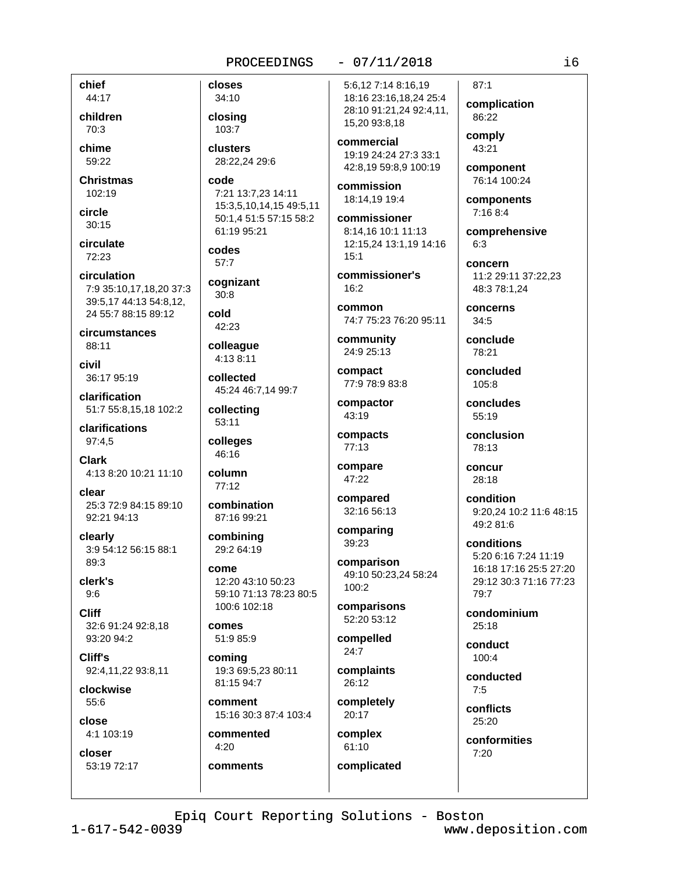closes

34:10

closing

103:7

clusters

code

codes

 $57:7$ 

 $30:8$ 

42:23

colleague

4:13 8:11

collected

collecting

 $53:11$ 

colleges

46:16

column

 $77:12$ 

combination

87:16 99:21

combining

29:2 64:19

12:20 43:10 50:23

19:3 69:5.23 80:11

15:16 30:3 87:4 103:4

100:6 102:18

59:10 71:13 78:23 80:5

come

comes

comina

51:9 85:9

81:15 94:7

commented

comments

4:20

comment

45:24 46:7,14 99:7

cold

cognizant

28:22,24 29:6

61:19 95:21

7:21 13:7,23 14:11

15:3,5,10,14,15 49:5,11

50:1,4 51:5 57:15 58:2

chief 44:17

children 70:3

chime 59:22

**Christmas**  $102:19$ 

circle  $30:15$ 

circulate 72:23

circulation 7:9 35:10,17,18,20 37:3 39:5,17 44:13 54:8,12, 24 55:7 88:15 89:12

circumstances 88:11

civil 36:17 95:19

clarification 51:7 55:8,15,18 102:2

clarifications 97:4,5

**Clark** 4:13 8:20 10:21 11:10

clear 25:3 72:9 84:15 89:10 92:21 94:13

clearly 3:9 54:12 56:15 88:1  $89.3$ 

clerk's  $9:6$ 

**Cliff** 32:6 91:24 92:8,18 93:20 94:2

Cliff's 92:4,11,22 93:8,11

clockwise  $55:6$ 

close 4:1 103:19

closer 53:19 72:17  $-07/11/2018$ 

5:6,12 7:14 8:16,19 18:16 23:16,18,24 25:4 28:10 91:21,24 92:4,11, 15,20 93:8,18

commercial 19:19 24:24 27:3 33:1 42:8,19 59:8,9 100:19

commission 18:14.19 19:4

commissioner 8:14.16 10:1 11:13 12:15,24 13:1,19 14:16  $15:1$ 

commissioner's  $16:2$ 

common 74:7 75:23 76:20 95:11

community 24:9 25:13

compact 77:9 78:9 83:8

compactor 43:19

compacts 77:13

compare 47:22

compared 32:16 56:13

> comparing 39:23

comparison 49:10 50:23,24 58:24 100:2

comparisons 52:20 53:12

compelled  $24:7$ 

complaints 26:12

completely 20:17

complex 61:10 complicated

 $87:1$ complication 86:22

comply 43:21

component 76:14 100:24

components  $7:168:4$ 

comprehensive  $6:3$ 

concern 11:2 29:11 37:22.23 48:3 78:1,24

concerns  $34:5$ 

conclude 78:21

concluded 105:8

concludes 55:19

conclusion 78:13

concur 28:18

condition 9:20.24 10:2 11:6 48:15 49:2 81:6

conditions 5:20 6:16 7:24 11:19 16:18 17:16 25:5 27:20 29:12 30:3 71:16 77:23 79:7

condominium  $25:18$ 

conduct  $100:4$ 

conducted  $7:5$ 

conflicts 25:20

conformities  $7:20$ 

Epiq Court Reporting Solutions - Boston

 $1 - 617 - 542 - 0039$ 

www.deposition.com

i6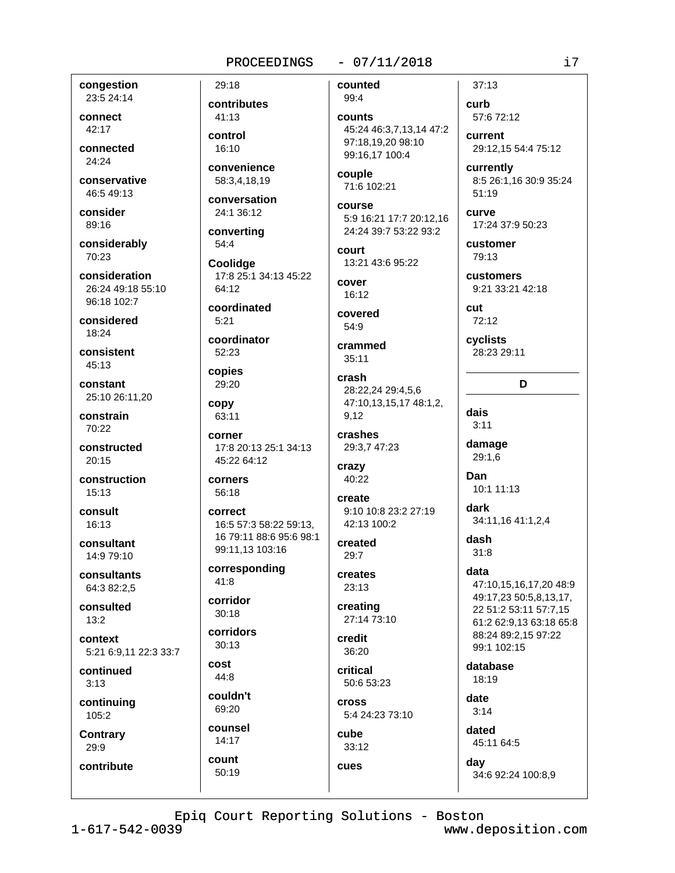# $-07/11/2018$

congestion 23:5 24:14

connect 42:17

connected 24:24

conservative 46:549:13

consider 89:16

considerably 70:23

consideration 26:24 49:18 55:10 96:18 102:7

considered  $18.24$ 

consistent  $45:13$ 

constant 25:10 26:11,20

constrain  $70:22$ 

constructed  $20:15$ 

construction 15:13

consult  $16:13$ 

consultant 14:9 79:10

consultants 64:3 82:2,5

consulted  $13:2$ 

context 5:21 6:9.11 22:3 33:7

continued  $3:13$ 

continuing 105:2

**Contrary** 29:9

contribute

29:18 contributes 41:13 control  $16:10$ convenience 58:3.4.18.19

conversation 24:1 36:12

converting  $54:4$ 

Coolidge 17:8 25:1 34:13 45:22 64:12

coordinated  $5:21$ 

coordinator 52:23

copies 29:20

copy 63:11

corner 17:8 20:13 25:1 34:13 45:22 64:12

corners 56:18

correct 16:5 57:3 58:22 59:13. 16 79:11 88:6 95:6 98:1 99:11,13 103:16

corresponding 41:8

corridor  $30:18$ 

corridors  $30:13$ 

cost  $44:8$ 

couldn't 69:20

counsel  $14:17$ 

count

50:19

counted 99:4

counts 45:24 46:3,7,13,14 47:2 97:18,19,20 98:10 99:16.17 100:4

couple 71:6 102:21

course 5:9 16:21 17:7 20:12,16 24:24 39:7 53:22 93:2

court 13:21 43:6 95:22

cover  $16:12$ 

covered 54:9

crammed  $35:11$ 

crash 28:22,24 29:4,5,6 47:10,13,15,17 48:1,2, 9.12

crashes 29:3,7 47:23

crazy 40:22

create 9:10 10:8 23:2 27:19 42:13 100:2

created  $29:7$ 

creates 23:13

creating 27:14 73:10

credit 36:20

critical 50:6 53:23

**Cross** 5:4 24:23 73:10

cube 33:12

cues

45:11 64:5

day 34:6 92:24 100:8,9

Epiq Court Reporting Solutions - Boston

 $1 - 617 - 542 - 0039$ 

www.deposition.com

i7

 $37:13$ 

current

currently

customer

customers

79:13

 $72:12$ 

cyclists

dais

 $3:11$ 

damage

 $29:1.6$ 

10:1 11:13

34:11,16 41:1,2,4

47:10.15.16.17.20 48:9

49:17,23 50:5,8,13,17,

22 51:2 53:11 57:7,15

88:24 89:2.15 97:22

99:1 102:15

database

18:19

date

 $3:14$ 

dated

61:2 62:9.13 63:18 65:8

Dan

dark

dash

data

 $31:8$ 

28:23 29:11

D

cut

 $51:19$ 

curve

57:6 72:12

29:12.15 54:4 75:12

8:5 26:1.16 30:9 35:24

17:24 37:9 50:23

9:21 33:21 42:18

curb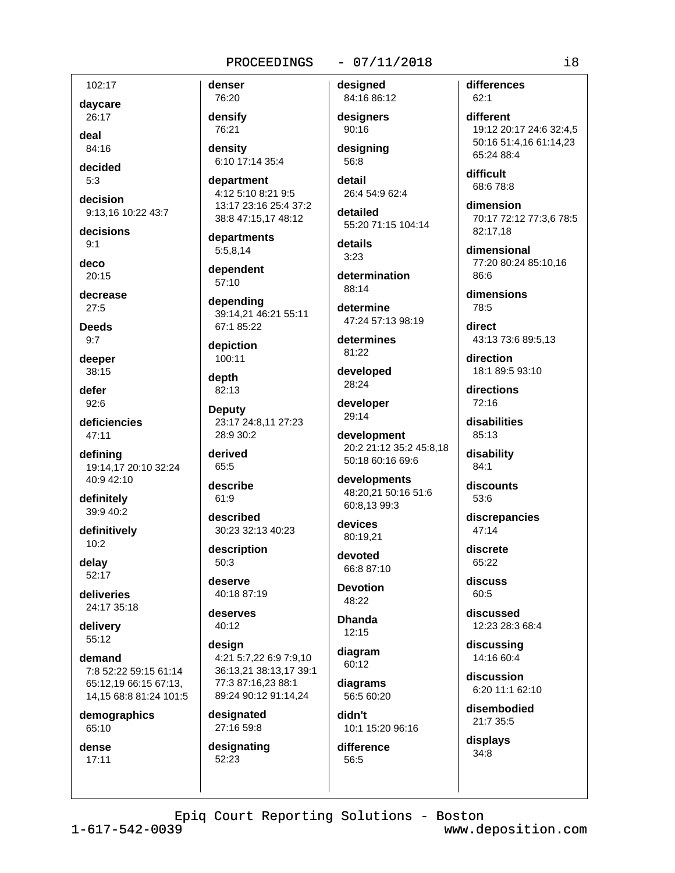102:17

daycare 26:17

deal  $84.16$ 

decided  $5:3$ 

decision

9:13,16 10:22 43:7

decisions  $9:1$ 

deco  $20.15$ 

decrease  $27:5$ 

**Deeds**  $9:7$ 

deeper 38:15

defer 92:6

deficiencies  $47:11$ 

definina 19:14,17 20:10 32:24 40:9 42:10

definitely 39:9 40:2

definitively  $10:2$ 

delay  $52.17$ 

deliveries 24:17 35:18

delivery 55:12

demand 7:8 52:22 59:15 61:14 65:12,19 66:15 67:13, 14,15 68:8 81:24 101:5

demographics 65:10

dense  $17:11$ 

densify 76:21 density

denser

76:20

6:10 17:14 35:4

department 4:12 5:10 8:21 9:5 13:17 23:16 25:4 37:2 38:8 47:15,17 48:12

departments 5:5,8,14

dependent 57:10

depending 39:14,21 46:21 55:11 67:1 85:22

depiction 100:11

depth 82:13

**Deputy** 23:17 24:8.11 27:23  $28.9.30.2$ 

derived 65:5

describe 61:9

described 30:23 32:13 40:23

description  $50:3$ 

deserve 40:18 87:19

deserves 40:12

desian 4:21 5:7.22 6:9 7:9.10 36:13.21 38:13.17 39:1 77:3 87:16,23 88:1 89:24 90:12 91:14,24

designated 27:16 59:8

designating 52:23

# $-07/11/2018$

desianed 84:16 86:12

designers  $90:16$ 

designing 56:8

detail 26:4 54:9 62:4

detailed 55:20 71:15 104:14

details  $3:23$ 

determination 88:14

determine

47:24 57:13 98:19

determines 81:22

developed 28:24

developer 29:14

development 20:2 21:12 35:2 45:8.18 50:18 60:16 69:6

developments 48:20,21 50:16 51:6 60:8.13 99:3

devices 80:19,21

devoted  $66.887.10$ 

**Devotion** 48:22

**Dhanda**  $12:15$ 

diagram 60:12

> diagrams 56:5 60:20

didn't 10:1 15:20 96:16

difference 56:5

differences  $62:1$ 

different 19:12 20:17 24:6 32:4,5 50:16 51:4,16 61:14,23 65:24 88:4

difficult 68:6 78:8

dimension 70:17 72:12 77:3,6 78:5 82:17,18

dimensional 77:20 80:24 85:10.16 86:6

dimensions  $78:5$ 

direct 43:13 73:6 89:5,13

direction 18:1 89:5 93:10

directions  $72:16$ 

disabilities 85:13

disability  $84:1$ 

discounts 53:6

discrepancies  $47:14$ 

discrete 65:22

discuss 60:5

discussed 12:23 28:3 68:4

discussing 14:16 60:4

discussion 6:20 11:1 62:10

disembodied 21:7 35:5

displays  $34:8$ 

Epiq Court Reporting Solutions - Boston

 $1 - 617 - 542 - 0039$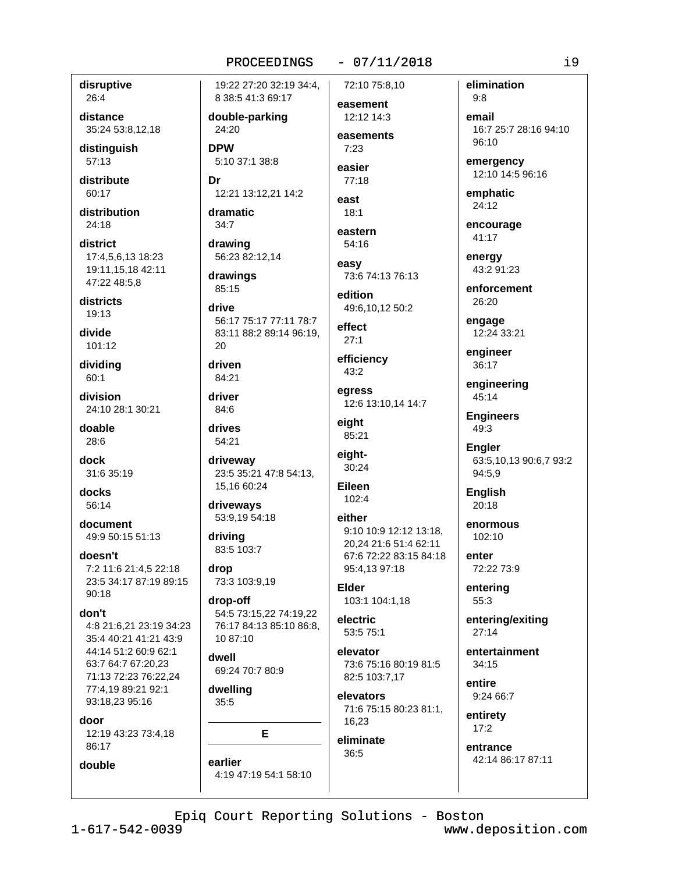## disruptive 26:4

distance 35:24 53:8,12,18

distinguish 57:13

distribute  $60:17$ 

distribution  $24:18$ 

district 17:4.5.6.13 18:23 19:11,15,18 42:11 47:22 48:5.8

districts 19:13

divide 101:12

dividing  $60:1$ 

division 24:10 28:1 30:21

doable  $28:6$ 

dock 31:6 35:19

docks  $56.14$ 

document 49:9 50:15 51:13

doesn't 7:2 11:6 21:4.5 22:18 23:5 34:17 87:19 89:15  $90:18$ 

# don't

4:8 21:6,21 23:19 34:23 35:4 40:21 41:21 43:9 44:14 51:2 60:9 62:1 63:7 64:7 67:20.23 71:13 72:23 76:22,24 77:4,19 89:21 92:1 93:18,23 95:16

door

12:19 43:23 73:4,18 86:17

double

19:22 27:20 32:19 34:4. 8 38:5 41:3 69:17

double-parking 24:20

**DPW** 5:10 37:1 38:8

Dr 12:21 13:12,21 14:2

dramatic  $34:7$ 

drawing 56:23 82:12.14

drawings 85:15

drive 56:17 75:17 77:11 78:7 83:11 88:2 89:14 96:19. 20

driven

84:21 driver

84:6

drives 54:21

driveway 23:5 35:21 47:8 54:13, 15,16 60:24

driveways 53:9,19 54:18

driving 83:5 103:7

drop 73:3 103:9,19

drop-off 54:5 73:15,22 74:19,22 76:17 84:13 85:10 86:8, 10 87:10

dwell 69:24 70:7 80:9

dwelling  $35:5$ 

E

earlier 4:19 47:19 54:1 58:10  $-07/11/2018$ 

72:10 75:8.10 easement

12:12 14:3 easements

 $7.23$ easier

 $77:18$ east

 $18:1$ 

eastern 54:16

easy 73:6 74:13 76:13

edition 49:6,10,12 50:2

effect  $27:1$ 

efficiency 43:2

egress 12:6 13:10,14 14:7 eight

85:21 eiaht-

30:24

Eileen  $102:4$ 

either 9:10 10:9 12:12 13:18, 20,24 21:6 51:4 62:11 67:6 72:22 83:15 84:18 95:4,13 97:18

Elder 103:1 104:1,18

electric 53:5 75:1

elevator 73:6 75:16 80:19 81:5 82:5 103:7,17

elevators 71:6 75:15 80:23 81:1, 16,23

eliminate 36:5

elimination  $9.8$ 

email 16:7 25:7 28:16 94:10  $96:10$ 

emergency 12:10 14:5 96:16

emphatic 24:12

encourage 41:17

energy 43:2 91:23

> enforcement 26:20

engage 12:24 33:21

engineer 36:17

engineering 45:14

**Engineers** 49:3

**Engler** 63:5,10,13 90:6,7 93:2 94:5,9

**English**  $20.18$ 

enormous 102:10

enter 72:22 73:9

entering  $55:3$ 

entering/exiting  $27:14$ 

entertainment  $34:15$ 

entire 9:24 66:7

entirety  $17:2$ 

> entrance 42:14 86:17 87:11

Epiq Court Reporting Solutions - Boston

 $1 - 617 - 542 - 0039$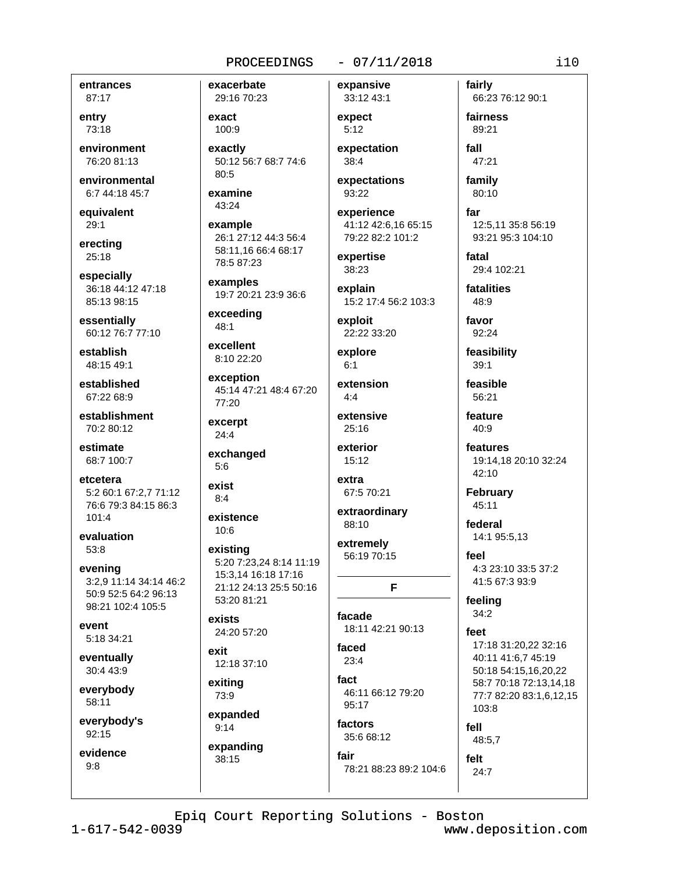#### $-07/11/2018$

entrances 87:17

entry 73:18

environment 76:20 81:13

environmental 6:7 44:18 45:7

equivalent 29:1

erectina  $25:18$ 

especially 36:18 44:12 47:18 85:13 98:15

essentially 60:12 76:7 77:10

establish 48:15 49:1

established 67:22 68:9

establishment 70:2 80:12

estimate 68:7 100:7

etcetera 5:2 60:1 67:2.7 71:12 76:6 79:3 84:15 86:3  $101:4$ 

evaluation 53:8

evening 3:2,9 11:14 34:14 46:2 50:9 52:5 64:2 96:13 98:21 102:4 105:5

event 5:18 34:21

eventually 30:4 43:9

everybody 58:11

everybody's  $92:15$ 

evidence  $9:8$ 

29:16 70:23 exact 100:9

exacerbate

exactly 50:12 56:7 68:7 74:6 80:5

examine 43:24

#### example 26:1 27:12 44:3 56:4 58:11,16 66:4 68:17 78:5 87:23

examples 19:7 20:21 23:9 36:6

exceeding  $48:1$ 

excellent 8:10 22:20

exception 45:14 47:21 48:4 67:20 77:20

excerpt  $24:4$ 

exchanged  $5:6$ 

exist  $8:4$ 

existence  $10:6$ 

existina 5:20 7:23.24 8:14 11:19 15:3,14 16:18 17:16 21:12 24:13 25:5 50:16 53:20 81:21

exists 24:20 57:20

exit 12:18 37:10

exiting 73:9

expanded  $9:14$ 

expanding 38:15

expect  $5:12$ 

expansive

33:12 43:1

expectation 38:4

expectations 93:22

experience 41:12 42:6,16 65:15 79:22 82:2 101:2

expertise 38:23

explain 15:2 17:4 56:2 103:3

exploit 22:22 33:20

explore  $6:1$ 

extension  $4:4$ 

extensive  $25:16$ 

exterior 15:12

extra 67:5 70:21

extraordinary 88:10

extremely 56:19 70:15

facade

18:11 42:21 90:13

F

faced  $23:4$ fact

46:11 66:12 79:20 95:17

factors 35:6 68:12

fair 78:21 88:23 89:2 104:6 fairly 66:23 76:12 90:1

fairness 89:21 fall

47:21

family 80:10

far 12:5,11 35:8 56:19 93:21 95:3 104:10

fatal 29:4 102:21

fatalities 48:9

favor 92:24

feasibility  $39:1$ 

feasible 56:21

feature  $40:9$ 

features 19:14,18 20:10 32:24 42:10

February  $45:11$ 

federal 14:1 95:5,13

feel 4:3 23:10 33:5 37:2 41:5 67:3 93:9

feeling  $34:2$ 

feet 17:18 31:20.22 32:16 40:11 41:6.7 45:19 50:18 54:15,16,20,22 58:7 70:18 72:13,14,18 77:7 82:20 83:1,6,12,15 103:8 fell

48:5,7

felt  $24:7$ 

Epiq Court Reporting Solutions - Boston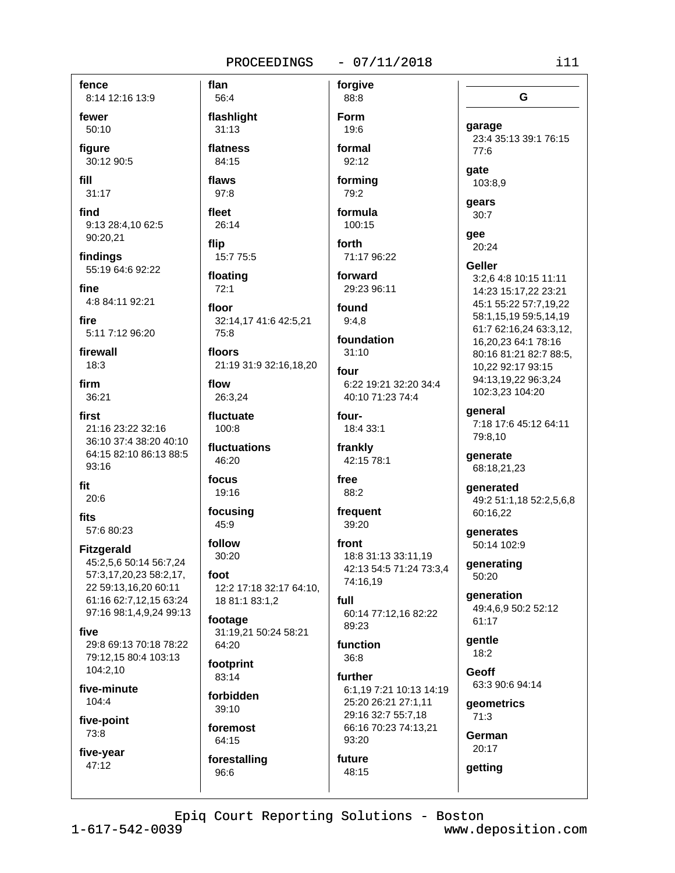#### $-07/11/2018$ PROCEEDINGS

fence 8:14 12:16 13:9

fewer  $50:10$ 

figure 30:12 90:5

fill  $31:17$ 

find 9:13 28:4,10 62:5 90:20,21

findinas 55:19 64:6 92:22

fine 4:8 84:11 92:21

fire 5:11 7:12 96:20

firewall  $18:3$ 

firm 36:21

- first 21:16 23:22 32:16 36:10 37:4 38:20 40:10 64:15 82:10 86:13 88:5 93:16
- fit  $20:6$

fits 57:6 80:23

**Fitzgerald** 45:2,5,6 50:14 56:7,24 57:3,17,20,23 58:2,17,

22 59:13,16,20 60:11 61:16 62:7,12,15 63:24 97:16 98:1,4,9,24 99:13

five 29:8 69:13 70:18 78:22 79:12.15 80:4 103:13 104:2,10

five-minute 104:4

five-point 73:8

five-year 47:12

flan 56:4 flashlight  $31:13$ flatness 84:15 flaws  $97:8$ fleet

26:14 flip 15:7 75:5

floating  $72:1$ 

floor 32:14,17 41:6 42:5,21 75:8

floors 21:19 31:9 32:16,18,20

flow 26:3,24

fluctuate  $100:8$ 

fluctuations 46:20

focus 19:16

focusing 45:9

follow 30:20  $f$ 

12:2 17:18 32:17 64:10, 18 81:1 83:1,2

footage 31:19,21 50:24 58:21 64:20

footprint 83:14

forbidden 39:10

foremost 64:15 forestalling

96:6

19:6 formal 92:12

forgive

88:8

Form

formina 79:2

formula 100:15

forth 71:17 96:22

forward 29:23 96:11

found  $9:4.8$ 

foundation  $31:10$ 

four 6:22 19:21 32:20 34:4 40:10 71:23 74:4

four-18:4 33:1

frankly 42:15 78:1

free 88:2

frequent  $39:20$ 

front 18:8 31:13 33:11.19 42:13 54:5 71:24 73:3,4 74:16,19

full 60:14 77:12,16 82:22 89:23

function  $36:8$ 

48:15

further 6:1,19 7:21 10:13 14:19 25:20 26:21 27:1,11 29:16 32:7 55:7,18 66:16 70:23 74:13,21 93:20 future

qee 20:24 Geller 3:2,6 4:8 10:15 11:11 14:23 15:17,22 23:21 45:1 55:22 57:7,19,22 58:1,15,19 59:5,14,19 61:7 62:16,24 63:3,12, 16,20,23 64:1 78:16 80:16 81:21 82:7 88:5. 10.22 92:17 93:15 94:13,19,22 96:3,24 102:3,23 104:20 general 7:18 17:6 45:12 64:11

79:8,10

generate 68:18,21,23

qenerated 49:2 51:1,18 52:2,5,6,8 60:16,22

generates 50:14 102:9

generating 50:20

generation 49:4.6.9 50:2 52:12 61:17

aentle  $18:2$ 

**Geoff** 63:3 90:6 94:14

geometrics  $71:3$ 

German  $20:17$ 

getting

Epiq Court Reporting Solutions - Boston

 $1 - 617 - 542 - 0039$ 

www.deposition.com

G

23:4 35:13 39:1 76:15

garage

77:6

103:8,9

gate

gears

 $30:7$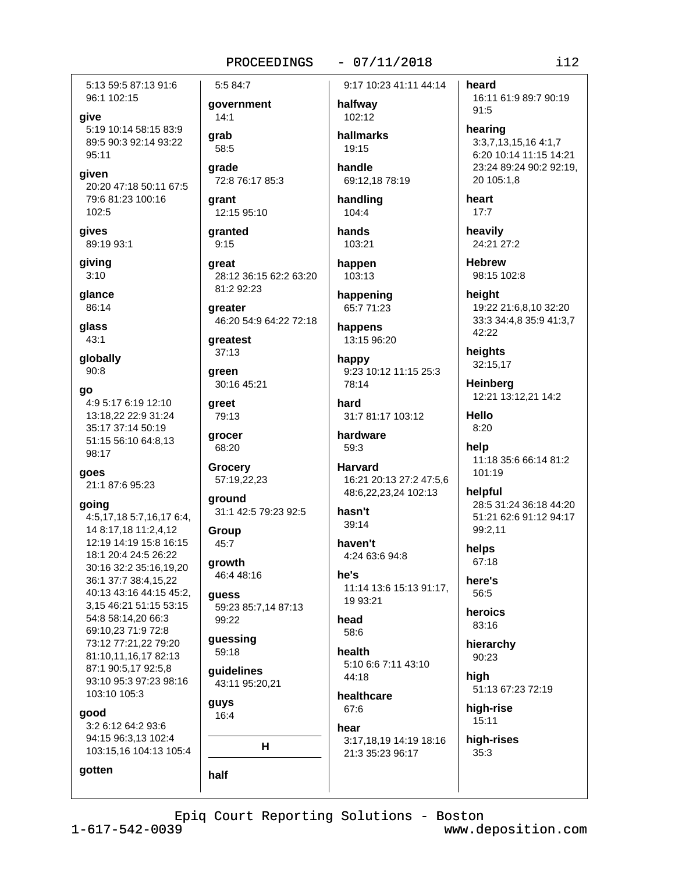5:13 59:5 87:13 91:6 96:1 102:15

give 5:19 10:14 58:15 83:9 89:5 90:3 92:14 93:22  $95:11$ 

given 20:20 47:18 50:11 67:5 79:6 81:23 100:16 102:5

gives 89:19 93:1

giving  $3:10$ 

glance 86:14

qlass  $43:1$ 

globally  $90:8$ 

go

4:9 5:17 6:19 12:10 13:18.22 22:9 31:24 35:17 37:14 50:19 51:15 56:10 64:8,13 98:17

goes 21:1 87:6 95:23

#### going

4:5,17,18 5:7,16,17 6:4, 14 8:17.18 11:2.4.12 12:19 14:19 15:8 16:15 18:1 20:4 24:5 26:22 30:16 32:2 35:16.19.20 36:1 37:7 38:4,15,22 40:13 43:16 44:15 45:2, 3.15 46:21 51:15 53:15 54:8 58:14,20 66:3 69:10,23 71:9 72:8 73:12 77:21,22 79:20 81:10,11,16,17 82:13 87:1 90:5,17 92:5,8 93:10 95:3 97:23 98:16 103:10 105:3

good

gotten

3:2 6:12 64:2 93:6 94:15 96:3,13 102:4 103:15,16 104:13 105:4

5:5 84:7 qovernment

 $14:1$ grab

58:5 grade

**grant** 12:15 95:10

72:8 76:17 85:3

granted  $9:15$ 

great 28:12 36:15 62:2 63:20 81:2 92:23

greater 46:20 54:9 64:22 72:18

greatest  $37:13$ 

areen 30:16 45:21

greet 79:13

grocer 68:20

**Grocery** 57:19,22,23

around 31:1 42:5 79:23 92:5

Group 45:7

arowth 46:4 48:16

guess 59:23 85:7,14 87:13 99:22

quessing 59:18

guidelines 43:11 95:20,21

guys 16:4

half

 $H$ 

# $-07/11/2018$

9:17 10:23 41:11 44:14

```
halfway
 102:12
```
hallmarks  $19.15$ handle

69:12.18 78:19

handling 104:4

hands 103:21

happen  $103:13$ 

happening 65:7 71:23

happens 13:15 96:20

happy 9:23 10:12 11:15 25:3 78:14

hard 31:7 81:17 103:12

hardware 59:3

> **Harvard** 16:21 20:13 27:2 47:5,6 48:6,22,23,24 102:13

hasn't  $39:14$ 

haven't 4:24 63:6 94:8

he's 11:14 13:6 15:13 91:17, 19 93:21

head 58:6

health 5:10 6:6 7:11 43:10 44:18

healthcare 67:6 hear

3:17,18,19 14:19 18:16 21:3 35:23 96:17

heard 16:11 61:9 89:7 90:19  $91:5$ 

hearing 3:3,7,13,15,16 4:1,7 6:20 10:14 11:15 14:21 23:24 89:24 90:2 92:19, 20 105:1,8

heart  $17:7$ 

heavily 24:21 27:2

**Hebrew** 98:15 102:8

height 19:22 21:6,8,10 32:20 33:3 34:4,8 35:9 41:3,7 42:22

heights 32:15,17

**Heinberg** 12:21 13:12,21 14:2

**Hello**  $8:20$ 

help 11:18 35:6 66:14 81:2 101:19

helpful 28:5 31:24 36:18 44:20 51:21 62:6 91:12 94:17 99:2.11

helps 67:18

here's 56:5

heroics 83:16

hierarchy  $90:23$ high

51:13 67:23 72:19

high-rise  $15:11$ 

high-rises  $35:3$ 

Epiq Court Reporting Solutions - Boston

 $1 - 617 - 542 - 0039$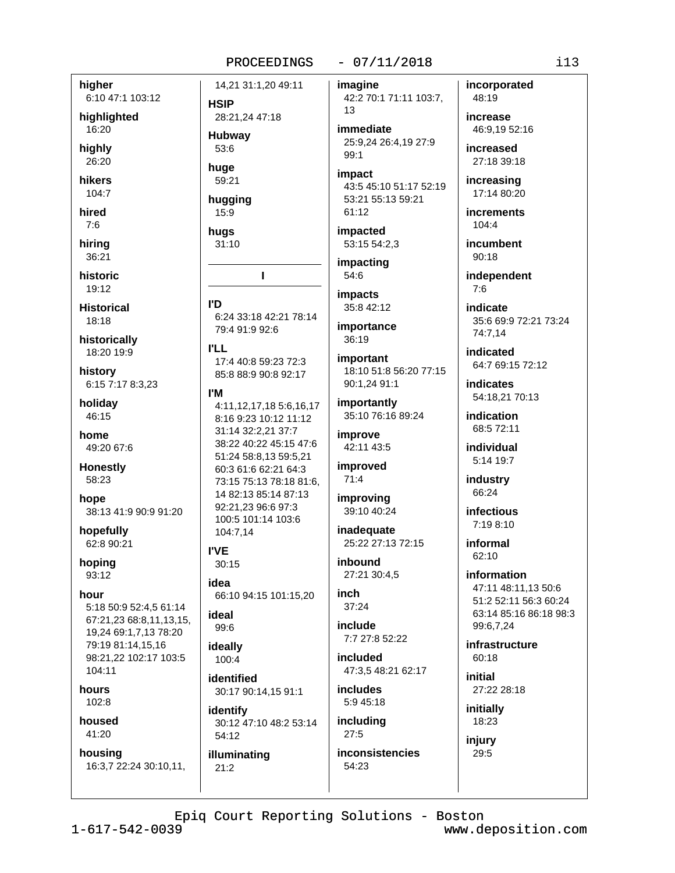#### $-07/11/2018$

higher 6:10 47:1 103:12

highlighted

16:20 hiahly

26:20 hikers

 $104:7$ hired

 $7:6$ 

hirina 36:21

historic 19:12

**Historical** 18:18

historically 18:20 19:9

history 6:15 7:17 8:3,23

holiday 46:15

home 49:20 67:6

**Honestly** 58:23

hope 38:13 41:9 90:9 91:20

hopefully 62:8 90:21

hoping  $93:12$ 

#### hour

5:18 50:9 52:4,5 61:14 67:21,23 68:8,11,13,15, 19,24 69:1,7,13 78:20 79:19 81:14,15,16 98:21.22 102:17 103:5  $104.11$ 

hours  $102:8$ 

#### housed 41:20

housing 16:3,7 22:24 30:10,11,

14,21 31:1,20 49:11 **HSIP** 

28:21,24 47:18 **Hubway**  $53:6$ 

huge 59:21

hugging  $15:9$ 

hugs  $31:10$ 

т

l'D 6:24 33:18 42:21 78:14 79:4 91:9 92:6

**I'LL** 17:4 40:8 59:23 72:3 85:8 88:9 90:8 92:17

#### **I'M**

4:11,12,17,18 5:6,16,17 8:16 9:23 10:12 11:12 31:14 32:2.21 37:7 38:22 40:22 45:15 47:6 51:24 58:8,13 59:5,21 60:3 61:6 62:21 64:3 73:15 75:13 78:18 81:6. 14 82:13 85:14 87:13 92:21.23 96:6 97:3 100:5 101:14 103:6 104:7,14

**I'VE** 30:15

idea 66:10 94:15 101:15,20 ideal

99:6

ideally 100:4

identified 30:17 90:14,15 91:1

identify 30:12 47:10 48:2 53:14 54:12

illuminating  $21:2$ 

imagine 42:2 70:1 71:11 103:7, 13

immediate 25:9,24 26:4,19 27:9  $99:1$ 

impact 43:5 45:10 51:17 52:19 53:21 55:13 59:21 61:12

impacted 53:15 54:2,3

impacting 54:6

*impacts* 35:8 42:12

importance 36:19

**important** 18:10 51:8 56:20 77:15 90:1,24 91:1

importantly 35:10 76:16 89:24

improve 42:11 43:5

improved  $71:4$ 

improving 39:10 40:24

inadequate 25:22 27:13 72:15

inhound 27:21 30:4,5

inch  $37:24$ 

include 7:7 27:8 52:22

included 47:3.5 48:21 62:17

includes 5:9 45:18

including  $27:5$ 

**inconsistencies** 54:23

Epiq Court Reporting Solutions - Boston

incorporated 48:19

increase 46:9,19 52:16

increased 27:18 39:18

increasing 17:14 80:20

**increments** 104:4

incumbent  $90:18$ 

independent  $7:6$ 

indicate 35:6 69:9 72:21 73:24 74:7,14

indicated 64:7 69:15 72:12

indicates 54:18,21 70:13

indication 68:5 72:11

individual 5:14 19:7

industry 66:24

**infectious**  $7:198:10$ 

informal 62:10

> information 47:11 48:11,13 50:6 51:2 52:11 56:3 60:24 63:14 85:16 86:18 98:3 99:6,7,24

infrastructure  $60:18$ 

initial 27:22 28:18

initially 18:23

injury 29:5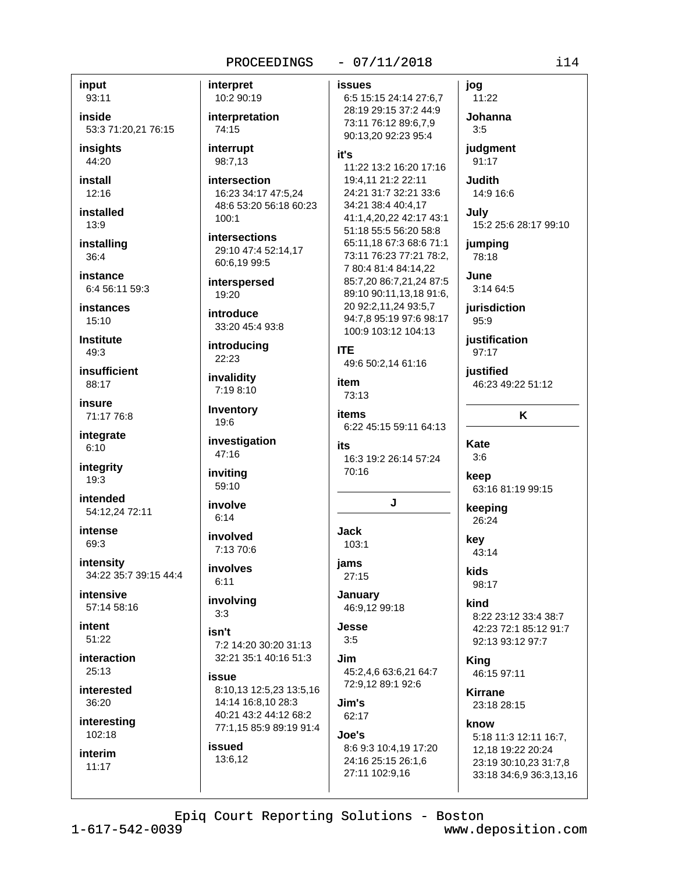input 93:11

inside 53:3 71:20,21 76:15

insights 44:20

install  $12:16$ 

installed  $13:9$ 

installing 36:4

instance 6:4 56:11 59:3

**instances**  $15:10$ 

**Institute** 49:3

insufficient 88:17

insure 71:17 76:8

integrate  $6:10$ 

integrity  $19:3$ 

intended 54:12,24 72:11

intense 69:3

intensity 34:22 35:7 39:15 44:4

intensive 57:14 58:16

intent  $51:22$ 

interaction  $25:13$ 

interested 36:20

interesting

102:18 interim

 $11:17$ 

PROCEEDINGS interpret 10:2 90:19 interpretation 74:15 interrupt it's 98:7,13 intersection 16:23 34:17 47:5.24 48:6 53:20 56:18 60:23  $100.1$ **intersections** 29:10 47:4 52:14,17 60:6.19 99:5 interspersed  $19:20$ introduce 33:20 45:4 93:8 introducing 22:23 invalidity 7:19 8:10 Inventory 19:6 investigation 47:16 inviting 59:10 involve  $6:14$ 

involved 7:13 70:6

involves  $6:11$ 

involving  $3:3$ 

isn't 7:2 14:20 30:20 31:13 32:21 35:1 40:16 51:3

issue 8:10,13 12:5,23 13:5,16 14:14 16:8,10 28:3 40:21 43:2 44:12 68:2 77:1.15 85:9 89:19 91:4 issued

13:6,12

#### $-07/11/2018$

**issues** 

6:5 15:15 24:14 27:6,7 28:19 29:15 37:2 44:9 73:11 76:12 89:6.7.9 90:13,20 92:23 95:4

11:22 13:2 16:20 17:16 19:4.11 21:2 22:11 24:21 31:7 32:21 33:6 34:21 38:4 40:4,17 41:1,4,20,22 42:17 43:1 51:18 55:5 56:20 58:8 65:11,18 67:3 68:6 71:1 73:11 76:23 77:21 78:2, 7 80:4 81:4 84:14.22 85:7,20 86:7,21,24 87:5 89:10 90:11,13,18 91:6, 20 92:2.11.24 93:5.7 94:7,8 95:19 97:6 98:17 100:9 103:12 104:13 **ITE** 

49:6 50:2,14 61:16 item

73:13

items 6:22 45:15 59:11 64:13

its 16:3 19:2 26:14 57:24 70:16

# J

**Jack** 

103:1 jams

 $27:15$ January

46:9,12 99:18 Jesse

 $3:5$ .Jim 45:2,4,6 63:6,21 64:7

72:9.12 89:1 92:6

Jim's 62:17

Joe's 8:6 9:3 10:4.19 17:20 24:16 25:15 26:1.6 27:11 102:9,16

11:22 Johanna  $3:5$ judgment

jog

91:17

**Judith** 14:9 16:6

July 15:2 25:6 28:17 99:10

jumpina 78:18

June 3:14 64:5

jurisdiction  $95:9$ 

justification 97:17

**justified** 46:23 49:22 51:12

# K

Kate  $3:6$ 

keep 63:16 81:19 99:15

keeping 26:24

key 43:14 kids

98:17

kind 8:22 23:12 33:4 38:7 42:23 72:1 85:12 91:7 92:13 93:12 97:7

King 46:15 97:11

**Kirrane** 23:18 28:15

know 5:18 11:3 12:11 16:7,

12,18 19:22 20:24 23:19 30:10,23 31:7,8 33:18 34:6,9 36:3,13,16

Epiq Court Reporting Solutions - Boston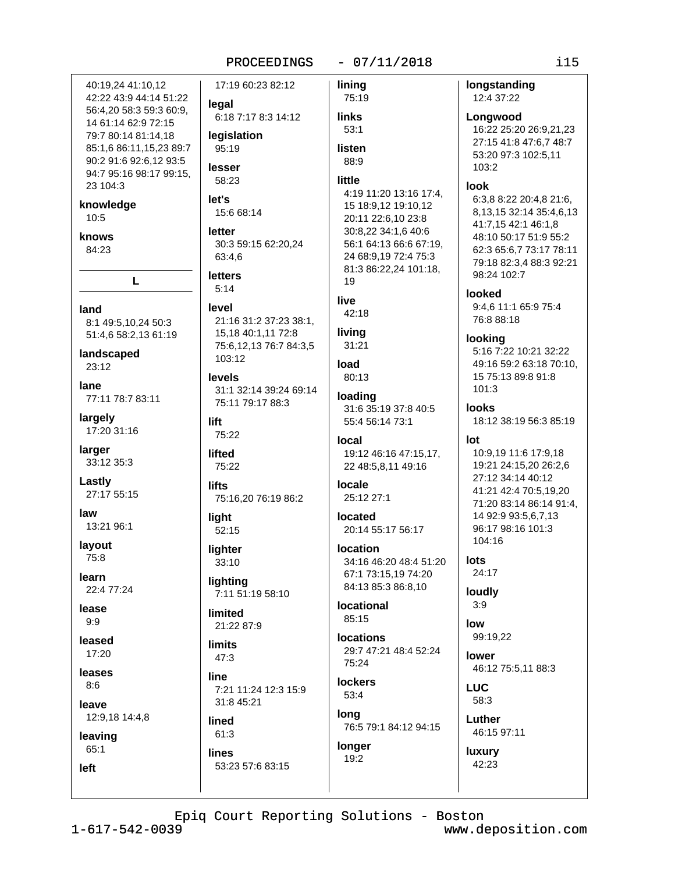#### $-07/11/2018$

40:19.24 41:10.12 42:22 43:9 44:14 51:22 legal 56:4,20 58:3 59:3 60:9, 14 61:14 62:9 72:15 79:7 80:14 81:14,18 legislation 85:1.6 86:11.15.23 89:7 95:19 90:2 91:6 92:6.12 93:5 lesser 94:7 95:16 98:17 99:15, 58:23 23 104:3 let's knowledge 10:5 letter knows 84:23 63:4.6 **letters** L  $5:14$ level land 8:1 49:5,10,24 50:3 51:4,6 58:2,13 61:19 landscaped 103:12  $23:12$ **levels** lane 77:11 78:7 83:11 largely lift 17:20 31:16  $75.22$ larger lifted 33:12 35:3 75:22 Lastly lifts 27:17 55:15 law light 13:21 96:1  $52:15$ layout lighter 75:8  $33:10$ learn lighting 22:4 77:24 lease limited  $9.9$ leased **limits** 17:20  $47:3$ leases line  $8:6$ leave 12:9,18 14:4,8 lined  $61:3$ leaving  $65:1$ lines 53:23 57:6 83:15 left Epiq Court Reporting Solutions - Boston

17:19 60:23 82:12 linina 75:19 6:18 7:17 8:3 14:12 links  $53:1$ listen 88:9 little 4:19 11:20 13:16 17:4. 15 18:9,12 19:10,12 15:6 68:14 20:11 22:6,10 23:8 30:8,22 34:1,6 40:6 30:3 59:15 62:20.24 56:1 64:13 66:6 67:19, 24 68:9,19 72:4 75:3 81:3 86:22,24 101:18, 19 live  $42:18$ 21:16 31:2 37:23 38:1. living 15,18 40:1,11 72:8 31:21 75:6,12,13 76:7 84:3,5 load 80:13 31:1 32:14 39:24 69:14 loading 75:11 79:17 88:3 31:6 35:19 37:8 40:5 55:4 56:14 73:1 local 19:12 46:16 47:15,17, 22 48:5,8,11 49:16 locale 75:16,20 76:19 86:2 25:12 27:1 located 20:14 55:17 56:17 **Iocation** 67:1 73:15.19 74:20 84:13 85:3 86:8,10 7:11 51:19 58:10 **locational** 85:15 21:22 87:9 **locations** 29:7 47:21 48:4 52:24 75:24 **lockers** 7:21 11:24 12:3 15:9  $53:4$ 31:8 45:21 long

longer

19:2

12:4 37:22 Longwood 16:22 25:20 26:9,21,23 27:15 41:8 47:6,7 48:7 103:2 look 98:24 102:7 **looked** 76:8 88:18 looking  $101:3$ **looks** lot 104:16 lots 34:16 46:20 48:4 51:20 24:17 loudly  $3:9$ low 99:19,22 lower LUC 58:3 Luther 76:5 79:1 84:12 94:15 46:15 97:11

# 53:20 97:3 102:5,11 6:3,8 8:22 20:4,8 21:6, 8,13,15 32:14 35:4,6,13 41:7,15 42:1 46:1,8 48:10 50:17 51:9 55:2 62:3 65:6,7 73:17 78:11 79:18 82:3,4 88:3 92:21 9:4.6 11:1 65:9 75:4 5:16 7:22 10:21 32:22

49:16 59:2 63:18 70:10, 15 75:13 89:8 91:8

18:12 38:19 56:3 85:19

10:9,19 11:6 17:9,18 19:21 24:15,20 26:2,6 27:12 34:14 40:12 41:21 42:4 70:5,19,20 71:20 83:14 86:14 91:4, 14 92:9 93:5,6,7,13 96:17 98:16 101:3

46:12 75:5,11 88:3

luxury 42:23

longstanding

i15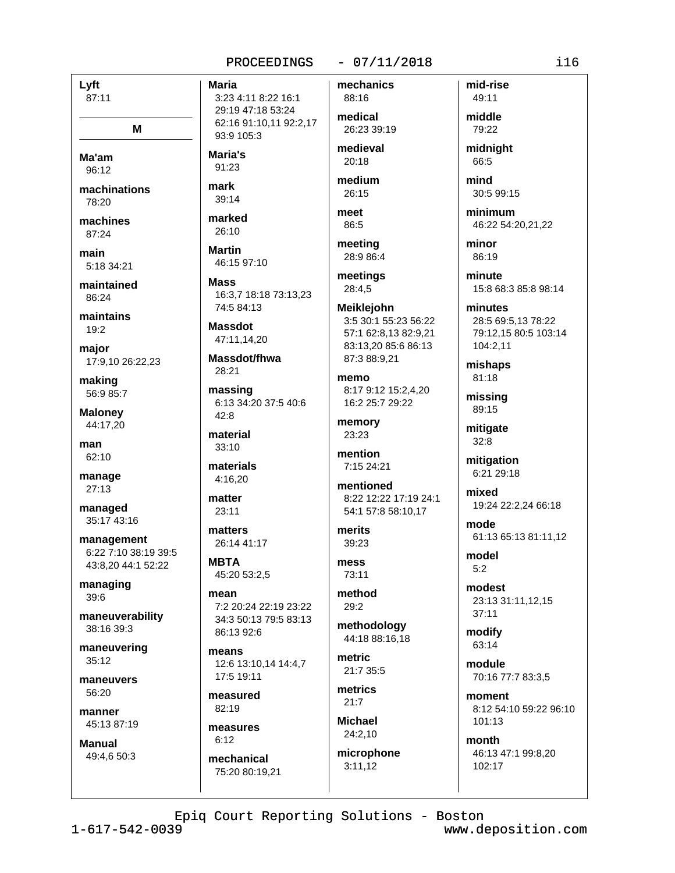### $-07/11/2018$

Lyft 87:11

M

Ma'am  $96.12$ 

machinations 78:20

machines  $87.24$ 

main 5:18 34:21

maintained 86:24

maintains

 $19:2$ 

maior 17:9,10 26:22,23

making 56:9 85:7

**Maloney** 44:17,20

man 62:10

manage 27:13

managed 35:17 43:16

management 6:22 7:10 38:19 39:5 43:8,20 44:1 52:22

managing 39:6

maneuverability 38:16 39:3

maneuvering 35:12

maneuvers 56:20

manner 45:13 87:19

**Manual** 49:4,6 50:3 **Maria** 3:23 4:11 8:22 16:1 29:19 47:18 53:24 62:16 91:10.11 92:2.17 93:9 105:3

Maria's 91:23

mark  $39.14$ 

marked 26:10

**Martin** 46:15 97:10

**Mass** 16:3.7 18:18 73:13.23 74:5 84:13

**Massdot** 47:11,14,20

Massdot/fhwa 28:21

massing 6:13 34:20 37:5 40:6  $42:8$ 

material 33:10

materials 4:16,20

matter 23:11

matters 26:14 41:17

**MBTA** 45:20 53:2,5

mean 7:2 20:24 22:19 23:22 34:3 50:13 79:5 83:13 86:13 92:6

means 12:6 13:10.14 14:4.7 17:5 19:11

measured  $82:19$ 

measures  $6:12$ 

mechanical 75:20 80:19.21 mechanics 88:16 medical

26:23 39:19 medieval

20:18 medium

 $26:15$ 

meet 86:5

meeting 28:9 86:4

meetings 28:4,5

**Meiklejohn** 3:5 30:1 55:23 56:22 57:1 62:8,13 82:9,21 83:13,20 85:6 86:13 87:3 88:9,21

memo 8:17 9:12 15:2.4.20 16:2 25:7 29:22

memory  $23.23$ 

mention 7:15 24:21

mentioned 8:22 12:22 17:19 24:1 54:1 57:8 58:10.17

merits  $39:23$ 

mess 73:11

method  $29:2$ 

methodology 44:18 88:16.18

metric  $21.7.35.5$ 

metrics  $21:7$ 

**Michael**  $24:2.10$ 

microphone  $3:11.12$ 

mid-rise 49:11 middle 79:22

midnight 66:5

mind 30:5 99:15

minimum 46:22 54:20,21,22

minor 86:19

minute 15:8 68:3 85:8 98:14

minutes 28:5 69:5.13 78:22 79:12,15 80:5 103:14 104:2,11

mishaps 81:18

missing 89:15

mitigate  $32:8$ 

mitigation 6:21 29:18

mixed 19:24 22:2,24 66:18

mode 61:13 65:13 81:11,12

model  $5.2$ 

modest 23:13 31:11,12,15  $37:11$ 

modify 63:14

module 70:16 77:7 83:3,5

moment 8:12 54:10 59:22 96:10 101:13

month 46:13 47:1 99:8.20 102:17

Epiq Court Reporting Solutions - Boston

 $1 - 617 - 542 - 0039$ 

www.deposition.com

 $i16$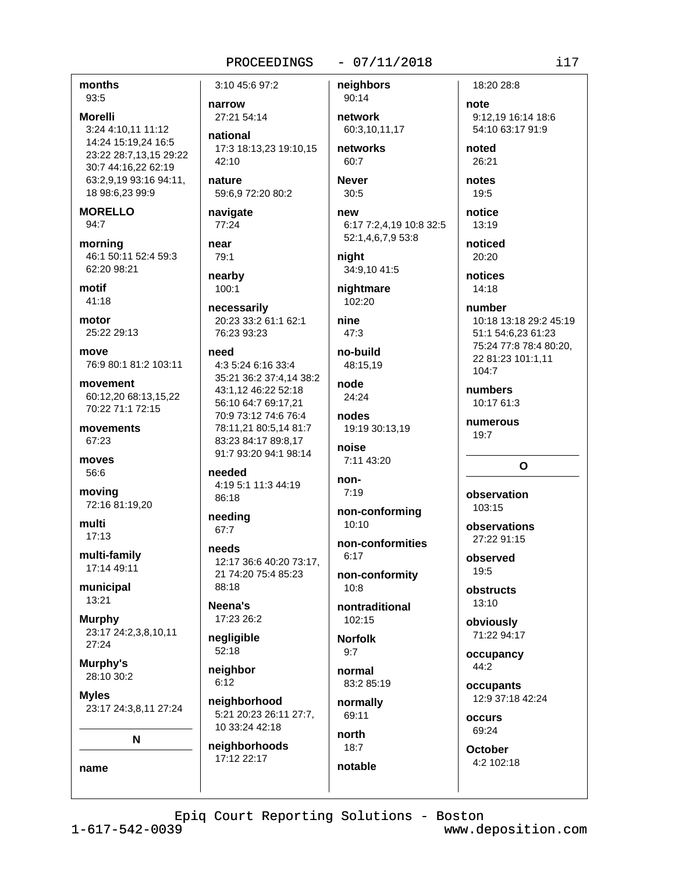## $-07/11/2018$

months 93:5

**Morelli** 3:24 4:10.11 11:12 14:24 15:19.24 16:5 23:22 28:7,13,15 29:22 30:7 44:16,22 62:19 63:2,9,19 93:16 94:11, 18 98:6,23 99:9

**MORELLO** 94:7

morning 46:1 50:11 52:4 59:3 62:20 98:21

motif  $41.18$ 

motor 25:22.29:13

move 76:9 80:1 81:2 103:11

movement 60:12.20 68:13.15.22 70:22 71:1 72:15

movements 67:23

moves 56:6

moving 72:16 81:19,20

multi  $17:13$ 

multi-family 17:14 49:11

municipal  $13:21$ 

**Murphy** 23:17 24:2,3,8,10,11  $27:24$ 

Murphy's 28:10 30:2

name

**M**vles 23:17 24:3,8,11 27:24

N

3:10 45:6 97:2 narrow

27:21 54:14

national 17:3 18:13.23 19:10.15 42:10

nature 59:6.9 72:20 80:2

navigate 77:24

#### near 79:1

nearby 100:1

necessarily

20:23 33:2 61:1 62:1 76:23 93:23

#### need

4:3 5:24 6:16 33:4 35:21 36:2 37:4,14 38:2 43:1.12 46:22 52:18 56:10 64:7 69:17,21 70:9 73:12 74:6 76:4 78:11.21 80:5.14 81:7 83:23 84:17 89:8,17 91:7 93:20 94:1 98:14

needed 4:19 5:1 11:3 44:19 86:18

needing 67:7

needs 12:17 36:6 40:20 73:17, 21 74:20 75:4 85:23 88:18

Neena's 17:23 26:2

negligible  $52:18$ 

neighbor  $6:12$ 

neighborhood 5:21 20:23 26:11 27:7, 10 33:24 42:18

neighborhoods 17:12 22:17

90:14 network 60:3.10.11.17

neighbors

networks  $60:7$ 

**Never**  $30:5$ 

new 6:17 7:2,4,19 10:8 32:5 52:1,4,6,7,9 53:8

niaht 34:9,10 41:5

nightmare 102:20

nine  $47.3$ 

> no-build 48:15.19

node 24:24

nodes 19:19 30:13.19

noise 7:11 43:20

non- $7:19$ 

non-conforming  $10:10$ 

non-conformities  $6:17$ 

non-conformity  $10:8$ 

nontraditional 102:15

**Norfolk**  $9:7$ 

normal 83:2 85:19

normally 69:11

north  $18:7$ notable

18:20 28:8 note

9:12,19 16:14 18:6 54:10 63:17 91:9

noted 26:21

notes  $19:5$ 

notice 13:19

noticed 20:20

notices  $14:18$ 

number 10:18 13:18 29:2 45:19 51:1 54:6,23 61:23 75:24 77:8 78:4 80:20, 22 81:23 101:1,11 104:7

numbers 10:17 61:3

numerous  $19.7$ 

# $\mathbf{o}$

observation  $103.15$ 

observations 27:22 91:15

observed 19:5

obstructs  $13:10$ 

obviously 71:22 94:17

occupancy 44:2

occupants 12:9 37:18 42:24

occurs 69:24

**October** 4:2 102:18

Epiq Court Reporting Solutions - Boston

 $1 - 617 - 542 - 0039$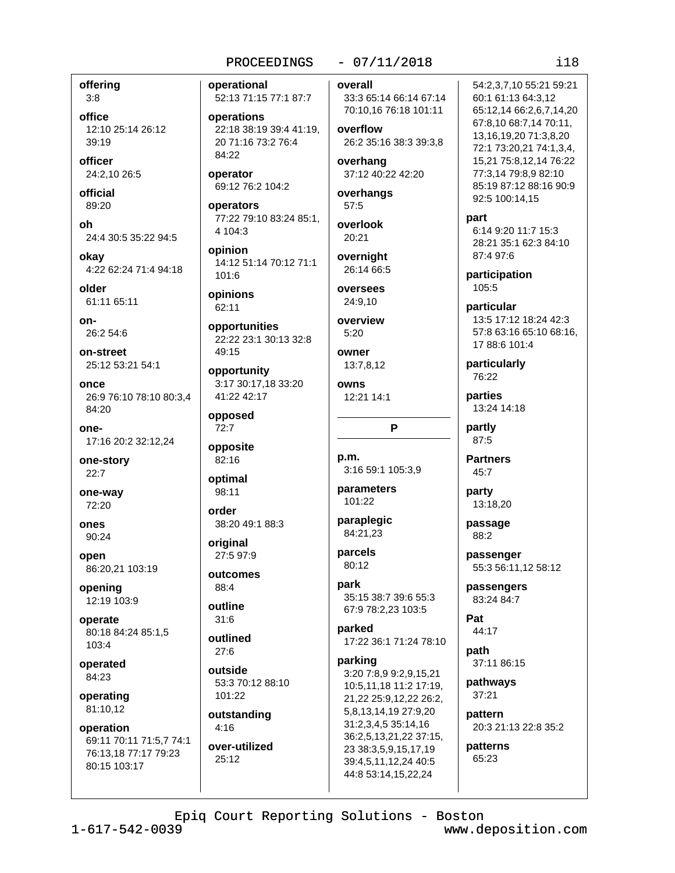# $-07/11/2018$

offering  $3:8$ 

office 12:10 25:14 26:12  $39:19$ 

officer 24:2.10 26:5

official 89:20

oh 24:4 30:5 35:22 94:5

okav 4:22 62:24 71:4 94:18

older 61:11 65:11

 $on-$ 26:2 54:6

on-street 25:12 53:21 54:1

once 26:9 76:10 78:10 80:3,4 84:20

one-17:16 20:2 32:12,24

one-story  $22:7$ 

one-way 72:20

ones 90:24

open 86:20,21 103:19

opening 12:19 103:9

operate 80:18 84:24 85:1,5 103:4

operated 84:23

operating 81:10,12

operation 69:11 70:11 71:5,7 74:1 76:13,18 77:17 79:23 80:15 103:17

operational 52:13 71:15 77:1 87:7

operations 22:18 38:19 39:4 41:19, 20 71:16 73:2 76:4 84:22

operator 69:12 76:2 104:2

operators 77:22 79:10 83:24 85:1, 4 104:3

opinion 14:12 51:14 70:12 71:1 101:6

opinions 62:11

opportunities 22:22 23:1 30:13 32:8 49:15

opportunity 3:17 30:17,18 33:20 41:22 42:17

opposed  $72:7$ 

opposite 82:16

optimal 98:11

order 38:20 49:1 88:3

original 27:5 97:9

outcomes 88:4

outline  $31:6$ 

outlined  $27:6$ 

outside 53:3 70:12 88:10 101:22

outstanding  $4:16$ 

over-utilized 25:12

overall 33:3 65:14 66:14 67:14

70:10,16 76:18 101:11 overflow

26:2 35:16 38:3 39:3.8 overhang 37:12 40:22 42:20

overhangs  $57:5$ 

overlook 20:21

overnight 26:14 66:5 oversees

24:9,10

overview  $5:20$ 

owner 13:7,8,12

owns 12:21 14:1

p.m. 3:16 59:1 105:3,9

P

parameters 101:22

paraplegic 84:21,23

parcels 80:12

park 35:15 38:7 39:6 55:3

67:9 78:2,23 103:5 parked 17:22 36:1 71:24 78:10

parking 3:20 7:8,9 9:2,9,15,21 10:5,11,18 11:2 17:19, 21,22 25:9,12,22 26:2, 5,8,13,14,19 27:9,20 31:2,3,4,5 35:14,16 36:2,5,13,21,22 37:15, 23 38:3,5,9,15,17,19 39:4,5,11,12,24 40:5 44:8 53:14,15,22,24

60:1 61:13 64:3,12 65:12,14 66:2,6,7,14,20 67:8,10 68:7,14 70:11, 13,16,19,20 71:3,8,20 72:1 73:20,21 74:1,3,4, 15,21 75:8,12,14 76:22 77:3,14 79:8,9 82:10 85:19 87:12 88:16 90:9 92:5 100:14,15 part 6:14 9:20 11:7 15:3 28:21 35:1 62:3 84:10

54:2.3.7.10 55:21 59:21

87:4 97:6 participation 105:5

particular 13:5 17:12 18:24 42:3 57:8 63:16 65:10 68:16. 17 88:6 101:4

particularly 76:22

parties 13:24 14:18

partly 87:5

**Partners**  $45:7$ 

> party 13:18,20

passage 88:2

passenger 55:3 56:11,12 58:12

passengers 83:24 84:7

Pat 44:17

path 37:11 86:15

pathways  $37:21$ 

pattern 20:3 21:13 22:8 35:2

patterns 65:23

Epiq Court Reporting Solutions - Boston

www.deposition.com

## $118$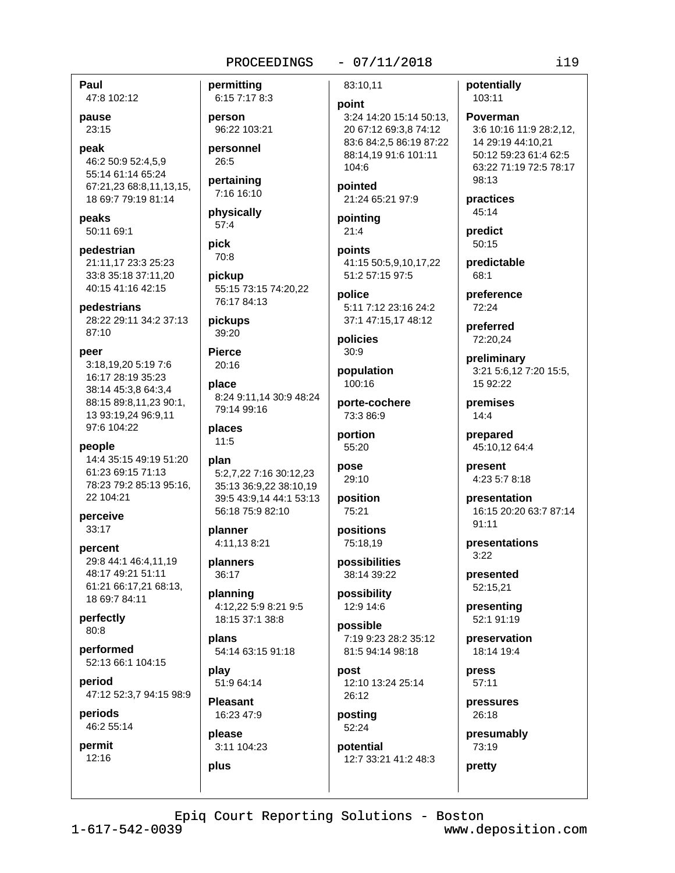### $-07/11/2018$

Paul 47:8 102:12

pause 23:15

peak 46:2 50:9 52:4,5,9 55:14 61:14 65:24 67:21.23 68:8.11.13.15. 18 69:7 79:19 81:14

peaks 50:11 69:1

pedestrian 21:11.17 23:3 25:23 33:8 35:18 37:11,20 40:15 41:16 42:15

pedestrians 28:22 29:11 34:2 37:13  $87:10$ 

peer 3:18.19.20 5:19 7:6

16:17 28:19 35:23 38:14 45:3.8 64:3.4 88:15 89:8.11.23 90:1. 13 93:19,24 96:9,11 97:6 104:22

people 14:4 35:15 49:19 51:20 61:23 69:15 71:13 78:23 79:2 85:13 95:16, 22 104:21

perceive 33:17

percent 29:8 44:1 46:4.11.19 48:17 49:21 51:11 61:21 66:17,21 68:13, 18 69:7 84:11

perfectly 80:8

performed 52:13 66:1 104:15

period 47:12 52:3,7 94:15 98:9

periods 46:2 55:14

permit  $12.16$ 

permitting 6:15 7:17 8:3 person 96:22 103:21 personnel 26:5 pertaining 7:16 16:10

physically  $57:4$ 

pick 70:8

pickup 55:15 73:15 74:20,22 76:17 84:13

pickups 39:20

**Pierce**  $20:16$ 

place 8:24 9:11,14 30:9 48:24 79:14 99:16

places  $11:5$ 

plan 5:2,7,22 7:16 30:12,23 35:13 36:9,22 38:10,19 39:5 43:9.14 44:1 53:13 56:18 75:9 82:10

planner 4:11,13 8:21

planners 36:17

planning 4:12,22 5:9 8:21 9:5 18:15 37:1 38:8

plans 54:14 63:15 91:18

play 51:9 64:14

**Pleasant** 16:23 47:9

please 3:11 104:23 plus

83:10.11

#### point

3:24 14:20 15:14 50:13, 20 67:12 69:3,8 74:12 83:6 84:2,5 86:19 87:22 88:14.19 91:6 101:11 104:6

pointed 21:24 65:21 97:9

pointing  $21:4$ points

41:15 50:5.9.10.17.22 51:2 57:15 97:5

police 5:11 7:12 23:16 24:2 37:1 47:15,17 48:12

policies  $30:9$ 

population 100:16

porte-cochere 73:3 86:9

portion 55:20

pose 29:10

position 75:21

positions 75:18.19

possibilities 38:14 39:22

possibility 12:9 14:6

possible 7:19 9:23 28:2 35:12 81:5 94:14 98:18

post 12:10 13:24 25:14 26:12

posting  $52:24$ 

potential 12:7 33:21 41:2 48:3 potentially 103:11

Poverman 3:6 10:16 11:9 28:2.12. 14 29:19 44:10.21 50:12 59:23 61:4 62:5 63:22 71:19 72:5 78:17 98:13

practices 45:14

predict 50:15

predictable 68:1

preference 72:24

preferred 72:20,24

preliminary 3:21 5:6,12 7:20 15:5, 15 92:22

premises  $14:4$ 

> prepared 45:10,12 64:4

present 4:23 5:7 8:18

presentation 16:15 20:20 63:7 87:14  $91:11$ 

presentations  $3:22$ 

presented 52:15,21

presenting 52:1 91:19

preservation 18:14 19:4

press 57:11

pressures 26:18

presumably 73:19

pretty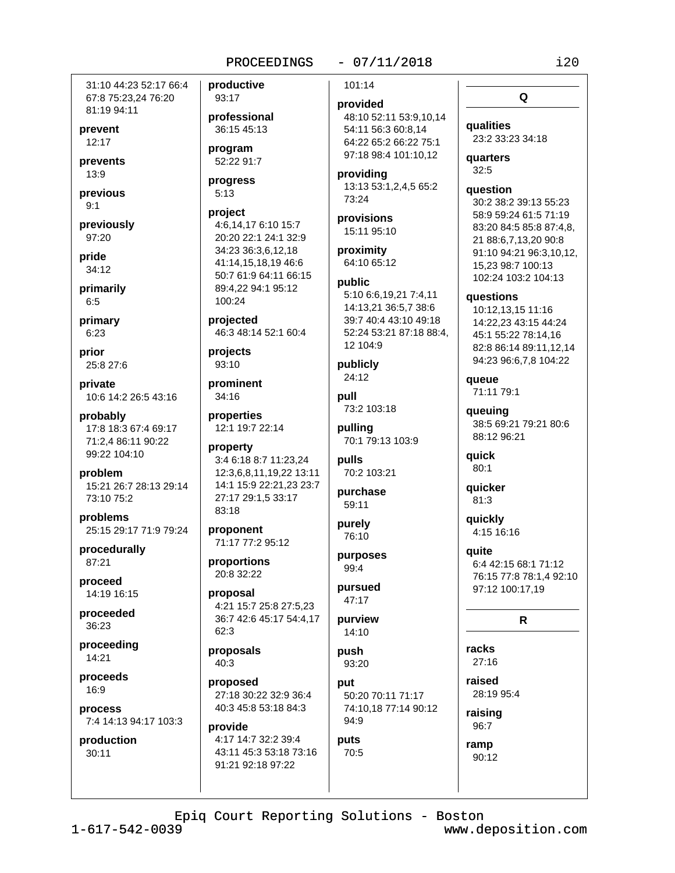31:10 44:23 52:17 66:4 67:8 75:23,24 76:20 81:19 94:11

prevent  $12:17$ 

prevents  $13:9$ 

previous  $9:1$ 

previously 97:20

pride  $34:12$ 

primarily

 $6:5$ primary

 $6:23$ prior

25:8 27:6

private 10:6 14:2 26:5 43:16

probably 17:8 18:3 67:4 69:17 71:2.4 86:11 90:22 99:22 104:10

problem 15:21 26:7 28:13 29:14 73:10 75:2

problems 25:15 29:17 71:9 79:24

procedurally 87:21

proceed 14:19 16:15

proceeded 36:23

proceeding 14:21

proceeds 16:9

process 7:4 14:13 94:17 103:3

production 30:11

93:17 professional 36:15 45:13 program

productive

52:22 91:7 progress

# $5:13$

project 4:6,14,17 6:10 15:7 20:20 22:1 24:1 32:9 34:23 36:3,6,12,18 41:14,15,18,19 46:6 50:7 61:9 64:11 66:15 89:4.22 94:1 95:12 100:24

projected 46:3 48:14 52:1 60:4

projects 93:10

prominent 34:16

properties 12:1 19:7 22:14

property 3:4 6:18 8:7 11:23.24 12:3,6,8,11,19,22 13:11 14:1 15:9 22:21,23 23:7 27:17 29:1,5 33:17 83:18

proponent 71:17 77:2 95:12

proportions 20:8 32:22

proposal 4:21 15:7 25:8 27:5.23 36:7 42:6 45:17 54:4,17  $62:3$ 

proposals 40:3

proposed 27:18 30:22 32:9 36:4 40:3 45:8 53:18 84:3

provide 4:17 14:7 32:2 39:4 43:11 45:3 53:18 73:16 91:21 92:18 97:22

 $-07/11/2018$ 101:14

# provided

48:10 52:11 53:9,10,14 54:11 56:3 60:8.14 64:22 65:2 66:22 75:1 97:18 98:4 101:10,12

providing 13:13 53:1,2,4,5 65:2 73:24

provisions 15:11 95:10

proximity 64:10 65:12

public 5:10 6:6,19,21 7:4,11 14:13,21 36:5,7 38:6 39:7 40:4 43:10 49:18 52:24 53:21 87:18 88:4, 12 104:9

publicly 24:12

pull 73:2 103:18 pulling

70:1 79:13 103:9

pulls 70:2 103:21

purchase 59:11

purely 76:10

purposes 99:4

pursued 47:17

purview 14:10

push 93:20

puts

70:5

put 50:20 70:11 71:17 74:10,18 77:14 90:12 94:9

qualities 23:2 33:23 34:18

Q

**quarters**  $32:5$ 

#### question

30:2 38:2 39:13 55:23 58:9 59:24 61:5 71:19 83:20 84:5 85:8 87:4.8. 21 88:6,7,13,20 90:8 91:10 94:21 96:3,10,12, 15.23 98:7 100:13 102:24 103:2 104:13

questions

10:12,13,15 11:16 14:22,23 43:15 44:24 45:1 55:22 78:14,16 82:8 86:14 89:11.12.14 94:23 96:6,7,8 104:22

queue 71:11 79:1

queuing 38:5 69:21 79:21 80:6 88:12 96:21

quick  $80:1$ 

quicker  $81:3$ 

quickly 4:15 16:16

**auite** 6:4 42:15 68:1 71:12 76:15 77:8 78:1,4 92:10 97:12 100:17,19

#### $\mathsf{R}$

racks  $27:16$ 

raised 28:19 95:4

raising 96:7

ramp 90:12

Epiq Court Reporting Solutions - Boston

 $1 - 617 - 542 - 0039$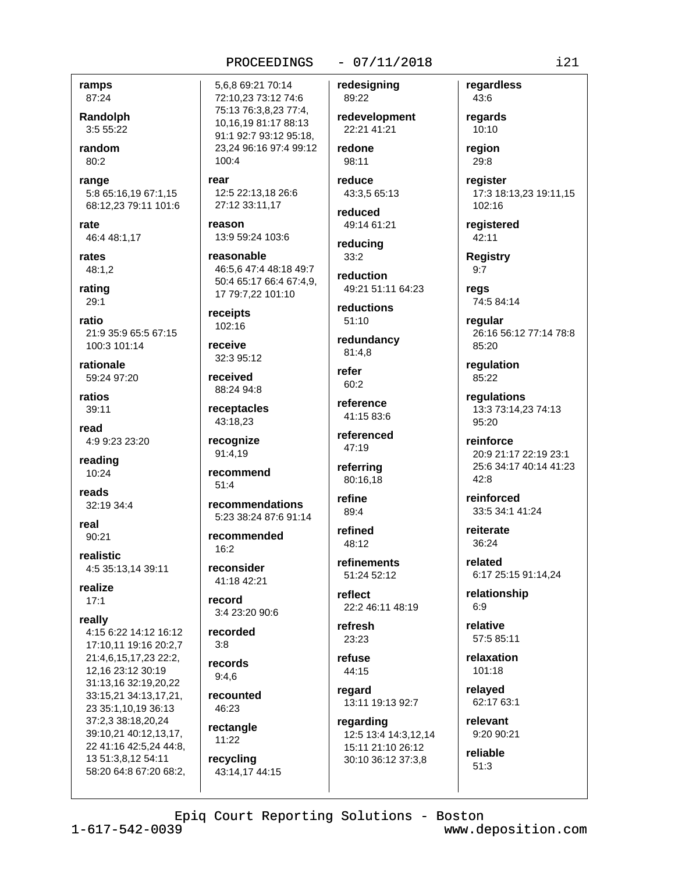# $-07/11/2018$

ramps 87:24

Randolph 3:5 55:22

random 80:2

range 5:8 65:16,19 67:1,15 68:12,23 79:11 101:6

rate 46:4 48:1,17

rates 48:1.2

rating  $29:1$ 

ratio 21:9 35:9 65:5 67:15 100:3 101:14

rationale 59:24 97:20

ratios 39:11

read 4:9 9:23 23:20

reading 10:24

reads 32:19 34:4

real 90:21

realistic 4:5 35:13,14 39:11

realize  $17:1$ 

really 4:15 6:22 14:12 16:12

17:10.11 19:16 20:2.7 21:4.6.15.17.23 22:2. 12.16 23:12 30:19 31:13,16 32:19,20,22 33:15,21 34:13,17,21, 23 35:1,10,19 36:13 37:2,3 38:18,20,24 39:10,21 40:12,13,17, 22 41:16 42:5,24 44:8, 13 51:3,8,12 54:11 58:20 64:8 67:20 68:2,

5,6,8 69:21 70:14 72:10,23 73:12 74:6 75:13 76:3,8,23 77:4, 10.16.19 81:17 88:13 91:1 92:7 93:12 95:18. 23,24 96:16 97:4 99:12  $100:4$ 

rear 12:5 22:13.18 26:6 27:12 33:11,17

reason 13:9 59:24 103:6

reasonable 46:5,6 47:4 48:18 49:7 50:4 65:17 66:4 67:4,9, 17 79:7.22 101:10

receipts 102:16

receive 32:3 95:12

received 88:24 94:8

receptacles 43:18.23

recognize 91:4.19

recommend  $51.4$ 

recommendations 5:23 38:24 87:6 91:14

recommended  $16.2$ 

reconsider 41:18 42:21

record 3:4 23:20 90:6

recorded  $3.8$ 

records  $9:4.6$ 

recounted 46:23

rectangle 11:22

recycling 43:14.17 44:15 redesigning 89:22

redevelopment 22:21 41:21

redone 98:11

reduce 43:3.5 65:13

reduced 49:14 61:21

reducina  $33:2$ 

reduction

49:21 51:11 64:23 reductions

 $51:10$ 

redundancy 81:4,8

refer  $60:2$ 

reference 41:15 83:6

referenced 47:19

referring 80:16,18

refine 89:4

refined 48:12

refinements 51:24 52:12

reflect 22:2 46:11 48:19

refresh 23:23

refuse 44:15

regard 13:11 19:13 92:7

regarding 12:5 13:4 14:3,12,14 15:11 21:10 26:12 30:10 36:12 37:3,8

regardless 43:6 regards

 $10:10$ reaion 29:8

reaister 17:3 18:13,23 19:11,15 102:16

registered 42:11

**Registry**  $9:7$ 

regs 74:5 84:14

regular 26:16 56:12 77:14 78:8 85:20

regulation 85:22

regulations 13:3 73:14,23 74:13 95:20

reinforce 20:9 21:17 22:19 23:1 25:6 34:17 40:14 41:23  $42:8$ 

reinforced 33:5 34:1 41:24

reiterate  $36:24$ 

related 6:17 25:15 91:14,24

relationship  $6:9$ 

relative 57:5 85:11

relaxation 101:18

relayed 62:17 63:1

> relevant 9:20 90:21

reliable  $51:3$ 

Epiq Court Reporting Solutions - Boston

 $1 - 617 - 542 - 0039$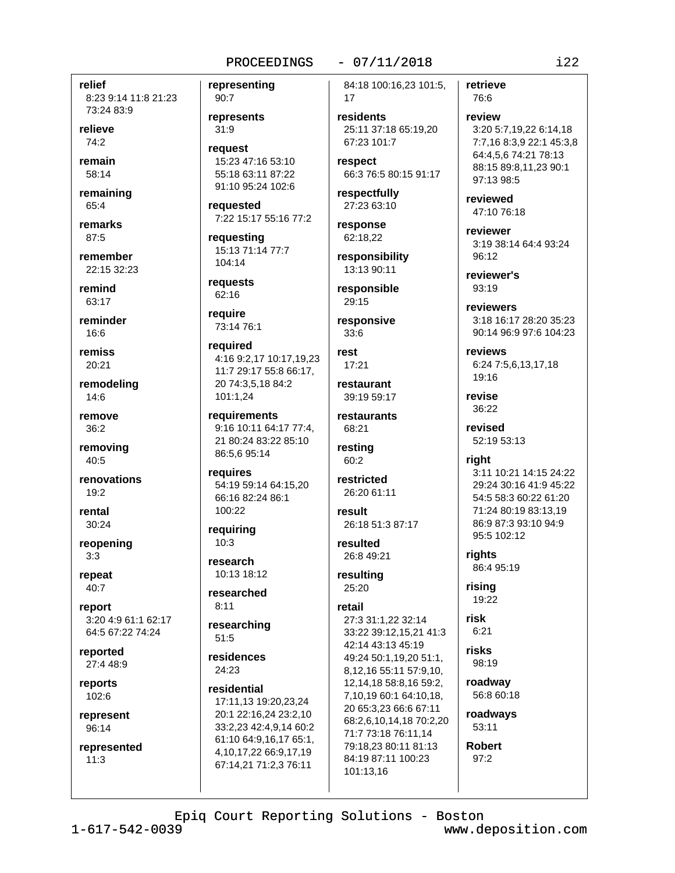relief 8:23 9:14 11:8 21:23 73:24 83:9

relieve  $74:2$ 

remain 58:14

remaining 65:4

remarks  $87.5$ 

remember 22:15 32:23

remind 63:17

reminder  $16.6$ 

remiss 20:21

remodeling 14:6

remove  $36:2$ 

removing 40:5

renovations  $19:2$ 

rental  $30:24$ 

reopening  $3:3$ 

repeat 40:7

report 3:20 4:9 61:1 62:17 64:5 67:22 74:24

reported 27:4 48:9

reports 102:6

represent 96:14

represented  $11:3$ 

representing 90:7

represents  $31:9$ 

reauest 15:23 47:16 53:10 55:18 63:11 87:22 91:10 95:24 102:6

requested 7:22 15:17 55:16 77:2

requesting 15:13 71:14 77:7 104:14

requests 62:16

73:14 76:1

require

required 4:16 9:2,17 10:17,19,23 11:7 29:17 55:8 66:17, 20 74:3,5,18 84:2 101:1,24

requirements 9:16 10:11 64:17 77:4. 21 80:24 83:22 85:10 86:5,6 95:14

requires 54:19 59:14 64:15,20 66:16 82:24 86:1 100:22

reauirina  $10:3$ 

research 10:13 18:12

researched  $8:11$ 

researching  $51:5$ 

residences 24:23

residential 17:11.13 19:20.23.24 20:1 22:16,24 23:2,10 33:2,23 42:4,9,14 60:2 61:10 64:9,16,17 65:1, 4, 10, 17, 22 66: 9, 17, 19 67:14,21 71:2,3 76:11

84:18 100:16,23 101:5, 17

 $-07/11/2018$ 

residents 25:11 37:18 65:19.20 67:23 101:7

respect 66:3 76:5 80:15 91:17

respectfully 27:23 63:10

response 62:18,22

responsibility 13:13 90:11

responsible 29:15

responsive  $33.6$ 

rest  $17.21$ 

restaurant 39:19 59:17

restaurants 68:21

resting  $60:2$ 

restricted 26:20 61:11

result 26:18 51:3 87:17

resulted 26:8 49:21 resulting

25:20

retail

27:3 31:1,22 32:14 33:22 39:12,15,21 41:3 42:14 43:13 45:19 49:24 50:1.19.20 51:1. 8,12,16 55:11 57:9,10, 12, 14, 18 58: 8, 16 59: 2, 7.10.19 60:1 64:10.18. 20 65:3,23 66:6 67:11 68:2,6,10,14,18 70:2,20 71:7 73:18 76:11.14 79:18,23 80:11 81:13 84:19 87:11 100:23 101:13,16

retrieve  $76.6$ 

review 3:20 5:7,19,22 6:14,18 7:7,16 8:3,9 22:1 45:3,8 64:4,5,6 74:21 78:13 88:15 89:8,11,23 90:1 97:13 98:5

reviewed 47:10 76:18

reviewer 3:19 38:14 64:4 93:24 96:12

reviewer's  $93:19$ 

reviewers 3:18 16:17 28:20 35:23 90:14 96:9 97:6 104:23

reviews 6:24 7:5.6,13,17,18 19:16

revise  $36:22$ 

revised 52:19 53:13

right 3:11 10:21 14:15 24:22 29:24 30:16 41:9 45:22 54:5 58:3 60:22 61:20 71:24 80:19 83:13,19 86:9 87:3 93:10 94:9 95:5 102:12

rights 86:4 95:19

rising 19:22

risk  $6:21$ 

risks

98:19 roadway

56:8 60:18 roadways

53:11

**Robert**  $97:2$ 

Epiq Court Reporting Solutions - Boston

 $1 - 617 - 542 - 0039$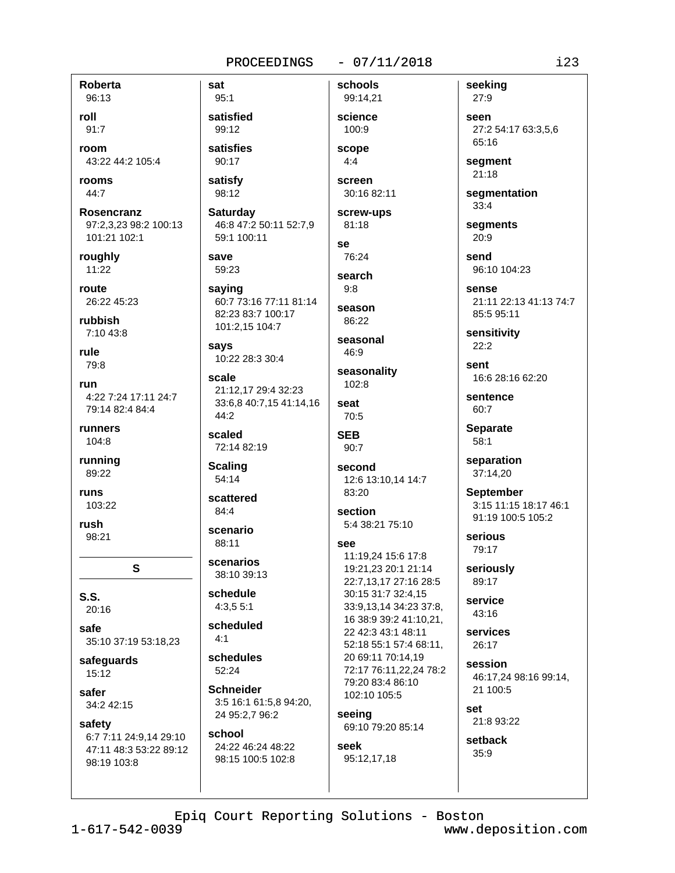#### $-07/11/2018$

**Roberta** 96:13

roll  $91:7$ 

room 43:22 44:2 105:4

rooms  $44:7$ 

Rosencranz 97:2,3,23 98:2 100:13 101:21 102:1

roughly  $11:22$ 

route 26:22 45:23

rubbish  $7.1043.8$ 

rule 79:8

run 4:22 7:24 17:11 24:7 79:14 82:4 84:4

runners 104:8

running 89:22

runs 103:22

rush 98:21

 $S.S.$ 20:16

safe 35:10 37:19 53:18,23

S

safeguards 15:12

safer 34:2 42:15

safety

6:7 7:11 24:9.14 29:10 47:11 48:3 53:22 89:12 98:19 103:8

 $95:1$ satisfied 99:12 satisfies

sat

90:17

satisfv 98:12

**Saturdav** 46:8 47:2 50:11 52:7,9 59:1 100:11

save 59:23

saying 60:7 73:16 77:11 81:14 82:23 83:7 100:17 101:2,15 104:7

says 10:22 28:3 30:4

scale 21:12,17 29:4 32:23 33:6,8 40:7,15 41:14,16 44:2

scaled 72:14 82:19

**Scaling** 54:14

scattered

84:4 scenario

88:11

scenarios 38:10 39:13

schedule  $4:3.55:1$ 

scheduled  $4.1$ 

schedules  $52.24$ 

**Schneider** 3:5 16:1 61:5,8 94:20, 24 95:2,7 96:2

# school 24:22 46:24 48:22

98:15 100:5 102:8

99:14,21 science 100:9 scope  $4:4$ screen

schools

30:16 82:11 screw-ups

81:18 se

76:24 search

 $9:8$ season

86:22

seasonal 46:9

seasonality  $102:8$ 

seat 70:5

**SEB**  $90:7$ 

second 12:6 13:10,14 14:7 83:20

section 5:4 38:21 75:10

# see

11:19.24 15:6 17:8 19:21,23 20:1 21:14 22:7,13,17 27:16 28:5 30:15 31:7 32:4,15 33:9,13,14 34:23 37:8, 16 38:9 39:2 41:10,21, 22 42:3 43:1 48:11 52:18 55:1 57:4 68:11, 20 69:11 70:14,19 72:17 76:11,22,24 78:2 79:20 83:4 86:10 102:10 105:5

seeing 69:10 79:20 85:14

seek 95:12,17,18

27:9 seen 27:2 54:17 63:3,5,6 65:16

segment 21:18

seeking

segmentation  $33:4$ 

segments 20:9

send 96:10 104:23

sense 21:11 22:13 41:13 74:7 85:5 95:11

sensitivity  $22:2$ 

sent 16:6 28:16 62:20

sentence 60:7

**Separate**  $58:1$ 

separation 37:14,20

**September** 3:15 11:15 18:17 46:1 91:19 100:5 105:2

serious 79:17

seriously 89:17

service 43:16

services 26:17

session 46:17,24 98:16 99:14, 21 100:5

set 21:8 93:22

setback 35:9

Epiq Court Reporting Solutions - Boston

 $1 - 617 - 542 - 0039$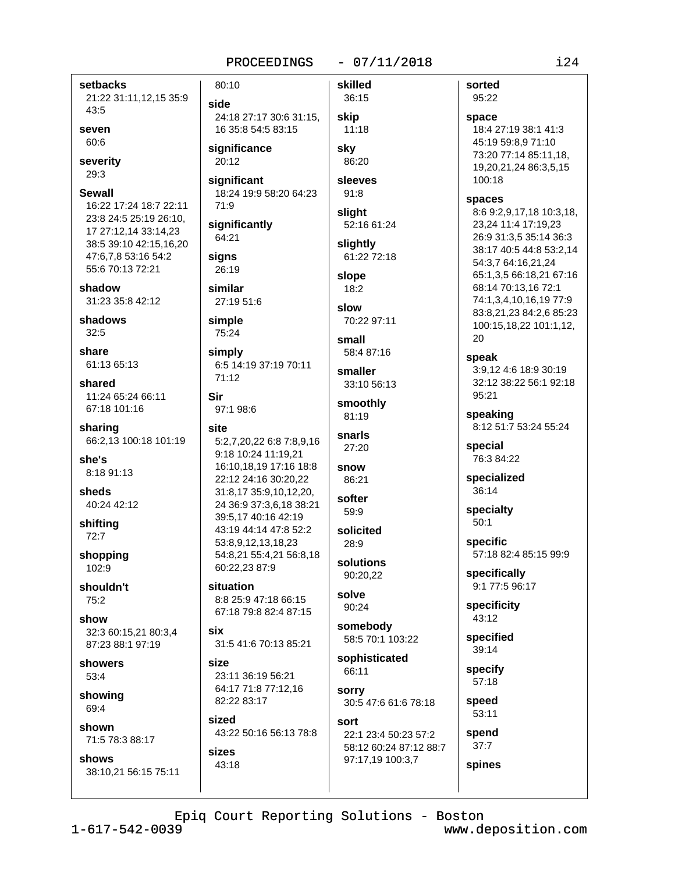#### $-07/11/2018$

skilled

36:15

setbacks 21:22 31:11,12,15 35:9 43:5

seven  $60:6$ 

severity 29:3

**Sewall** 

16:22 17:24 18:7 22:11 23:8 24:5 25:19 26:10, 17 27:12,14 33:14,23 38:5 39:10 42:15,16,20 47:6,7,8 53:16 54:2 55:6 70:13 72:21

shadow 31:23 35:8 42:12

shadows  $32:5$ 

share 61:13 65:13

shared 11:24 65:24 66:11 67:18 101:16

sharing 66:2,13 100:18 101:19

she's 8:18 91:13

sheds 40:24 42:12

shifting  $72:7$ 

shopping 102:9

shouldn't  $75:2$ 

show 32:3 60:15.21 80:3.4 87:23 88:1 97:19

showers 53:4

showing 69:4

shown 71:5 78:3 88:17

shows 38:10.21 56:15 75:11 side 24:18 27:17 30:6 31:15, 16 35:8 54:5 83:15

significance 20:12

80:10

significant 18:24 19:9 58:20 64:23 71:9

significantly 64:21

signs 26:19

similar 27:19 51:6

simple 75:24

simply 6:5 14:19 37:19 70:11  $71.12$ 

```
Sir
 97:1 98:6
```
site 5:2,7,20,22 6:8 7:8,9,16 9:18 10:24 11:19,21 16:10,18,19 17:16 18:8 22:12 24:16 30:20,22 31:8,17 35:9,10,12,20, 24 36:9 37:3,6,18 38:21 39:5.17 40:16 42:19 43:19 44:14 47:8 52:2 53:8,9,12,13,18,23 54:8,21 55:4,21 56:8,18 60:22.23 87:9

situation 8:8 25:9 47:18 66:15 67:18 79:8 82:4 87:15

six 31:5 41:6 70:13 85:21

size 23:11 36:19 56:21 64:17 71:8 77:12,16 82:22 83:17

sized 43:22 50:16 56:13 78:8

sizes 43:18 skip  $11:18$ skv 86:20 sleeves  $91:8$ slight 52:16 61:24 sliahtly 61:22 72:18 slope 18:2 slow 70:22 97:11

small 58:4 87:16

smaller 33:10 56:13

smoothly 81:19

 $27:20$ snow

snarls

```
86:21
softer
```
 $59:9$ 

solicited  $28:9$ 

solutions 90:20.22

solve 90:24

somebodv 58:5 70:1 103:22

sophisticated 66:11

**sorry** 30:5 47:6 61:6 78:18

sort 22:1 23:4 50:23 57:2 58:12 60:24 87:12 88:7 97:17,19 100:3,7

18:4 27:19 38:1 41:3 45:19 59:8,9 71:10 73:20 77:14 85:11,18, 19,20,21,24 86:3,5,15 100:18 spaces 8:6 9:2,9,17,18 10:3,18, 23.24 11:4 17:19.23 26:9 31:3,5 35:14 36:3 38:17 40:5 44:8 53:2,14 54:3,7 64:16,21,24 65:1,3,5 66:18,21 67:16 68:14 70:13,16 72:1 74:1.3.4.10.16.19 77:9 83:8,21,23 84:2,6 85:23 100:15,18,22 101:1,12, 20 speak

sorted

95:22

space

3:9.12 4:6 18:9 30:19 32:12 38:22 56:1 92:18 95:21

speaking 8:12 51:7 53:24 55:24

special 76:3 84:22

specialized 36:14

specialty  $50:1$ 

specific 57:18 82:4 85:15 99:9

specifically 9:1 77:5 96:17

specificity 43:12

specified 39:14

> specify  $57:18$

speed 53:11

spend  $37:7$ 

spines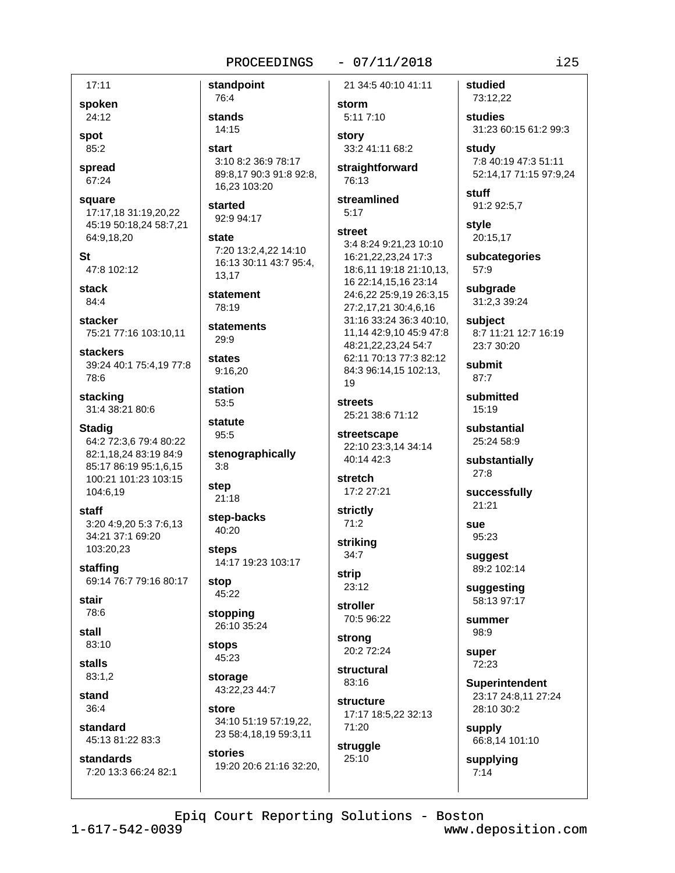#### $-07/11/2018$

 $17:11$ spoken 24:12

spot  $85:2$ 

spread 67:24

square 17:17.18 31:19,20,22 45:19 50:18,24 58:7,21 64:9,18,20

**St** 47:8 102:12

stack 84:4

stacker 75:21 77:16 103:10.11

**stackers** 39:24 40:1 75:4,19 77:8 78:6

stacking 31:4 38:21 80:6

**Stadig** 64:2 72:3,6 79:4 80:22 82:1,18,24 83:19 84:9 85:17 86:19 95:1,6,15 100:21 101:23 103:15 104:6,19

staff 3:20 4:9.20 5:3 7:6.13 34:21 37:1 69:20 103:20,23

staffing 69:14 76:7 79:16 80:17

stair 78:6

stall 83:10

stalls 83:1,2

stand  $36:4$ 

standard 45:13 81:22 83:3

standards 7:20 13:3 66:24 82:1 standpoint 76:4 stands 14:15 start 3:10 8:2 36:9 78:17 89:8,17 90:3 91:8 92:8, 16.23 103:20 started 92:9 94:17 state 7:20 13:2,4,22 14:10 16:13 30:11 43:7 95:4. 13,17 statement  $78.19$ statements 29:9 states 9:16,20 station  $53:5$ statute 95:5 stenographically  $3:8$ step  $21:18$ step-backs  $40:20$ **steps** 14:17 19:23 103:17 stop 45:22 stopping 26:10 35:24 **stops** 45:23 storage 43:22,23 44:7

34:10 51:19 57:19,22, 23 58:4,18,19 59:3,11 stories

19:20 20:6 21:16 32:20.

store

21 34:5 40:10 41:11

storm 5:11 7:10

story 33:2 41:11 68:2 straightforward

76:13

streamlined  $5:17$ 

#### street

3:4 8:24 9:21.23 10:10 16:21.22.23.24 17:3 18:6,11 19:18 21:10,13, 16 22:14,15,16 23:14 24:6,22 25:9,19 26:3,15 27:2,17,21 30:4,6,16 31:16 33:24 36:3 40:10, 11,14 42:9,10 45:9 47:8 48:21,22,23,24 54:7 62:11 70:13 77:3 82:12 84:3 96:14,15 102:13, 19

**streets** 25:21 38:6 71:12

streetscape 22:10 23:3,14 34:14 40:14 42:3

stretch 17:2 27:21

strictly  $71:2$ 

strikina  $34:7$ **strip** 

 $23:12$ stroller 70:5 96:22

strong 20:2 72:24

structural  $83:16$ 

structure 17:17 18:5,22 32:13 71:20

struggle 25:10

studied 73:12,22

studies 31:23 60:15 61:2 99:3

study 7:8 40:19 47:3 51:11 52:14,17 71:15 97:9,24

stuff 91:2 92:5,7

style 20:15,17

subcategories 57:9

subgrade 31:2,3 39:24

subiect 8:7 11:21 12:7 16:19 23:7 30:20

submit  $87:7$ 

submitted  $15:19$ 

substantial 25:24 58:9

substantially  $27:8$ 

successfully  $21:21$ 

sue 95:23

suggest 89:2 102:14

suggesting 58:13 97:17

summer 98:9

super 72:23

**Superintendent** 23:17 24:8,11 27:24

28:10 30:2

supply 66:8,14 101:10

supplying  $7:14$ 

Epiq Court Reporting Solutions - Boston

 $1 - 617 - 542 - 0039$ 

www.deposition.com

 $i25$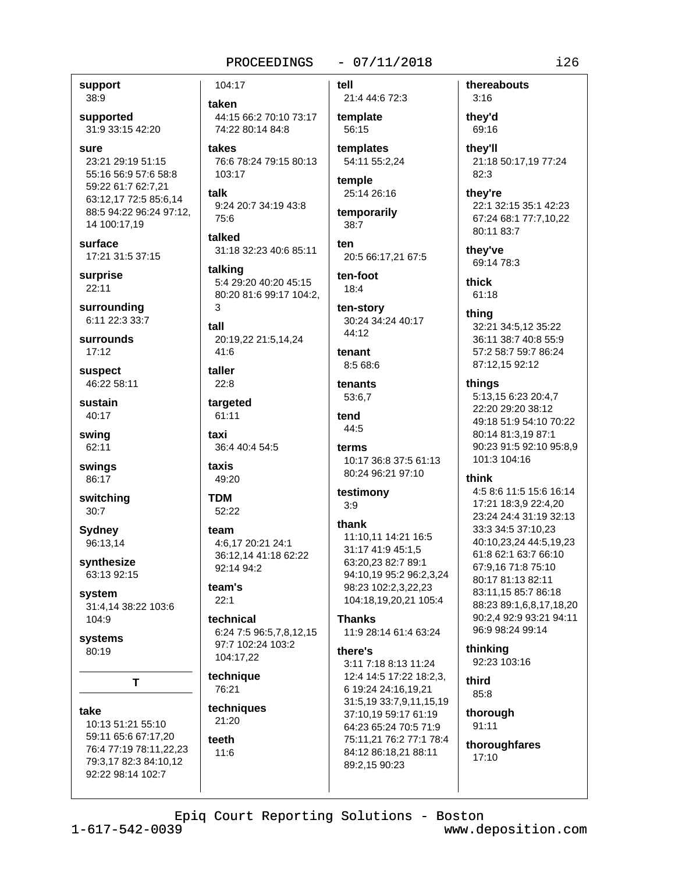#### $-07/11/2018$ PROCEEDINGS

#### support 38:9

supported 31:9 33:15 42:20

sure 23:21 29:19 51:15 55:16 56:9 57:6 58:8 59:22 61:7 62:7.21 63:12,17 72:5 85:6,14 88:5 94:22 96:24 97:12, 14 100:17,19

surface 17:21 31:5 37:15

surprise  $22:11$ 

surrounding 6:11 22:3 33:7

surrounds  $17:12$ 

suspect 46:22 58:11

sustain 40:17

swing 62:11

swings 86:17

switching  $30:7$ 

Sydney 96:13,14

synthesize 63:13 92:15

system 31:4,14 38:22 103:6 104:9

systems 80:19

T

take 10:13 51:21 55:10 59:11 65:6 67:17.20 76:4 77:19 78:11,22,23 79:3,17 82:3 84:10,12 92:22 98:14 102:7

104:17

taken 44:15 66:2 70:10 73:17 74:22 80:14 84:8

takes 76:6 78:24 79:15 80:13 103:17

talk 9:24 20:7 34:19 43:8 75:6

talked 31:18 32:23 40:6 85:11

talking 5:4 29:20 40:20 45:15 80:20 81:6 99:17 104:2. २

tall 20:19,22 21:5,14,24 41:6

taller  $22:8$ 

targeted 61:11

taxi 36:4 40:4 54:5

taxis 49:20

**TDM** 52:22

### team 4:6,17 20:21 24:1 36:12,14 41:18 62:22

92:14 94:2 team's

# $22:1$

technical 6:24 7:5 96:5,7,8,12,15 97:7 102:24 103:2 104:17,22

technique 76:21

techniques 21:20

#### teeth 11:6

tell

# 21:4 44:6 72:3 template 56:15

templates 54:11 55:2,24

temple 25:14 26:16

temporarily 38:7

ten

20:5 66:17,21 67:5

ten-foot  $18:4$ 

ten-story 30:24 34:24 40:17  $44.12$ 

# tenant 8:5 68:6

tenants 53:6,7

tend 44:5

# terms

10:17 36:8 37:5 61:13 80:24 96:21 97:10

#### testimony  $3:9$

thank

11:10,11 14:21 16:5 31:17 41:9 45:1,5 63:20.23 82:7 89:1 94:10,19 95:2 96:2,3,24 98:23 102:2,3,22,23 104:18,19,20,21 105:4

# **Thanks**

11:9 28:14 61:4 63:24

there's 3:11 7:18 8:13 11:24 12:4 14:5 17:22 18:2,3, 6 19:24 24:16,19,21 31:5,19 33:7,9,11,15,19 37:10,19 59:17 61:19 64:23 65:24 70:5 71:9 75:11.21 76:2 77:1 78:4 84:12 86:18,21 88:11 89:2,15 90:23

thereabouts  $3:16$ 

they'd 69:16

thev'll 21:18 50:17,19 77:24 82:3

they're

22:1 32:15 35:1 42:23 67:24 68:1 77:7,10,22 80:11 83:7

they've 69:14 78:3

thick  $61:18$ 

thing

32:21 34:5,12 35:22 36:11 38:7 40:8 55:9 57:2 58:7 59:7 86:24 87:12,15 92:12

#### things

5:13.15 6:23 20:4.7 22:20 29:20 38:12 49:18 51:9 54:10 70:22 80:14 81:3,19 87:1 90:23 91:5 92:10 95:8,9 101:3 104:16

### think

4:5 8:6 11:5 15:6 16:14 17:21 18:3.9 22:4.20 23:24 24:4 31:19 32:13 33:3 34:5 37:10,23 40:10,23,24 44:5,19,23 61:8 62:1 63:7 66:10 67:9.16 71:8 75:10 80:17 81:13 82:11 83:11,15 85:7 86:18 88:23 89:1,6,8,17,18,20 90:2.4 92:9 93:21 94:11 96:9 98:24 99:14

# thinking

92:23 103:16

third 85:8

thorough  $91:11$ 

thoroughfares  $17:10$ 

 $i26$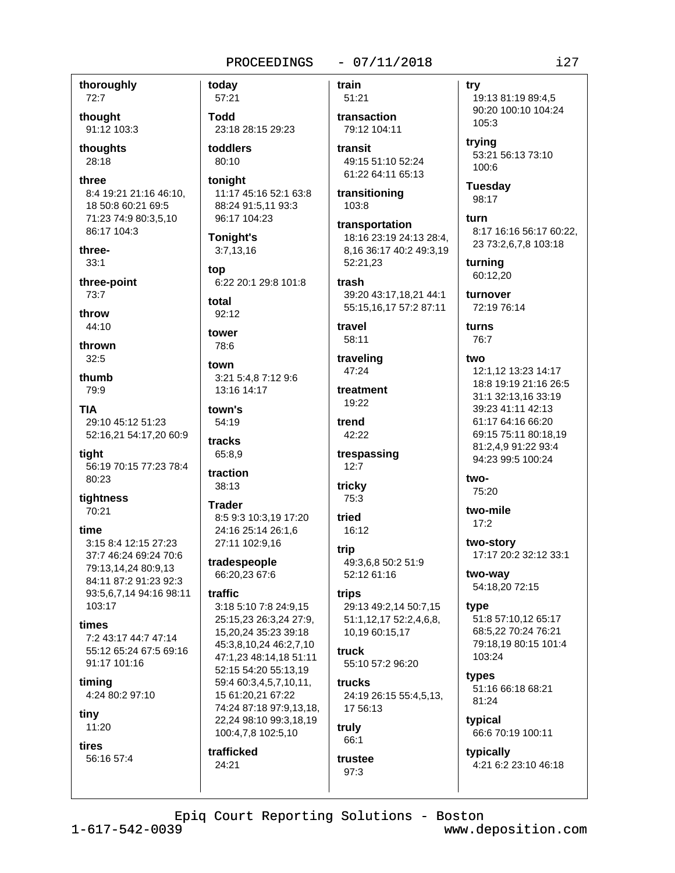thoroughly  $72:7$ 

thought 91:12 103:3

thoughts 28:18

three 8:4 19:21 21:16 46:10. 18 50:8 60:21 69:5 71:23 74:9 80:3,5,10 86:17 104:3

three- $33:1$ 

three-point  $73:7$ 

throw 44:10

thrown  $32:5$ 

thumb 79:9

**TIA** 29:10 45:12 51:23 52:16,21 54:17,20 60:9

tight 56:19 70:15 77:23 78:4 80:23

tightness 70:21

#### time

3:15 8:4 12:15 27:23 37:7 46:24 69:24 70:6 79:13,14,24 80:9,13 84:11 87:2 91:23 92:3 93:5,6,7,14 94:16 98:11 103:17

#### times

7:2 43:17 44:7 47:14 55:12 65:24 67:5 69:16 91:17 101:16

timing 4:24 80:2 97:10

tiny

11:20

tires 56:16 57:4

57:21 **Todd** 23:18 28:15 29:23 toddlers 80:10 tonight 11:17 45:16 52:1 63:8 88:24 91:5,11 93:3 96:17 104:23

**Tonight's**  $3:7,13,16$ 

today

top 6:22 20:1 29:8 101:8

total  $92:12$ 

tower 78:6

town 3:21 5:4.8 7:12 9:6

13:16 14:17

town's 54:19

tracks 65:8,9

traction 38:13

**Trader** 8:5 9:3 10:3,19 17:20 24:16 25:14 26:1.6

27:11 102:9,16 tradespeople 66:20,23 67:6

#### traffic

3:18 5:10 7:8 24:9,15 25:15,23 26:3,24 27:9, 15,20,24 35:23 39:18 45:3,8,10,24 46:2,7,10 47:1.23 48:14.18 51:11 52:15 54:20 55:13,19 59:4 60:3,4,5,7,10,11, 15 61:20,21 67:22 74:24 87:18 97:9,13,18, 22,24 98:10 99:3,18,19 100:4,7,8 102:5,10

trafficked 24:21

train 51:21

transaction 79:12 104:11

 $-07/11/2018$ 

transit 49:15 51:10 52:24 61:22 64:11 65:13

transitioning 103:8

transportation 18:16 23:19 24:13 28:4, 8,16 36:17 40:2 49:3,19 52:21.23

trash 39:20 43:17,18,21 44:1 55:15,16,17 57:2 87:11

travel 58:11

traveling 47:24 treatment

19:22 trend 42:22

trespassing  $12:7$ 

tricky 75:3

tried  $16:12$ 

trip 49:3.6.8 50:2 51:9 52:12 61:16

trips 29:13 49:2,14 50:7,15 51:1,12,17 52:2,4,6,8, 10,19 60:15,17

truck 55:10 57:2 96:20

trucks 24:19 26:15 55:4,5,13, 17 56:13

truly 66:1

trustee  $97:3$ 

try

19:13 81:19 89:4,5 90:20 100:10 104:24 105:3

trying 53:21 56:13 73:10  $100:6$ 

**Tuesday** 98:17

turn 8:17 16:16 56:17 60:22, 23 73:2,6,7,8 103:18

turning 60:12,20

turnover 72:19 76:14

turns 76:7

two 12:1,12 13:23 14:17 18:8 19:19 21:16 26:5 31:1 32:13.16 33:19 39:23 41:11 42:13 61:17 64:16 66:20 69:15 75:11 80:18,19 81:2,4,9 91:22 93:4 94:23 99:5 100:24

two-75:20

two-mile  $17:2$ 

two-story 17:17 20:2 32:12 33:1

two-way 54:18,20 72:15

type 51:8 57:10,12 65:17 68:5,22 70:24 76:21 79:18.19 80:15 101:4 103:24

types 51:16 66:18 68:21 81:24

typical 66:6 70:19 100:11

typically 4:21 6:2 23:10 46:18

Epiq Court Reporting Solutions - Boston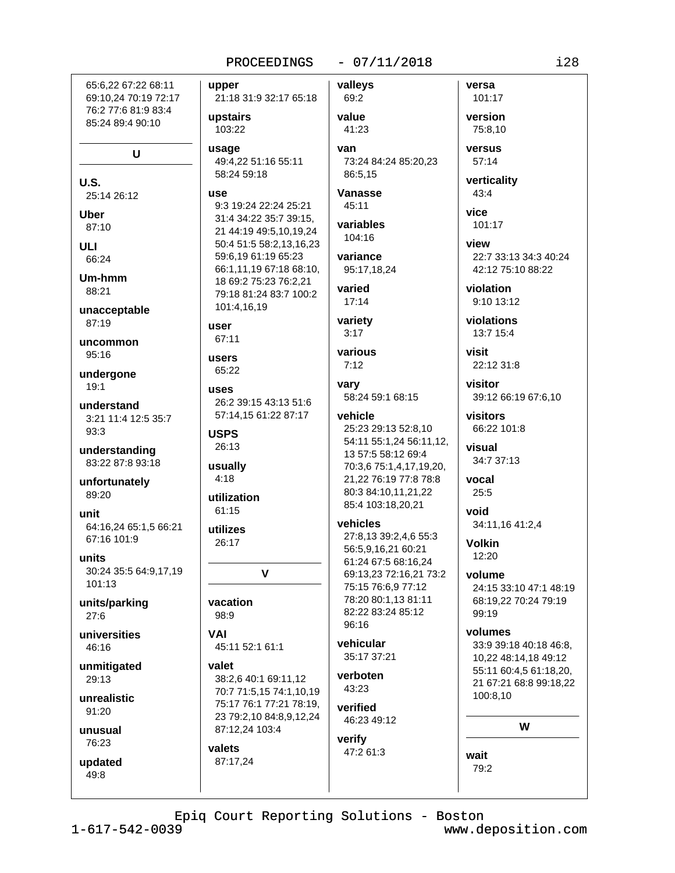21:18 31:9 32:17 65:18

65:6.22 67:22 68:11 69:10,24 70:19 72:17 76:2 77:6 81:9 83:4 85:24 89:4 90:10

U

U.S. 25:14 26:12

Uber 87:10

**ULI** 66:24

Um-hmm 88:21

unacceptable 87:19

uncommon  $95:16$ 

undergone  $19:1$ 

understand 3:21 11:4 12:5 35:7  $93:3$ 

understanding 83:22 87:8 93:18

unfortunately 89:20

unit 64:16,24 65:1,5 66:21 67:16 101:9

units 30:24 35:5 64:9,17,19 101:13

units/parking  $27:6$ 

universities 46:16

unmitigated 29:13

unrealistic 91:20

unusual 76:23

updated

49:8

upstairs 103:22 usage

49:4,22 51:16 55:11 58:24 59:18

# **use**

upper

9:3 19:24 22:24 25:21 31:4 34:22 35:7 39:15, 21 44:19 49:5,10,19,24 50:4 51:5 58:2,13,16,23 59:6,19 61:19 65:23 66:1,11,19 67:18 68:10, 18 69:2 75:23 76:2.21 79:18 81:24 83:7 100:2 101:4,16,19

user

67:11

users 65:22 uses 26:2 39:15 43:13 51:6

57:14,15 61:22 87:17 **USPS** 26:13

usually  $4:18$ 

utilization 61:15

utilizes 26:17

 $\mathbf v$ 

vacation 98:9

VAI 45:11 52:1 61:1

valet 38:2,6 40:1 69:11,12 70:7 71:5,15 74:1,10,19 75:17 76:1 77:21 78:19, 23 79:2,10 84:8,9,12,24 87:12,24 103:4

valets 87:17,24 valleys 69:2

value

 $-07/11/2018$ 

41:23 van 73:24 84:24 85:20,23 86:5.15

Vanasse  $45:11$ 

variables  $104.16$ 

variance 95:17.18.24

varied  $17:14$ 

variety  $3:17$ 

various  $7:12$ 

varv 58:24 59:1 68:15

### vehicle

25:23 29:13 52:8,10 54:11 55:1,24 56:11,12, 13 57:5 58:12 69:4 70:3,6 75:1,4,17,19,20, 21,22 76:19 77:8 78:8 80:3 84:10,11,21,22 85:4 103:18,20,21

#### vehicles

27:8.13 39:2.4.6 55:3 56:5,9,16,21 60:21 61:24 67:5 68:16,24 69:13,23 72:16,21 73:2 75:15 76:6,9 77:12 78:20 80:1,13 81:11 82:22 83:24 85:12 96:16

#### vehicular 35:17 37:21

verboten 43:23

verified 46:23 49:12

verify 47:2 61:3 versa 101:17 version 75:8.10

versus 57:14

verticality 43:4

vice 101:17

view 22:7 33:13 34:3 40:24 42:12 75:10 88:22

violation 9:10 13:12

violations 13:7 15:4

visit 22:12 31:8

visitor 39:12 66:19 67:6,10

visitors 66:22 101:8

visual 34:7 37:13

vocal  $25:5$ 

hiov 34:11,16 41:2,4

**Volkin** 12:20

### volume

24:15 33:10 47:1 48:19 68:19,22 70:24 79:19 99:19

#### volumes

33:9 39:18 40:18 46:8. 10.22 48:14.18 49:12 55:11 60:4,5 61:18,20, 21 67:21 68:8 99:18,22 100:8,10

W

wait 79:2  $i28$ 

Epiq Court Reporting Solutions - Boston

 $1 - 617 - 542 - 0039$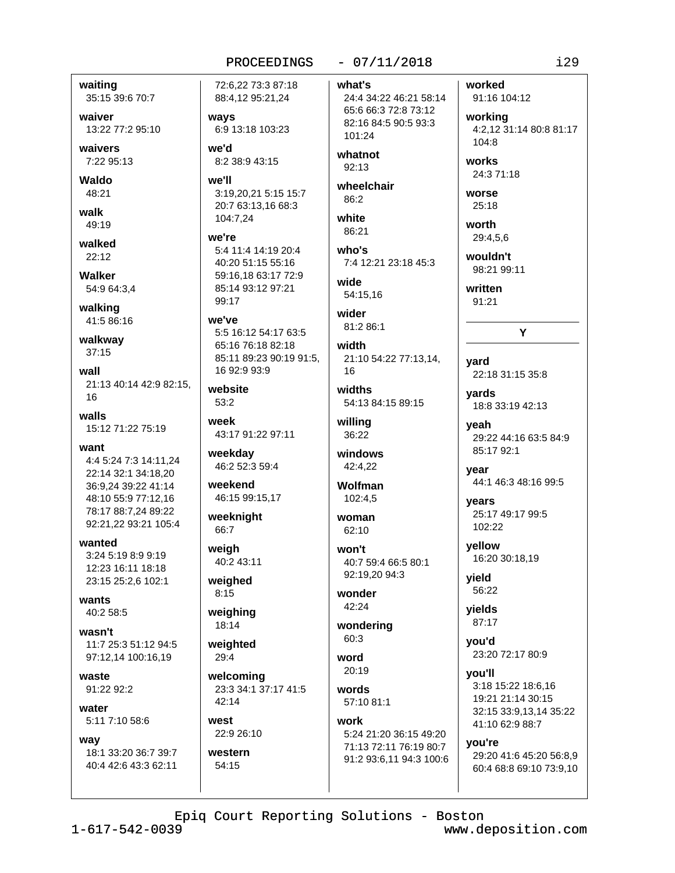waiting 35:15 39:6 70:7

waiver 13:22 77:2 95:10

waivers 7:22 95:13

Waldo 48:21

walk

49:19

walked  $22:12$ 

**Walker** 54:9 64:3,4

walking 41:5 86:16

walkway  $37:15$ 

wall 21:13 40:14 42:9 82:15. 16

walls 15:12 71:22 75:19

want 4:4 5:24 7:3 14:11,24 22:14 32:1 34:18,20 36:9,24 39:22 41:14 48:10 55:9 77:12.16 78:17 88:7,24 89:22

92:21.22 93:21 105:4

wanted 3:24 5:19 8:9 9:19 12:23 16:11 18:18 23:15 25:2,6 102:1

wants 40:2 58:5

wasn't 11:7 25:3 51:12 94:5 97:12.14 100:16.19

waste 91:22 92:2

water 5:11 7:10 58:6

way

18:1 33:20 36:7 39:7 40:4 42:6 43:3 62:11

72:6.22 73:3 87:18 88:4,12 95:21,24

ways 6:9 13:18 103:23

we'd 8:2 38:9 43:15

we'll 3:19.20.21 5:15 15:7 20:7 63:13,16 68:3 104:7,24

we're 5:4 11:4 14:19 20:4 40:20 51:15 55:16 59:16,18 63:17 72:9 85:14 93:12 97:21  $99.17$ 

#### we've 5:5 16:12 54:17 63:5 65:16 76:18 82:18 85:11 89:23 90:19 91:5, 16 92:9 93:9

website  $53:2$ 

week 43:17 91:22 97:11

weekday 46:2 52:3 59:4

weekend 46:15 99:15,17

weeknight 66:7

weigh 40:2 43:11

weighed  $8:15$ 

weighing 18:14

weighted  $29:4$ 

welcoming 23:3 34:1 37:17 41:5 42:14

west 22:9 26:10

western 54:15

# $-07/11/2018$

what's 24:4 34:22 46:21 58:14 65:6 66:3 72:8 73:12 82:16 84:5 90:5 93:3 101:24

whatnot  $92:13$ 

wheelchair  $86.2$ 

white 86:21 who's

7:4 12:21 23:18 45:3

wide 54:15.16

wider 81:2 86:1

width 21:10 54:22 77:13,14, 16

widths 54:13 84:15 89:15

willing  $36.22$ 

windows 42:4.22

**Wolfman** 102:4.5

woman  $62:10$ 

won't 40:7 59:4 66:5 80:1 92:19,20 94:3

wonder  $42:24$ 

wondering 60:3

word  $20.19$ 

words 57:10 81:1 work

5:24 21:20 36:15 49:20 71:13 72:11 76:19 80:7 91:2 93:6,11 94:3 100:6 worked

91:16 104:12

working 4:2.12 31:14 80:8 81:17  $104.8$ 

works 24:3 71:18

**WOrse** 

25:18 worth

29:4,5,6

wouldn't 98:21 99:11

written 91:21

# Y

yard 22:18 31:15 35:8

yards 18:8 33:19 42:13

yeah 29:22 44:16 63:5 84:9 85:17 92:1

year 44:1 46:3 48:16 99:5

years 25:17 49:17 99:5 102:22

yellow 16:20 30:18,19

yield 56:22

yields 87:17

you'd 23:20 72:17 80:9

you'll 3:18 15:22 18:6,16 19:21 21:14 30:15 32:15 33:9,13,14 35:22 41:10 62:9 88:7

you're

29:20 41:6 45:20 56:8,9 60:4 68:8 69:10 73:9,10

Epiq Court Reporting Solutions - Boston